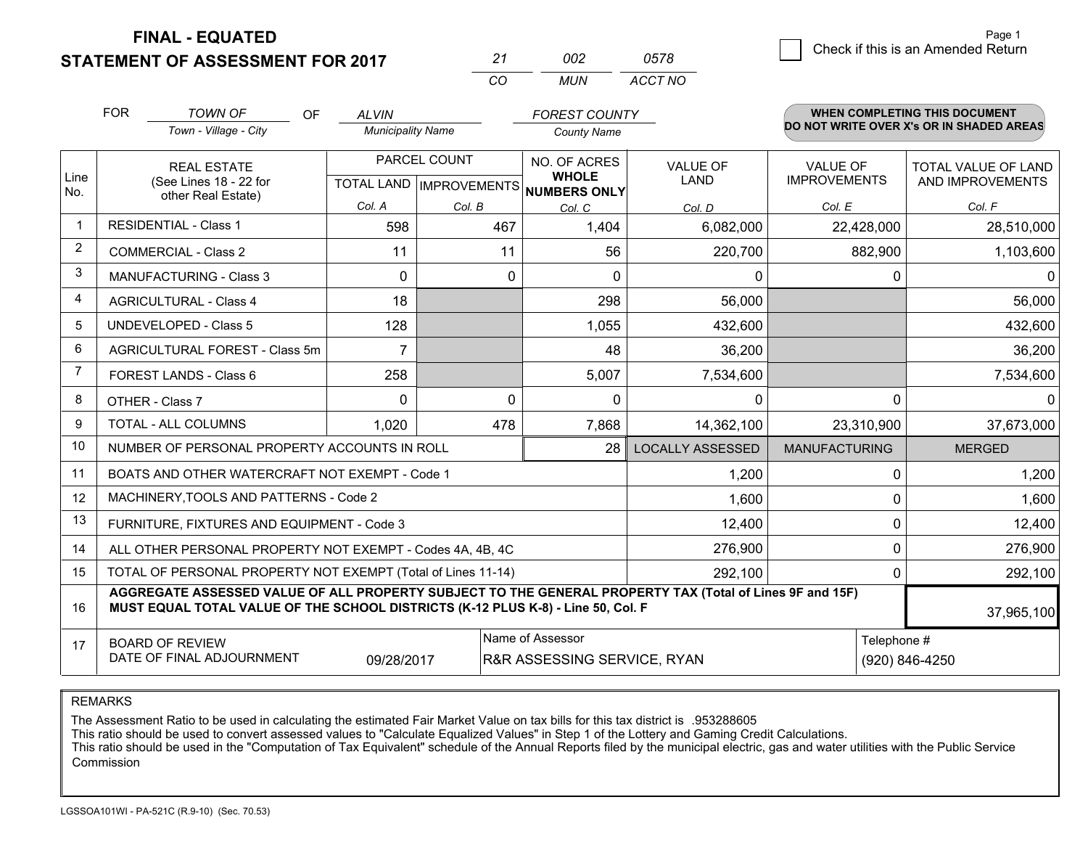**STATEMENT OF ASSESSMENT FOR 2017** 

| 21  | nnə   | 0578    |
|-----|-------|---------|
| CO. | MI IN | ACCT NO |

|                | <b>FOR</b>                                                             | <b>TOWN OF</b><br>OF                                                                                                                                                                         | <b>ALVIN</b>             |          | <b>FOREST COUNTY</b>                                 |                         |                      | <b>WHEN COMPLETING THIS DOCUMENT</b>     |
|----------------|------------------------------------------------------------------------|----------------------------------------------------------------------------------------------------------------------------------------------------------------------------------------------|--------------------------|----------|------------------------------------------------------|-------------------------|----------------------|------------------------------------------|
|                |                                                                        | Town - Village - City                                                                                                                                                                        | <b>Municipality Name</b> |          | <b>County Name</b>                                   |                         |                      | DO NOT WRITE OVER X's OR IN SHADED AREAS |
|                |                                                                        | PARCEL COUNT<br><b>REAL ESTATE</b>                                                                                                                                                           |                          |          | NO. OF ACRES                                         | <b>VALUE OF</b>         | <b>VALUE OF</b>      | TOTAL VALUE OF LAND                      |
| Line<br>No.    |                                                                        | (See Lines 18 - 22 for<br>other Real Estate)                                                                                                                                                 |                          |          | <b>WHOLE</b><br>TOTAL LAND IMPROVEMENTS NUMBERS ONLY | <b>LAND</b>             | <b>IMPROVEMENTS</b>  | AND IMPROVEMENTS                         |
|                |                                                                        |                                                                                                                                                                                              | Col. A                   | Col. B   | Col. C                                               | Col. D                  | Col. E               | Col. F                                   |
| $\mathbf 1$    |                                                                        | <b>RESIDENTIAL - Class 1</b>                                                                                                                                                                 | 598                      | 467      | 1,404                                                | 6,082,000               | 22,428,000           | 28,510,000                               |
| $\overline{2}$ |                                                                        | <b>COMMERCIAL - Class 2</b>                                                                                                                                                                  | 11                       | 11       | 56                                                   | 220,700                 | 882,900              | 1,103,600                                |
| 3              |                                                                        | <b>MANUFACTURING - Class 3</b>                                                                                                                                                               | $\Omega$                 | $\Omega$ | $\Omega$                                             | $\Omega$                | 0                    | 0                                        |
| 4              |                                                                        | <b>AGRICULTURAL - Class 4</b>                                                                                                                                                                | 18                       |          | 298                                                  | 56,000                  |                      | 56,000                                   |
| 5              |                                                                        | <b>UNDEVELOPED - Class 5</b>                                                                                                                                                                 | 128                      |          | 1,055                                                | 432,600                 |                      | 432,600                                  |
| 6              | AGRICULTURAL FOREST - Class 5m                                         |                                                                                                                                                                                              | $\overline{7}$           |          | 48                                                   | 36,200                  |                      |                                          |
| 7              | FOREST LANDS - Class 6                                                 |                                                                                                                                                                                              | 258                      |          | 5,007                                                | 7,534,600               |                      | 7,534,600                                |
| 8              |                                                                        | OTHER - Class 7                                                                                                                                                                              | $\Omega$                 | $\Omega$ | 0                                                    | $\Omega$                | $\Omega$             | 0                                        |
| 9              |                                                                        | TOTAL - ALL COLUMNS<br>1,020<br>478                                                                                                                                                          |                          | 7,868    | 14,362,100                                           | 23,310,900              | 37,673,000           |                                          |
| 10             |                                                                        | NUMBER OF PERSONAL PROPERTY ACCOUNTS IN ROLL                                                                                                                                                 |                          |          | 28                                                   | <b>LOCALLY ASSESSED</b> | <b>MANUFACTURING</b> | <b>MERGED</b>                            |
| 11             |                                                                        | BOATS AND OTHER WATERCRAFT NOT EXEMPT - Code 1                                                                                                                                               |                          |          |                                                      | 1,200                   | 0                    | 1,200                                    |
| 12             |                                                                        | MACHINERY, TOOLS AND PATTERNS - Code 2                                                                                                                                                       |                          |          |                                                      | 1,600                   | $\mathbf 0$          | 1,600                                    |
| 13             |                                                                        | FURNITURE, FIXTURES AND EQUIPMENT - Code 3                                                                                                                                                   |                          |          |                                                      | 12,400                  | 0                    | 12,400                                   |
| 14             |                                                                        | ALL OTHER PERSONAL PROPERTY NOT EXEMPT - Codes 4A, 4B, 4C                                                                                                                                    |                          |          |                                                      | 276,900                 | 0                    | 276,900                                  |
| 15             |                                                                        | TOTAL OF PERSONAL PROPERTY NOT EXEMPT (Total of Lines 11-14)                                                                                                                                 |                          |          |                                                      | 292,100                 | $\mathbf 0$          | 292,100                                  |
| 16             |                                                                        | AGGREGATE ASSESSED VALUE OF ALL PROPERTY SUBJECT TO THE GENERAL PROPERTY TAX (Total of Lines 9F and 15F)<br>MUST EQUAL TOTAL VALUE OF THE SCHOOL DISTRICTS (K-12 PLUS K-8) - Line 50, Col. F |                          |          |                                                      |                         |                      | 37,965,100                               |
| 17             | Name of Assessor<br>Telephone #<br><b>BOARD OF REVIEW</b>              |                                                                                                                                                                                              |                          |          |                                                      |                         |                      |                                          |
|                | DATE OF FINAL ADJOURNMENT<br>09/28/2017<br>R&R ASSESSING SERVICE, RYAN |                                                                                                                                                                                              |                          |          |                                                      | (920) 846-4250          |                      |                                          |

REMARKS

The Assessment Ratio to be used in calculating the estimated Fair Market Value on tax bills for this tax district is .953288605

This ratio should be used to convert assessed values to "Calculate Equalized Values" in Step 1 of the Lottery and Gaming Credit Calculations.<br>This ratio should be used in the "Computation of Tax Equivalent" schedule of the Commission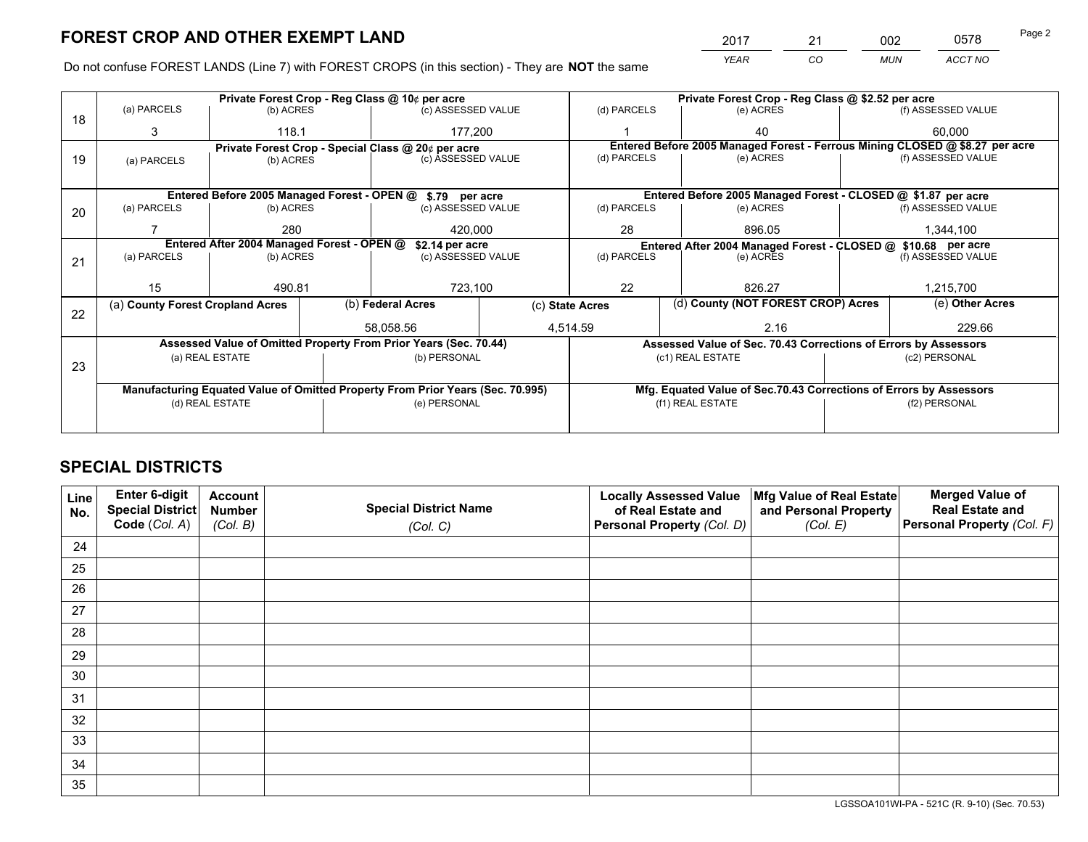*YEAR CO MUN ACCT NO* 2017 21 002 0578

Do not confuse FOREST LANDS (Line 7) with FOREST CROPS (in this section) - They are **NOT** the same

|    |                                                               |                                 |  | Private Forest Crop - Reg Class @ 10¢ per acre                                 |  | Private Forest Crop - Reg Class @ \$2.52 per acre |                                                               |                                                                    |               |                                                                              |
|----|---------------------------------------------------------------|---------------------------------|--|--------------------------------------------------------------------------------|--|---------------------------------------------------|---------------------------------------------------------------|--------------------------------------------------------------------|---------------|------------------------------------------------------------------------------|
| 18 | (a) PARCELS                                                   | (b) ACRES                       |  | (c) ASSESSED VALUE                                                             |  | (d) PARCELS                                       |                                                               | (e) ACRES                                                          |               | (f) ASSESSED VALUE                                                           |
|    | 3                                                             | 118.1                           |  | 177.200                                                                        |  |                                                   |                                                               | 40                                                                 |               | 60.000                                                                       |
|    |                                                               |                                 |  | Private Forest Crop - Special Class @ 20¢ per acre                             |  |                                                   |                                                               |                                                                    |               | Entered Before 2005 Managed Forest - Ferrous Mining CLOSED @ \$8.27 per acre |
| 19 | (a) PARCELS                                                   | (c) ASSESSED VALUE<br>(b) ACRES |  | (d) PARCELS                                                                    |  | (e) ACRES                                         |                                                               | (f) ASSESSED VALUE                                                 |               |                                                                              |
|    |                                                               |                                 |  |                                                                                |  |                                                   |                                                               |                                                                    |               |                                                                              |
|    |                                                               |                                 |  | Entered Before 2005 Managed Forest - OPEN @ \$.79 per acre                     |  |                                                   |                                                               | Entered Before 2005 Managed Forest - CLOSED @ \$1.87 per acre      |               |                                                                              |
| 20 | (a) PARCELS                                                   | (b) ACRES                       |  | (c) ASSESSED VALUE                                                             |  | (d) PARCELS                                       |                                                               | (e) ACRES                                                          |               | (f) ASSESSED VALUE                                                           |
|    |                                                               | 280                             |  | 420,000                                                                        |  | 28                                                |                                                               | 896.05                                                             | 1,344,100     |                                                                              |
|    | Entered After 2004 Managed Forest - OPEN @<br>\$2.14 per acre |                                 |  |                                                                                |  |                                                   | Entered After 2004 Managed Forest - CLOSED @ \$10.68 per acre |                                                                    |               |                                                                              |
| 21 | (a) PARCELS                                                   | (b) ACRES                       |  | (c) ASSESSED VALUE                                                             |  | (d) PARCELS<br>(e) ACRES                          |                                                               | (f) ASSESSED VALUE                                                 |               |                                                                              |
|    |                                                               |                                 |  |                                                                                |  |                                                   |                                                               |                                                                    |               |                                                                              |
|    | 15                                                            | 490.81                          |  | 723,100                                                                        |  | 22                                                |                                                               | 826.27                                                             |               | 1,215,700                                                                    |
|    | (a) County Forest Cropland Acres                              |                                 |  | (b) Federal Acres<br>(c) State Acres                                           |  |                                                   | (d) County (NOT FOREST CROP) Acres                            |                                                                    |               | (e) Other Acres                                                              |
| 22 |                                                               |                                 |  | 58.058.56                                                                      |  | 4,514.59                                          |                                                               | 2.16                                                               |               | 229.66                                                                       |
|    |                                                               |                                 |  |                                                                                |  |                                                   |                                                               |                                                                    |               |                                                                              |
|    |                                                               |                                 |  | Assessed Value of Omitted Property From Prior Years (Sec. 70.44)               |  |                                                   |                                                               | Assessed Value of Sec. 70.43 Corrections of Errors by Assessors    |               |                                                                              |
| 23 |                                                               | (a) REAL ESTATE                 |  | (b) PERSONAL                                                                   |  |                                                   |                                                               | (c1) REAL ESTATE                                                   |               | (c2) PERSONAL                                                                |
|    |                                                               |                                 |  |                                                                                |  |                                                   |                                                               |                                                                    |               |                                                                              |
|    |                                                               |                                 |  | Manufacturing Equated Value of Omitted Property From Prior Years (Sec. 70.995) |  |                                                   |                                                               | Mfg. Equated Value of Sec.70.43 Corrections of Errors by Assessors |               |                                                                              |
|    |                                                               | (d) REAL ESTATE                 |  | (e) PERSONAL                                                                   |  |                                                   |                                                               | (f1) REAL ESTATE                                                   | (f2) PERSONAL |                                                                              |
|    |                                                               |                                 |  |                                                                                |  |                                                   |                                                               |                                                                    |               |                                                                              |

## **SPECIAL DISTRICTS**

| Line<br>No. | Enter 6-digit<br>Special District<br>Code (Col. A) | <b>Account</b><br><b>Number</b><br>(Col. B) | <b>Special District Name</b><br>(Col. C) | <b>Locally Assessed Value</b><br>of Real Estate and<br>Personal Property (Col. D) | Mfg Value of Real Estate<br>and Personal Property<br>(Col. E) | <b>Merged Value of</b><br><b>Real Estate and</b><br>Personal Property (Col. F) |
|-------------|----------------------------------------------------|---------------------------------------------|------------------------------------------|-----------------------------------------------------------------------------------|---------------------------------------------------------------|--------------------------------------------------------------------------------|
| 24          |                                                    |                                             |                                          |                                                                                   |                                                               |                                                                                |
| 25          |                                                    |                                             |                                          |                                                                                   |                                                               |                                                                                |
| 26          |                                                    |                                             |                                          |                                                                                   |                                                               |                                                                                |
| 27          |                                                    |                                             |                                          |                                                                                   |                                                               |                                                                                |
| 28          |                                                    |                                             |                                          |                                                                                   |                                                               |                                                                                |
| 29          |                                                    |                                             |                                          |                                                                                   |                                                               |                                                                                |
| 30          |                                                    |                                             |                                          |                                                                                   |                                                               |                                                                                |
| 31          |                                                    |                                             |                                          |                                                                                   |                                                               |                                                                                |
| 32          |                                                    |                                             |                                          |                                                                                   |                                                               |                                                                                |
| 33          |                                                    |                                             |                                          |                                                                                   |                                                               |                                                                                |
| 34          |                                                    |                                             |                                          |                                                                                   |                                                               |                                                                                |
| 35          |                                                    |                                             |                                          |                                                                                   |                                                               |                                                                                |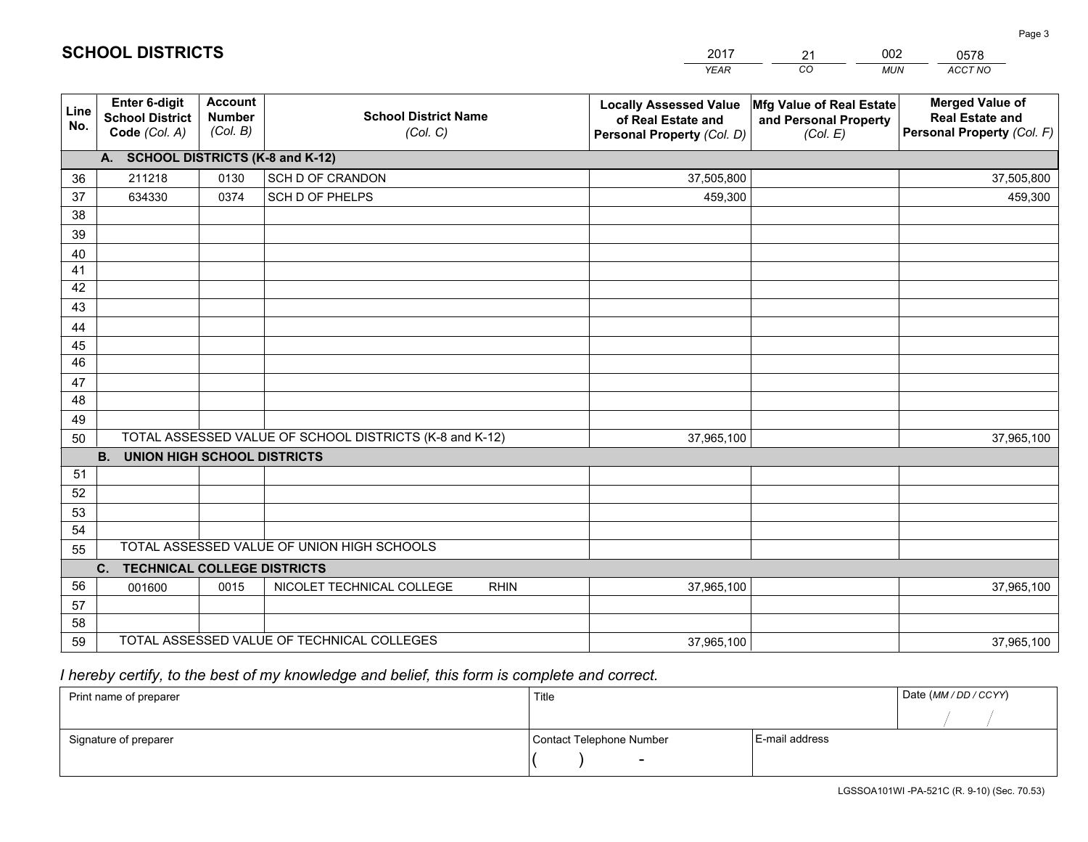|             |                                                          |                                             |                                                         | <b>YEAR</b>                                                                       | CO<br><b>MUN</b>                                              | ACCT NO                                                                        |
|-------------|----------------------------------------------------------|---------------------------------------------|---------------------------------------------------------|-----------------------------------------------------------------------------------|---------------------------------------------------------------|--------------------------------------------------------------------------------|
| Line<br>No. | Enter 6-digit<br><b>School District</b><br>Code (Col. A) | <b>Account</b><br><b>Number</b><br>(Col. B) | <b>School District Name</b><br>(Col. C)                 | <b>Locally Assessed Value</b><br>of Real Estate and<br>Personal Property (Col. D) | Mfg Value of Real Estate<br>and Personal Property<br>(Col. E) | <b>Merged Value of</b><br><b>Real Estate and</b><br>Personal Property (Col. F) |
|             | A. SCHOOL DISTRICTS (K-8 and K-12)                       |                                             |                                                         |                                                                                   |                                                               |                                                                                |
| 36          | 211218                                                   | 0130                                        | SCH D OF CRANDON                                        | 37,505,800                                                                        |                                                               | 37,505,800                                                                     |
| 37          | 634330                                                   | 0374                                        | SCH D OF PHELPS                                         | 459,300                                                                           |                                                               | 459,300                                                                        |
| 38          |                                                          |                                             |                                                         |                                                                                   |                                                               |                                                                                |
| 39          |                                                          |                                             |                                                         |                                                                                   |                                                               |                                                                                |
| 40          |                                                          |                                             |                                                         |                                                                                   |                                                               |                                                                                |
| 41          |                                                          |                                             |                                                         |                                                                                   |                                                               |                                                                                |
| 42          |                                                          |                                             |                                                         |                                                                                   |                                                               |                                                                                |
| 43          |                                                          |                                             |                                                         |                                                                                   |                                                               |                                                                                |
| 44          |                                                          |                                             |                                                         |                                                                                   |                                                               |                                                                                |
| 45<br>46    |                                                          |                                             |                                                         |                                                                                   |                                                               |                                                                                |
|             |                                                          |                                             |                                                         |                                                                                   |                                                               |                                                                                |
| 47<br>48    |                                                          |                                             |                                                         |                                                                                   |                                                               |                                                                                |
| 49          |                                                          |                                             |                                                         |                                                                                   |                                                               |                                                                                |
| 50          |                                                          |                                             | TOTAL ASSESSED VALUE OF SCHOOL DISTRICTS (K-8 and K-12) | 37,965,100                                                                        |                                                               | 37,965,100                                                                     |
|             | <b>B.</b><br><b>UNION HIGH SCHOOL DISTRICTS</b>          |                                             |                                                         |                                                                                   |                                                               |                                                                                |
| 51          |                                                          |                                             |                                                         |                                                                                   |                                                               |                                                                                |
| 52          |                                                          |                                             |                                                         |                                                                                   |                                                               |                                                                                |
| 53          |                                                          |                                             |                                                         |                                                                                   |                                                               |                                                                                |
| 54          |                                                          |                                             |                                                         |                                                                                   |                                                               |                                                                                |
| 55          |                                                          |                                             | TOTAL ASSESSED VALUE OF UNION HIGH SCHOOLS              |                                                                                   |                                                               |                                                                                |
|             | C. TECHNICAL COLLEGE DISTRICTS                           |                                             |                                                         |                                                                                   |                                                               |                                                                                |
| 56          | 001600                                                   | 0015                                        | NICOLET TECHNICAL COLLEGE<br><b>RHIN</b>                | 37,965,100                                                                        |                                                               | 37,965,100                                                                     |
| 57          |                                                          |                                             |                                                         |                                                                                   |                                                               |                                                                                |
| 58          |                                                          |                                             |                                                         |                                                                                   |                                                               |                                                                                |
| 59          |                                                          |                                             | TOTAL ASSESSED VALUE OF TECHNICAL COLLEGES              | 37,965,100                                                                        |                                                               | 37,965,100                                                                     |

21

002

 *I hereby certify, to the best of my knowledge and belief, this form is complete and correct.*

**SCHOOL DISTRICTS**

| Print name of preparer | Title                    |                | Date (MM / DD / CCYY) |
|------------------------|--------------------------|----------------|-----------------------|
|                        |                          |                |                       |
| Signature of preparer  | Contact Telephone Number | E-mail address |                       |
|                        | $\sim$                   |                |                       |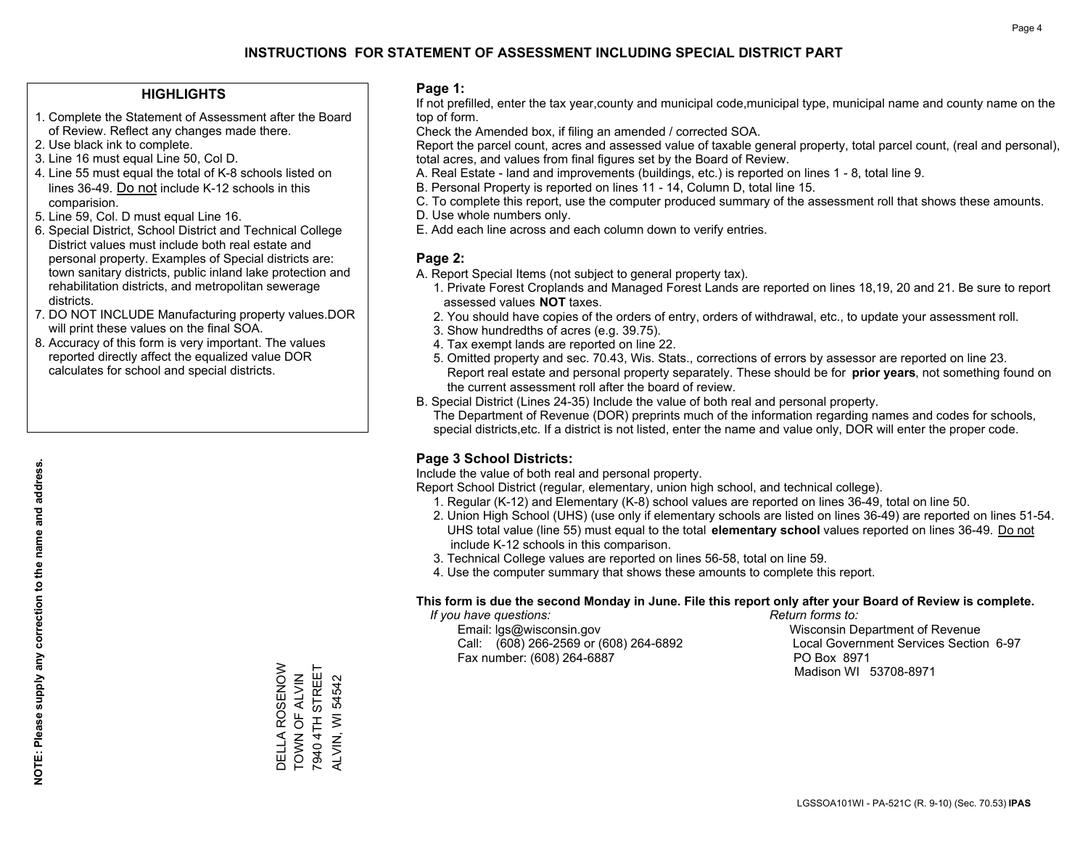### **HIGHLIGHTS**

- 1. Complete the Statement of Assessment after the Board of Review. Reflect any changes made there.
- 2. Use black ink to complete.
- 3. Line 16 must equal Line 50, Col D.
- 4. Line 55 must equal the total of K-8 schools listed on lines 36-49. Do not include K-12 schools in this comparision.
- 5. Line 59, Col. D must equal Line 16.
- 6. Special District, School District and Technical College District values must include both real estate and personal property. Examples of Special districts are: town sanitary districts, public inland lake protection and rehabilitation districts, and metropolitan sewerage districts.
- 7. DO NOT INCLUDE Manufacturing property values.DOR will print these values on the final SOA.

DELLA ROSENOW TOWN OF ALVIN 7940 4TH STREET ALVIN, WI 54542

DELLA ROSENOW<br>TOWN OF ALVIN<br>7940 4TH STREET

**ALVIN, WI 54542** 

 8. Accuracy of this form is very important. The values reported directly affect the equalized value DOR calculates for school and special districts.

### **Page 1:**

 If not prefilled, enter the tax year,county and municipal code,municipal type, municipal name and county name on the top of form.

Check the Amended box, if filing an amended / corrected SOA.

 Report the parcel count, acres and assessed value of taxable general property, total parcel count, (real and personal), total acres, and values from final figures set by the Board of Review.

- A. Real Estate land and improvements (buildings, etc.) is reported on lines 1 8, total line 9.
- B. Personal Property is reported on lines 11 14, Column D, total line 15.
- C. To complete this report, use the computer produced summary of the assessment roll that shows these amounts.
- D. Use whole numbers only.
- E. Add each line across and each column down to verify entries.

### **Page 2:**

- A. Report Special Items (not subject to general property tax).
- 1. Private Forest Croplands and Managed Forest Lands are reported on lines 18,19, 20 and 21. Be sure to report assessed values **NOT** taxes.
- 2. You should have copies of the orders of entry, orders of withdrawal, etc., to update your assessment roll.
	- 3. Show hundredths of acres (e.g. 39.75).
- 4. Tax exempt lands are reported on line 22.
- 5. Omitted property and sec. 70.43, Wis. Stats., corrections of errors by assessor are reported on line 23. Report real estate and personal property separately. These should be for **prior years**, not something found on the current assessment roll after the board of review.
- B. Special District (Lines 24-35) Include the value of both real and personal property.
- The Department of Revenue (DOR) preprints much of the information regarding names and codes for schools, special districts,etc. If a district is not listed, enter the name and value only, DOR will enter the proper code.

### **Page 3 School Districts:**

Include the value of both real and personal property.

Report School District (regular, elementary, union high school, and technical college).

- 1. Regular (K-12) and Elementary (K-8) school values are reported on lines 36-49, total on line 50.
- 2. Union High School (UHS) (use only if elementary schools are listed on lines 36-49) are reported on lines 51-54. UHS total value (line 55) must equal to the total **elementary school** values reported on lines 36-49. Do notinclude K-12 schools in this comparison.
- 3. Technical College values are reported on lines 56-58, total on line 59.
- 4. Use the computer summary that shows these amounts to complete this report.

#### **This form is due the second Monday in June. File this report only after your Board of Review is complete.**

 *If you have questions: Return forms to:*

 Email: lgs@wisconsin.gov Wisconsin Department of RevenueCall:  $(608)$  266-2569 or  $(608)$  264-6892 Fax number: (608) 264-6887 PO Box 8971

Local Government Services Section 6-97

Madison WI 53708-8971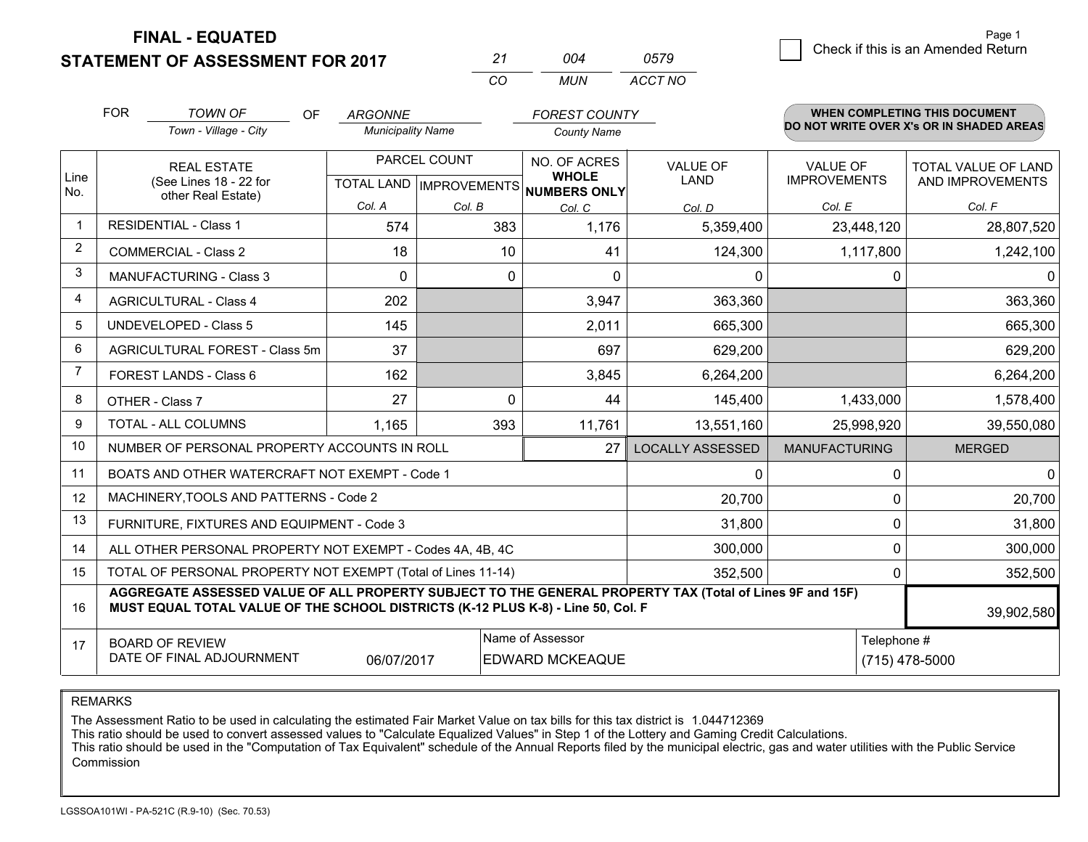**STATEMENT OF ASSESSMENT FOR 2017** 

| 21  | በበ4 | 0579    |
|-----|-----|---------|
| CO. | MUN | ACCT NO |

|             | <b>FOR</b>                     | <b>TOWN OF</b><br><b>OF</b>                                                                                                                                                                  | <b>ARGONNE</b>           |              | <b>FOREST COUNTY</b>                                     |                               |                      | <b>WHEN COMPLETING THIS DOCUMENT</b><br>DO NOT WRITE OVER X's OR IN SHADED AREAS |
|-------------|--------------------------------|----------------------------------------------------------------------------------------------------------------------------------------------------------------------------------------------|--------------------------|--------------|----------------------------------------------------------|-------------------------------|----------------------|----------------------------------------------------------------------------------|
|             |                                | Town - Village - City                                                                                                                                                                        | <b>Municipality Name</b> |              | <b>County Name</b>                                       |                               |                      |                                                                                  |
|             |                                | <b>REAL ESTATE</b>                                                                                                                                                                           | PARCEL COUNT             |              | NO. OF ACRES                                             | <b>VALUE OF</b>               | <b>VALUE OF</b>      | TOTAL VALUE OF LAND                                                              |
| Line<br>No. |                                | (See Lines 18 - 22 for<br>other Real Estate)                                                                                                                                                 |                          |              | <b>WHOLE</b><br>TOTAL LAND   IMPROVEMENTS   NUMBERS ONLY | <b>LAND</b>                   | <b>IMPROVEMENTS</b>  | AND IMPROVEMENTS                                                                 |
|             |                                |                                                                                                                                                                                              | Col. A                   | Col. B       | Col. C                                                   | Col. D                        | Col. E               | Col. F                                                                           |
|             |                                | <b>RESIDENTIAL - Class 1</b>                                                                                                                                                                 | 574                      | 383          | 1,176                                                    | 5,359,400                     | 23,448,120           | 28,807,520                                                                       |
| 2           |                                | <b>COMMERCIAL - Class 2</b>                                                                                                                                                                  | 18                       | 10           | 41                                                       | 124,300                       | 1,117,800            | 1,242,100                                                                        |
| 3           |                                | <b>MANUFACTURING - Class 3</b>                                                                                                                                                               | $\Omega$                 | $\mathbf{0}$ | $\Omega$                                                 | $\mathbf{0}$                  | 0                    | $\Omega$                                                                         |
| 4           |                                | <b>AGRICULTURAL - Class 4</b>                                                                                                                                                                | 202                      |              | 3,947                                                    | 363,360                       |                      | 363,360                                                                          |
| 5           |                                | UNDEVELOPED - Class 5                                                                                                                                                                        | 145                      |              | 2,011                                                    | 665,300                       |                      | 665,300                                                                          |
| 6           | AGRICULTURAL FOREST - Class 5m |                                                                                                                                                                                              | 37                       |              | 697                                                      | 629,200                       |                      | 629,200                                                                          |
| 7           |                                | FOREST LANDS - Class 6                                                                                                                                                                       | 162                      |              | 3,845                                                    | 6,264,200                     |                      | 6,264,200                                                                        |
| 8           |                                | OTHER - Class 7                                                                                                                                                                              | 27                       | $\Omega$     | 44                                                       | 145,400                       | 1,433,000            | 1,578,400                                                                        |
| 9           |                                | TOTAL - ALL COLUMNS                                                                                                                                                                          | 1,165                    | 393          | 11,761                                                   | 13,551,160                    | 25,998,920           | 39,550,080                                                                       |
| 10          |                                | NUMBER OF PERSONAL PROPERTY ACCOUNTS IN ROLL                                                                                                                                                 |                          |              | 27                                                       | <b>LOCALLY ASSESSED</b>       | <b>MANUFACTURING</b> | <b>MERGED</b>                                                                    |
| 11          |                                | BOATS AND OTHER WATERCRAFT NOT EXEMPT - Code 1                                                                                                                                               |                          |              |                                                          | 0                             | 0                    | $\Omega$                                                                         |
| 12          |                                | MACHINERY, TOOLS AND PATTERNS - Code 2                                                                                                                                                       |                          |              |                                                          | 20,700                        | 0                    | 20,700                                                                           |
| 13          |                                | FURNITURE, FIXTURES AND EQUIPMENT - Code 3                                                                                                                                                   |                          |              |                                                          | 31,800                        | 0                    | 31,800                                                                           |
| 14          |                                | ALL OTHER PERSONAL PROPERTY NOT EXEMPT - Codes 4A, 4B, 4C                                                                                                                                    |                          |              |                                                          | 300,000                       | 0                    | 300,000                                                                          |
| 15          |                                | TOTAL OF PERSONAL PROPERTY NOT EXEMPT (Total of Lines 11-14)                                                                                                                                 |                          |              |                                                          | 352,500                       | 0                    | 352,500                                                                          |
| 16          |                                | AGGREGATE ASSESSED VALUE OF ALL PROPERTY SUBJECT TO THE GENERAL PROPERTY TAX (Total of Lines 9F and 15F)<br>MUST EQUAL TOTAL VALUE OF THE SCHOOL DISTRICTS (K-12 PLUS K-8) - Line 50, Col. F |                          |              |                                                          |                               |                      | 39,902,580                                                                       |
| 17          |                                | <b>BOARD OF REVIEW</b><br>DATE OF FINAL ADJOURNMENT                                                                                                                                          | 06/07/2017               |              | Name of Assessor<br><b>EDWARD MCKEAQUE</b>               | Telephone #<br>(715) 478-5000 |                      |                                                                                  |

REMARKS

The Assessment Ratio to be used in calculating the estimated Fair Market Value on tax bills for this tax district is 1.044712369

This ratio should be used to convert assessed values to "Calculate Equalized Values" in Step 1 of the Lottery and Gaming Credit Calculations.<br>This ratio should be used in the "Computation of Tax Equivalent" schedule of the Commission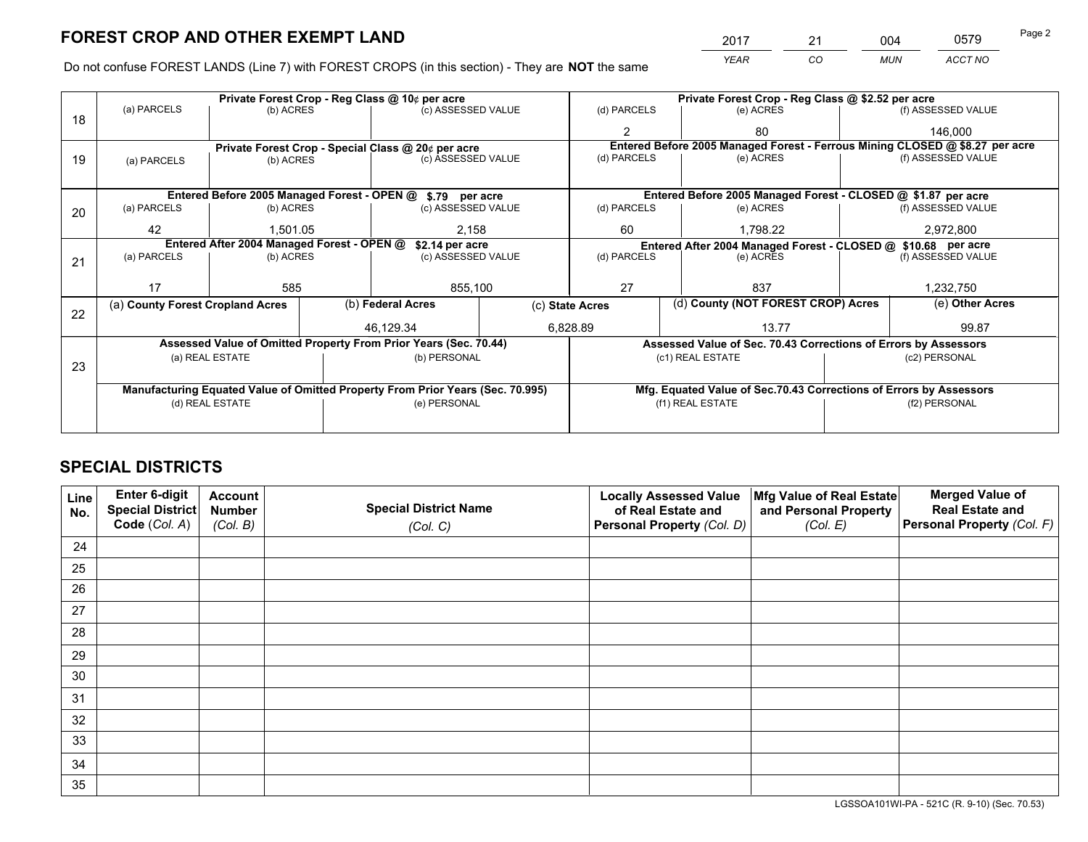*YEAR CO MUN ACCT NO* 2017 21 004 0579 Page 2

Do not confuse FOREST LANDS (Line 7) with FOREST CROPS (in this section) - They are **NOT** the same

|    |                                                               |                 |  | Private Forest Crop - Reg Class @ 10¢ per acre                                 | Private Forest Crop - Reg Class @ \$2.52 per acre |                                    |                                                               |                                                                    |                 |                                                                              |
|----|---------------------------------------------------------------|-----------------|--|--------------------------------------------------------------------------------|---------------------------------------------------|------------------------------------|---------------------------------------------------------------|--------------------------------------------------------------------|-----------------|------------------------------------------------------------------------------|
| 18 | (a) PARCELS                                                   | (b) ACRES       |  | (c) ASSESSED VALUE                                                             |                                                   | (d) PARCELS                        |                                                               | (e) ACRES                                                          |                 | (f) ASSESSED VALUE                                                           |
|    |                                                               |                 |  |                                                                                |                                                   | $\mathfrak{p}$                     |                                                               | 80                                                                 |                 | 146,000                                                                      |
|    |                                                               |                 |  | Private Forest Crop - Special Class @ 20¢ per acre                             |                                                   |                                    |                                                               |                                                                    |                 | Entered Before 2005 Managed Forest - Ferrous Mining CLOSED @ \$8.27 per acre |
| 19 | (a) PARCELS                                                   | (b) ACRES       |  | (c) ASSESSED VALUE                                                             |                                                   | (d) PARCELS                        |                                                               | (e) ACRES                                                          |                 | (f) ASSESSED VALUE                                                           |
|    |                                                               |                 |  |                                                                                |                                                   |                                    |                                                               |                                                                    |                 |                                                                              |
|    |                                                               |                 |  | Entered Before 2005 Managed Forest - OPEN @ \$.79 per acre                     |                                                   |                                    |                                                               | Entered Before 2005 Managed Forest - CLOSED @ \$1.87 per acre      |                 |                                                                              |
| 20 | (a) PARCELS                                                   | (b) ACRES       |  | (c) ASSESSED VALUE                                                             |                                                   | (d) PARCELS                        |                                                               | (e) ACRES                                                          |                 | (f) ASSESSED VALUE                                                           |
|    | 42                                                            | 1,501.05        |  | 2,158                                                                          |                                                   | 60<br>1,798.22                     |                                                               |                                                                    |                 | 2,972,800                                                                    |
|    | Entered After 2004 Managed Forest - OPEN @<br>\$2.14 per acre |                 |  |                                                                                |                                                   |                                    | Entered After 2004 Managed Forest - CLOSED @ \$10.68 per acre |                                                                    |                 |                                                                              |
| 21 | (a) PARCELS                                                   | (b) ACRES       |  | (c) ASSESSED VALUE                                                             |                                                   | (d) PARCELS<br>(e) ACRES           |                                                               | (f) ASSESSED VALUE                                                 |                 |                                                                              |
|    |                                                               |                 |  |                                                                                |                                                   |                                    |                                                               |                                                                    |                 |                                                                              |
|    | 17                                                            | 585             |  | 855,100                                                                        |                                                   | 27<br>837                          |                                                               | 1,232,750                                                          |                 |                                                                              |
|    | (a) County Forest Cropland Acres                              |                 |  | (b) Federal Acres<br>(c) State Acres                                           |                                                   | (d) County (NOT FOREST CROP) Acres |                                                               |                                                                    | (e) Other Acres |                                                                              |
| 22 |                                                               |                 |  | 46,129.34                                                                      |                                                   | 6,828.89<br>13.77                  |                                                               |                                                                    | 99.87           |                                                                              |
|    |                                                               |                 |  | Assessed Value of Omitted Property From Prior Years (Sec. 70.44)               |                                                   |                                    |                                                               | Assessed Value of Sec. 70.43 Corrections of Errors by Assessors    |                 |                                                                              |
|    |                                                               | (a) REAL ESTATE |  | (b) PERSONAL                                                                   |                                                   |                                    | (c1) REAL ESTATE                                              |                                                                    |                 | (c2) PERSONAL                                                                |
| 23 |                                                               |                 |  |                                                                                |                                                   |                                    |                                                               |                                                                    |                 |                                                                              |
|    |                                                               |                 |  | Manufacturing Equated Value of Omitted Property From Prior Years (Sec. 70.995) |                                                   |                                    |                                                               | Mfg. Equated Value of Sec.70.43 Corrections of Errors by Assessors |                 |                                                                              |
|    | (e) PERSONAL<br>(d) REAL ESTATE                               |                 |  | (f1) REAL ESTATE<br>(f2) PERSONAL                                              |                                                   |                                    |                                                               |                                                                    |                 |                                                                              |
|    |                                                               |                 |  |                                                                                |                                                   |                                    |                                                               |                                                                    |                 |                                                                              |

## **SPECIAL DISTRICTS**

| Line<br>No. | Enter 6-digit<br><b>Special District</b> | <b>Account</b><br><b>Number</b> | <b>Special District Name</b> | <b>Locally Assessed Value</b><br>of Real Estate and | Mfg Value of Real Estate<br>and Personal Property | <b>Merged Value of</b><br><b>Real Estate and</b> |
|-------------|------------------------------------------|---------------------------------|------------------------------|-----------------------------------------------------|---------------------------------------------------|--------------------------------------------------|
|             | Code (Col. A)                            | (Col. B)                        | (Col. C)                     | Personal Property (Col. D)                          | (Col. E)                                          | Personal Property (Col. F)                       |
| 24          |                                          |                                 |                              |                                                     |                                                   |                                                  |
| 25          |                                          |                                 |                              |                                                     |                                                   |                                                  |
| 26          |                                          |                                 |                              |                                                     |                                                   |                                                  |
| 27          |                                          |                                 |                              |                                                     |                                                   |                                                  |
| 28          |                                          |                                 |                              |                                                     |                                                   |                                                  |
| 29          |                                          |                                 |                              |                                                     |                                                   |                                                  |
| 30          |                                          |                                 |                              |                                                     |                                                   |                                                  |
| 31          |                                          |                                 |                              |                                                     |                                                   |                                                  |
| 32          |                                          |                                 |                              |                                                     |                                                   |                                                  |
| 33          |                                          |                                 |                              |                                                     |                                                   |                                                  |
| 34          |                                          |                                 |                              |                                                     |                                                   |                                                  |
| 35          |                                          |                                 |                              |                                                     |                                                   |                                                  |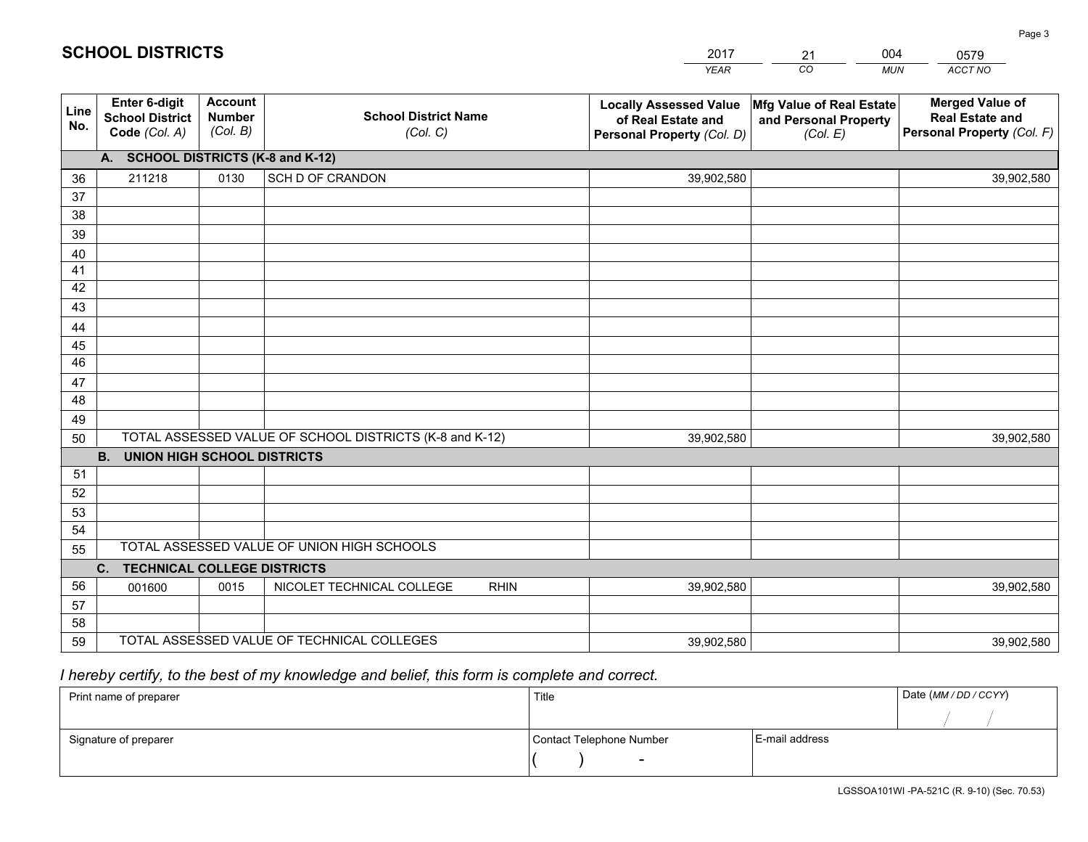|             |                                                          |                                             |                                                         | <b>YEAR</b>                                                                       | CO<br><b>MUN</b>                                              | ACCT NO                                                                        |
|-------------|----------------------------------------------------------|---------------------------------------------|---------------------------------------------------------|-----------------------------------------------------------------------------------|---------------------------------------------------------------|--------------------------------------------------------------------------------|
| Line<br>No. | Enter 6-digit<br><b>School District</b><br>Code (Col. A) | <b>Account</b><br><b>Number</b><br>(Col. B) | <b>School District Name</b><br>(Col. C)                 | <b>Locally Assessed Value</b><br>of Real Estate and<br>Personal Property (Col. D) | Mfg Value of Real Estate<br>and Personal Property<br>(Col. E) | <b>Merged Value of</b><br><b>Real Estate and</b><br>Personal Property (Col. F) |
|             | A. SCHOOL DISTRICTS (K-8 and K-12)                       |                                             |                                                         |                                                                                   |                                                               |                                                                                |
| 36          | 211218                                                   | 0130                                        | SCH D OF CRANDON                                        | 39,902,580                                                                        |                                                               | 39,902,580                                                                     |
| 37          |                                                          |                                             |                                                         |                                                                                   |                                                               |                                                                                |
| 38          |                                                          |                                             |                                                         |                                                                                   |                                                               |                                                                                |
| 39          |                                                          |                                             |                                                         |                                                                                   |                                                               |                                                                                |
| 40          |                                                          |                                             |                                                         |                                                                                   |                                                               |                                                                                |
| 41          |                                                          |                                             |                                                         |                                                                                   |                                                               |                                                                                |
| 42          |                                                          |                                             |                                                         |                                                                                   |                                                               |                                                                                |
| 43          |                                                          |                                             |                                                         |                                                                                   |                                                               |                                                                                |
| 44<br>45    |                                                          |                                             |                                                         |                                                                                   |                                                               |                                                                                |
| 46          |                                                          |                                             |                                                         |                                                                                   |                                                               |                                                                                |
| 47          |                                                          |                                             |                                                         |                                                                                   |                                                               |                                                                                |
| 48          |                                                          |                                             |                                                         |                                                                                   |                                                               |                                                                                |
| 49          |                                                          |                                             |                                                         |                                                                                   |                                                               |                                                                                |
| 50          |                                                          |                                             | TOTAL ASSESSED VALUE OF SCHOOL DISTRICTS (K-8 and K-12) | 39,902,580                                                                        |                                                               | 39,902,580                                                                     |
|             | <b>B.</b><br><b>UNION HIGH SCHOOL DISTRICTS</b>          |                                             |                                                         |                                                                                   |                                                               |                                                                                |
| 51          |                                                          |                                             |                                                         |                                                                                   |                                                               |                                                                                |
| 52          |                                                          |                                             |                                                         |                                                                                   |                                                               |                                                                                |
| 53          |                                                          |                                             |                                                         |                                                                                   |                                                               |                                                                                |
| 54          |                                                          |                                             |                                                         |                                                                                   |                                                               |                                                                                |
| 55          |                                                          |                                             | TOTAL ASSESSED VALUE OF UNION HIGH SCHOOLS              |                                                                                   |                                                               |                                                                                |
|             | C.<br><b>TECHNICAL COLLEGE DISTRICTS</b>                 |                                             |                                                         |                                                                                   |                                                               |                                                                                |
| 56          | 001600                                                   | 0015                                        | NICOLET TECHNICAL COLLEGE<br><b>RHIN</b>                | 39,902,580                                                                        |                                                               | 39,902,580                                                                     |
| 57          |                                                          |                                             |                                                         |                                                                                   |                                                               |                                                                                |
| 58          |                                                          |                                             | TOTAL ASSESSED VALUE OF TECHNICAL COLLEGES              |                                                                                   |                                                               |                                                                                |
| 59          |                                                          |                                             |                                                         | 39,902,580                                                                        |                                                               | 39,902,580                                                                     |

21

004

## *I hereby certify, to the best of my knowledge and belief, this form is complete and correct.*

**SCHOOL DISTRICTS**

| Print name of preparer | Title                    |                | Date (MM / DD / CCYY) |
|------------------------|--------------------------|----------------|-----------------------|
|                        |                          |                |                       |
| Signature of preparer  | Contact Telephone Number | E-mail address |                       |
|                        | $\sim$                   |                |                       |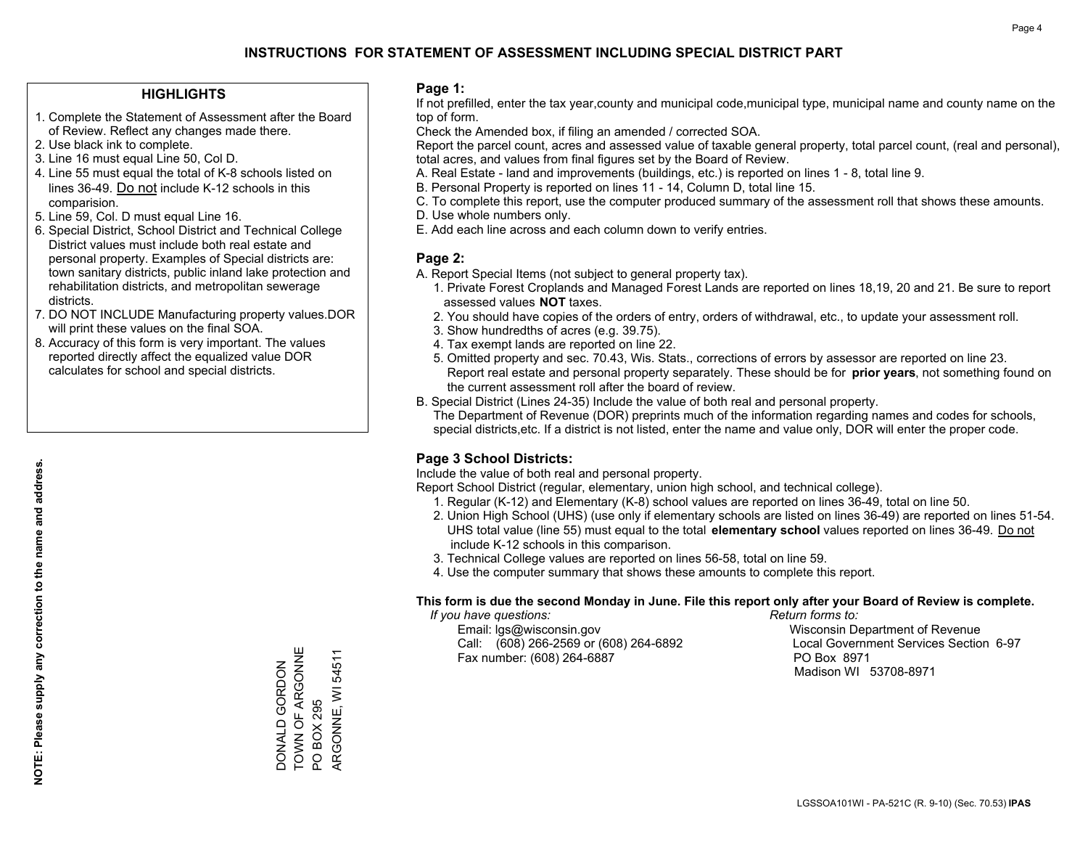### **HIGHLIGHTS**

- 1. Complete the Statement of Assessment after the Board of Review. Reflect any changes made there.
- 2. Use black ink to complete.
- 3. Line 16 must equal Line 50, Col D.
- 4. Line 55 must equal the total of K-8 schools listed on lines 36-49. Do not include K-12 schools in this comparision.
- 5. Line 59, Col. D must equal Line 16.
- 6. Special District, School District and Technical College District values must include both real estate and personal property. Examples of Special districts are: town sanitary districts, public inland lake protection and rehabilitation districts, and metropolitan sewerage districts.
- 7. DO NOT INCLUDE Manufacturing property values.DOR will print these values on the final SOA.

DONALD GORDON TOWN OF ARGONNE

DONALD GORDON<br>TOWN OF ARGONNE

PO BOX 295

PO BOX 295

ARGONNE, WI 54511

ARGONNE, WI 54511

 8. Accuracy of this form is very important. The values reported directly affect the equalized value DOR calculates for school and special districts.

### **Page 1:**

 If not prefilled, enter the tax year,county and municipal code,municipal type, municipal name and county name on the top of form.

Check the Amended box, if filing an amended / corrected SOA.

 Report the parcel count, acres and assessed value of taxable general property, total parcel count, (real and personal), total acres, and values from final figures set by the Board of Review.

- A. Real Estate land and improvements (buildings, etc.) is reported on lines 1 8, total line 9.
- B. Personal Property is reported on lines 11 14, Column D, total line 15.
- C. To complete this report, use the computer produced summary of the assessment roll that shows these amounts.
- D. Use whole numbers only.
- E. Add each line across and each column down to verify entries.

### **Page 2:**

- A. Report Special Items (not subject to general property tax).
- 1. Private Forest Croplands and Managed Forest Lands are reported on lines 18,19, 20 and 21. Be sure to report assessed values **NOT** taxes.
- 2. You should have copies of the orders of entry, orders of withdrawal, etc., to update your assessment roll.
	- 3. Show hundredths of acres (e.g. 39.75).
- 4. Tax exempt lands are reported on line 22.
- 5. Omitted property and sec. 70.43, Wis. Stats., corrections of errors by assessor are reported on line 23. Report real estate and personal property separately. These should be for **prior years**, not something found on the current assessment roll after the board of review.
- B. Special District (Lines 24-35) Include the value of both real and personal property.

 The Department of Revenue (DOR) preprints much of the information regarding names and codes for schools, special districts,etc. If a district is not listed, enter the name and value only, DOR will enter the proper code.

### **Page 3 School Districts:**

Include the value of both real and personal property.

Report School District (regular, elementary, union high school, and technical college).

- 1. Regular (K-12) and Elementary (K-8) school values are reported on lines 36-49, total on line 50.
- 2. Union High School (UHS) (use only if elementary schools are listed on lines 36-49) are reported on lines 51-54. UHS total value (line 55) must equal to the total **elementary school** values reported on lines 36-49. Do notinclude K-12 schools in this comparison.
- 3. Technical College values are reported on lines 56-58, total on line 59.
- 4. Use the computer summary that shows these amounts to complete this report.

#### **This form is due the second Monday in June. File this report only after your Board of Review is complete.**

 *If you have questions: Return forms to:*

 Email: lgs@wisconsin.gov Wisconsin Department of RevenueCall:  $(608)$  266-2569 or  $(608)$  264-6892 Fax number: (608) 264-6887 PO Box 8971

Local Government Services Section 6-97 Madison WI 53708-8971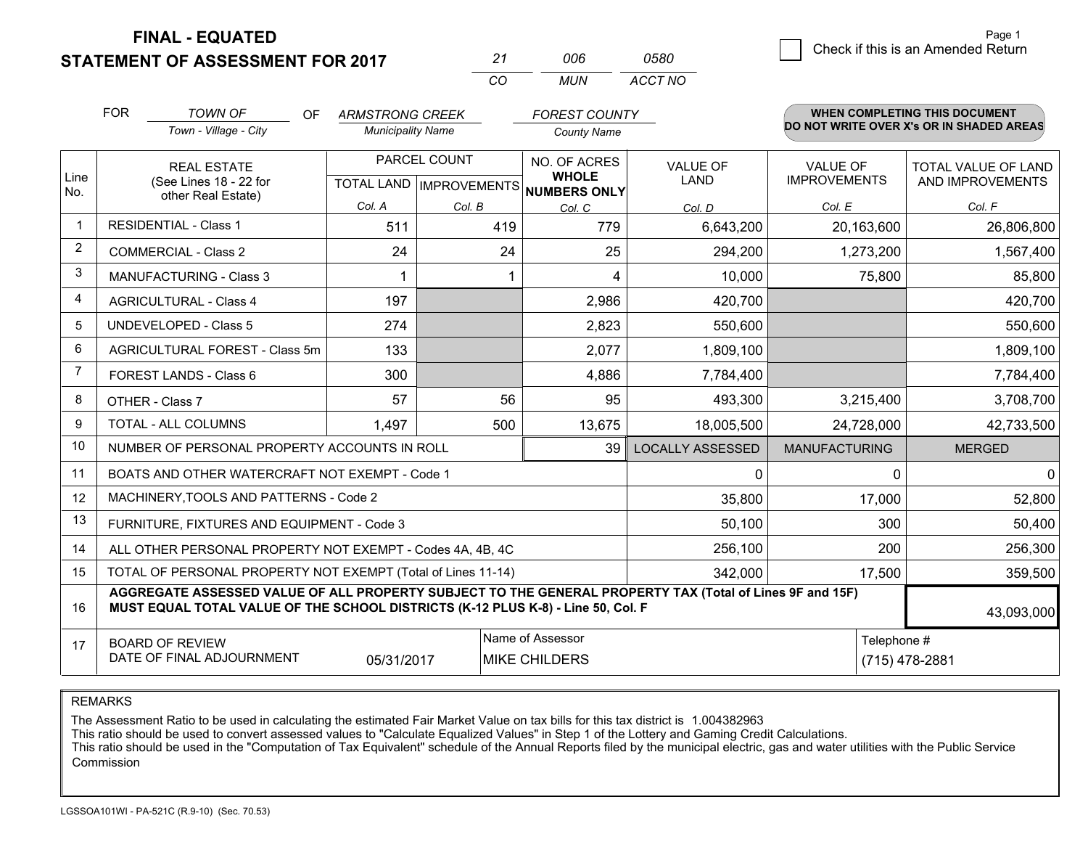**STATEMENT OF ASSESSMENT FOR 2017** 

| 21 | ററഞ | 0580    |
|----|-----|---------|
| CО | MUN | ACCT NO |

|                | <b>FOR</b>                                                                                                                                                                                   | <b>TOWN OF</b><br>OF<br>Town - Village - City                | <b>ARMSTRONG CREEK</b><br><b>Municipality Name</b>       |        | <b>FOREST COUNTY</b><br><b>County Name</b> |                                |                                        | <b>WHEN COMPLETING THIS DOCUMENT</b><br>DO NOT WRITE OVER X's OR IN SHADED AREAS |
|----------------|----------------------------------------------------------------------------------------------------------------------------------------------------------------------------------------------|--------------------------------------------------------------|----------------------------------------------------------|--------|--------------------------------------------|--------------------------------|----------------------------------------|----------------------------------------------------------------------------------|
| Line<br>No.    | <b>REAL ESTATE</b><br>(See Lines 18 - 22 for<br>other Real Estate)                                                                                                                           |                                                              | PARCEL COUNT<br>TOTAL LAND   IMPROVEMENTS   NUMBERS ONLY |        | NO. OF ACRES<br><b>WHOLE</b>               | <b>VALUE OF</b><br><b>LAND</b> | <b>VALUE OF</b><br><b>IMPROVEMENTS</b> | TOTAL VALUE OF LAND<br>AND IMPROVEMENTS                                          |
|                |                                                                                                                                                                                              |                                                              | Col. A                                                   | Col. B | Col. C                                     | Col. D                         | Col. E                                 | Col. F                                                                           |
|                |                                                                                                                                                                                              | <b>RESIDENTIAL - Class 1</b>                                 | 511                                                      | 419    | 779                                        | 6,643,200                      | 20,163,600                             | 26,806,800                                                                       |
| $\overline{2}$ |                                                                                                                                                                                              | <b>COMMERCIAL - Class 2</b>                                  | 24                                                       | 24     | 25                                         | 294,200                        | 1,273,200                              | 1,567,400                                                                        |
| 3              |                                                                                                                                                                                              | <b>MANUFACTURING - Class 3</b>                               | 1                                                        |        | 4                                          | 10,000                         | 75,800                                 | 85,800                                                                           |
| $\overline{4}$ |                                                                                                                                                                                              | <b>AGRICULTURAL - Class 4</b>                                | 197                                                      |        | 2,986                                      | 420,700                        |                                        | 420,700                                                                          |
| 5              |                                                                                                                                                                                              | <b>UNDEVELOPED - Class 5</b>                                 | 274                                                      |        | 2,823                                      | 550,600                        |                                        | 550,600                                                                          |
| 6              | AGRICULTURAL FOREST - Class 5m                                                                                                                                                               |                                                              | 133                                                      |        | 2,077                                      | 1,809,100                      |                                        | 1,809,100                                                                        |
| 7              | FOREST LANDS - Class 6                                                                                                                                                                       |                                                              | 300                                                      |        | 4,886                                      | 7,784,400                      |                                        | 7,784,400                                                                        |
| 8              |                                                                                                                                                                                              | OTHER - Class 7                                              | 57                                                       | 56     | 95                                         | 493,300                        | 3,215,400                              | 3,708,700                                                                        |
| 9              |                                                                                                                                                                                              | TOTAL - ALL COLUMNS                                          | 1,497                                                    | 500    | 13,675                                     | 18,005,500                     | 24,728,000                             | 42,733,500                                                                       |
| 10             |                                                                                                                                                                                              | NUMBER OF PERSONAL PROPERTY ACCOUNTS IN ROLL                 |                                                          |        | 39                                         | <b>LOCALLY ASSESSED</b>        | <b>MANUFACTURING</b>                   | <b>MERGED</b>                                                                    |
| 11             |                                                                                                                                                                                              | BOATS AND OTHER WATERCRAFT NOT EXEMPT - Code 1               |                                                          |        |                                            | $\mathbf{0}$                   | 0                                      | $\overline{0}$                                                                   |
| 12             |                                                                                                                                                                                              | MACHINERY, TOOLS AND PATTERNS - Code 2                       |                                                          |        |                                            | 35,800                         | 17,000                                 | 52,800                                                                           |
| 13             |                                                                                                                                                                                              | FURNITURE, FIXTURES AND EQUIPMENT - Code 3                   |                                                          |        |                                            | 50,100                         | 300                                    | 50,400                                                                           |
| 14             |                                                                                                                                                                                              | ALL OTHER PERSONAL PROPERTY NOT EXEMPT - Codes 4A, 4B, 4C    |                                                          |        |                                            | 256,100                        | 200                                    | 256,300                                                                          |
| 15             |                                                                                                                                                                                              | TOTAL OF PERSONAL PROPERTY NOT EXEMPT (Total of Lines 11-14) |                                                          |        |                                            | 342,000                        | 17,500                                 | 359,500                                                                          |
| 16             | AGGREGATE ASSESSED VALUE OF ALL PROPERTY SUBJECT TO THE GENERAL PROPERTY TAX (Total of Lines 9F and 15F)<br>MUST EQUAL TOTAL VALUE OF THE SCHOOL DISTRICTS (K-12 PLUS K-8) - Line 50, Col. F |                                                              |                                                          |        |                                            |                                | 43,093,000                             |                                                                                  |
| 17             | Name of Assessor<br>Telephone #<br><b>BOARD OF REVIEW</b><br>DATE OF FINAL ADJOURNMENT<br>05/31/2017<br><b>MIKE CHILDERS</b><br>(715) 478-2881                                               |                                                              |                                                          |        |                                            |                                |                                        |                                                                                  |

REMARKS

The Assessment Ratio to be used in calculating the estimated Fair Market Value on tax bills for this tax district is 1.004382963

This ratio should be used to convert assessed values to "Calculate Equalized Values" in Step 1 of the Lottery and Gaming Credit Calculations.<br>This ratio should be used in the "Computation of Tax Equivalent" schedule of the Commission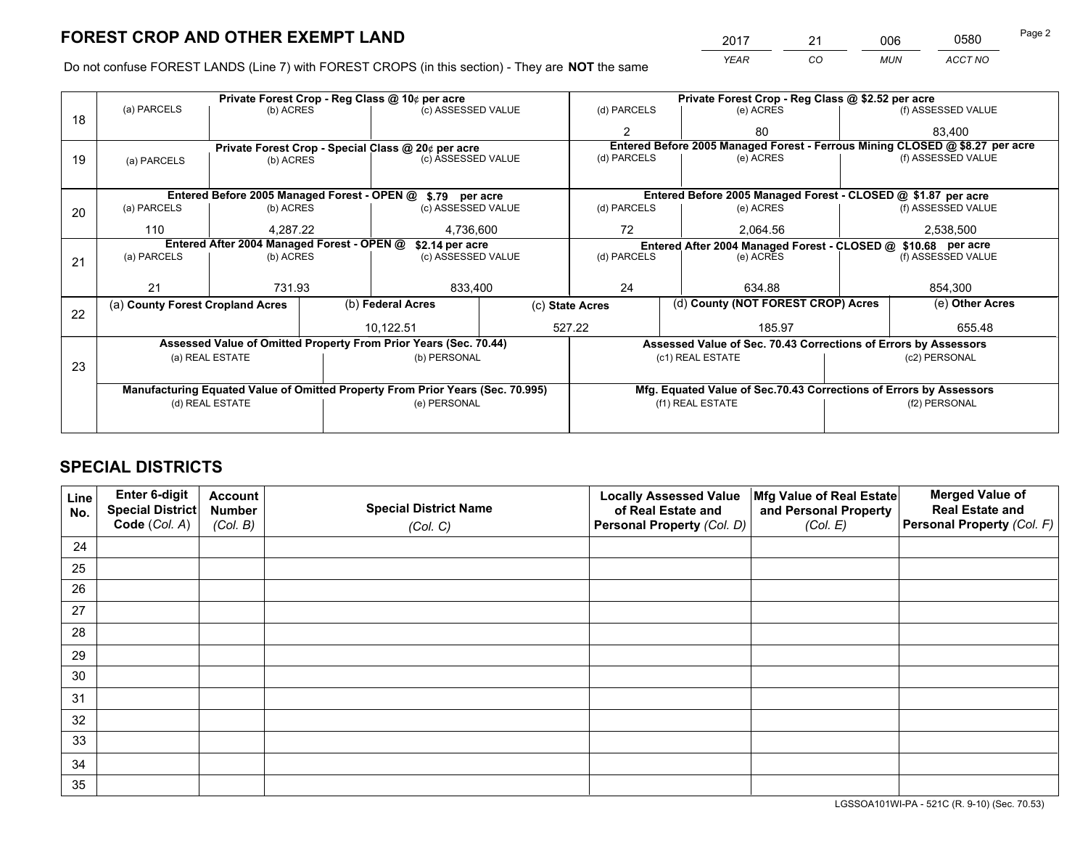*YEAR CO MUN ACCT NO* <sup>2017</sup> <sup>21</sup> <sup>006</sup> <sup>0580</sup>

Do not confuse FOREST LANDS (Line 7) with FOREST CROPS (in this section) - They are **NOT** the same

|    |                                                               | Private Forest Crop - Reg Class @ 10¢ per acre |  |                                                                                |                 | Private Forest Crop - Reg Class @ \$2.52 per acre |                                                               |                                                                    |               |                                                                              |
|----|---------------------------------------------------------------|------------------------------------------------|--|--------------------------------------------------------------------------------|-----------------|---------------------------------------------------|---------------------------------------------------------------|--------------------------------------------------------------------|---------------|------------------------------------------------------------------------------|
| 18 | (a) PARCELS                                                   | (b) ACRES                                      |  | (c) ASSESSED VALUE                                                             |                 | (d) PARCELS                                       |                                                               | (e) ACRES                                                          |               | (f) ASSESSED VALUE                                                           |
|    |                                                               |                                                |  |                                                                                |                 |                                                   |                                                               | 80                                                                 |               | 83.400                                                                       |
|    |                                                               |                                                |  | Private Forest Crop - Special Class @ 20¢ per acre                             |                 |                                                   |                                                               |                                                                    |               | Entered Before 2005 Managed Forest - Ferrous Mining CLOSED @ \$8.27 per acre |
| 19 | (a) PARCELS                                                   | (b) ACRES                                      |  | (c) ASSESSED VALUE                                                             |                 | (d) PARCELS                                       |                                                               | (e) ACRES                                                          |               | (f) ASSESSED VALUE                                                           |
|    |                                                               |                                                |  |                                                                                |                 |                                                   |                                                               |                                                                    |               |                                                                              |
|    |                                                               |                                                |  | Entered Before 2005 Managed Forest - OPEN @ \$.79 per acre                     |                 |                                                   |                                                               | Entered Before 2005 Managed Forest - CLOSED @ \$1.87 per acre      |               |                                                                              |
| 20 | (a) PARCELS                                                   | (b) ACRES                                      |  | (c) ASSESSED VALUE                                                             |                 | (d) PARCELS                                       |                                                               | (e) ACRES                                                          |               | (f) ASSESSED VALUE                                                           |
|    | 110                                                           | 4.287.22                                       |  | 4,736,600                                                                      |                 | 72                                                |                                                               | 2.064.56                                                           |               | 2,538,500                                                                    |
|    | Entered After 2004 Managed Forest - OPEN @<br>\$2.14 per acre |                                                |  |                                                                                |                 |                                                   | Entered After 2004 Managed Forest - CLOSED @ \$10.68 per acre |                                                                    |               |                                                                              |
| 21 | (a) PARCELS                                                   | (b) ACRES                                      |  | (c) ASSESSED VALUE                                                             |                 | (d) PARCELS                                       |                                                               | (e) ACRES                                                          |               | (f) ASSESSED VALUE                                                           |
|    |                                                               |                                                |  |                                                                                |                 |                                                   |                                                               |                                                                    |               |                                                                              |
|    | 21                                                            | 731.93                                         |  | 833,400                                                                        |                 | 24                                                |                                                               | 634.88                                                             |               | 854,300                                                                      |
| 22 | (a) County Forest Cropland Acres                              |                                                |  | (b) Federal Acres                                                              | (c) State Acres |                                                   |                                                               | (d) County (NOT FOREST CROP) Acres                                 |               | (e) Other Acres                                                              |
|    |                                                               |                                                |  | 10,122.51                                                                      |                 | 527.22<br>185.97                                  |                                                               |                                                                    |               | 655.48                                                                       |
|    |                                                               |                                                |  | Assessed Value of Omitted Property From Prior Years (Sec. 70.44)               |                 |                                                   |                                                               | Assessed Value of Sec. 70.43 Corrections of Errors by Assessors    |               |                                                                              |
|    |                                                               | (a) REAL ESTATE                                |  | (b) PERSONAL                                                                   |                 |                                                   | (c1) REAL ESTATE                                              |                                                                    |               | (c2) PERSONAL                                                                |
| 23 |                                                               |                                                |  |                                                                                |                 |                                                   |                                                               |                                                                    |               |                                                                              |
|    |                                                               |                                                |  | Manufacturing Equated Value of Omitted Property From Prior Years (Sec. 70.995) |                 |                                                   |                                                               | Mfg. Equated Value of Sec.70.43 Corrections of Errors by Assessors |               |                                                                              |
|    | (d) REAL ESTATE                                               |                                                |  | (e) PERSONAL                                                                   |                 | (f1) REAL ESTATE                                  |                                                               |                                                                    | (f2) PERSONAL |                                                                              |
|    |                                                               |                                                |  |                                                                                |                 |                                                   |                                                               |                                                                    |               |                                                                              |

## **SPECIAL DISTRICTS**

| Line<br>No. | Enter 6-digit<br>Special District<br>Code (Col. A) | <b>Account</b><br><b>Number</b><br>(Col. B) | <b>Special District Name</b><br>(Col. C) | <b>Locally Assessed Value</b><br>of Real Estate and<br>Personal Property (Col. D) | Mfg Value of Real Estate<br>and Personal Property<br>(Col. E) | <b>Merged Value of</b><br><b>Real Estate and</b><br>Personal Property (Col. F) |
|-------------|----------------------------------------------------|---------------------------------------------|------------------------------------------|-----------------------------------------------------------------------------------|---------------------------------------------------------------|--------------------------------------------------------------------------------|
| 24          |                                                    |                                             |                                          |                                                                                   |                                                               |                                                                                |
| 25          |                                                    |                                             |                                          |                                                                                   |                                                               |                                                                                |
| 26          |                                                    |                                             |                                          |                                                                                   |                                                               |                                                                                |
| 27          |                                                    |                                             |                                          |                                                                                   |                                                               |                                                                                |
| 28          |                                                    |                                             |                                          |                                                                                   |                                                               |                                                                                |
| 29          |                                                    |                                             |                                          |                                                                                   |                                                               |                                                                                |
| 30          |                                                    |                                             |                                          |                                                                                   |                                                               |                                                                                |
| 31          |                                                    |                                             |                                          |                                                                                   |                                                               |                                                                                |
| 32          |                                                    |                                             |                                          |                                                                                   |                                                               |                                                                                |
| 33          |                                                    |                                             |                                          |                                                                                   |                                                               |                                                                                |
| 34          |                                                    |                                             |                                          |                                                                                   |                                                               |                                                                                |
| 35          |                                                    |                                             |                                          |                                                                                   |                                                               |                                                                                |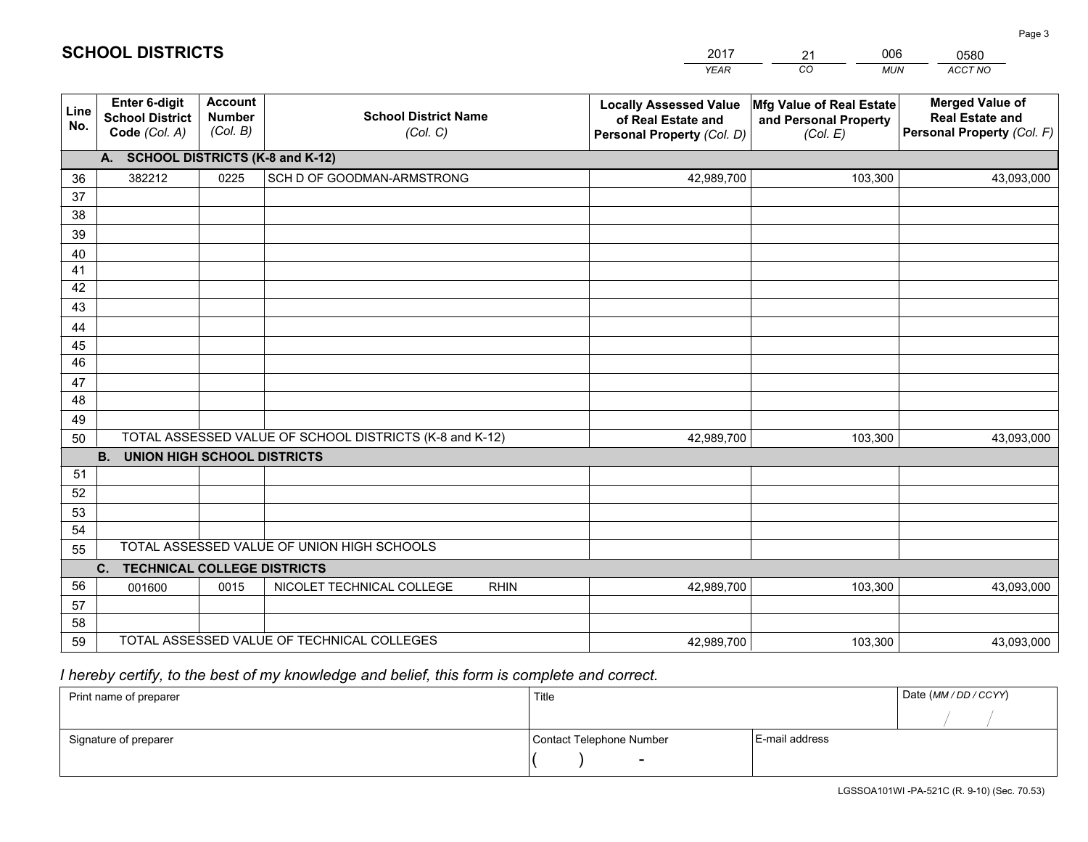|             |                                                          |                                             |                                                         | <b>YEAR</b>                                                                       | CO<br><b>MUN</b>                                              | ACCT NO                                                                        |
|-------------|----------------------------------------------------------|---------------------------------------------|---------------------------------------------------------|-----------------------------------------------------------------------------------|---------------------------------------------------------------|--------------------------------------------------------------------------------|
| Line<br>No. | Enter 6-digit<br><b>School District</b><br>Code (Col. A) | <b>Account</b><br><b>Number</b><br>(Col. B) | <b>School District Name</b><br>(Col. C)                 | <b>Locally Assessed Value</b><br>of Real Estate and<br>Personal Property (Col. D) | Mfg Value of Real Estate<br>and Personal Property<br>(Col. E) | <b>Merged Value of</b><br><b>Real Estate and</b><br>Personal Property (Col. F) |
|             | A. SCHOOL DISTRICTS (K-8 and K-12)                       |                                             |                                                         |                                                                                   |                                                               |                                                                                |
| 36          | 382212                                                   | 0225                                        | SCH D OF GOODMAN-ARMSTRONG                              | 42,989,700                                                                        | 103,300                                                       | 43,093,000                                                                     |
| 37          |                                                          |                                             |                                                         |                                                                                   |                                                               |                                                                                |
| 38          |                                                          |                                             |                                                         |                                                                                   |                                                               |                                                                                |
| 39          |                                                          |                                             |                                                         |                                                                                   |                                                               |                                                                                |
| 40          |                                                          |                                             |                                                         |                                                                                   |                                                               |                                                                                |
| 41<br>42    |                                                          |                                             |                                                         |                                                                                   |                                                               |                                                                                |
| 43          |                                                          |                                             |                                                         |                                                                                   |                                                               |                                                                                |
| 44          |                                                          |                                             |                                                         |                                                                                   |                                                               |                                                                                |
| 45          |                                                          |                                             |                                                         |                                                                                   |                                                               |                                                                                |
| 46          |                                                          |                                             |                                                         |                                                                                   |                                                               |                                                                                |
| 47          |                                                          |                                             |                                                         |                                                                                   |                                                               |                                                                                |
| 48          |                                                          |                                             |                                                         |                                                                                   |                                                               |                                                                                |
| 49          |                                                          |                                             |                                                         |                                                                                   |                                                               |                                                                                |
| 50          |                                                          |                                             | TOTAL ASSESSED VALUE OF SCHOOL DISTRICTS (K-8 and K-12) | 42,989,700                                                                        | 103,300                                                       | 43,093,000                                                                     |
|             | <b>B.</b><br><b>UNION HIGH SCHOOL DISTRICTS</b>          |                                             |                                                         |                                                                                   |                                                               |                                                                                |
| 51          |                                                          |                                             |                                                         |                                                                                   |                                                               |                                                                                |
| 52          |                                                          |                                             |                                                         |                                                                                   |                                                               |                                                                                |
| 53          |                                                          |                                             |                                                         |                                                                                   |                                                               |                                                                                |
| 54          |                                                          |                                             | TOTAL ASSESSED VALUE OF UNION HIGH SCHOOLS              |                                                                                   |                                                               |                                                                                |
| 55          |                                                          |                                             |                                                         |                                                                                   |                                                               |                                                                                |
| 56          | C.<br><b>TECHNICAL COLLEGE DISTRICTS</b><br>001600       | 0015                                        | NICOLET TECHNICAL COLLEGE<br><b>RHIN</b>                | 42,989,700                                                                        | 103,300                                                       | 43,093,000                                                                     |
| 57          |                                                          |                                             |                                                         |                                                                                   |                                                               |                                                                                |
| 58          |                                                          |                                             |                                                         |                                                                                   |                                                               |                                                                                |
| 59          |                                                          |                                             | TOTAL ASSESSED VALUE OF TECHNICAL COLLEGES              | 42,989,700                                                                        | 103,300                                                       | 43,093,000                                                                     |

21

006

 *I hereby certify, to the best of my knowledge and belief, this form is complete and correct.*

**SCHOOL DISTRICTS**

| Print name of preparer | Title                    |                | Date (MM / DD / CCYY) |
|------------------------|--------------------------|----------------|-----------------------|
|                        |                          |                |                       |
| Signature of preparer  | Contact Telephone Number | E-mail address |                       |
|                        |                          |                |                       |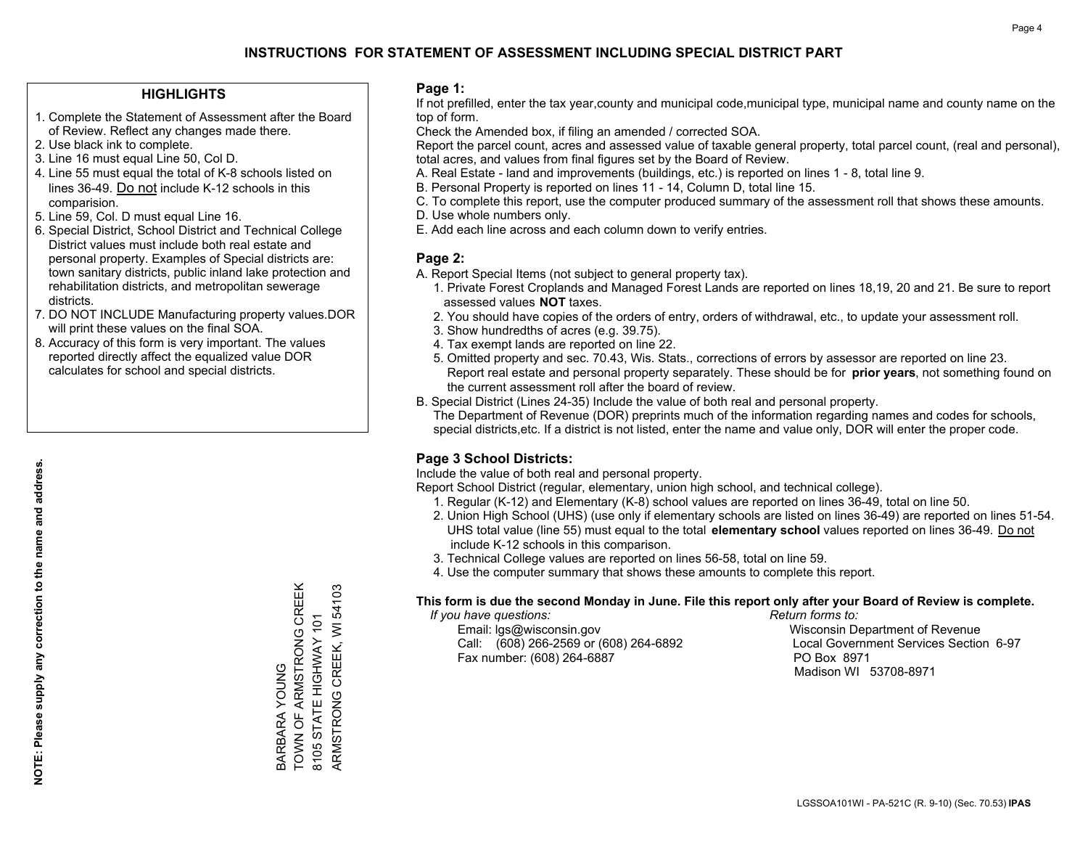### **HIGHLIGHTS**

- 1. Complete the Statement of Assessment after the Board of Review. Reflect any changes made there.
- 2. Use black ink to complete.
- 3. Line 16 must equal Line 50, Col D.
- 4. Line 55 must equal the total of K-8 schools listed on lines 36-49. Do not include K-12 schools in this comparision.
- 5. Line 59, Col. D must equal Line 16.
- 6. Special District, School District and Technical College District values must include both real estate and personal property. Examples of Special districts are: town sanitary districts, public inland lake protection and rehabilitation districts, and metropolitan sewerage districts.
- 7. DO NOT INCLUDE Manufacturing property values.DOR will print these values on the final SOA.
- 8. Accuracy of this form is very important. The values reported directly affect the equalized value DOR calculates for school and special districts.

### **Page 1:**

 If not prefilled, enter the tax year,county and municipal code,municipal type, municipal name and county name on the top of form.

Check the Amended box, if filing an amended / corrected SOA.

 Report the parcel count, acres and assessed value of taxable general property, total parcel count, (real and personal), total acres, and values from final figures set by the Board of Review.

- A. Real Estate land and improvements (buildings, etc.) is reported on lines 1 8, total line 9.
- B. Personal Property is reported on lines 11 14, Column D, total line 15.
- C. To complete this report, use the computer produced summary of the assessment roll that shows these amounts.
- D. Use whole numbers only.
- E. Add each line across and each column down to verify entries.

### **Page 2:**

- A. Report Special Items (not subject to general property tax).
- 1. Private Forest Croplands and Managed Forest Lands are reported on lines 18,19, 20 and 21. Be sure to report assessed values **NOT** taxes.
- 2. You should have copies of the orders of entry, orders of withdrawal, etc., to update your assessment roll.
	- 3. Show hundredths of acres (e.g. 39.75).
- 4. Tax exempt lands are reported on line 22.
- 5. Omitted property and sec. 70.43, Wis. Stats., corrections of errors by assessor are reported on line 23. Report real estate and personal property separately. These should be for **prior years**, not something found on the current assessment roll after the board of review.
- B. Special District (Lines 24-35) Include the value of both real and personal property.
- The Department of Revenue (DOR) preprints much of the information regarding names and codes for schools, special districts,etc. If a district is not listed, enter the name and value only, DOR will enter the proper code.

### **Page 3 School Districts:**

Include the value of both real and personal property.

Report School District (regular, elementary, union high school, and technical college).

- 1. Regular (K-12) and Elementary (K-8) school values are reported on lines 36-49, total on line 50.
- 2. Union High School (UHS) (use only if elementary schools are listed on lines 36-49) are reported on lines 51-54. UHS total value (line 55) must equal to the total **elementary school** values reported on lines 36-49. Do notinclude K-12 schools in this comparison.
- 3. Technical College values are reported on lines 56-58, total on line 59.
- 4. Use the computer summary that shows these amounts to complete this report.

#### **This form is due the second Monday in June. File this report only after your Board of Review is complete.**

 *If you have questions: Return forms to:*

 Email: lgs@wisconsin.gov Wisconsin Department of RevenueCall:  $(608)$  266-2569 or  $(608)$  264-6892 Fax number: (608) 264-6887 PO Box 8971

Local Government Services Section 6-97 Madison WI 53708-8971

TOWN OF ARMSTRONG CREEK BARBARA YOUNG<br>TOWN OF ARMSTRONG CREEK ARMSTRONG CREEK, WI 54103 ARMSTRONG CREEK, WI 54103 8105 STATE HIGHWAY 101 8105 STATE HIGHWAY 101 BARBARA YOUNG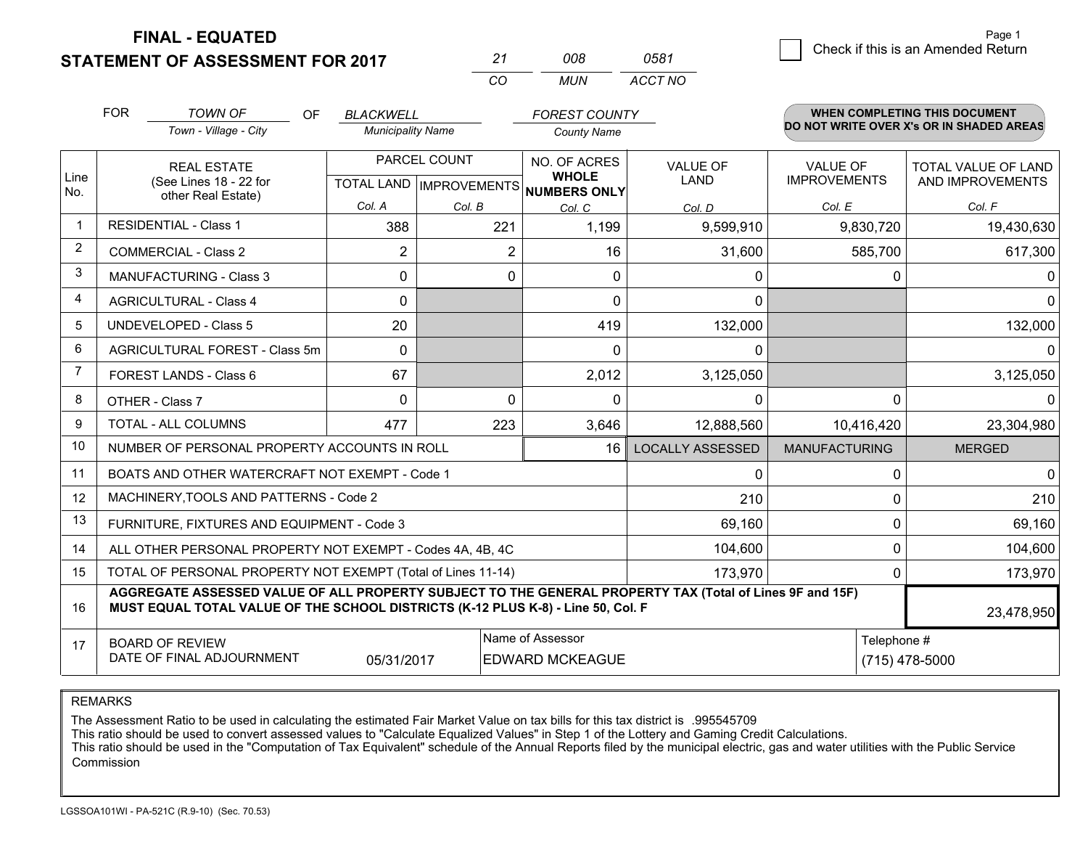**STATEMENT OF ASSESSMENT FOR 2017** 

| 21  | nnr   | 0581    |
|-----|-------|---------|
| CO. | MI IN | ACCT NO |

|                | <b>FOR</b>                                                                                                                                                                                   | <b>TOWN OF</b><br>OF<br>Town - Village - City                | <b>BLACKWELL</b><br><b>Municipality Name</b>             |          | <b>FOREST COUNTY</b><br><b>County Name</b> |                         |                                        | <b>WHEN COMPLETING THIS DOCUMENT</b><br>DO NOT WRITE OVER X's OR IN SHADED AREAS |
|----------------|----------------------------------------------------------------------------------------------------------------------------------------------------------------------------------------------|--------------------------------------------------------------|----------------------------------------------------------|----------|--------------------------------------------|-------------------------|----------------------------------------|----------------------------------------------------------------------------------|
| Line           | <b>REAL ESTATE</b><br>(See Lines 18 - 22 for                                                                                                                                                 |                                                              | PARCEL COUNT<br>TOTAL LAND   IMPROVEMENTS   NUMBERS ONLY |          | NO. OF ACRES<br><b>WHOLE</b>               | <b>VALUE OF</b><br>LAND | <b>VALUE OF</b><br><b>IMPROVEMENTS</b> | TOTAL VALUE OF LAND<br>AND IMPROVEMENTS                                          |
| No.            |                                                                                                                                                                                              | other Real Estate)                                           | Col. A                                                   | Col. B   | Col. C                                     | Col. D                  | Col. E                                 | Col. F                                                                           |
| $\mathbf{1}$   |                                                                                                                                                                                              | <b>RESIDENTIAL - Class 1</b>                                 | 388                                                      | 221      | 1,199                                      | 9,599,910               | 9,830,720                              | 19,430,630                                                                       |
| $\overline{2}$ |                                                                                                                                                                                              | <b>COMMERCIAL - Class 2</b>                                  | $\overline{2}$                                           | 2        | 16                                         | 31,600                  | 585,700                                | 617,300                                                                          |
| 3              |                                                                                                                                                                                              | <b>MANUFACTURING - Class 3</b>                               | $\Omega$                                                 | $\Omega$ | $\Omega$                                   | 0                       | 0                                      | $\Omega$                                                                         |
| $\overline{4}$ |                                                                                                                                                                                              | <b>AGRICULTURAL - Class 4</b>                                | 0                                                        |          | $\Omega$                                   | 0                       |                                        | $\overline{0}$                                                                   |
| 5              |                                                                                                                                                                                              | <b>UNDEVELOPED - Class 5</b>                                 | 20                                                       |          | 419                                        | 132,000                 |                                        | 132,000                                                                          |
| 6              |                                                                                                                                                                                              | AGRICULTURAL FOREST - Class 5m                               | $\mathbf{0}$                                             |          | $\Omega$                                   | 0                       |                                        | 0                                                                                |
| 7              | FOREST LANDS - Class 6                                                                                                                                                                       |                                                              | 67                                                       |          | 2,012                                      | 3,125,050               |                                        | 3,125,050                                                                        |
| 8              |                                                                                                                                                                                              | OTHER - Class 7                                              | $\Omega$                                                 | $\Omega$ | $\Omega$                                   | 0                       | $\Omega$                               | $\Omega$                                                                         |
| 9              |                                                                                                                                                                                              | <b>TOTAL - ALL COLUMNS</b>                                   | 477                                                      | 223      | 3,646                                      | 12,888,560              | 10,416,420                             | 23,304,980                                                                       |
| 10             |                                                                                                                                                                                              | NUMBER OF PERSONAL PROPERTY ACCOUNTS IN ROLL                 |                                                          |          | 16                                         | <b>LOCALLY ASSESSED</b> | <b>MANUFACTURING</b>                   | <b>MERGED</b>                                                                    |
| 11             |                                                                                                                                                                                              | BOATS AND OTHER WATERCRAFT NOT EXEMPT - Code 1               |                                                          |          |                                            | 0                       | 0                                      | $\overline{0}$                                                                   |
| 12             |                                                                                                                                                                                              | MACHINERY, TOOLS AND PATTERNS - Code 2                       |                                                          |          |                                            | 210                     | 0                                      | 210                                                                              |
| 13             |                                                                                                                                                                                              | FURNITURE, FIXTURES AND EQUIPMENT - Code 3                   |                                                          |          |                                            | 69,160                  | 0                                      | 69,160                                                                           |
| 14             |                                                                                                                                                                                              | ALL OTHER PERSONAL PROPERTY NOT EXEMPT - Codes 4A, 4B, 4C    |                                                          |          |                                            | 104,600                 | 0                                      | 104,600                                                                          |
| 15             |                                                                                                                                                                                              | TOTAL OF PERSONAL PROPERTY NOT EXEMPT (Total of Lines 11-14) |                                                          |          |                                            | 173,970                 | 0                                      | 173,970                                                                          |
| 16             | AGGREGATE ASSESSED VALUE OF ALL PROPERTY SUBJECT TO THE GENERAL PROPERTY TAX (Total of Lines 9F and 15F)<br>MUST EQUAL TOTAL VALUE OF THE SCHOOL DISTRICTS (K-12 PLUS K-8) - Line 50, Col. F |                                                              |                                                          |          |                                            |                         |                                        | 23,478,950                                                                       |
| 17             | Name of Assessor<br>Telephone #<br><b>BOARD OF REVIEW</b><br>DATE OF FINAL ADJOURNMENT<br>05/31/2017<br><b>EDWARD MCKEAGUE</b>                                                               |                                                              |                                                          |          |                                            | (715) 478-5000          |                                        |                                                                                  |

REMARKS

The Assessment Ratio to be used in calculating the estimated Fair Market Value on tax bills for this tax district is .995545709

This ratio should be used to convert assessed values to "Calculate Equalized Values" in Step 1 of the Lottery and Gaming Credit Calculations.<br>This ratio should be used in the "Computation of Tax Equivalent" schedule of the Commission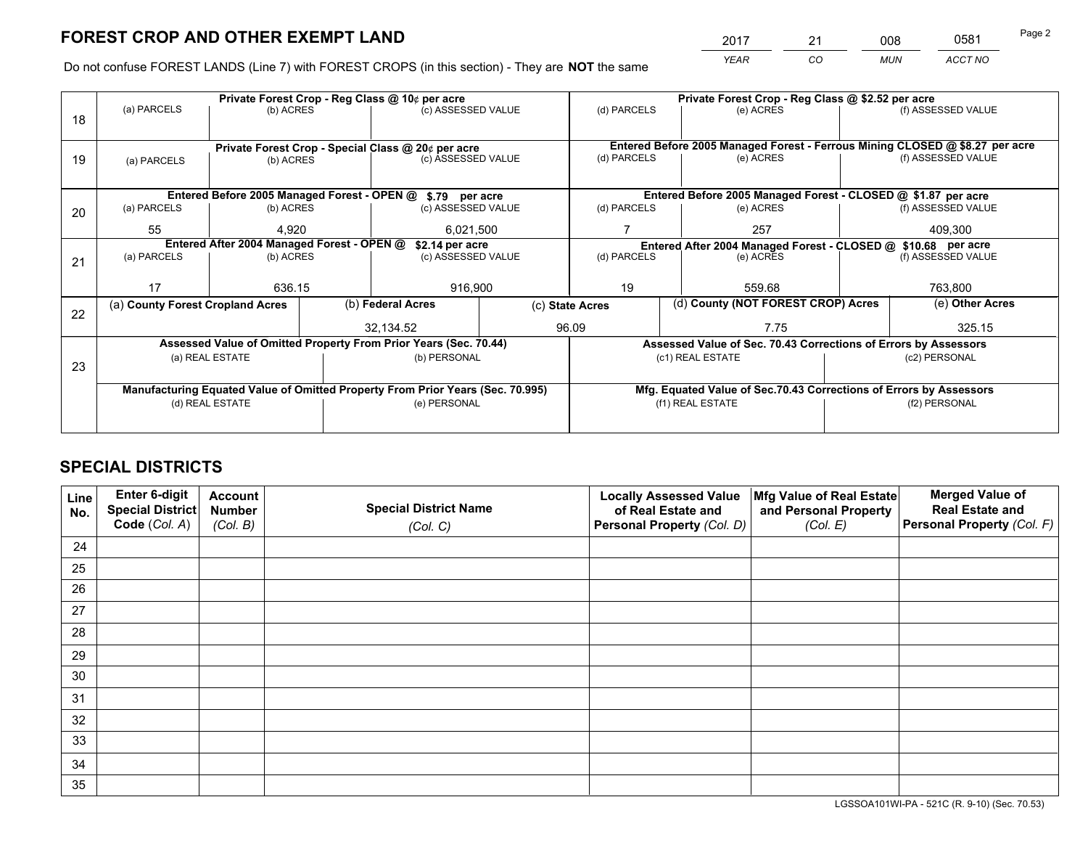*YEAR CO MUN ACCT NO* <sup>2017</sup> <sup>21</sup> <sup>008</sup> <sup>0581</sup>

Do not confuse FOREST LANDS (Line 7) with FOREST CROPS (in this section) - They are **NOT** the same

|    |                                                                                |                 |  | Private Forest Crop - Reg Class @ 10¢ per acre                   |                 | Private Forest Crop - Reg Class @ \$2.52 per acre |                  |                                                                 |               |                                                                              |  |
|----|--------------------------------------------------------------------------------|-----------------|--|------------------------------------------------------------------|-----------------|---------------------------------------------------|------------------|-----------------------------------------------------------------|---------------|------------------------------------------------------------------------------|--|
| 18 | (a) PARCELS                                                                    | (b) ACRES       |  | (c) ASSESSED VALUE                                               |                 | (d) PARCELS                                       |                  | (e) ACRES                                                       |               | (f) ASSESSED VALUE                                                           |  |
|    |                                                                                |                 |  |                                                                  |                 |                                                   |                  |                                                                 |               |                                                                              |  |
|    | Private Forest Crop - Special Class @ 20¢ per acre                             |                 |  |                                                                  |                 |                                                   |                  |                                                                 |               | Entered Before 2005 Managed Forest - Ferrous Mining CLOSED @ \$8.27 per acre |  |
| 19 | (a) PARCELS                                                                    | (b) ACRES       |  | (c) ASSESSED VALUE                                               |                 | (d) PARCELS                                       |                  | (e) ACRES                                                       |               | (f) ASSESSED VALUE                                                           |  |
|    |                                                                                |                 |  |                                                                  |                 |                                                   |                  |                                                                 |               |                                                                              |  |
|    |                                                                                |                 |  | Entered Before 2005 Managed Forest - OPEN @ \$.79 per acre       |                 |                                                   |                  |                                                                 |               | Entered Before 2005 Managed Forest - CLOSED @ \$1.87 per acre                |  |
| 20 | (a) PARCELS                                                                    | (b) ACRES       |  | (c) ASSESSED VALUE                                               |                 | (d) PARCELS                                       |                  | (e) ACRES                                                       |               | (f) ASSESSED VALUE                                                           |  |
|    | 55                                                                             | 4.920           |  |                                                                  | 6,021,500       |                                                   |                  | 257                                                             |               | 409.300                                                                      |  |
|    | Entered After 2004 Managed Forest - OPEN @<br>\$2.14 per acre                  |                 |  |                                                                  |                 |                                                   |                  |                                                                 |               | Entered After 2004 Managed Forest - CLOSED @ \$10.68 per acre                |  |
| 21 | (a) PARCELS                                                                    | (b) ACRES       |  | (c) ASSESSED VALUE                                               | (d) PARCELS     |                                                   |                  | (e) ACRES                                                       |               | (f) ASSESSED VALUE                                                           |  |
|    |                                                                                |                 |  |                                                                  |                 |                                                   |                  |                                                                 |               |                                                                              |  |
|    | 17                                                                             | 636.15          |  | 916,900                                                          |                 | 19                                                |                  | 559.68                                                          |               | 763,800                                                                      |  |
| 22 | (a) County Forest Cropland Acres                                               |                 |  | (b) Federal Acres                                                | (c) State Acres |                                                   |                  | (d) County (NOT FOREST CROP) Acres                              |               | (e) Other Acres                                                              |  |
|    |                                                                                |                 |  | 32,134.52                                                        |                 | 96.09                                             |                  | 7.75                                                            |               | 325.15                                                                       |  |
|    |                                                                                |                 |  | Assessed Value of Omitted Property From Prior Years (Sec. 70.44) |                 |                                                   |                  | Assessed Value of Sec. 70.43 Corrections of Errors by Assessors |               |                                                                              |  |
| 23 |                                                                                | (a) REAL ESTATE |  | (b) PERSONAL                                                     |                 |                                                   | (c1) REAL ESTATE |                                                                 |               | (c2) PERSONAL                                                                |  |
|    |                                                                                |                 |  |                                                                  |                 |                                                   |                  |                                                                 |               |                                                                              |  |
|    | Manufacturing Equated Value of Omitted Property From Prior Years (Sec. 70.995) |                 |  |                                                                  |                 |                                                   |                  |                                                                 |               | Mfg. Equated Value of Sec.70.43 Corrections of Errors by Assessors           |  |
|    | (d) REAL ESTATE                                                                |                 |  | (e) PERSONAL                                                     |                 | (f1) REAL ESTATE                                  |                  |                                                                 | (f2) PERSONAL |                                                                              |  |
|    |                                                                                |                 |  |                                                                  |                 |                                                   |                  |                                                                 |               |                                                                              |  |

## **SPECIAL DISTRICTS**

| Line<br>No. | Enter 6-digit<br>Special District<br>Code (Col. A) | <b>Account</b><br><b>Number</b> | <b>Special District Name</b> | <b>Locally Assessed Value</b><br>of Real Estate and | Mfg Value of Real Estate<br>and Personal Property | <b>Merged Value of</b><br><b>Real Estate and</b><br>Personal Property (Col. F) |
|-------------|----------------------------------------------------|---------------------------------|------------------------------|-----------------------------------------------------|---------------------------------------------------|--------------------------------------------------------------------------------|
|             |                                                    | (Col. B)                        | (Col. C)                     | Personal Property (Col. D)                          | (Col. E)                                          |                                                                                |
| 24          |                                                    |                                 |                              |                                                     |                                                   |                                                                                |
| 25          |                                                    |                                 |                              |                                                     |                                                   |                                                                                |
| 26          |                                                    |                                 |                              |                                                     |                                                   |                                                                                |
| 27          |                                                    |                                 |                              |                                                     |                                                   |                                                                                |
| 28          |                                                    |                                 |                              |                                                     |                                                   |                                                                                |
| 29          |                                                    |                                 |                              |                                                     |                                                   |                                                                                |
| 30          |                                                    |                                 |                              |                                                     |                                                   |                                                                                |
| 31          |                                                    |                                 |                              |                                                     |                                                   |                                                                                |
| 32          |                                                    |                                 |                              |                                                     |                                                   |                                                                                |
| 33          |                                                    |                                 |                              |                                                     |                                                   |                                                                                |
| 34          |                                                    |                                 |                              |                                                     |                                                   |                                                                                |
| 35          |                                                    |                                 |                              |                                                     |                                                   |                                                                                |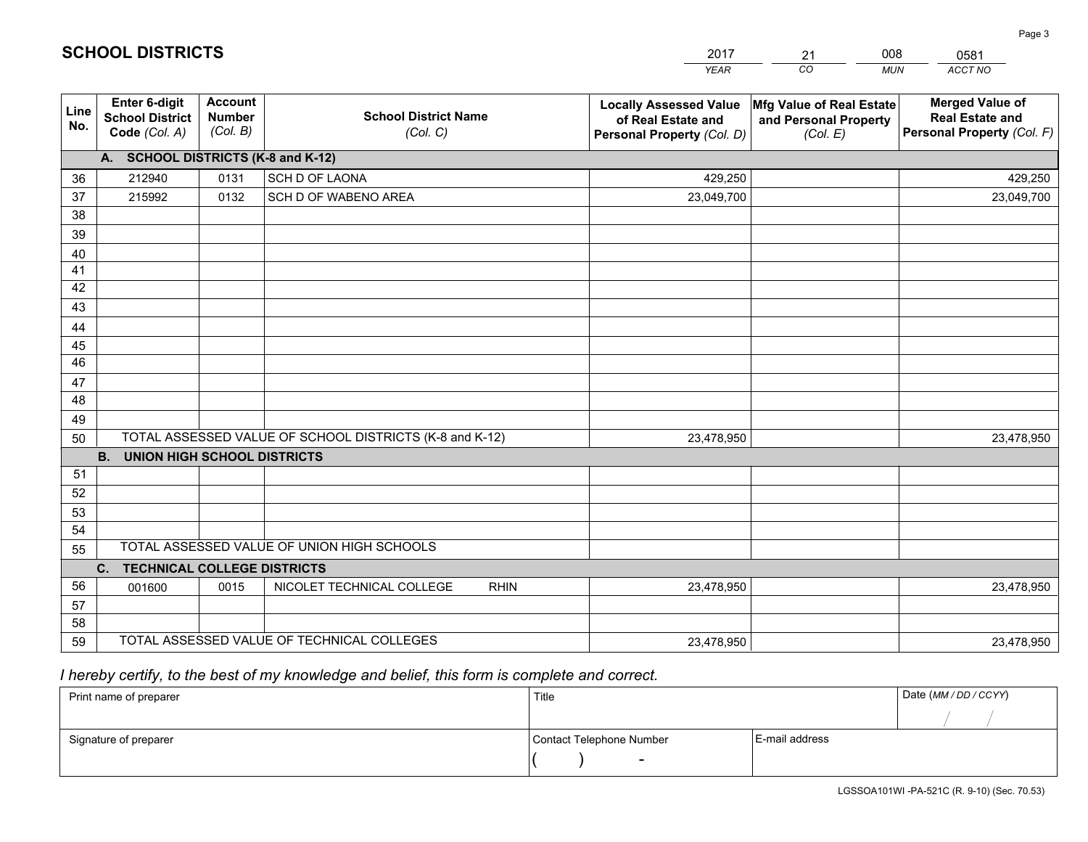|             |                                                          |                                             |                                                         | <b>YEAR</b>                                                                       | CO<br><b>MUN</b>                                                              | ACCT NO                                                                        |
|-------------|----------------------------------------------------------|---------------------------------------------|---------------------------------------------------------|-----------------------------------------------------------------------------------|-------------------------------------------------------------------------------|--------------------------------------------------------------------------------|
| Line<br>No. | Enter 6-digit<br><b>School District</b><br>Code (Col. A) | <b>Account</b><br><b>Number</b><br>(Col. B) | <b>School District Name</b><br>(Col. C)                 | <b>Locally Assessed Value</b><br>of Real Estate and<br>Personal Property (Col. D) | $ \mathsf{Mfg}$ Value of Real Estate $ $<br>and Personal Property<br>(Col. E) | <b>Merged Value of</b><br><b>Real Estate and</b><br>Personal Property (Col. F) |
|             | A. SCHOOL DISTRICTS (K-8 and K-12)                       |                                             |                                                         |                                                                                   |                                                                               |                                                                                |
| 36          | 212940                                                   | 0131                                        | SCH D OF LAONA                                          | 429,250                                                                           |                                                                               | 429,250                                                                        |
| 37          | 215992                                                   | 0132                                        | SCH D OF WABENO AREA                                    | 23,049,700                                                                        |                                                                               | 23,049,700                                                                     |
| 38          |                                                          |                                             |                                                         |                                                                                   |                                                                               |                                                                                |
| 39          |                                                          |                                             |                                                         |                                                                                   |                                                                               |                                                                                |
| 40          |                                                          |                                             |                                                         |                                                                                   |                                                                               |                                                                                |
| 41          |                                                          |                                             |                                                         |                                                                                   |                                                                               |                                                                                |
| 42          |                                                          |                                             |                                                         |                                                                                   |                                                                               |                                                                                |
| 43          |                                                          |                                             |                                                         |                                                                                   |                                                                               |                                                                                |
| 44          |                                                          |                                             |                                                         |                                                                                   |                                                                               |                                                                                |
| 45          |                                                          |                                             |                                                         |                                                                                   |                                                                               |                                                                                |
| 46          |                                                          |                                             |                                                         |                                                                                   |                                                                               |                                                                                |
| 47          |                                                          |                                             |                                                         |                                                                                   |                                                                               |                                                                                |
| 48          |                                                          |                                             |                                                         |                                                                                   |                                                                               |                                                                                |
| 49          |                                                          |                                             | TOTAL ASSESSED VALUE OF SCHOOL DISTRICTS (K-8 and K-12) |                                                                                   |                                                                               |                                                                                |
| 50          | <b>B.</b><br><b>UNION HIGH SCHOOL DISTRICTS</b>          |                                             |                                                         | 23,478,950                                                                        |                                                                               | 23,478,950                                                                     |
| 51          |                                                          |                                             |                                                         |                                                                                   |                                                                               |                                                                                |
| 52          |                                                          |                                             |                                                         |                                                                                   |                                                                               |                                                                                |
| 53          |                                                          |                                             |                                                         |                                                                                   |                                                                               |                                                                                |
| 54          |                                                          |                                             |                                                         |                                                                                   |                                                                               |                                                                                |
| 55          |                                                          |                                             | TOTAL ASSESSED VALUE OF UNION HIGH SCHOOLS              |                                                                                   |                                                                               |                                                                                |
|             | C. TECHNICAL COLLEGE DISTRICTS                           |                                             |                                                         |                                                                                   |                                                                               |                                                                                |
| 56          | 001600                                                   | 0015                                        | NICOLET TECHNICAL COLLEGE<br><b>RHIN</b>                | 23,478,950                                                                        |                                                                               | 23,478,950                                                                     |
| 57          |                                                          |                                             |                                                         |                                                                                   |                                                                               |                                                                                |
| 58          |                                                          |                                             |                                                         |                                                                                   |                                                                               |                                                                                |
| 59          |                                                          |                                             | TOTAL ASSESSED VALUE OF TECHNICAL COLLEGES              | 23,478,950                                                                        |                                                                               | 23,478,950                                                                     |

21

008

 *I hereby certify, to the best of my knowledge and belief, this form is complete and correct.*

**SCHOOL DISTRICTS**

| Print name of preparer | Title                    |                | Date (MM / DD / CCYY) |
|------------------------|--------------------------|----------------|-----------------------|
|                        |                          |                |                       |
| Signature of preparer  | Contact Telephone Number | E-mail address |                       |
|                        | $\sim$                   |                |                       |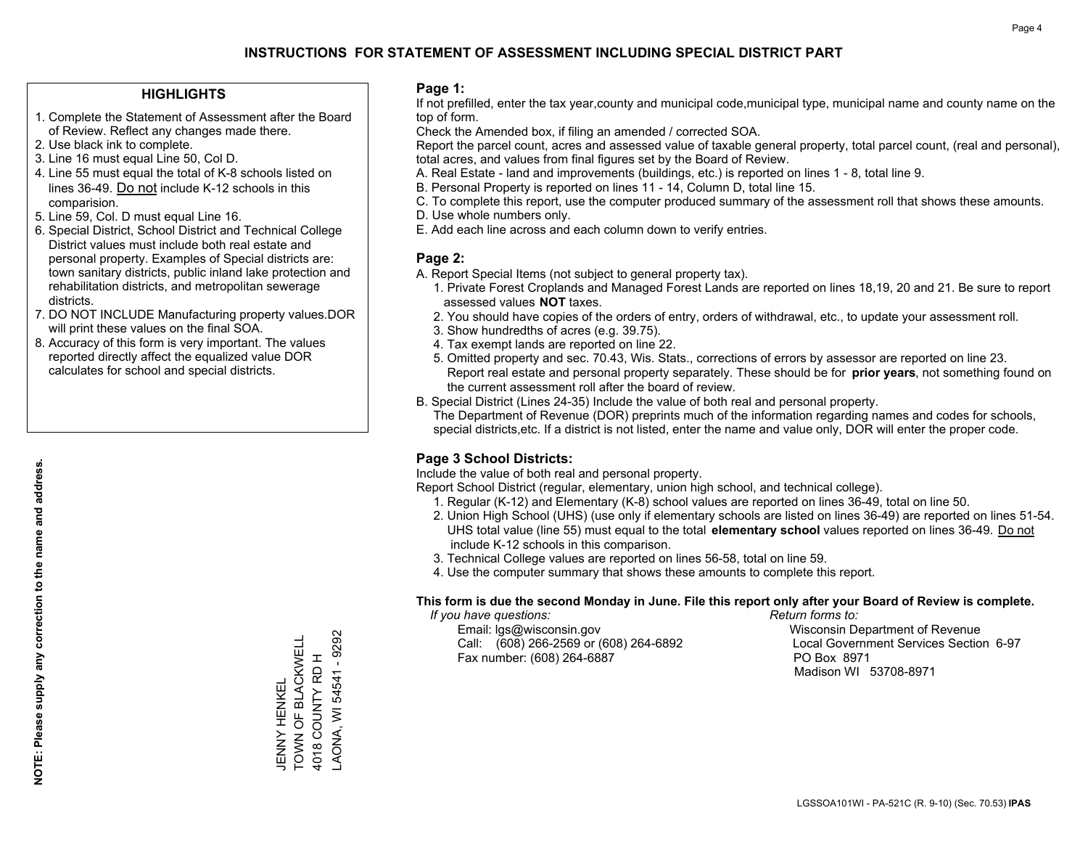### **HIGHLIGHTS**

- 1. Complete the Statement of Assessment after the Board of Review. Reflect any changes made there.
- 2. Use black ink to complete.
- 3. Line 16 must equal Line 50, Col D.
- 4. Line 55 must equal the total of K-8 schools listed on lines 36-49. Do not include K-12 schools in this comparision.
- 5. Line 59, Col. D must equal Line 16.
- 6. Special District, School District and Technical College District values must include both real estate and personal property. Examples of Special districts are: town sanitary districts, public inland lake protection and rehabilitation districts, and metropolitan sewerage districts.
- 7. DO NOT INCLUDE Manufacturing property values.DOR will print these values on the final SOA.

JENNY HENKEL

TOWN OF BLACKWELL 4018 COUNTY RD H LAONA, WI 54541 - 9292

JENNY HENKEL<br>TOWN OF BLACKWELL 4018 COUNTY RD H

AONA, WI 54541 - 9292

 8. Accuracy of this form is very important. The values reported directly affect the equalized value DOR calculates for school and special districts.

### **Page 1:**

 If not prefilled, enter the tax year,county and municipal code,municipal type, municipal name and county name on the top of form.

Check the Amended box, if filing an amended / corrected SOA.

 Report the parcel count, acres and assessed value of taxable general property, total parcel count, (real and personal), total acres, and values from final figures set by the Board of Review.

- A. Real Estate land and improvements (buildings, etc.) is reported on lines 1 8, total line 9.
- B. Personal Property is reported on lines 11 14, Column D, total line 15.
- C. To complete this report, use the computer produced summary of the assessment roll that shows these amounts.
- D. Use whole numbers only.
- E. Add each line across and each column down to verify entries.

### **Page 2:**

- A. Report Special Items (not subject to general property tax).
- 1. Private Forest Croplands and Managed Forest Lands are reported on lines 18,19, 20 and 21. Be sure to report assessed values **NOT** taxes.
- 2. You should have copies of the orders of entry, orders of withdrawal, etc., to update your assessment roll.
	- 3. Show hundredths of acres (e.g. 39.75).
- 4. Tax exempt lands are reported on line 22.
- 5. Omitted property and sec. 70.43, Wis. Stats., corrections of errors by assessor are reported on line 23. Report real estate and personal property separately. These should be for **prior years**, not something found on the current assessment roll after the board of review.
- B. Special District (Lines 24-35) Include the value of both real and personal property.

 The Department of Revenue (DOR) preprints much of the information regarding names and codes for schools, special districts,etc. If a district is not listed, enter the name and value only, DOR will enter the proper code.

### **Page 3 School Districts:**

Include the value of both real and personal property.

Report School District (regular, elementary, union high school, and technical college).

- 1. Regular (K-12) and Elementary (K-8) school values are reported on lines 36-49, total on line 50.
- 2. Union High School (UHS) (use only if elementary schools are listed on lines 36-49) are reported on lines 51-54. UHS total value (line 55) must equal to the total **elementary school** values reported on lines 36-49. Do notinclude K-12 schools in this comparison.
- 3. Technical College values are reported on lines 56-58, total on line 59.
- 4. Use the computer summary that shows these amounts to complete this report.

#### **This form is due the second Monday in June. File this report only after your Board of Review is complete.**

 *If you have questions: Return forms to:*

 Email: lgs@wisconsin.gov Wisconsin Department of RevenueCall:  $(608)$  266-2569 or  $(608)$  264-6892 Fax number: (608) 264-6887 PO Box 8971

Local Government Services Section 6-97 Madison WI 53708-8971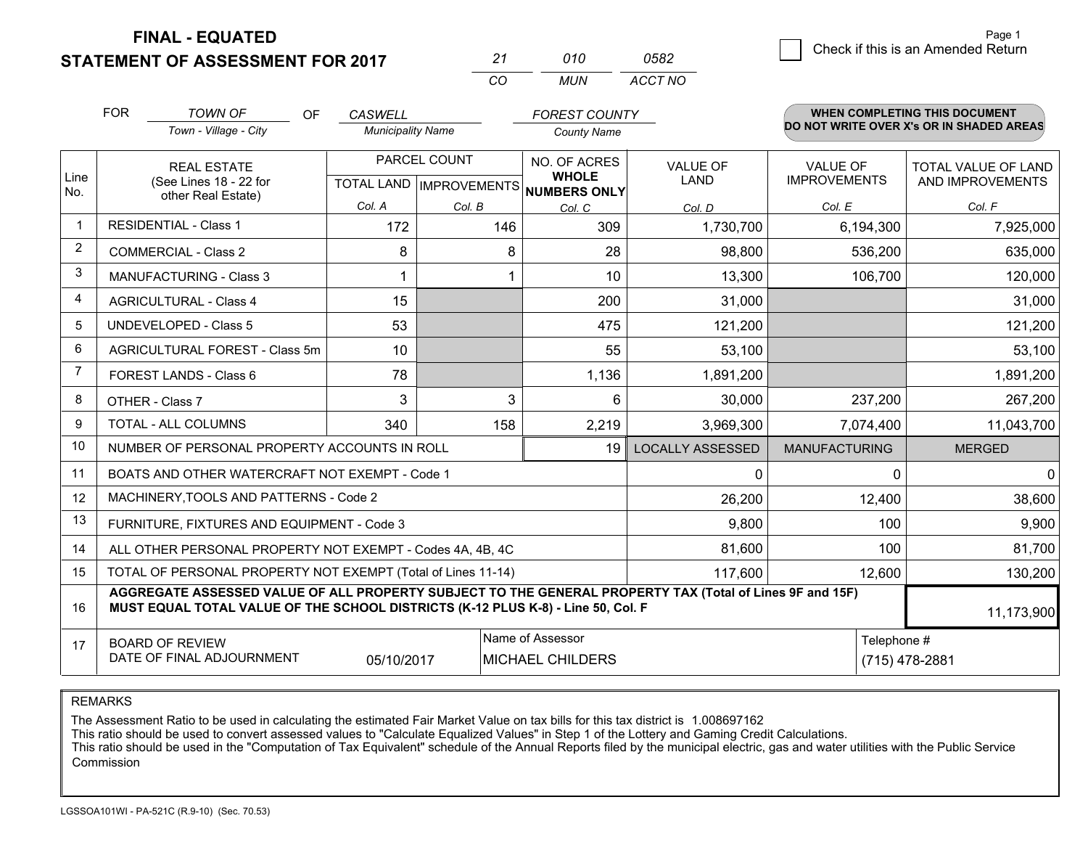**STATEMENT OF ASSESSMENT FOR 2017** 

| ンツ       | 01 N | 0582    |
|----------|------|---------|
| $\cdots$ | MUN  | ACCT NO |

|                | <b>FOR</b><br><b>TOWN OF</b><br>OF                                                                                                                                                           | <b>CASWELL</b>           |              | <b>FOREST COUNTY</b>                                     |                         |                      | <b>WHEN COMPLETING THIS DOCUMENT</b>     |
|----------------|----------------------------------------------------------------------------------------------------------------------------------------------------------------------------------------------|--------------------------|--------------|----------------------------------------------------------|-------------------------|----------------------|------------------------------------------|
|                | Town - Village - City                                                                                                                                                                        | <b>Municipality Name</b> |              | <b>County Name</b>                                       |                         |                      | DO NOT WRITE OVER X's OR IN SHADED AREAS |
|                | <b>REAL ESTATE</b>                                                                                                                                                                           |                          | PARCEL COUNT | NO. OF ACRES                                             | <b>VALUE OF</b>         | <b>VALUE OF</b>      | TOTAL VALUE OF LAND                      |
| Line<br>No.    | (See Lines 18 - 22 for<br>other Real Estate)                                                                                                                                                 |                          |              | <b>WHOLE</b><br>TOTAL LAND   IMPROVEMENTS   NUMBERS ONLY | <b>LAND</b>             | <b>IMPROVEMENTS</b>  | AND IMPROVEMENTS                         |
|                |                                                                                                                                                                                              | Col. A                   | Col. B       | Col. C                                                   | Col. D                  | Col. E               | Col. F                                   |
| $\mathbf 1$    | <b>RESIDENTIAL - Class 1</b>                                                                                                                                                                 | 172                      | 146          | 309                                                      | 1,730,700               | 6,194,300            | 7,925,000                                |
| $\overline{2}$ | <b>COMMERCIAL - Class 2</b>                                                                                                                                                                  | 8                        | 8            | 28                                                       | 98,800                  | 536,200              | 635,000                                  |
| 3              | MANUFACTURING - Class 3                                                                                                                                                                      | 1                        |              | 10                                                       | 13,300                  | 106,700              | 120,000                                  |
| 4              | <b>AGRICULTURAL - Class 4</b>                                                                                                                                                                | 15                       |              | 200                                                      | 31,000                  |                      | 31,000                                   |
| 5              | <b>UNDEVELOPED - Class 5</b>                                                                                                                                                                 | 53                       |              | 475                                                      | 121,200                 |                      | 121,200                                  |
| 6              | AGRICULTURAL FOREST - Class 5m                                                                                                                                                               | 10                       |              | 55                                                       | 53,100                  |                      | 53,100                                   |
| 7              | FOREST LANDS - Class 6                                                                                                                                                                       | 78                       |              | 1,136                                                    | 1,891,200               |                      | 1,891,200                                |
| 8              | OTHER - Class 7                                                                                                                                                                              | 3                        | 3            | 6                                                        | 30,000                  | 237,200              | 267,200                                  |
| 9              | <b>TOTAL - ALL COLUMNS</b>                                                                                                                                                                   | 340                      | 158          | 2,219                                                    | 3,969,300               | 7,074,400            | 11,043,700                               |
| 10             | NUMBER OF PERSONAL PROPERTY ACCOUNTS IN ROLL                                                                                                                                                 |                          |              | 19                                                       | <b>LOCALLY ASSESSED</b> | <b>MANUFACTURING</b> | <b>MERGED</b>                            |
| 11             | BOATS AND OTHER WATERCRAFT NOT EXEMPT - Code 1                                                                                                                                               |                          |              |                                                          | $\mathbf 0$             | $\Omega$             | $\mathbf 0$                              |
| 12             | MACHINERY, TOOLS AND PATTERNS - Code 2                                                                                                                                                       |                          |              |                                                          | 26,200                  | 12,400               | 38,600                                   |
| 13             | FURNITURE, FIXTURES AND EQUIPMENT - Code 3                                                                                                                                                   |                          |              |                                                          | 9,800                   | 100                  | 9,900                                    |
| 14             | ALL OTHER PERSONAL PROPERTY NOT EXEMPT - Codes 4A, 4B, 4C                                                                                                                                    |                          |              |                                                          | 81,600                  | 100                  | 81,700                                   |
| 15             | TOTAL OF PERSONAL PROPERTY NOT EXEMPT (Total of Lines 11-14)                                                                                                                                 |                          |              |                                                          | 117,600                 | 12,600               | 130,200                                  |
| 16             | AGGREGATE ASSESSED VALUE OF ALL PROPERTY SUBJECT TO THE GENERAL PROPERTY TAX (Total of Lines 9F and 15F)<br>MUST EQUAL TOTAL VALUE OF THE SCHOOL DISTRICTS (K-12 PLUS K-8) - Line 50, Col. F |                          |              |                                                          |                         |                      | 11,173,900                               |
| 17             | Name of Assessor<br>Telephone #<br><b>BOARD OF REVIEW</b><br>DATE OF FINAL ADJOURNMENT<br>MICHAEL CHILDERS<br>05/10/2017<br>(715) 478-2881                                                   |                          |              |                                                          |                         |                      |                                          |

REMARKS

The Assessment Ratio to be used in calculating the estimated Fair Market Value on tax bills for this tax district is 1.008697162<br>This ratio should be used to convert assessed values to "Calculate Equalized Values" in Step Commission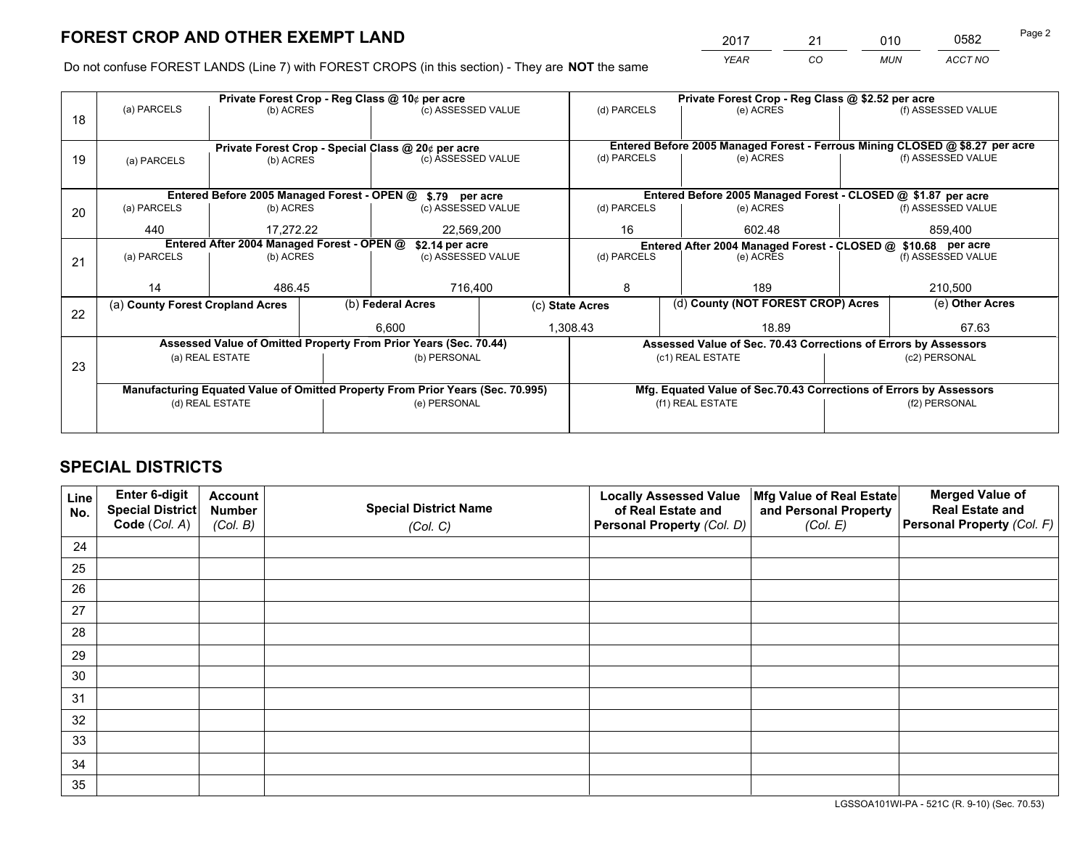*YEAR CO MUN ACCT NO* <sup>2017</sup> <sup>21</sup> <sup>010</sup> <sup>0582</sup>

Do not confuse FOREST LANDS (Line 7) with FOREST CROPS (in this section) - They are **NOT** the same

|    |                                                               |                                                |              | Private Forest Crop - Reg Class @ 10¢ per acre                                 |                                                               | Private Forest Crop - Reg Class @ \$2.52 per acre |                                                                                           |                    |                    |  |
|----|---------------------------------------------------------------|------------------------------------------------|--------------|--------------------------------------------------------------------------------|---------------------------------------------------------------|---------------------------------------------------|-------------------------------------------------------------------------------------------|--------------------|--------------------|--|
| 18 | (a) PARCELS                                                   | (b) ACRES                                      |              | (c) ASSESSED VALUE                                                             |                                                               | (d) PARCELS                                       | (e) ACRES                                                                                 |                    | (f) ASSESSED VALUE |  |
|    |                                                               |                                                |              |                                                                                |                                                               |                                                   |                                                                                           |                    |                    |  |
|    |                                                               |                                                |              | Private Forest Crop - Special Class @ 20¢ per acre                             |                                                               | (d) PARCELS                                       | Entered Before 2005 Managed Forest - Ferrous Mining CLOSED @ \$8.27 per acre<br>(e) ACRES |                    | (f) ASSESSED VALUE |  |
| 19 |                                                               | (c) ASSESSED VALUE<br>(b) ACRES<br>(a) PARCELS |              |                                                                                |                                                               |                                                   |                                                                                           |                    |                    |  |
|    |                                                               |                                                |              |                                                                                |                                                               |                                                   |                                                                                           |                    |                    |  |
|    |                                                               |                                                |              | Entered Before 2005 Managed Forest - OPEN @ \$.79 per acre                     |                                                               |                                                   | Entered Before 2005 Managed Forest - CLOSED @ \$1.87 per acre                             |                    |                    |  |
| 20 | (a) PARCELS                                                   | (b) ACRES                                      |              | (c) ASSESSED VALUE                                                             |                                                               | (d) PARCELS                                       | (e) ACRES                                                                                 |                    | (f) ASSESSED VALUE |  |
|    |                                                               |                                                |              |                                                                                |                                                               | 16                                                | 602.48                                                                                    |                    | 859.400            |  |
|    |                                                               | 440<br>17.272.22<br>22,569,200                 |              |                                                                                |                                                               |                                                   |                                                                                           |                    |                    |  |
|    | Entered After 2004 Managed Forest - OPEN @<br>\$2.14 per acre |                                                |              |                                                                                | Entered After 2004 Managed Forest - CLOSED @ \$10.68 per acre |                                                   |                                                                                           |                    |                    |  |
| 21 | (a) PARCELS                                                   | (b) ACRES                                      |              | (c) ASSESSED VALUE                                                             |                                                               | (d) PARCELS<br>(e) ACRES                          |                                                                                           | (f) ASSESSED VALUE |                    |  |
|    |                                                               |                                                |              |                                                                                |                                                               |                                                   |                                                                                           |                    |                    |  |
|    | 14                                                            | 486.45                                         |              | 716,400                                                                        |                                                               | 8<br>189                                          |                                                                                           |                    | 210,500            |  |
|    | (a) County Forest Cropland Acres                              |                                                |              | (b) Federal Acres                                                              | (c) State Acres                                               |                                                   | (d) County (NOT FOREST CROP) Acres                                                        |                    | (e) Other Acres    |  |
| 22 |                                                               |                                                |              |                                                                                |                                                               |                                                   |                                                                                           |                    |                    |  |
|    |                                                               |                                                |              | 6,600                                                                          |                                                               | 1,308.43                                          | 18.89                                                                                     |                    | 67.63              |  |
|    |                                                               |                                                |              | Assessed Value of Omitted Property From Prior Years (Sec. 70.44)               |                                                               |                                                   | Assessed Value of Sec. 70.43 Corrections of Errors by Assessors                           |                    |                    |  |
|    |                                                               | (a) REAL ESTATE                                |              | (b) PERSONAL                                                                   |                                                               |                                                   | (c1) REAL ESTATE                                                                          |                    | (c2) PERSONAL      |  |
| 23 |                                                               |                                                |              |                                                                                |                                                               |                                                   |                                                                                           |                    |                    |  |
|    |                                                               |                                                |              | Manufacturing Equated Value of Omitted Property From Prior Years (Sec. 70.995) |                                                               |                                                   | Mfg. Equated Value of Sec.70.43 Corrections of Errors by Assessors                        |                    |                    |  |
|    | (d) REAL ESTATE                                               |                                                | (e) PERSONAL |                                                                                |                                                               | (f1) REAL ESTATE                                  |                                                                                           | (f2) PERSONAL      |                    |  |
|    |                                                               |                                                |              |                                                                                |                                                               |                                                   |                                                                                           |                    |                    |  |
|    |                                                               |                                                |              |                                                                                |                                                               |                                                   |                                                                                           |                    |                    |  |

## **SPECIAL DISTRICTS**

| Line<br>No. | Enter 6-digit<br><b>Special District</b> | <b>Account</b><br><b>Number</b> | <b>Special District Name</b> | <b>Locally Assessed Value</b><br>of Real Estate and | Mfg Value of Real Estate<br>and Personal Property | <b>Merged Value of</b><br><b>Real Estate and</b> |
|-------------|------------------------------------------|---------------------------------|------------------------------|-----------------------------------------------------|---------------------------------------------------|--------------------------------------------------|
|             | Code (Col. A)                            | (Col. B)                        | (Col. C)                     | Personal Property (Col. D)                          | (Col. E)                                          | Personal Property (Col. F)                       |
| 24          |                                          |                                 |                              |                                                     |                                                   |                                                  |
| 25          |                                          |                                 |                              |                                                     |                                                   |                                                  |
| 26          |                                          |                                 |                              |                                                     |                                                   |                                                  |
| 27          |                                          |                                 |                              |                                                     |                                                   |                                                  |
| 28          |                                          |                                 |                              |                                                     |                                                   |                                                  |
| 29          |                                          |                                 |                              |                                                     |                                                   |                                                  |
| 30          |                                          |                                 |                              |                                                     |                                                   |                                                  |
| 31          |                                          |                                 |                              |                                                     |                                                   |                                                  |
| 32          |                                          |                                 |                              |                                                     |                                                   |                                                  |
| 33          |                                          |                                 |                              |                                                     |                                                   |                                                  |
| 34          |                                          |                                 |                              |                                                     |                                                   |                                                  |
| 35          |                                          |                                 |                              |                                                     |                                                   |                                                  |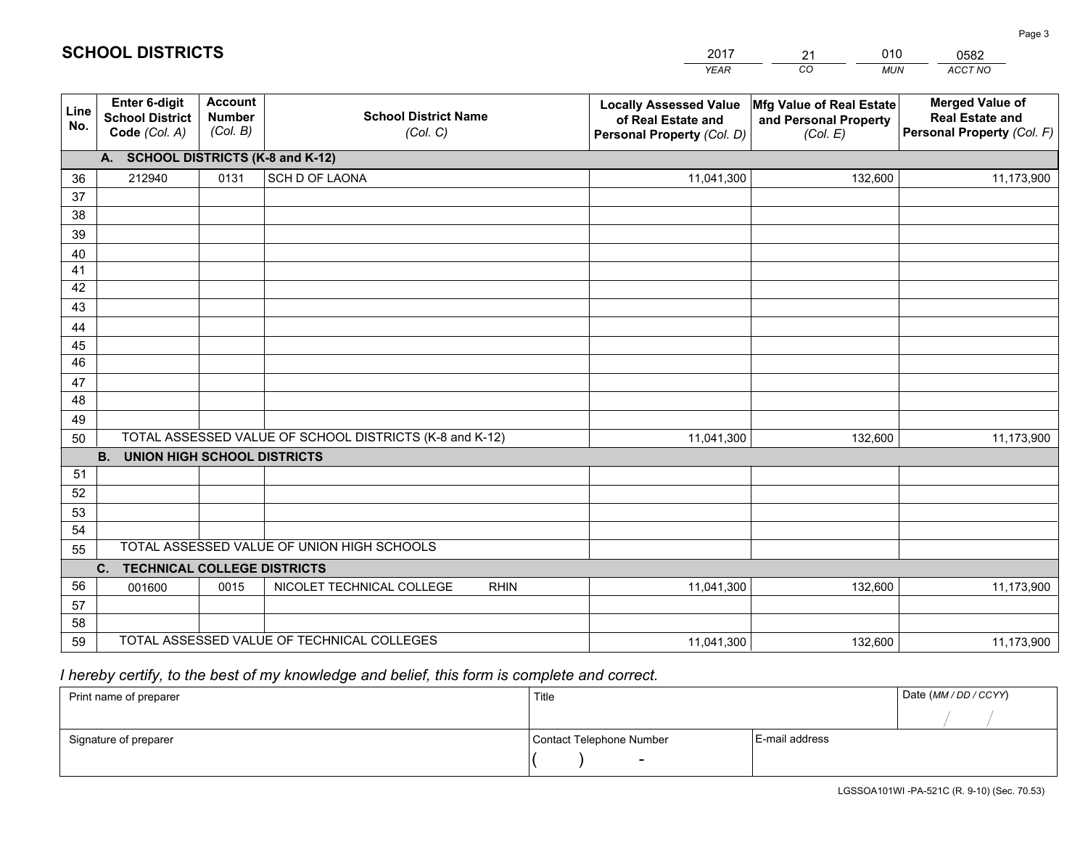|             |                                                          |                                             |                                                         | <b>YEAR</b>                                                                       | CO<br><b>MUN</b>                                              | ACCT NO                                                                        |
|-------------|----------------------------------------------------------|---------------------------------------------|---------------------------------------------------------|-----------------------------------------------------------------------------------|---------------------------------------------------------------|--------------------------------------------------------------------------------|
| Line<br>No. | Enter 6-digit<br><b>School District</b><br>Code (Col. A) | <b>Account</b><br><b>Number</b><br>(Col. B) | <b>School District Name</b><br>(Col. C)                 | <b>Locally Assessed Value</b><br>of Real Estate and<br>Personal Property (Col. D) | Mfg Value of Real Estate<br>and Personal Property<br>(Col. E) | <b>Merged Value of</b><br><b>Real Estate and</b><br>Personal Property (Col. F) |
|             | A. SCHOOL DISTRICTS (K-8 and K-12)                       |                                             |                                                         |                                                                                   |                                                               |                                                                                |
| 36          | 212940                                                   | 0131                                        | SCH D OF LAONA                                          | 11,041,300                                                                        | 132,600                                                       | 11,173,900                                                                     |
| 37          |                                                          |                                             |                                                         |                                                                                   |                                                               |                                                                                |
| 38          |                                                          |                                             |                                                         |                                                                                   |                                                               |                                                                                |
| 39          |                                                          |                                             |                                                         |                                                                                   |                                                               |                                                                                |
| 40          |                                                          |                                             |                                                         |                                                                                   |                                                               |                                                                                |
| 41<br>42    |                                                          |                                             |                                                         |                                                                                   |                                                               |                                                                                |
| 43          |                                                          |                                             |                                                         |                                                                                   |                                                               |                                                                                |
| 44          |                                                          |                                             |                                                         |                                                                                   |                                                               |                                                                                |
| 45          |                                                          |                                             |                                                         |                                                                                   |                                                               |                                                                                |
| 46          |                                                          |                                             |                                                         |                                                                                   |                                                               |                                                                                |
| 47          |                                                          |                                             |                                                         |                                                                                   |                                                               |                                                                                |
| 48          |                                                          |                                             |                                                         |                                                                                   |                                                               |                                                                                |
| 49          |                                                          |                                             |                                                         |                                                                                   |                                                               |                                                                                |
| 50          |                                                          |                                             | TOTAL ASSESSED VALUE OF SCHOOL DISTRICTS (K-8 and K-12) | 11,041,300                                                                        | 132,600                                                       | 11,173,900                                                                     |
|             | <b>B.</b><br><b>UNION HIGH SCHOOL DISTRICTS</b>          |                                             |                                                         |                                                                                   |                                                               |                                                                                |
| 51          |                                                          |                                             |                                                         |                                                                                   |                                                               |                                                                                |
| 52          |                                                          |                                             |                                                         |                                                                                   |                                                               |                                                                                |
| 53          |                                                          |                                             |                                                         |                                                                                   |                                                               |                                                                                |
| 54          |                                                          |                                             | TOTAL ASSESSED VALUE OF UNION HIGH SCHOOLS              |                                                                                   |                                                               |                                                                                |
| 55          |                                                          |                                             |                                                         |                                                                                   |                                                               |                                                                                |
| 56          | C.<br><b>TECHNICAL COLLEGE DISTRICTS</b>                 |                                             |                                                         |                                                                                   |                                                               |                                                                                |
| 57          | 001600                                                   | 0015                                        | NICOLET TECHNICAL COLLEGE<br><b>RHIN</b>                | 11,041,300                                                                        | 132,600                                                       | 11,173,900                                                                     |
| 58          |                                                          |                                             |                                                         |                                                                                   |                                                               |                                                                                |
| 59          |                                                          |                                             | TOTAL ASSESSED VALUE OF TECHNICAL COLLEGES              | 11,041,300                                                                        | 132,600                                                       | 11,173,900                                                                     |
|             |                                                          |                                             |                                                         |                                                                                   |                                                               |                                                                                |

21

010

## *I hereby certify, to the best of my knowledge and belief, this form is complete and correct.*

**SCHOOL DISTRICTS**

| Print name of preparer | Title                    |                | Date (MM / DD / CCYY) |
|------------------------|--------------------------|----------------|-----------------------|
|                        |                          |                |                       |
| Signature of preparer  | Contact Telephone Number | E-mail address |                       |
|                        | $\overline{\phantom{0}}$ |                |                       |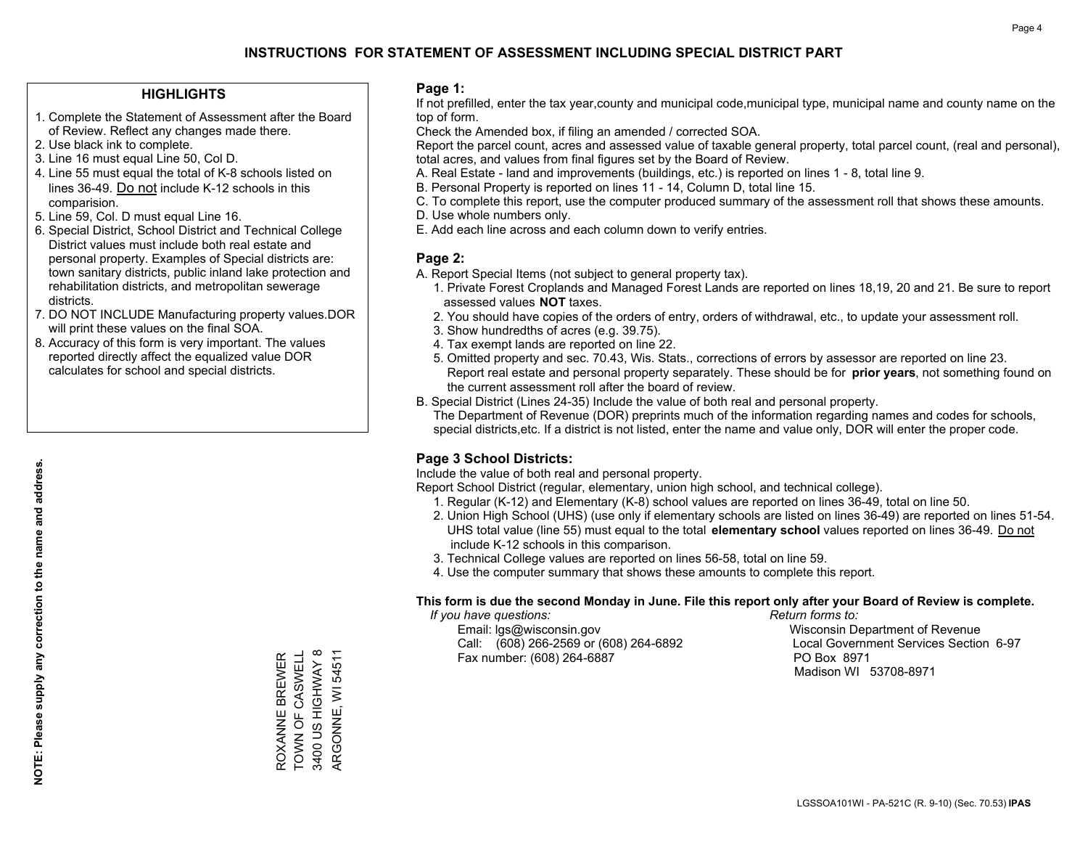### **HIGHLIGHTS**

- 1. Complete the Statement of Assessment after the Board of Review. Reflect any changes made there.
- 2. Use black ink to complete.
- 3. Line 16 must equal Line 50, Col D.
- 4. Line 55 must equal the total of K-8 schools listed on lines 36-49. Do not include K-12 schools in this comparision.
- 5. Line 59, Col. D must equal Line 16.
- 6. Special District, School District and Technical College District values must include both real estate and personal property. Examples of Special districts are: town sanitary districts, public inland lake protection and rehabilitation districts, and metropolitan sewerage districts.
- 7. DO NOT INCLUDE Manufacturing property values.DOR will print these values on the final SOA.

ROXANNE BREWER TOWN OF CASWELL 3400 US HIGHWAY 8 ARGONNE, WI 54511

3400 US HIGHWAY 8 ROXANNE BREWER<br>TOWN OF CASWELL

ARGONNE, WI 54511

 8. Accuracy of this form is very important. The values reported directly affect the equalized value DOR calculates for school and special districts.

### **Page 1:**

 If not prefilled, enter the tax year,county and municipal code,municipal type, municipal name and county name on the top of form.

Check the Amended box, if filing an amended / corrected SOA.

 Report the parcel count, acres and assessed value of taxable general property, total parcel count, (real and personal), total acres, and values from final figures set by the Board of Review.

- A. Real Estate land and improvements (buildings, etc.) is reported on lines 1 8, total line 9.
- B. Personal Property is reported on lines 11 14, Column D, total line 15.
- C. To complete this report, use the computer produced summary of the assessment roll that shows these amounts.
- D. Use whole numbers only.
- E. Add each line across and each column down to verify entries.

### **Page 2:**

- A. Report Special Items (not subject to general property tax).
- 1. Private Forest Croplands and Managed Forest Lands are reported on lines 18,19, 20 and 21. Be sure to report assessed values **NOT** taxes.
- 2. You should have copies of the orders of entry, orders of withdrawal, etc., to update your assessment roll.
	- 3. Show hundredths of acres (e.g. 39.75).
- 4. Tax exempt lands are reported on line 22.
- 5. Omitted property and sec. 70.43, Wis. Stats., corrections of errors by assessor are reported on line 23. Report real estate and personal property separately. These should be for **prior years**, not something found on the current assessment roll after the board of review.
- B. Special District (Lines 24-35) Include the value of both real and personal property.

 The Department of Revenue (DOR) preprints much of the information regarding names and codes for schools, special districts,etc. If a district is not listed, enter the name and value only, DOR will enter the proper code.

### **Page 3 School Districts:**

Include the value of both real and personal property.

Report School District (regular, elementary, union high school, and technical college).

- 1. Regular (K-12) and Elementary (K-8) school values are reported on lines 36-49, total on line 50.
- 2. Union High School (UHS) (use only if elementary schools are listed on lines 36-49) are reported on lines 51-54. UHS total value (line 55) must equal to the total **elementary school** values reported on lines 36-49. Do notinclude K-12 schools in this comparison.
- 3. Technical College values are reported on lines 56-58, total on line 59.
- 4. Use the computer summary that shows these amounts to complete this report.

#### **This form is due the second Monday in June. File this report only after your Board of Review is complete.**

 *If you have questions: Return forms to:*

 Email: lgs@wisconsin.gov Wisconsin Department of RevenueCall:  $(608)$  266-2569 or  $(608)$  264-6892 Fax number: (608) 264-6887 PO Box 8971

Local Government Services Section 6-97 Madison WI 53708-8971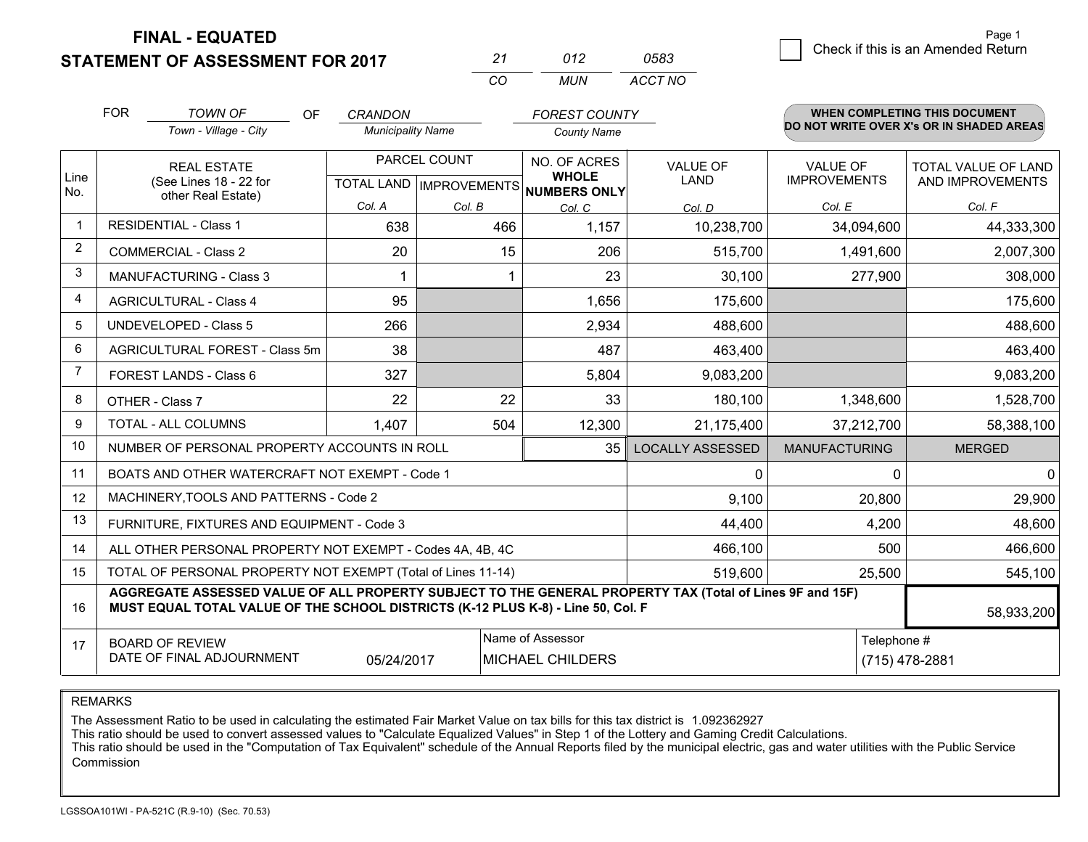### **STATEMENT OF ASSESSMENT FOR 2017**

| 21  | 012 | 0583    |
|-----|-----|---------|
| CO. | MUN | ACCT NO |

|             | <b>FOR</b>                                                                  | <b>TOWN OF</b><br><b>OF</b><br>Town - Village - City                                                                                                                                         | <b>CRANDON</b><br><b>Municipality Name</b>           |        | <b>FOREST COUNTY</b><br><b>County Name</b>                                   |                                |                                        | <b>WHEN COMPLETING THIS DOCUMENT</b><br>DO NOT WRITE OVER X's OR IN SHADED AREAS |
|-------------|-----------------------------------------------------------------------------|----------------------------------------------------------------------------------------------------------------------------------------------------------------------------------------------|------------------------------------------------------|--------|------------------------------------------------------------------------------|--------------------------------|----------------------------------------|----------------------------------------------------------------------------------|
| Line<br>No. | <b>REAL ESTATE</b><br>(See Lines 18 - 22 for                                |                                                                                                                                                                                              | PARCEL COUNT<br>TOTAL LAND IMPROVEMENTS NUMBERS ONLY |        | NO. OF ACRES<br><b>WHOLE</b>                                                 | <b>VALUE OF</b><br><b>LAND</b> | <b>VALUE OF</b><br><b>IMPROVEMENTS</b> | <b>TOTAL VALUE OF LAND</b><br>AND IMPROVEMENTS                                   |
|             |                                                                             | other Real Estate)                                                                                                                                                                           | Col. A                                               | Col. B | Col. C                                                                       | Col. D                         | Col. E                                 | Col. F                                                                           |
| $\mathbf 1$ |                                                                             | <b>RESIDENTIAL - Class 1</b>                                                                                                                                                                 | 638                                                  | 466    | 1,157                                                                        | 10,238,700                     | 34,094,600                             | 44,333,300                                                                       |
| 2           |                                                                             | <b>COMMERCIAL - Class 2</b>                                                                                                                                                                  | 20                                                   | 15     | 206                                                                          | 515,700                        | 1,491,600                              | 2,007,300                                                                        |
| 3           |                                                                             | <b>MANUFACTURING - Class 3</b>                                                                                                                                                               |                                                      |        | 23                                                                           | 30,100                         | 277,900                                | 308,000                                                                          |
| 4           |                                                                             | <b>AGRICULTURAL - Class 4</b>                                                                                                                                                                | 95                                                   |        | 1,656                                                                        | 175,600                        |                                        | 175,600                                                                          |
| 5           |                                                                             | <b>UNDEVELOPED - Class 5</b>                                                                                                                                                                 | 266                                                  |        | 2,934                                                                        | 488,600                        |                                        | 488,600                                                                          |
| 6           | AGRICULTURAL FOREST - Class 5m<br>FOREST LANDS - Class 6<br>OTHER - Class 7 |                                                                                                                                                                                              | 38                                                   |        | 487                                                                          | 463,400                        |                                        | 463,400                                                                          |
| 7           |                                                                             |                                                                                                                                                                                              | 327                                                  |        | 5,804                                                                        | 9,083,200                      |                                        | 9,083,200                                                                        |
| 8           |                                                                             |                                                                                                                                                                                              | 22                                                   | 22     | 33                                                                           | 180,100                        | 1,348,600                              | 1,528,700                                                                        |
| 9           |                                                                             | TOTAL - ALL COLUMNS                                                                                                                                                                          | 1,407                                                | 504    | 12,300                                                                       | 21,175,400                     | 37,212,700                             | 58,388,100                                                                       |
| 10          |                                                                             | NUMBER OF PERSONAL PROPERTY ACCOUNTS IN ROLL                                                                                                                                                 |                                                      |        | 35                                                                           | <b>LOCALLY ASSESSED</b>        | <b>MANUFACTURING</b>                   | <b>MERGED</b>                                                                    |
| 11          |                                                                             | BOATS AND OTHER WATERCRAFT NOT EXEMPT - Code 1                                                                                                                                               |                                                      |        |                                                                              | 0                              | $\Omega$                               | $\mathbf{0}$                                                                     |
| 12          |                                                                             | MACHINERY, TOOLS AND PATTERNS - Code 2                                                                                                                                                       |                                                      |        |                                                                              | 9,100                          | 20,800                                 | 29,900                                                                           |
| 13          |                                                                             | FURNITURE, FIXTURES AND EQUIPMENT - Code 3                                                                                                                                                   |                                                      |        |                                                                              | 44,400                         | 4,200                                  | 48,600                                                                           |
| 14          |                                                                             | ALL OTHER PERSONAL PROPERTY NOT EXEMPT - Codes 4A, 4B, 4C                                                                                                                                    |                                                      |        |                                                                              | 466,100                        | 500                                    | 466,600                                                                          |
| 15          |                                                                             | TOTAL OF PERSONAL PROPERTY NOT EXEMPT (Total of Lines 11-14)                                                                                                                                 |                                                      |        |                                                                              | 519,600                        | 25,500                                 | 545,100                                                                          |
| 16          |                                                                             | AGGREGATE ASSESSED VALUE OF ALL PROPERTY SUBJECT TO THE GENERAL PROPERTY TAX (Total of Lines 9F and 15F)<br>MUST EQUAL TOTAL VALUE OF THE SCHOOL DISTRICTS (K-12 PLUS K-8) - Line 50, Col. F |                                                      |        |                                                                              |                                |                                        | 58,933,200                                                                       |
| 17          |                                                                             | <b>BOARD OF REVIEW</b><br>DATE OF FINAL ADJOURNMENT                                                                                                                                          | 05/24/2017                                           |        | Name of Assessor<br>Telephone #<br><b>MICHAEL CHILDERS</b><br>(715) 478-2881 |                                |                                        |                                                                                  |

### REMARKS

The Assessment Ratio to be used in calculating the estimated Fair Market Value on tax bills for this tax district is 1.092362927<br>This ratio should be used to convert assessed values to "Calculate Equalized Values" in Step Commission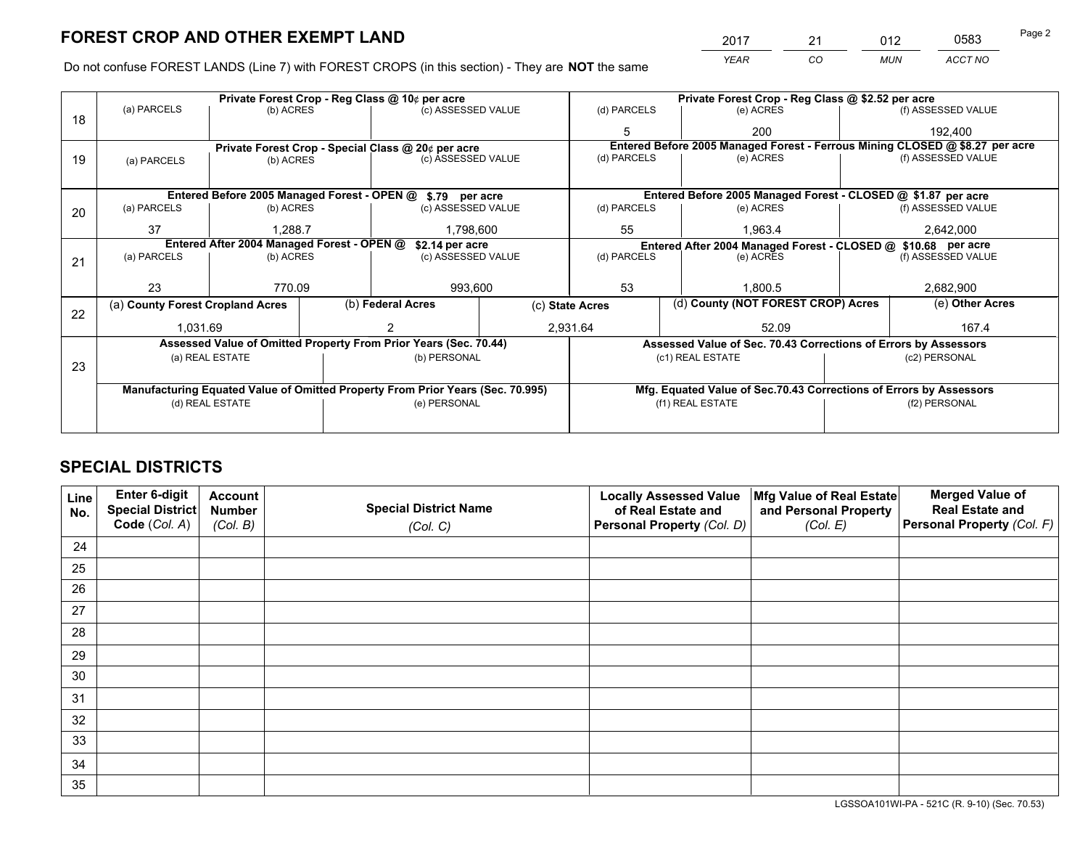*YEAR CO MUN ACCT NO* <sup>2017</sup> <sup>21</sup> <sup>012</sup> <sup>0583</sup>

Do not confuse FOREST LANDS (Line 7) with FOREST CROPS (in this section) - They are **NOT** the same

|    |                                                               |                 |  | Private Forest Crop - Reg Class @ 10¢ per acre                                 | Private Forest Crop - Reg Class @ \$2.52 per acre |                                                               |               |                                                                    |           |                                                                              |
|----|---------------------------------------------------------------|-----------------|--|--------------------------------------------------------------------------------|---------------------------------------------------|---------------------------------------------------------------|---------------|--------------------------------------------------------------------|-----------|------------------------------------------------------------------------------|
| 18 | (a) PARCELS                                                   | (b) ACRES       |  | (c) ASSESSED VALUE                                                             |                                                   | (d) PARCELS                                                   |               | (e) ACRES                                                          |           | (f) ASSESSED VALUE                                                           |
|    |                                                               |                 |  |                                                                                |                                                   |                                                               |               | 200                                                                |           | 192,400                                                                      |
|    |                                                               |                 |  | Private Forest Crop - Special Class @ 20¢ per acre                             |                                                   |                                                               |               |                                                                    |           | Entered Before 2005 Managed Forest - Ferrous Mining CLOSED @ \$8.27 per acre |
| 19 | (a) PARCELS                                                   | (b) ACRES       |  | (c) ASSESSED VALUE                                                             |                                                   | (d) PARCELS                                                   |               | (e) ACRES                                                          |           | (f) ASSESSED VALUE                                                           |
|    |                                                               |                 |  |                                                                                |                                                   |                                                               |               |                                                                    |           |                                                                              |
|    |                                                               |                 |  | Entered Before 2005 Managed Forest - OPEN @ \$.79 per acre                     |                                                   |                                                               |               | Entered Before 2005 Managed Forest - CLOSED @ \$1.87 per acre      |           |                                                                              |
| 20 | (a) PARCELS                                                   | (b) ACRES       |  | (c) ASSESSED VALUE                                                             |                                                   | (d) PARCELS                                                   |               | (e) ACRES                                                          |           | (f) ASSESSED VALUE                                                           |
|    | 37                                                            | 1.288.7         |  |                                                                                | 1.798.600                                         |                                                               |               | 1.963.4                                                            | 2,642,000 |                                                                              |
|    | Entered After 2004 Managed Forest - OPEN @<br>\$2.14 per acre |                 |  |                                                                                |                                                   | Entered After 2004 Managed Forest - CLOSED @ \$10.68 per acre |               |                                                                    |           |                                                                              |
| 21 | (a) PARCELS                                                   | (b) ACRES       |  | (c) ASSESSED VALUE                                                             |                                                   | (d) PARCELS<br>(e) ACRES                                      |               | (f) ASSESSED VALUE                                                 |           |                                                                              |
|    |                                                               |                 |  |                                                                                |                                                   |                                                               |               |                                                                    |           |                                                                              |
|    | 23                                                            | 770.09          |  | 993,600                                                                        |                                                   | 53<br>1.800.5                                                 |               | 2,682,900                                                          |           |                                                                              |
| 22 | (a) County Forest Cropland Acres                              |                 |  | (b) Federal Acres                                                              | (c) State Acres                                   |                                                               |               | (d) County (NOT FOREST CROP) Acres                                 |           | (e) Other Acres                                                              |
|    | 1,031.69                                                      |                 |  |                                                                                |                                                   | 2,931.64<br>52.09                                             |               |                                                                    |           | 167.4                                                                        |
|    |                                                               |                 |  | Assessed Value of Omitted Property From Prior Years (Sec. 70.44)               |                                                   |                                                               |               | Assessed Value of Sec. 70.43 Corrections of Errors by Assessors    |           |                                                                              |
|    |                                                               | (a) REAL ESTATE |  | (b) PERSONAL                                                                   |                                                   |                                                               |               | (c1) REAL ESTATE                                                   |           | (c2) PERSONAL                                                                |
| 23 |                                                               |                 |  |                                                                                |                                                   |                                                               |               |                                                                    |           |                                                                              |
|    |                                                               |                 |  | Manufacturing Equated Value of Omitted Property From Prior Years (Sec. 70.995) |                                                   |                                                               |               | Mfg. Equated Value of Sec.70.43 Corrections of Errors by Assessors |           |                                                                              |
|    | (d) REAL ESTATE<br>(e) PERSONAL                               |                 |  | (f1) REAL ESTATE                                                               |                                                   |                                                               | (f2) PERSONAL |                                                                    |           |                                                                              |
|    |                                                               |                 |  |                                                                                |                                                   |                                                               |               |                                                                    |           |                                                                              |

## **SPECIAL DISTRICTS**

| Line<br>No. | Enter 6-digit<br>Special District<br>Code (Col. A) | <b>Account</b><br><b>Number</b> | <b>Special District Name</b> | <b>Locally Assessed Value</b><br>of Real Estate and | Mfg Value of Real Estate<br>and Personal Property | <b>Merged Value of</b><br><b>Real Estate and</b><br>Personal Property (Col. F) |
|-------------|----------------------------------------------------|---------------------------------|------------------------------|-----------------------------------------------------|---------------------------------------------------|--------------------------------------------------------------------------------|
|             |                                                    | (Col. B)                        | (Col. C)                     | Personal Property (Col. D)                          | (Col. E)                                          |                                                                                |
| 24          |                                                    |                                 |                              |                                                     |                                                   |                                                                                |
| 25          |                                                    |                                 |                              |                                                     |                                                   |                                                                                |
| 26          |                                                    |                                 |                              |                                                     |                                                   |                                                                                |
| 27          |                                                    |                                 |                              |                                                     |                                                   |                                                                                |
| 28          |                                                    |                                 |                              |                                                     |                                                   |                                                                                |
| 29          |                                                    |                                 |                              |                                                     |                                                   |                                                                                |
| 30          |                                                    |                                 |                              |                                                     |                                                   |                                                                                |
| 31          |                                                    |                                 |                              |                                                     |                                                   |                                                                                |
| 32          |                                                    |                                 |                              |                                                     |                                                   |                                                                                |
| 33          |                                                    |                                 |                              |                                                     |                                                   |                                                                                |
| 34          |                                                    |                                 |                              |                                                     |                                                   |                                                                                |
| 35          |                                                    |                                 |                              |                                                     |                                                   |                                                                                |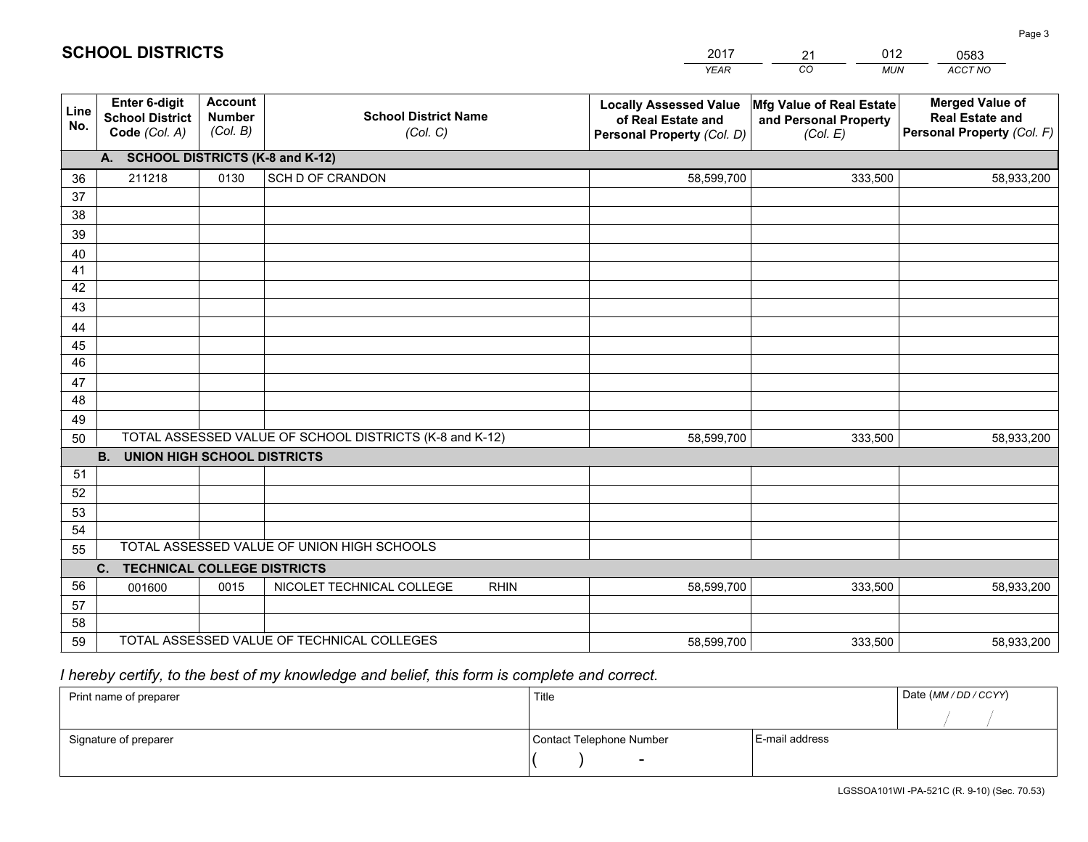|             |                                                                 |                                             |                                                         | <b>YEAR</b>                                                                       | CO<br><b>MUN</b>                                              | <b>ACCT NO</b>                                                                 |
|-------------|-----------------------------------------------------------------|---------------------------------------------|---------------------------------------------------------|-----------------------------------------------------------------------------------|---------------------------------------------------------------|--------------------------------------------------------------------------------|
| Line<br>No. | <b>Enter 6-digit</b><br><b>School District</b><br>Code (Col. A) | <b>Account</b><br><b>Number</b><br>(Col. B) | <b>School District Name</b><br>(Col. C)                 | <b>Locally Assessed Value</b><br>of Real Estate and<br>Personal Property (Col. D) | Mfg Value of Real Estate<br>and Personal Property<br>(Col. E) | <b>Merged Value of</b><br><b>Real Estate and</b><br>Personal Property (Col. F) |
|             | A. SCHOOL DISTRICTS (K-8 and K-12)                              |                                             |                                                         |                                                                                   |                                                               |                                                                                |
| 36          | 211218                                                          | 0130                                        | SCH D OF CRANDON                                        | 58,599,700                                                                        | 333,500                                                       | 58,933,200                                                                     |
| 37          |                                                                 |                                             |                                                         |                                                                                   |                                                               |                                                                                |
| 38          |                                                                 |                                             |                                                         |                                                                                   |                                                               |                                                                                |
| 39          |                                                                 |                                             |                                                         |                                                                                   |                                                               |                                                                                |
| 40          |                                                                 |                                             |                                                         |                                                                                   |                                                               |                                                                                |
| 41<br>42    |                                                                 |                                             |                                                         |                                                                                   |                                                               |                                                                                |
| 43          |                                                                 |                                             |                                                         |                                                                                   |                                                               |                                                                                |
| 44          |                                                                 |                                             |                                                         |                                                                                   |                                                               |                                                                                |
| 45          |                                                                 |                                             |                                                         |                                                                                   |                                                               |                                                                                |
| 46          |                                                                 |                                             |                                                         |                                                                                   |                                                               |                                                                                |
| 47          |                                                                 |                                             |                                                         |                                                                                   |                                                               |                                                                                |
| 48          |                                                                 |                                             |                                                         |                                                                                   |                                                               |                                                                                |
| 49          |                                                                 |                                             |                                                         |                                                                                   |                                                               |                                                                                |
| 50          |                                                                 |                                             | TOTAL ASSESSED VALUE OF SCHOOL DISTRICTS (K-8 and K-12) | 58,599,700                                                                        | 333,500                                                       | 58,933,200                                                                     |
|             | <b>B.</b><br><b>UNION HIGH SCHOOL DISTRICTS</b>                 |                                             |                                                         |                                                                                   |                                                               |                                                                                |
| 51          |                                                                 |                                             |                                                         |                                                                                   |                                                               |                                                                                |
| 52          |                                                                 |                                             |                                                         |                                                                                   |                                                               |                                                                                |
| 53          |                                                                 |                                             |                                                         |                                                                                   |                                                               |                                                                                |
| 54          |                                                                 |                                             | TOTAL ASSESSED VALUE OF UNION HIGH SCHOOLS              |                                                                                   |                                                               |                                                                                |
| 55          |                                                                 |                                             |                                                         |                                                                                   |                                                               |                                                                                |
| 56          | C.<br><b>TECHNICAL COLLEGE DISTRICTS</b><br>001600              | 0015                                        | NICOLET TECHNICAL COLLEGE<br><b>RHIN</b>                | 58,599,700                                                                        | 333,500                                                       | 58,933,200                                                                     |
| 57          |                                                                 |                                             |                                                         |                                                                                   |                                                               |                                                                                |
| 58          |                                                                 |                                             |                                                         |                                                                                   |                                                               |                                                                                |
| 59          |                                                                 |                                             | TOTAL ASSESSED VALUE OF TECHNICAL COLLEGES              | 58,599,700                                                                        | 333,500                                                       | 58,933,200                                                                     |

21

012

 *I hereby certify, to the best of my knowledge and belief, this form is complete and correct.*

**SCHOOL DISTRICTS**

| Print name of preparer | Title                    |                | Date (MM / DD / CCYY) |
|------------------------|--------------------------|----------------|-----------------------|
|                        |                          |                |                       |
| Signature of preparer  | Contact Telephone Number | E-mail address |                       |
|                        | $\sim$                   |                |                       |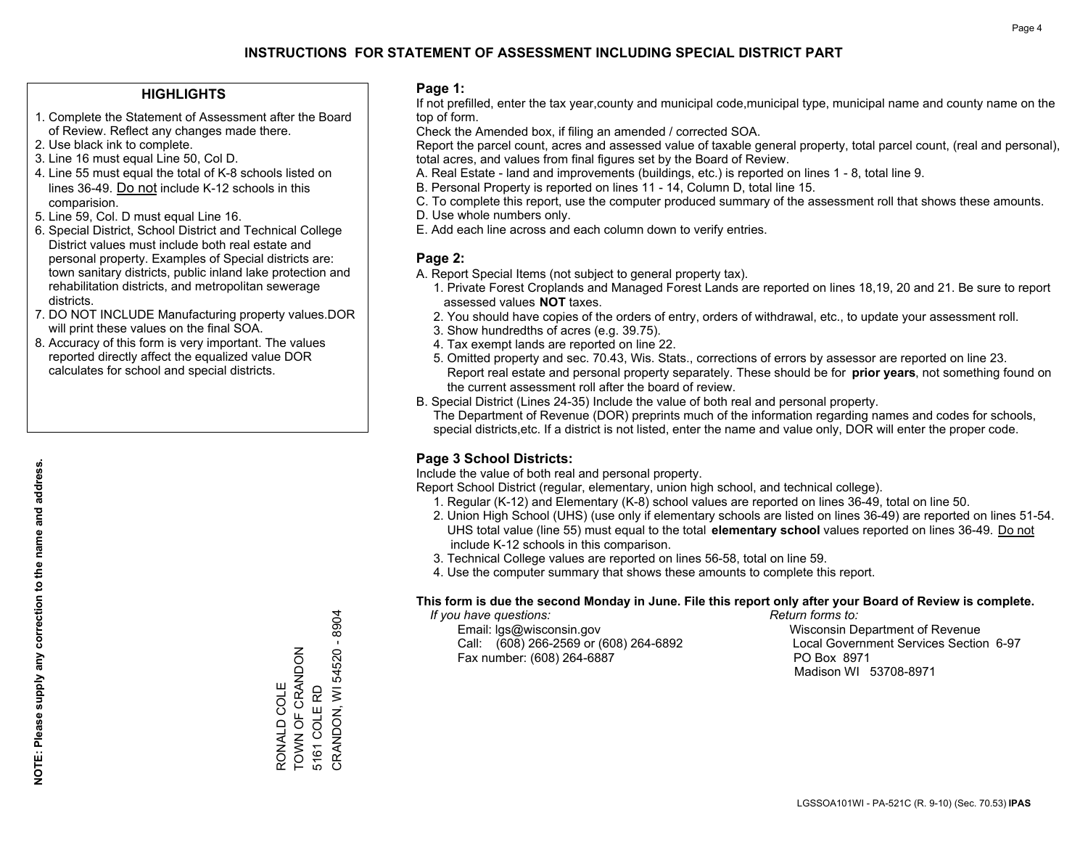### **HIGHLIGHTS**

- 1. Complete the Statement of Assessment after the Board of Review. Reflect any changes made there.
- 2. Use black ink to complete.
- 3. Line 16 must equal Line 50, Col D.
- 4. Line 55 must equal the total of K-8 schools listed on lines 36-49. Do not include K-12 schools in this comparision.
- 5. Line 59, Col. D must equal Line 16.
- 6. Special District, School District and Technical College District values must include both real estate and personal property. Examples of Special districts are: town sanitary districts, public inland lake protection and rehabilitation districts, and metropolitan sewerage districts.
- 7. DO NOT INCLUDE Manufacturing property values.DOR will print these values on the final SOA.
- 8. Accuracy of this form is very important. The values reported directly affect the equalized value DOR calculates for school and special districts.

### **Page 1:**

 If not prefilled, enter the tax year,county and municipal code,municipal type, municipal name and county name on the top of form.

Check the Amended box, if filing an amended / corrected SOA.

 Report the parcel count, acres and assessed value of taxable general property, total parcel count, (real and personal), total acres, and values from final figures set by the Board of Review.

- A. Real Estate land and improvements (buildings, etc.) is reported on lines 1 8, total line 9.
- B. Personal Property is reported on lines 11 14, Column D, total line 15.
- C. To complete this report, use the computer produced summary of the assessment roll that shows these amounts.
- D. Use whole numbers only.
- E. Add each line across and each column down to verify entries.

### **Page 2:**

- A. Report Special Items (not subject to general property tax).
- 1. Private Forest Croplands and Managed Forest Lands are reported on lines 18,19, 20 and 21. Be sure to report assessed values **NOT** taxes.
- 2. You should have copies of the orders of entry, orders of withdrawal, etc., to update your assessment roll.
	- 3. Show hundredths of acres (e.g. 39.75).
- 4. Tax exempt lands are reported on line 22.
- 5. Omitted property and sec. 70.43, Wis. Stats., corrections of errors by assessor are reported on line 23. Report real estate and personal property separately. These should be for **prior years**, not something found on the current assessment roll after the board of review.
- B. Special District (Lines 24-35) Include the value of both real and personal property.

 The Department of Revenue (DOR) preprints much of the information regarding names and codes for schools, special districts,etc. If a district is not listed, enter the name and value only, DOR will enter the proper code.

### **Page 3 School Districts:**

Include the value of both real and personal property.

Report School District (regular, elementary, union high school, and technical college).

- 1. Regular (K-12) and Elementary (K-8) school values are reported on lines 36-49, total on line 50.
- 2. Union High School (UHS) (use only if elementary schools are listed on lines 36-49) are reported on lines 51-54. UHS total value (line 55) must equal to the total **elementary school** values reported on lines 36-49. Do notinclude K-12 schools in this comparison.
- 3. Technical College values are reported on lines 56-58, total on line 59.
- 4. Use the computer summary that shows these amounts to complete this report.

#### **This form is due the second Monday in June. File this report only after your Board of Review is complete.**

 *If you have questions: Return forms to:*

 Email: lgs@wisconsin.gov Wisconsin Department of RevenueCall:  $(608)$  266-2569 or  $(608)$  264-6892 Fax number: (608) 264-6887 PO Box 8971

Local Government Services Section 6-97 Madison WI 53708-8971

CRANDON, WI 54520 - 8904 CRANDON, WI 54520 - 8904 TOWN OF CRANDON RONALD COLE<br>TOWN OF CRANDON 5161 COLERD RONALD COLE 5161 COLE RD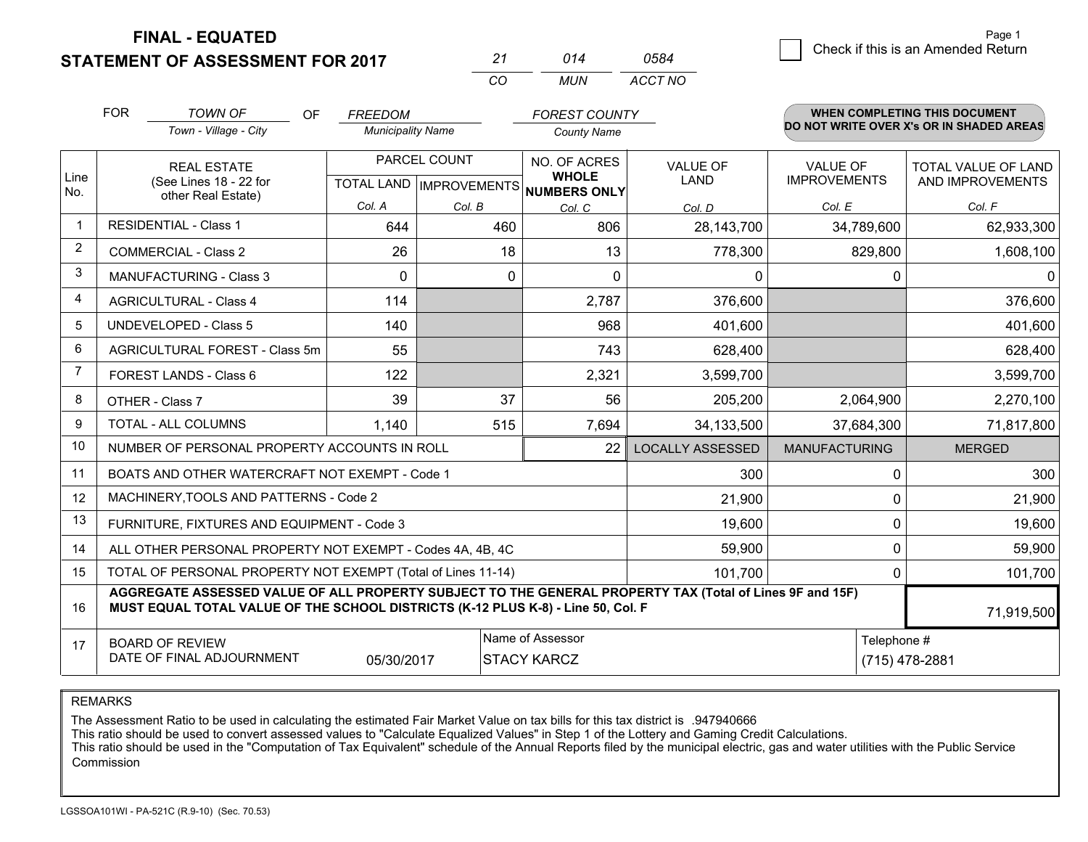**STATEMENT OF ASSESSMENT FOR 2017** 

| ンツ  | 014 | 0584    |
|-----|-----|---------|
| ∩′n | MUN | ACCT NO |

|             | <b>FOR</b>                                                                                                                                                                                   | <b>TOWN OF</b><br><b>OF</b>                                  | <b>FREEDOM</b>           |              | <b>FOREST COUNTY</b>                                 |                         |                      | <b>WHEN COMPLETING THIS DOCUMENT</b>     |
|-------------|----------------------------------------------------------------------------------------------------------------------------------------------------------------------------------------------|--------------------------------------------------------------|--------------------------|--------------|------------------------------------------------------|-------------------------|----------------------|------------------------------------------|
|             |                                                                                                                                                                                              | Town - Village - City                                        | <b>Municipality Name</b> |              | <b>County Name</b>                                   |                         |                      | DO NOT WRITE OVER X's OR IN SHADED AREAS |
|             |                                                                                                                                                                                              | <b>REAL ESTATE</b>                                           |                          | PARCEL COUNT | NO. OF ACRES                                         | <b>VALUE OF</b>         | <b>VALUE OF</b>      | <b>TOTAL VALUE OF LAND</b>               |
| Line<br>No. |                                                                                                                                                                                              | (See Lines 18 - 22 for<br>other Real Estate)                 |                          |              | <b>WHOLE</b><br>TOTAL LAND IMPROVEMENTS NUMBERS ONLY | <b>LAND</b>             | <b>IMPROVEMENTS</b>  | AND IMPROVEMENTS                         |
|             |                                                                                                                                                                                              |                                                              | Col. A                   | Col. B       | Col. C                                               | Col. D                  | Col. E               | Col. F                                   |
| $\mathbf 1$ | <b>RESIDENTIAL - Class 1</b>                                                                                                                                                                 |                                                              | 644                      | 460          | 806                                                  | 28,143,700              | 34,789,600           | 62,933,300                               |
| 2           |                                                                                                                                                                                              | <b>COMMERCIAL - Class 2</b>                                  | 26                       | 18           | 13                                                   | 778,300                 | 829,800              | 1,608,100                                |
| 3           |                                                                                                                                                                                              | <b>MANUFACTURING - Class 3</b>                               | 0                        | $\mathbf{0}$ | $\Omega$                                             | $\mathbf{0}$            | 0                    | 0                                        |
| 4           |                                                                                                                                                                                              | <b>AGRICULTURAL - Class 4</b>                                | 114                      |              | 2,787                                                | 376,600                 |                      | 376,600                                  |
| 5           |                                                                                                                                                                                              | UNDEVELOPED - Class 5                                        | 140                      |              | 968                                                  | 401,600                 |                      | 401,600                                  |
| 6           |                                                                                                                                                                                              | AGRICULTURAL FOREST - Class 5m                               | 55                       |              | 743                                                  | 628,400                 |                      | 628,400                                  |
| 7           |                                                                                                                                                                                              | FOREST LANDS - Class 6                                       | 122                      |              | 2,321                                                | 3,599,700               |                      | 3,599,700                                |
| 8           |                                                                                                                                                                                              | OTHER - Class 7                                              | 39                       | 37           | 56                                                   | 205,200                 | 2,064,900            | 2,270,100                                |
| 9           |                                                                                                                                                                                              | TOTAL - ALL COLUMNS                                          | 1,140                    | 515          | 7,694                                                | 34,133,500              | 37,684,300           | 71,817,800                               |
| 10          |                                                                                                                                                                                              | NUMBER OF PERSONAL PROPERTY ACCOUNTS IN ROLL                 |                          |              | 22                                                   | <b>LOCALLY ASSESSED</b> | <b>MANUFACTURING</b> | <b>MERGED</b>                            |
| 11          |                                                                                                                                                                                              | BOATS AND OTHER WATERCRAFT NOT EXEMPT - Code 1               |                          |              |                                                      | 300                     | 0                    | 300                                      |
| 12          |                                                                                                                                                                                              | MACHINERY, TOOLS AND PATTERNS - Code 2                       |                          |              |                                                      | 21,900                  | 0                    | 21,900                                   |
| 13          |                                                                                                                                                                                              | FURNITURE, FIXTURES AND EQUIPMENT - Code 3                   |                          |              |                                                      | 19,600                  | $\mathbf 0$          | 19,600                                   |
| 14          |                                                                                                                                                                                              | ALL OTHER PERSONAL PROPERTY NOT EXEMPT - Codes 4A, 4B, 4C    |                          |              |                                                      | 59,900                  | 0                    | 59,900                                   |
| 15          |                                                                                                                                                                                              | TOTAL OF PERSONAL PROPERTY NOT EXEMPT (Total of Lines 11-14) |                          | 101,700      | 0                                                    | 101,700                 |                      |                                          |
| 16          | AGGREGATE ASSESSED VALUE OF ALL PROPERTY SUBJECT TO THE GENERAL PROPERTY TAX (Total of Lines 9F and 15F)<br>MUST EQUAL TOTAL VALUE OF THE SCHOOL DISTRICTS (K-12 PLUS K-8) - Line 50, Col. F |                                                              |                          |              |                                                      |                         | 71,919,500           |                                          |
| 17          |                                                                                                                                                                                              | <b>BOARD OF REVIEW</b>                                       |                          |              | Name of Assessor                                     |                         | Telephone #          |                                          |
|             |                                                                                                                                                                                              | DATE OF FINAL ADJOURNMENT                                    | 05/30/2017               |              | <b>STACY KARCZ</b>                                   |                         |                      | (715) 478-2881                           |

REMARKS

The Assessment Ratio to be used in calculating the estimated Fair Market Value on tax bills for this tax district is .947940666

This ratio should be used to convert assessed values to "Calculate Equalized Values" in Step 1 of the Lottery and Gaming Credit Calculations.<br>This ratio should be used in the "Computation of Tax Equivalent" schedule of the Commission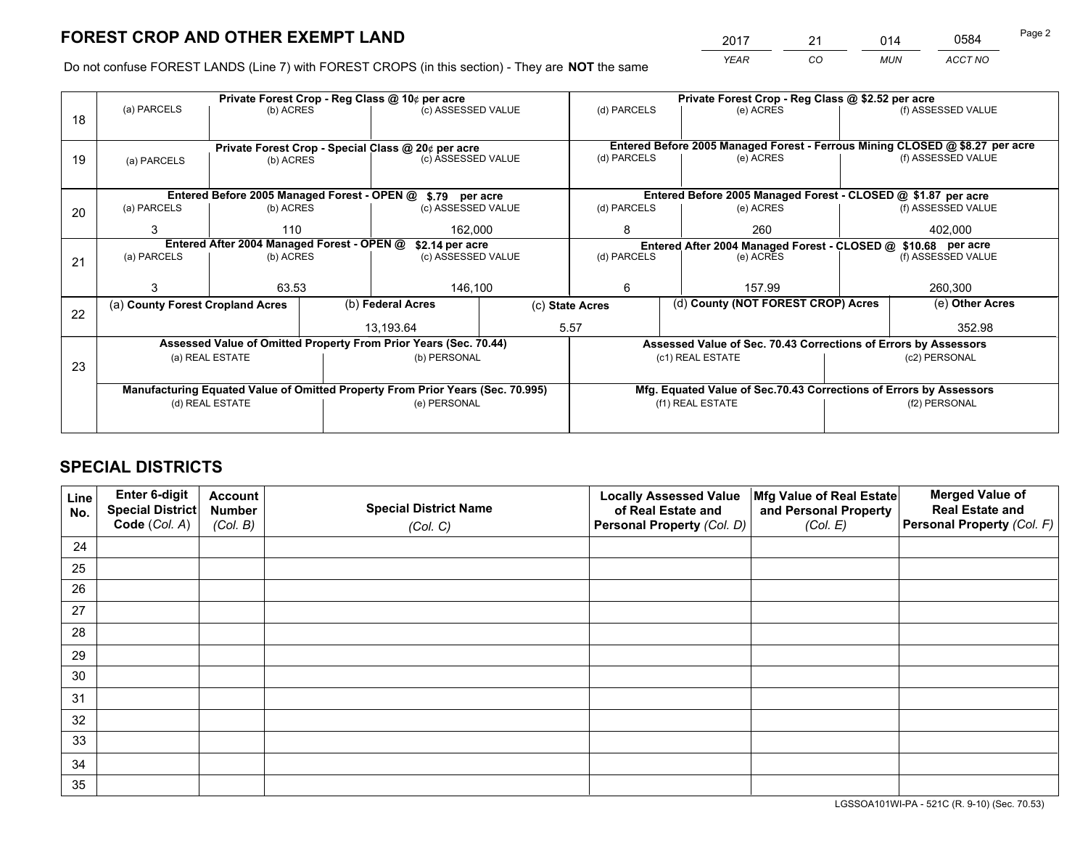*YEAR CO MUN ACCT NO* 2017 <u>21 014 0584</u>

Do not confuse FOREST LANDS (Line 7) with FOREST CROPS (in this section) - They are **NOT** the same

|    |                                                                                | Private Forest Crop - Reg Class @ 10¢ per acre                   |  |                                                    |  | Private Forest Crop - Reg Class @ \$2.52 per acre                                         |                                                                    |  |                                                                              |  |
|----|--------------------------------------------------------------------------------|------------------------------------------------------------------|--|----------------------------------------------------|--|-------------------------------------------------------------------------------------------|--------------------------------------------------------------------|--|------------------------------------------------------------------------------|--|
| 18 | (a) PARCELS                                                                    | (b) ACRES                                                        |  | (c) ASSESSED VALUE                                 |  | (d) PARCELS                                                                               | (e) ACRES                                                          |  | (f) ASSESSED VALUE                                                           |  |
|    |                                                                                |                                                                  |  |                                                    |  |                                                                                           |                                                                    |  |                                                                              |  |
|    |                                                                                |                                                                  |  | Private Forest Crop - Special Class @ 20¢ per acre |  |                                                                                           |                                                                    |  | Entered Before 2005 Managed Forest - Ferrous Mining CLOSED @ \$8.27 per acre |  |
| 19 |                                                                                | (b) ACRES<br>(a) PARCELS                                         |  | (c) ASSESSED VALUE                                 |  | (d) PARCELS                                                                               | (e) ACRES                                                          |  | (f) ASSESSED VALUE                                                           |  |
|    |                                                                                |                                                                  |  |                                                    |  |                                                                                           |                                                                    |  |                                                                              |  |
|    |                                                                                | Entered Before 2005 Managed Forest - OPEN @ \$.79 per acre       |  |                                                    |  |                                                                                           | Entered Before 2005 Managed Forest - CLOSED @ \$1.87 per acre      |  |                                                                              |  |
| 20 | (a) PARCELS                                                                    | (b) ACRES                                                        |  | (c) ASSESSED VALUE                                 |  | (d) PARCELS                                                                               | (e) ACRES                                                          |  | (f) ASSESSED VALUE                                                           |  |
|    | 3                                                                              | 110                                                              |  | 162,000                                            |  | 8                                                                                         | 260                                                                |  | 402.000                                                                      |  |
|    |                                                                                | Entered After 2004 Managed Forest - OPEN @                       |  | \$2.14 per acre                                    |  |                                                                                           |                                                                    |  |                                                                              |  |
|    | (a) PARCELS                                                                    | (b) ACRES                                                        |  | (c) ASSESSED VALUE                                 |  | Entered After 2004 Managed Forest - CLOSED @ \$10.68 per acre<br>(d) PARCELS<br>(e) ACRES |                                                                    |  | (f) ASSESSED VALUE                                                           |  |
| 21 |                                                                                |                                                                  |  |                                                    |  |                                                                                           |                                                                    |  |                                                                              |  |
|    | 3                                                                              | 63.53                                                            |  | 146,100                                            |  | 6                                                                                         | 157.99                                                             |  |                                                                              |  |
|    | (a) County Forest Cropland Acres                                               |                                                                  |  | (b) Federal Acres                                  |  | (d) County (NOT FOREST CROP) Acres<br>(c) State Acres                                     |                                                                    |  | (e) Other Acres                                                              |  |
| 22 |                                                                                |                                                                  |  |                                                    |  |                                                                                           |                                                                    |  |                                                                              |  |
|    |                                                                                |                                                                  |  | 13.193.64                                          |  | 5.57                                                                                      |                                                                    |  | 352.98                                                                       |  |
|    |                                                                                | Assessed Value of Omitted Property From Prior Years (Sec. 70.44) |  |                                                    |  |                                                                                           | Assessed Value of Sec. 70.43 Corrections of Errors by Assessors    |  |                                                                              |  |
| 23 |                                                                                | (a) REAL ESTATE                                                  |  | (b) PERSONAL                                       |  |                                                                                           | (c1) REAL ESTATE                                                   |  | (c2) PERSONAL                                                                |  |
|    |                                                                                |                                                                  |  |                                                    |  |                                                                                           |                                                                    |  |                                                                              |  |
|    | Manufacturing Equated Value of Omitted Property From Prior Years (Sec. 70.995) |                                                                  |  |                                                    |  |                                                                                           | Mfg. Equated Value of Sec.70.43 Corrections of Errors by Assessors |  |                                                                              |  |
|    | (d) REAL ESTATE                                                                |                                                                  |  | (e) PERSONAL                                       |  | (f1) REAL ESTATE                                                                          |                                                                    |  | (f2) PERSONAL                                                                |  |
|    |                                                                                |                                                                  |  |                                                    |  |                                                                                           |                                                                    |  |                                                                              |  |
|    |                                                                                |                                                                  |  |                                                    |  |                                                                                           |                                                                    |  |                                                                              |  |

## **SPECIAL DISTRICTS**

| Line<br>No. | Enter 6-digit<br><b>Special District</b> | <b>Account</b><br><b>Number</b> | <b>Special District Name</b> | <b>Locally Assessed Value</b><br>of Real Estate and | Mfg Value of Real Estate<br>and Personal Property | <b>Merged Value of</b><br><b>Real Estate and</b> |
|-------------|------------------------------------------|---------------------------------|------------------------------|-----------------------------------------------------|---------------------------------------------------|--------------------------------------------------|
|             | Code (Col. A)                            | (Col. B)                        | (Col. C)                     | Personal Property (Col. D)                          | (Col. E)                                          | Personal Property (Col. F)                       |
| 24          |                                          |                                 |                              |                                                     |                                                   |                                                  |
| 25          |                                          |                                 |                              |                                                     |                                                   |                                                  |
| 26          |                                          |                                 |                              |                                                     |                                                   |                                                  |
| 27          |                                          |                                 |                              |                                                     |                                                   |                                                  |
| 28          |                                          |                                 |                              |                                                     |                                                   |                                                  |
| 29          |                                          |                                 |                              |                                                     |                                                   |                                                  |
| 30          |                                          |                                 |                              |                                                     |                                                   |                                                  |
| 31          |                                          |                                 |                              |                                                     |                                                   |                                                  |
| 32          |                                          |                                 |                              |                                                     |                                                   |                                                  |
| 33          |                                          |                                 |                              |                                                     |                                                   |                                                  |
| 34          |                                          |                                 |                              |                                                     |                                                   |                                                  |
| 35          |                                          |                                 |                              |                                                     |                                                   |                                                  |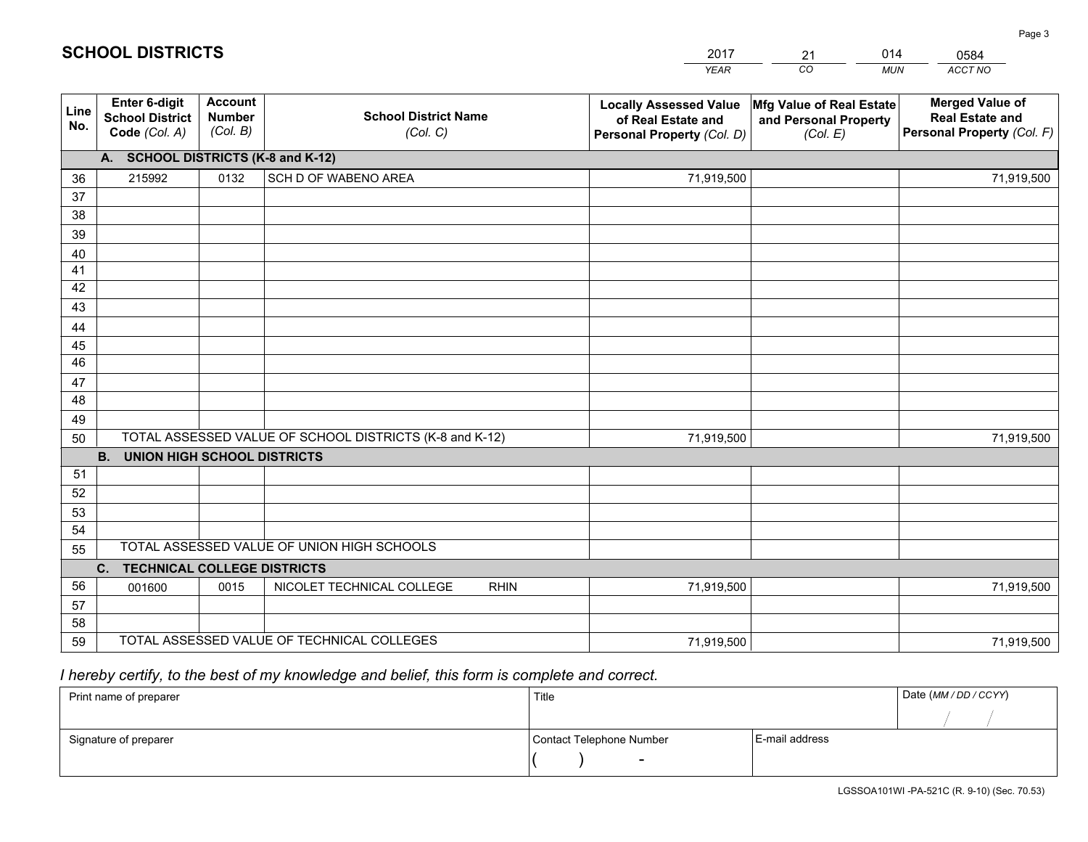|             |                                                          |                                             |                                                         | <b>YEAR</b>                                                                       | CO<br><b>MUN</b>                                              | ACCT NO                                                                        |
|-------------|----------------------------------------------------------|---------------------------------------------|---------------------------------------------------------|-----------------------------------------------------------------------------------|---------------------------------------------------------------|--------------------------------------------------------------------------------|
| Line<br>No. | Enter 6-digit<br><b>School District</b><br>Code (Col. A) | <b>Account</b><br><b>Number</b><br>(Col. B) | <b>School District Name</b><br>(Col. C)                 | <b>Locally Assessed Value</b><br>of Real Estate and<br>Personal Property (Col. D) | Mfg Value of Real Estate<br>and Personal Property<br>(Col. E) | <b>Merged Value of</b><br><b>Real Estate and</b><br>Personal Property (Col. F) |
|             | A. SCHOOL DISTRICTS (K-8 and K-12)                       |                                             |                                                         |                                                                                   |                                                               |                                                                                |
| 36          | 215992                                                   | 0132                                        | SCH D OF WABENO AREA                                    | 71,919,500                                                                        |                                                               | 71,919,500                                                                     |
| 37          |                                                          |                                             |                                                         |                                                                                   |                                                               |                                                                                |
| 38          |                                                          |                                             |                                                         |                                                                                   |                                                               |                                                                                |
| 39          |                                                          |                                             |                                                         |                                                                                   |                                                               |                                                                                |
| 40          |                                                          |                                             |                                                         |                                                                                   |                                                               |                                                                                |
| 41          |                                                          |                                             |                                                         |                                                                                   |                                                               |                                                                                |
| 42          |                                                          |                                             |                                                         |                                                                                   |                                                               |                                                                                |
| 43          |                                                          |                                             |                                                         |                                                                                   |                                                               |                                                                                |
| 44          |                                                          |                                             |                                                         |                                                                                   |                                                               |                                                                                |
| 45<br>46    |                                                          |                                             |                                                         |                                                                                   |                                                               |                                                                                |
|             |                                                          |                                             |                                                         |                                                                                   |                                                               |                                                                                |
| 47<br>48    |                                                          |                                             |                                                         |                                                                                   |                                                               |                                                                                |
| 49          |                                                          |                                             |                                                         |                                                                                   |                                                               |                                                                                |
| 50          |                                                          |                                             | TOTAL ASSESSED VALUE OF SCHOOL DISTRICTS (K-8 and K-12) | 71,919,500                                                                        |                                                               | 71,919,500                                                                     |
|             | <b>B.</b><br><b>UNION HIGH SCHOOL DISTRICTS</b>          |                                             |                                                         |                                                                                   |                                                               |                                                                                |
| 51          |                                                          |                                             |                                                         |                                                                                   |                                                               |                                                                                |
| 52          |                                                          |                                             |                                                         |                                                                                   |                                                               |                                                                                |
| 53          |                                                          |                                             |                                                         |                                                                                   |                                                               |                                                                                |
| 54          |                                                          |                                             |                                                         |                                                                                   |                                                               |                                                                                |
| 55          |                                                          |                                             | TOTAL ASSESSED VALUE OF UNION HIGH SCHOOLS              |                                                                                   |                                                               |                                                                                |
|             | C. TECHNICAL COLLEGE DISTRICTS                           |                                             |                                                         |                                                                                   |                                                               |                                                                                |
| 56          | 001600                                                   | 0015                                        | NICOLET TECHNICAL COLLEGE<br><b>RHIN</b>                | 71,919,500                                                                        |                                                               | 71,919,500                                                                     |
| 57          |                                                          |                                             |                                                         |                                                                                   |                                                               |                                                                                |
| 58          |                                                          |                                             |                                                         |                                                                                   |                                                               |                                                                                |
| 59          |                                                          |                                             | TOTAL ASSESSED VALUE OF TECHNICAL COLLEGES              | 71,919,500                                                                        |                                                               | 71,919,500                                                                     |

21

014

## *I hereby certify, to the best of my knowledge and belief, this form is complete and correct.*

**SCHOOL DISTRICTS**

| Print name of preparer | Title                    |                | Date (MM / DD / CCYY) |
|------------------------|--------------------------|----------------|-----------------------|
|                        |                          |                |                       |
| Signature of preparer  | Contact Telephone Number | E-mail address |                       |
|                        | $\sim$                   |                |                       |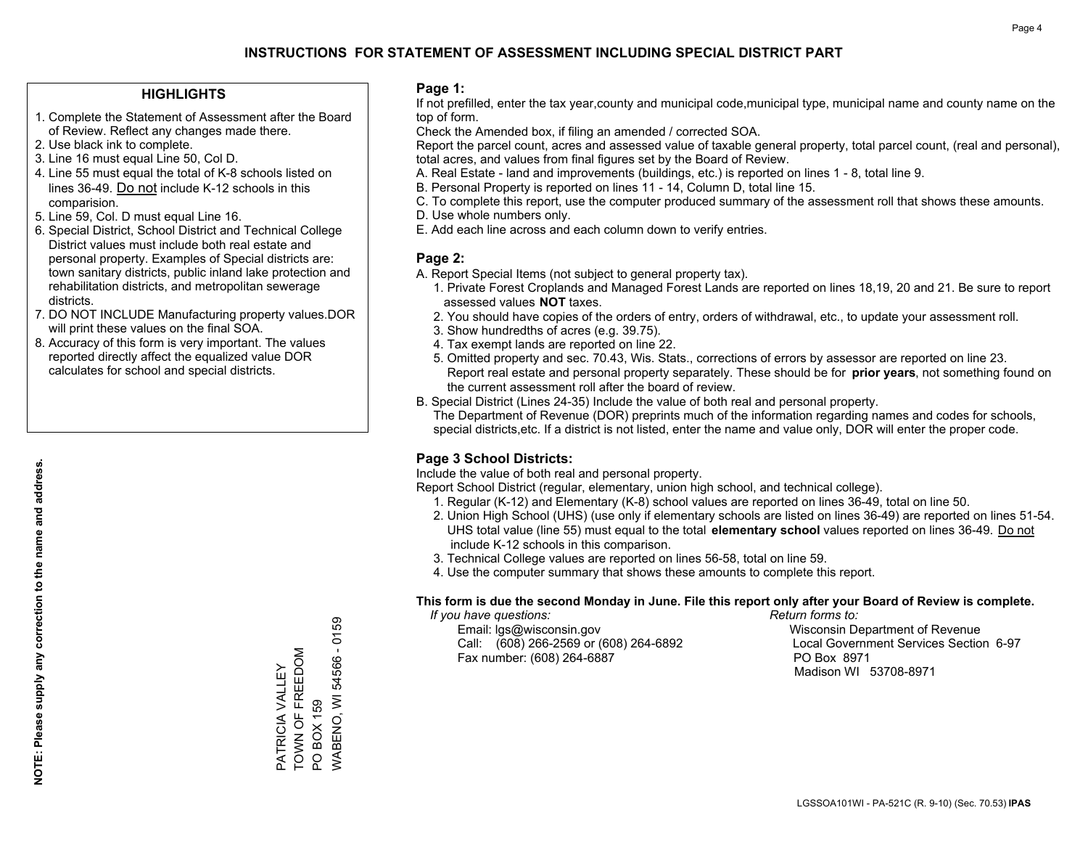### **HIGHLIGHTS**

- 1. Complete the Statement of Assessment after the Board of Review. Reflect any changes made there.
- 2. Use black ink to complete.
- 3. Line 16 must equal Line 50, Col D.
- 4. Line 55 must equal the total of K-8 schools listed on lines 36-49. Do not include K-12 schools in this comparision.
- 5. Line 59, Col. D must equal Line 16.
- 6. Special District, School District and Technical College District values must include both real estate and personal property. Examples of Special districts are: town sanitary districts, public inland lake protection and rehabilitation districts, and metropolitan sewerage districts.
- 7. DO NOT INCLUDE Manufacturing property values.DOR will print these values on the final SOA.

PATRICIA VALLEY TOWN OF FREEDOM

PATRICIA VALLEY<br>TOWN OF FREEDOM

PO BOX 159

PO BOX 159

WABENO, WI 54566 - 0159

WABENO, WI 54566 - 0159

 8. Accuracy of this form is very important. The values reported directly affect the equalized value DOR calculates for school and special districts.

#### **Page 1:**

 If not prefilled, enter the tax year,county and municipal code,municipal type, municipal name and county name on the top of form.

Check the Amended box, if filing an amended / corrected SOA.

 Report the parcel count, acres and assessed value of taxable general property, total parcel count, (real and personal), total acres, and values from final figures set by the Board of Review.

- A. Real Estate land and improvements (buildings, etc.) is reported on lines 1 8, total line 9.
- B. Personal Property is reported on lines 11 14, Column D, total line 15.
- C. To complete this report, use the computer produced summary of the assessment roll that shows these amounts.
- D. Use whole numbers only.
- E. Add each line across and each column down to verify entries.

### **Page 2:**

- A. Report Special Items (not subject to general property tax).
- 1. Private Forest Croplands and Managed Forest Lands are reported on lines 18,19, 20 and 21. Be sure to report assessed values **NOT** taxes.
- 2. You should have copies of the orders of entry, orders of withdrawal, etc., to update your assessment roll.
	- 3. Show hundredths of acres (e.g. 39.75).
- 4. Tax exempt lands are reported on line 22.
- 5. Omitted property and sec. 70.43, Wis. Stats., corrections of errors by assessor are reported on line 23. Report real estate and personal property separately. These should be for **prior years**, not something found on the current assessment roll after the board of review.
- B. Special District (Lines 24-35) Include the value of both real and personal property.
- The Department of Revenue (DOR) preprints much of the information regarding names and codes for schools, special districts,etc. If a district is not listed, enter the name and value only, DOR will enter the proper code.

### **Page 3 School Districts:**

Include the value of both real and personal property.

Report School District (regular, elementary, union high school, and technical college).

- 1. Regular (K-12) and Elementary (K-8) school values are reported on lines 36-49, total on line 50.
- 2. Union High School (UHS) (use only if elementary schools are listed on lines 36-49) are reported on lines 51-54. UHS total value (line 55) must equal to the total **elementary school** values reported on lines 36-49. Do notinclude K-12 schools in this comparison.
- 3. Technical College values are reported on lines 56-58, total on line 59.
- 4. Use the computer summary that shows these amounts to complete this report.

#### **This form is due the second Monday in June. File this report only after your Board of Review is complete.**

 *If you have questions: Return forms to:*

 Email: lgs@wisconsin.gov Wisconsin Department of RevenueCall:  $(608)$  266-2569 or  $(608)$  264-6892 Fax number: (608) 264-6887 PO Box 8971

Local Government Services Section 6-97 Madison WI 53708-8971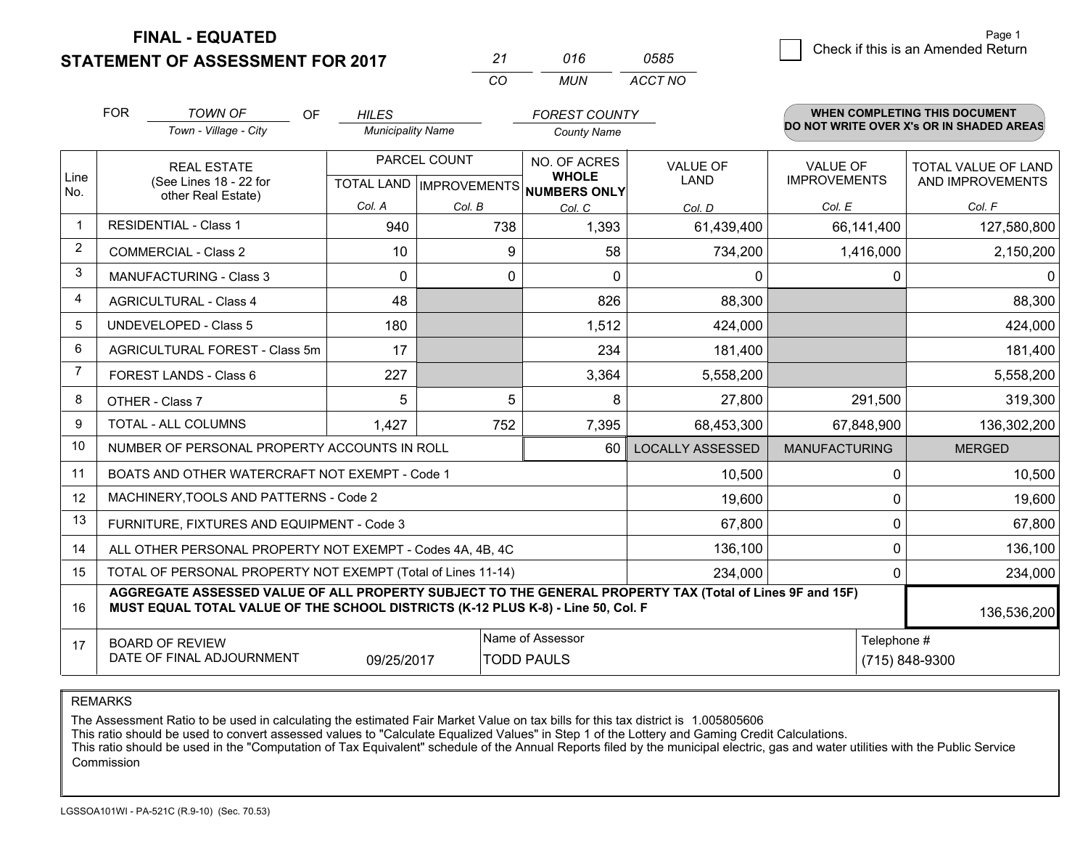**STATEMENT OF ASSESSMENT FOR 2017** 

| 21  | 016 | 0585    |
|-----|-----|---------|
| rn. | MUN | ACCT NO |

|                | <b>FOR</b>                                                                                                                                                                                   | <b>TOWN OF</b><br>OF.                                        | <b>HILES</b>             |          | <b>FOREST COUNTY</b>                                |                         |                                          | <b>WHEN COMPLETING THIS DOCUMENT</b> |  |
|----------------|----------------------------------------------------------------------------------------------------------------------------------------------------------------------------------------------|--------------------------------------------------------------|--------------------------|----------|-----------------------------------------------------|-------------------------|------------------------------------------|--------------------------------------|--|
|                | Town - Village - City                                                                                                                                                                        |                                                              | <b>Municipality Name</b> |          | <b>County Name</b>                                  |                         | DO NOT WRITE OVER X's OR IN SHADED AREAS |                                      |  |
|                |                                                                                                                                                                                              | <b>REAL ESTATE</b>                                           | PARCEL COUNT             |          | NO. OF ACRES                                        | <b>VALUE OF</b>         | <b>VALUE OF</b>                          | <b>TOTAL VALUE OF LAND</b>           |  |
| Line<br>No.    |                                                                                                                                                                                              | (See Lines 18 - 22 for<br>other Real Estate)                 |                          |          | <b>WHOLE</b><br>TOTAL LAND MPROVEMENTS NUMBERS ONLY | <b>LAND</b>             | <b>IMPROVEMENTS</b>                      | AND IMPROVEMENTS                     |  |
|                |                                                                                                                                                                                              |                                                              | Col. A                   | Col. B   | Col. C                                              | Col. D                  | Col. E                                   | Col. F                               |  |
| $\mathbf{1}$   |                                                                                                                                                                                              | <b>RESIDENTIAL - Class 1</b>                                 | 940                      | 738      | 1,393                                               | 61,439,400              | 66,141,400                               | 127,580,800                          |  |
| $\overline{2}$ |                                                                                                                                                                                              | <b>COMMERCIAL - Class 2</b>                                  | 10                       | 9        | 58                                                  | 734,200                 | 1,416,000                                | 2,150,200                            |  |
| 3              |                                                                                                                                                                                              | <b>MANUFACTURING - Class 3</b>                               | $\Omega$                 | $\Omega$ | $\Omega$                                            | $\Omega$                | 0                                        | 0                                    |  |
| 4              |                                                                                                                                                                                              | <b>AGRICULTURAL - Class 4</b>                                | 48                       |          | 826                                                 | 88,300                  |                                          | 88,300                               |  |
| 5              |                                                                                                                                                                                              | <b>UNDEVELOPED - Class 5</b>                                 | 180                      |          | 1,512                                               | 424,000                 |                                          | 424,000                              |  |
| 6              | AGRICULTURAL FOREST - Class 5m                                                                                                                                                               |                                                              | 17                       |          | 234                                                 | 181,400                 |                                          | 181,400                              |  |
| $\overline{7}$ |                                                                                                                                                                                              | FOREST LANDS - Class 6                                       | 227                      |          | 3,364                                               | 5,558,200               |                                          | 5,558,200                            |  |
| 8              |                                                                                                                                                                                              | OTHER - Class 7                                              | 5                        | 5        | 8                                                   | 27,800                  | 291,500                                  | 319,300                              |  |
| 9              |                                                                                                                                                                                              | TOTAL - ALL COLUMNS                                          | 1,427                    | 752      | 7,395                                               | 68,453,300              | 67,848,900                               | 136,302,200                          |  |
| 10             |                                                                                                                                                                                              | NUMBER OF PERSONAL PROPERTY ACCOUNTS IN ROLL                 |                          |          | 60                                                  | <b>LOCALLY ASSESSED</b> | <b>MANUFACTURING</b>                     | <b>MERGED</b>                        |  |
| 11             |                                                                                                                                                                                              | BOATS AND OTHER WATERCRAFT NOT EXEMPT - Code 1               |                          |          |                                                     | 10,500                  | 0                                        | 10,500                               |  |
| 12             |                                                                                                                                                                                              | MACHINERY, TOOLS AND PATTERNS - Code 2                       |                          |          |                                                     | 19,600                  | 0                                        | 19,600                               |  |
| 13             |                                                                                                                                                                                              | FURNITURE, FIXTURES AND EQUIPMENT - Code 3                   |                          |          |                                                     | 67,800                  | 0                                        | 67,800                               |  |
| 14             |                                                                                                                                                                                              | ALL OTHER PERSONAL PROPERTY NOT EXEMPT - Codes 4A, 4B, 4C    |                          |          |                                                     | 136,100                 | 0                                        | 136,100                              |  |
| 15             |                                                                                                                                                                                              | TOTAL OF PERSONAL PROPERTY NOT EXEMPT (Total of Lines 11-14) |                          | 234,000  | 0                                                   | 234,000                 |                                          |                                      |  |
| 16             | AGGREGATE ASSESSED VALUE OF ALL PROPERTY SUBJECT TO THE GENERAL PROPERTY TAX (Total of Lines 9F and 15F)<br>MUST EQUAL TOTAL VALUE OF THE SCHOOL DISTRICTS (K-12 PLUS K-8) - Line 50, Col. F |                                                              |                          |          |                                                     |                         | 136,536,200                              |                                      |  |
| 17             |                                                                                                                                                                                              | <b>BOARD OF REVIEW</b>                                       |                          |          | Name of Assessor                                    |                         | Telephone #                              |                                      |  |
|                |                                                                                                                                                                                              | DATE OF FINAL ADJOURNMENT                                    | 09/25/2017               |          | <b>TODD PAULS</b>                                   |                         |                                          | (715) 848-9300                       |  |

REMARKS

The Assessment Ratio to be used in calculating the estimated Fair Market Value on tax bills for this tax district is 1.005805606

This ratio should be used to convert assessed values to "Calculate Equalized Values" in Step 1 of the Lottery and Gaming Credit Calculations.<br>This ratio should be used in the "Computation of Tax Equivalent" schedule of the Commission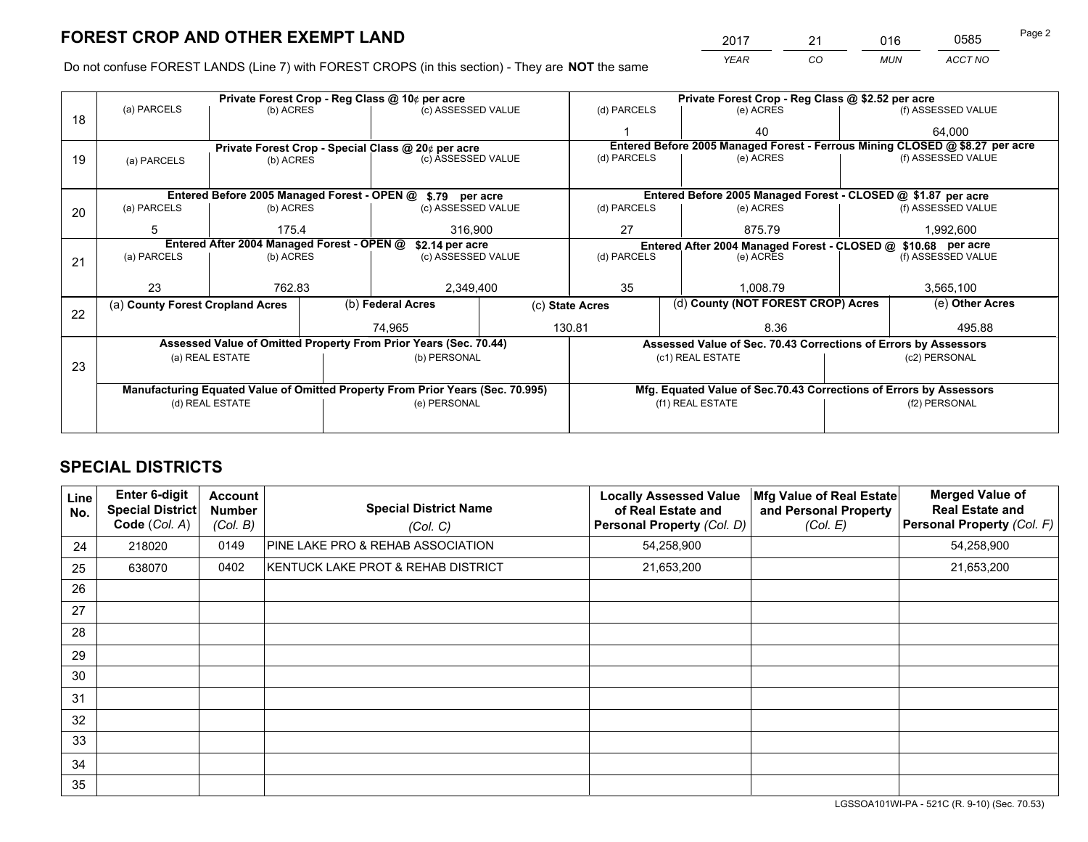*YEAR CO MUN ACCT NO* <sup>2017</sup> <sup>21</sup> <sup>016</sup> <sup>0585</sup>

Do not confuse FOREST LANDS (Line 7) with FOREST CROPS (in this section) - They are **NOT** the same

|    |                                                                                |                 |  | Private Forest Crop - Reg Class @ 10¢ per acre                   |                                                               | Private Forest Crop - Reg Class @ \$2.52 per acre                  |                                                                              |  |                    |  |
|----|--------------------------------------------------------------------------------|-----------------|--|------------------------------------------------------------------|---------------------------------------------------------------|--------------------------------------------------------------------|------------------------------------------------------------------------------|--|--------------------|--|
| 18 | (a) PARCELS                                                                    | (b) ACRES       |  | (c) ASSESSED VALUE                                               |                                                               | (d) PARCELS                                                        | (e) ACRES                                                                    |  | (f) ASSESSED VALUE |  |
|    |                                                                                |                 |  |                                                                  |                                                               |                                                                    | 40                                                                           |  | 64,000             |  |
|    |                                                                                |                 |  | Private Forest Crop - Special Class @ 20¢ per acre               |                                                               |                                                                    | Entered Before 2005 Managed Forest - Ferrous Mining CLOSED @ \$8.27 per acre |  |                    |  |
| 19 | (a) PARCELS                                                                    | (b) ACRES       |  | (c) ASSESSED VALUE                                               |                                                               | (d) PARCELS                                                        | (e) ACRES                                                                    |  | (f) ASSESSED VALUE |  |
|    |                                                                                |                 |  |                                                                  |                                                               |                                                                    |                                                                              |  |                    |  |
|    |                                                                                |                 |  | Entered Before 2005 Managed Forest - OPEN @ \$.79 per acre       |                                                               |                                                                    | Entered Before 2005 Managed Forest - CLOSED @ \$1.87 per acre                |  |                    |  |
| 20 | (a) PARCELS                                                                    | (b) ACRES       |  | (c) ASSESSED VALUE                                               |                                                               | (d) PARCELS                                                        | (e) ACRES                                                                    |  | (f) ASSESSED VALUE |  |
|    | 5                                                                              | 175.4           |  | 316,900                                                          |                                                               | 27<br>875.79                                                       |                                                                              |  | 1,992,600          |  |
|    | Entered After 2004 Managed Forest - OPEN @<br>\$2.14 per acre                  |                 |  |                                                                  | Entered After 2004 Managed Forest - CLOSED @ \$10.68 per acre |                                                                    |                                                                              |  |                    |  |
| 21 | (a) PARCELS                                                                    | (b) ACRES       |  | (c) ASSESSED VALUE                                               |                                                               | (d) PARCELS<br>(e) ACRES                                           |                                                                              |  | (f) ASSESSED VALUE |  |
|    |                                                                                |                 |  |                                                                  |                                                               |                                                                    |                                                                              |  |                    |  |
|    | 23                                                                             | 762.83          |  | 2,349,400                                                        |                                                               | 35                                                                 | 1,008.79                                                                     |  | 3,565,100          |  |
|    | (a) County Forest Cropland Acres                                               |                 |  | (b) Federal Acres<br>(c) State Acres                             |                                                               | (d) County (NOT FOREST CROP) Acres                                 |                                                                              |  | (e) Other Acres    |  |
| 22 |                                                                                |                 |  |                                                                  |                                                               | 130.81                                                             |                                                                              |  |                    |  |
|    |                                                                                |                 |  | 74.965                                                           |                                                               |                                                                    | 8.36                                                                         |  | 495.88             |  |
|    |                                                                                |                 |  | Assessed Value of Omitted Property From Prior Years (Sec. 70.44) |                                                               |                                                                    | Assessed Value of Sec. 70.43 Corrections of Errors by Assessors              |  |                    |  |
| 23 |                                                                                | (a) REAL ESTATE |  | (b) PERSONAL                                                     |                                                               |                                                                    | (c1) REAL ESTATE                                                             |  | (c2) PERSONAL      |  |
|    |                                                                                |                 |  |                                                                  |                                                               |                                                                    |                                                                              |  |                    |  |
|    | Manufacturing Equated Value of Omitted Property From Prior Years (Sec. 70.995) |                 |  |                                                                  |                                                               | Mfg. Equated Value of Sec.70.43 Corrections of Errors by Assessors |                                                                              |  |                    |  |
|    |                                                                                | (d) REAL ESTATE |  | (e) PERSONAL                                                     |                                                               |                                                                    | (f1) REAL ESTATE                                                             |  | (f2) PERSONAL      |  |
|    |                                                                                |                 |  |                                                                  |                                                               |                                                                    |                                                                              |  |                    |  |

## **SPECIAL DISTRICTS**

| <b>Line</b><br>No. | <b>Enter 6-digit</b><br><b>Special District</b><br>Code (Col. A) | <b>Account</b><br><b>Number</b><br>(Col. B) | <b>Special District Name</b><br>(Col. C) | <b>Locally Assessed Value</b><br>of Real Estate and<br>Personal Property (Col. D) | Mfg Value of Real Estate<br>and Personal Property<br>(Col. E) | <b>Merged Value of</b><br><b>Real Estate and</b><br>Personal Property (Col. F) |
|--------------------|------------------------------------------------------------------|---------------------------------------------|------------------------------------------|-----------------------------------------------------------------------------------|---------------------------------------------------------------|--------------------------------------------------------------------------------|
| 24                 | 218020                                                           | 0149                                        | PINE LAKE PRO & REHAB ASSOCIATION        | 54,258,900                                                                        |                                                               | 54,258,900                                                                     |
| 25                 | 638070                                                           | 0402                                        | KENTUCK LAKE PROT & REHAB DISTRICT       | 21,653,200                                                                        |                                                               | 21,653,200                                                                     |
| 26                 |                                                                  |                                             |                                          |                                                                                   |                                                               |                                                                                |
| 27                 |                                                                  |                                             |                                          |                                                                                   |                                                               |                                                                                |
| 28                 |                                                                  |                                             |                                          |                                                                                   |                                                               |                                                                                |
| 29                 |                                                                  |                                             |                                          |                                                                                   |                                                               |                                                                                |
| 30                 |                                                                  |                                             |                                          |                                                                                   |                                                               |                                                                                |
| 31                 |                                                                  |                                             |                                          |                                                                                   |                                                               |                                                                                |
| 32                 |                                                                  |                                             |                                          |                                                                                   |                                                               |                                                                                |
| 33                 |                                                                  |                                             |                                          |                                                                                   |                                                               |                                                                                |
| 34                 |                                                                  |                                             |                                          |                                                                                   |                                                               |                                                                                |
| 35                 |                                                                  |                                             |                                          |                                                                                   |                                                               |                                                                                |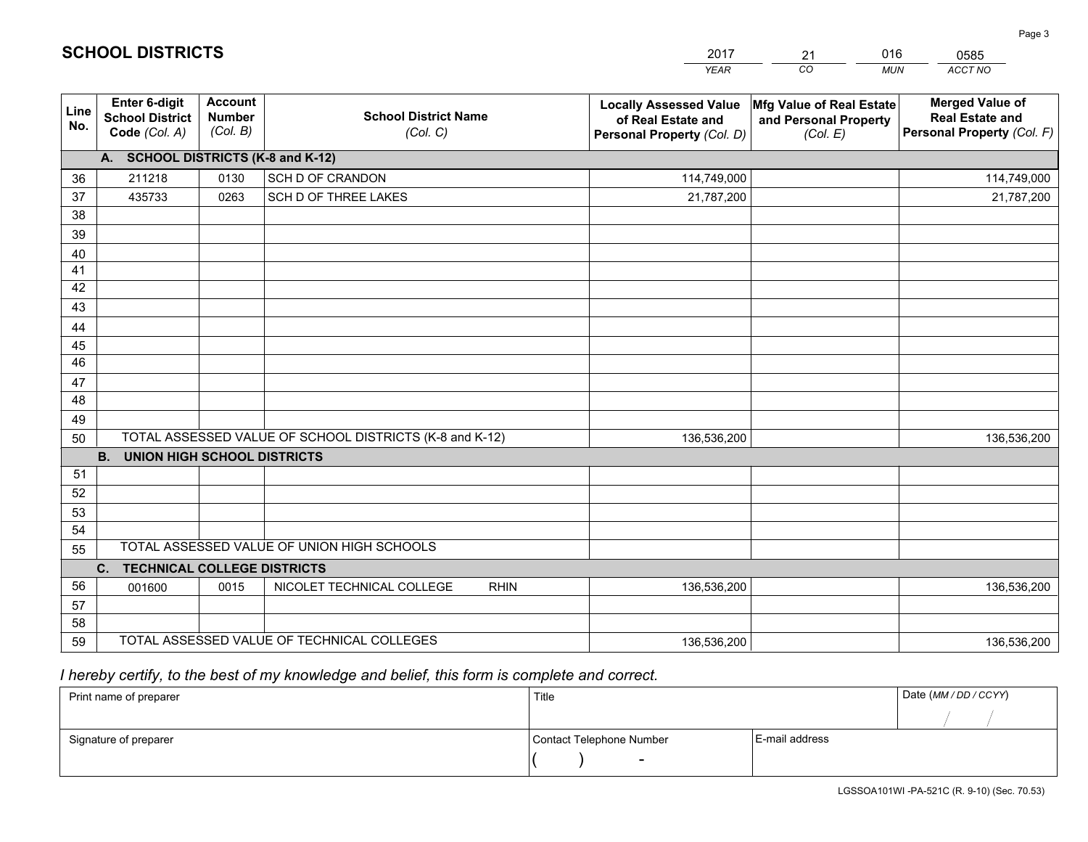|             |                                                          |                                             |                                                         | <b>YEAR</b>                                                                       | CO<br><b>MUN</b>                                              | ACCT NO                                                                        |
|-------------|----------------------------------------------------------|---------------------------------------------|---------------------------------------------------------|-----------------------------------------------------------------------------------|---------------------------------------------------------------|--------------------------------------------------------------------------------|
| Line<br>No. | Enter 6-digit<br><b>School District</b><br>Code (Col. A) | <b>Account</b><br><b>Number</b><br>(Col. B) | <b>School District Name</b><br>(Col. C)                 | <b>Locally Assessed Value</b><br>of Real Estate and<br>Personal Property (Col. D) | Mfg Value of Real Estate<br>and Personal Property<br>(Col. E) | <b>Merged Value of</b><br><b>Real Estate and</b><br>Personal Property (Col. F) |
|             | A. SCHOOL DISTRICTS (K-8 and K-12)                       |                                             |                                                         |                                                                                   |                                                               |                                                                                |
| 36          | 211218                                                   | 0130                                        | SCH D OF CRANDON                                        | 114,749,000                                                                       |                                                               | 114,749,000                                                                    |
| 37          | 435733                                                   | 0263                                        | SCH D OF THREE LAKES                                    | 21,787,200                                                                        |                                                               | 21,787,200                                                                     |
| 38          |                                                          |                                             |                                                         |                                                                                   |                                                               |                                                                                |
| 39          |                                                          |                                             |                                                         |                                                                                   |                                                               |                                                                                |
| 40          |                                                          |                                             |                                                         |                                                                                   |                                                               |                                                                                |
| 41          |                                                          |                                             |                                                         |                                                                                   |                                                               |                                                                                |
| 42          |                                                          |                                             |                                                         |                                                                                   |                                                               |                                                                                |
| 43          |                                                          |                                             |                                                         |                                                                                   |                                                               |                                                                                |
| 44          |                                                          |                                             |                                                         |                                                                                   |                                                               |                                                                                |
| 45          |                                                          |                                             |                                                         |                                                                                   |                                                               |                                                                                |
| 46          |                                                          |                                             |                                                         |                                                                                   |                                                               |                                                                                |
| 47<br>48    |                                                          |                                             |                                                         |                                                                                   |                                                               |                                                                                |
|             |                                                          |                                             |                                                         |                                                                                   |                                                               |                                                                                |
| 49<br>50    |                                                          |                                             | TOTAL ASSESSED VALUE OF SCHOOL DISTRICTS (K-8 and K-12) | 136,536,200                                                                       |                                                               | 136,536,200                                                                    |
|             | <b>UNION HIGH SCHOOL DISTRICTS</b><br><b>B.</b>          |                                             |                                                         |                                                                                   |                                                               |                                                                                |
| 51          |                                                          |                                             |                                                         |                                                                                   |                                                               |                                                                                |
| 52          |                                                          |                                             |                                                         |                                                                                   |                                                               |                                                                                |
| 53          |                                                          |                                             |                                                         |                                                                                   |                                                               |                                                                                |
| 54          |                                                          |                                             |                                                         |                                                                                   |                                                               |                                                                                |
| 55          |                                                          |                                             | TOTAL ASSESSED VALUE OF UNION HIGH SCHOOLS              |                                                                                   |                                                               |                                                                                |
|             | C <sub>1</sub><br><b>TECHNICAL COLLEGE DISTRICTS</b>     |                                             |                                                         |                                                                                   |                                                               |                                                                                |
| 56          | 001600                                                   | 0015                                        | NICOLET TECHNICAL COLLEGE<br><b>RHIN</b>                | 136,536,200                                                                       |                                                               | 136,536,200                                                                    |
| 57          |                                                          |                                             |                                                         |                                                                                   |                                                               |                                                                                |
| 58          |                                                          |                                             |                                                         |                                                                                   |                                                               |                                                                                |
| 59          |                                                          |                                             | TOTAL ASSESSED VALUE OF TECHNICAL COLLEGES              | 136,536,200                                                                       |                                                               | 136,536,200                                                                    |

21

016

 *I hereby certify, to the best of my knowledge and belief, this form is complete and correct.*

**SCHOOL DISTRICTS**

| Print name of preparer | Title                    |                | Date (MM / DD / CCYY) |
|------------------------|--------------------------|----------------|-----------------------|
|                        |                          |                |                       |
| Signature of preparer  | Contact Telephone Number | E-mail address |                       |
|                        | $\overline{\phantom{0}}$ |                |                       |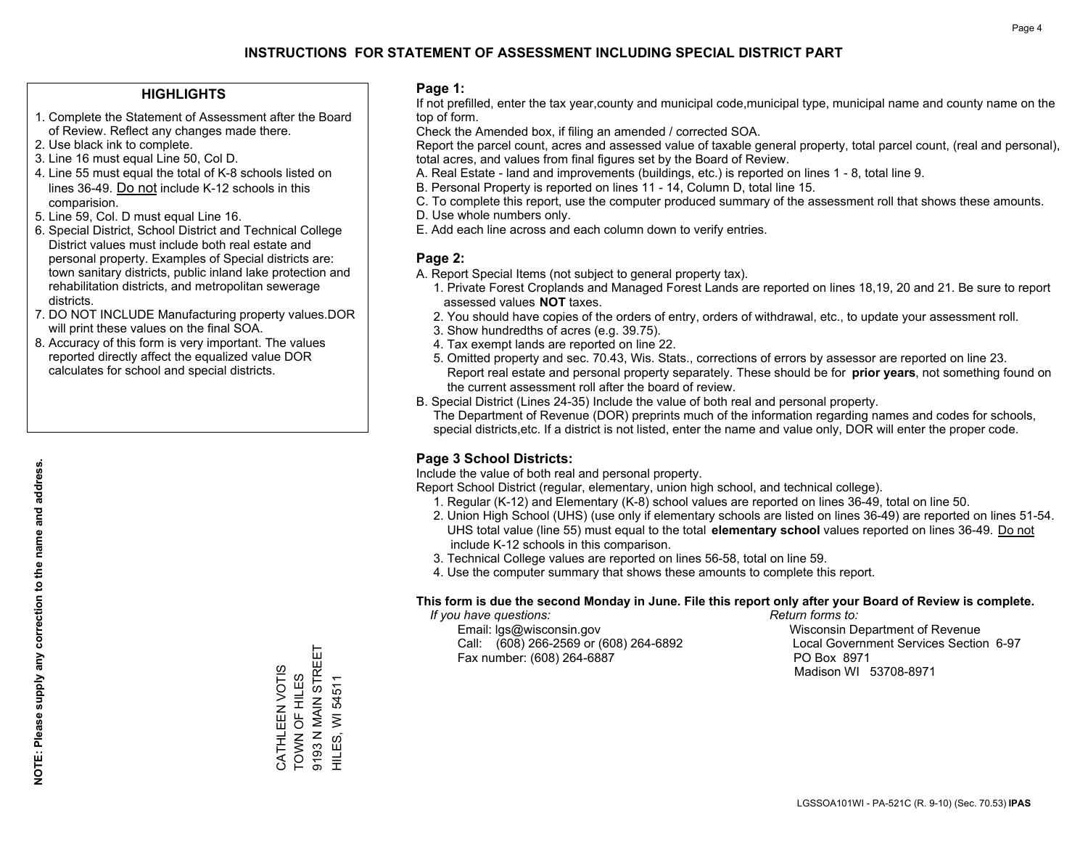### **HIGHLIGHTS**

- 1. Complete the Statement of Assessment after the Board of Review. Reflect any changes made there.
- 2. Use black ink to complete.
- 3. Line 16 must equal Line 50, Col D.
- 4. Line 55 must equal the total of K-8 schools listed on lines 36-49. Do not include K-12 schools in this comparision.
- 5. Line 59, Col. D must equal Line 16.
- 6. Special District, School District and Technical College District values must include both real estate and personal property. Examples of Special districts are: town sanitary districts, public inland lake protection and rehabilitation districts, and metropolitan sewerage districts.
- 7. DO NOT INCLUDE Manufacturing property values.DOR will print these values on the final SOA.

CATHLEEN VOTIS TOWN OF HILES 9193 N MAIN STREET HILES, WI 54511

CATHLEEN VOTIS

TOWN OF HILES<br>9193 N MAIN STREET

HILES, WI 54511

 8. Accuracy of this form is very important. The values reported directly affect the equalized value DOR calculates for school and special districts.

### **Page 1:**

 If not prefilled, enter the tax year,county and municipal code,municipal type, municipal name and county name on the top of form.

Check the Amended box, if filing an amended / corrected SOA.

 Report the parcel count, acres and assessed value of taxable general property, total parcel count, (real and personal), total acres, and values from final figures set by the Board of Review.

- A. Real Estate land and improvements (buildings, etc.) is reported on lines 1 8, total line 9.
- B. Personal Property is reported on lines 11 14, Column D, total line 15.
- C. To complete this report, use the computer produced summary of the assessment roll that shows these amounts.
- D. Use whole numbers only.
- E. Add each line across and each column down to verify entries.

### **Page 2:**

- A. Report Special Items (not subject to general property tax).
- 1. Private Forest Croplands and Managed Forest Lands are reported on lines 18,19, 20 and 21. Be sure to report assessed values **NOT** taxes.
- 2. You should have copies of the orders of entry, orders of withdrawal, etc., to update your assessment roll.
	- 3. Show hundredths of acres (e.g. 39.75).
- 4. Tax exempt lands are reported on line 22.
- 5. Omitted property and sec. 70.43, Wis. Stats., corrections of errors by assessor are reported on line 23. Report real estate and personal property separately. These should be for **prior years**, not something found on the current assessment roll after the board of review.
- B. Special District (Lines 24-35) Include the value of both real and personal property.
- The Department of Revenue (DOR) preprints much of the information regarding names and codes for schools, special districts,etc. If a district is not listed, enter the name and value only, DOR will enter the proper code.

### **Page 3 School Districts:**

Include the value of both real and personal property.

Report School District (regular, elementary, union high school, and technical college).

- 1. Regular (K-12) and Elementary (K-8) school values are reported on lines 36-49, total on line 50.
- 2. Union High School (UHS) (use only if elementary schools are listed on lines 36-49) are reported on lines 51-54. UHS total value (line 55) must equal to the total **elementary school** values reported on lines 36-49. Do notinclude K-12 schools in this comparison.
- 3. Technical College values are reported on lines 56-58, total on line 59.
- 4. Use the computer summary that shows these amounts to complete this report.

#### **This form is due the second Monday in June. File this report only after your Board of Review is complete.**

 *If you have questions: Return forms to:*

 Email: lgs@wisconsin.gov Wisconsin Department of RevenueCall:  $(608)$  266-2569 or  $(608)$  264-6892 Fax number: (608) 264-6887 PO Box 8971

Local Government Services Section 6-97

Madison WI 53708-8971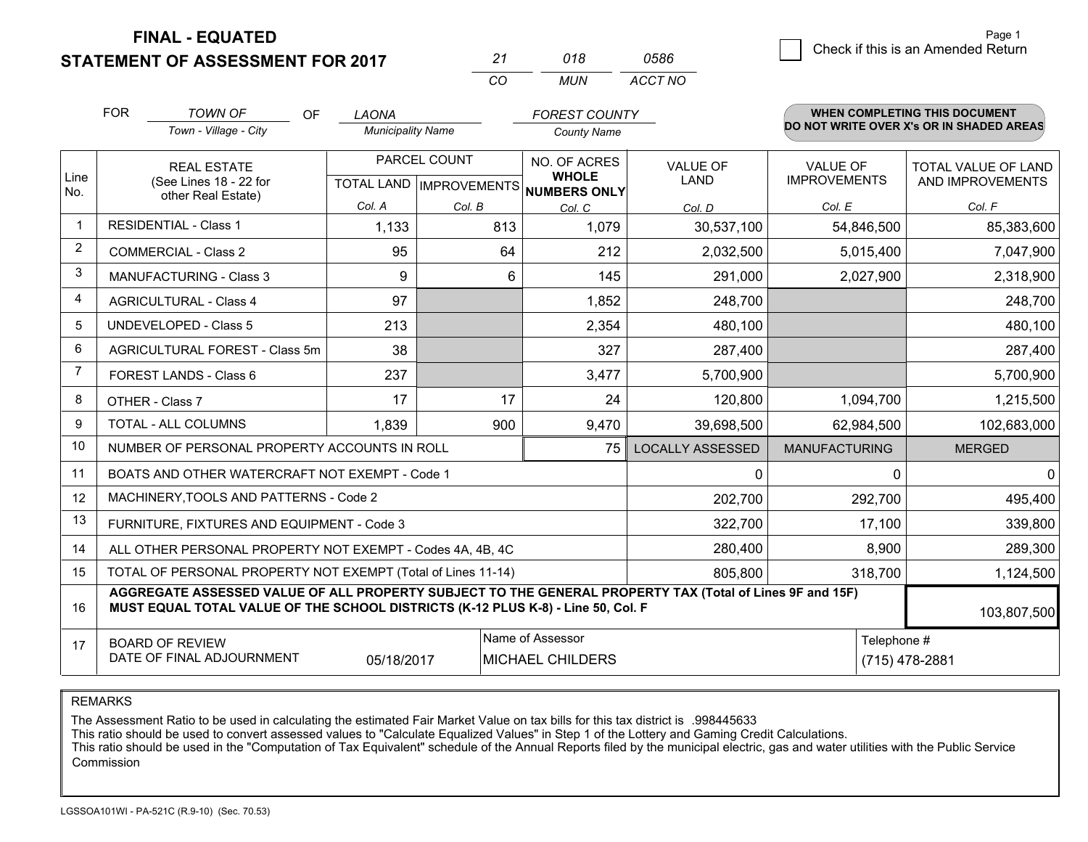## **STATEMENT OF ASSESSMENT FOR 2017**

| 21  | 018 | 0586    |
|-----|-----|---------|
| CO. | MUN | ACCT NO |

|                | <b>FOR</b>                                                                                                                                                                                   | <b>TOWN OF</b><br><b>OF</b>                               | <b>LAONA</b>             |                           | <b>FOREST COUNTY</b>                |                         |                      | <b>WHEN COMPLETING THIS DOCUMENT</b>     |
|----------------|----------------------------------------------------------------------------------------------------------------------------------------------------------------------------------------------|-----------------------------------------------------------|--------------------------|---------------------------|-------------------------------------|-------------------------|----------------------|------------------------------------------|
|                |                                                                                                                                                                                              | Town - Village - City                                     | <b>Municipality Name</b> |                           | <b>County Name</b>                  |                         |                      | DO NOT WRITE OVER X's OR IN SHADED AREAS |
|                |                                                                                                                                                                                              | <b>REAL ESTATE</b>                                        | PARCEL COUNT             |                           | NO. OF ACRES                        | <b>VALUE OF</b>         | <b>VALUE OF</b>      | TOTAL VALUE OF LAND                      |
| Line<br>No.    |                                                                                                                                                                                              | (See Lines 18 - 22 for<br>other Real Estate)              |                          | TOTAL LAND   IMPROVEMENTS | <b>WHOLE</b><br><b>NUMBERS ONLY</b> | <b>LAND</b>             | <b>IMPROVEMENTS</b>  | AND IMPROVEMENTS                         |
|                |                                                                                                                                                                                              |                                                           | Col. A                   | Col. B                    | Col. C                              | Col. D                  | Col. E               | Col. F                                   |
| -1             |                                                                                                                                                                                              | <b>RESIDENTIAL - Class 1</b>                              | 1,133                    | 813                       | 1,079                               | 30,537,100              | 54,846,500           | 85,383,600                               |
| $\overline{2}$ |                                                                                                                                                                                              | <b>COMMERCIAL - Class 2</b>                               | 95                       | 64                        | 212                                 | 2,032,500               | 5,015,400            | 7,047,900                                |
| 3              |                                                                                                                                                                                              | MANUFACTURING - Class 3                                   | 9                        | 6                         | 145                                 | 291,000                 | 2,027,900            | 2,318,900                                |
| 4              |                                                                                                                                                                                              | <b>AGRICULTURAL - Class 4</b>                             | 97                       |                           | 1,852                               | 248,700                 |                      | 248,700                                  |
| 5              |                                                                                                                                                                                              | <b>UNDEVELOPED - Class 5</b>                              | 213                      |                           | 2,354                               | 480,100                 |                      | 480,100                                  |
| 6              |                                                                                                                                                                                              | AGRICULTURAL FOREST - Class 5m                            | 38                       |                           | 327                                 | 287,400                 |                      | 287,400                                  |
| 7              |                                                                                                                                                                                              | FOREST LANDS - Class 6                                    | 237                      |                           | 3,477                               | 5,700,900               |                      | 5,700,900                                |
| 8              |                                                                                                                                                                                              | OTHER - Class 7                                           | 17                       | 17                        | 24                                  | 120,800                 | 1,094,700            | 1,215,500                                |
| 9              |                                                                                                                                                                                              | TOTAL - ALL COLUMNS                                       | 1,839                    | 900                       | 9,470                               | 39,698,500              | 62,984,500           | 102,683,000                              |
| 10             |                                                                                                                                                                                              | NUMBER OF PERSONAL PROPERTY ACCOUNTS IN ROLL              |                          |                           | 75                                  | <b>LOCALLY ASSESSED</b> | <b>MANUFACTURING</b> | <b>MERGED</b>                            |
| 11             |                                                                                                                                                                                              | BOATS AND OTHER WATERCRAFT NOT EXEMPT - Code 1            |                          |                           |                                     | $\Omega$                | $\Omega$             | $\mathbf 0$                              |
| 12             |                                                                                                                                                                                              | MACHINERY, TOOLS AND PATTERNS - Code 2                    |                          |                           |                                     | 202,700                 | 292,700              | 495,400                                  |
| 13             |                                                                                                                                                                                              | FURNITURE, FIXTURES AND EQUIPMENT - Code 3                |                          |                           |                                     | 322,700                 | 17,100               | 339,800                                  |
| 14             |                                                                                                                                                                                              | ALL OTHER PERSONAL PROPERTY NOT EXEMPT - Codes 4A, 4B, 4C |                          |                           |                                     | 280,400                 | 8,900                | 289,300                                  |
| 15             | TOTAL OF PERSONAL PROPERTY NOT EXEMPT (Total of Lines 11-14)<br>805,800                                                                                                                      |                                                           |                          |                           |                                     |                         | 318,700              | 1,124,500                                |
| 16             | AGGREGATE ASSESSED VALUE OF ALL PROPERTY SUBJECT TO THE GENERAL PROPERTY TAX (Total of Lines 9F and 15F)<br>MUST EQUAL TOTAL VALUE OF THE SCHOOL DISTRICTS (K-12 PLUS K-8) - Line 50, Col. F |                                                           |                          |                           |                                     |                         |                      | 103,807,500                              |
| 17             | Name of Assessor<br>Telephone #<br><b>BOARD OF REVIEW</b><br>DATE OF FINAL ADJOURNMENT<br>MICHAEL CHILDERS<br>(715) 478-2881<br>05/18/2017                                                   |                                                           |                          |                           |                                     |                         |                      |                                          |

REMARKS

The Assessment Ratio to be used in calculating the estimated Fair Market Value on tax bills for this tax district is .998445633<br>This ratio should be used to convert assessed values to "Calculate Equalized Values" in Step 1 Commission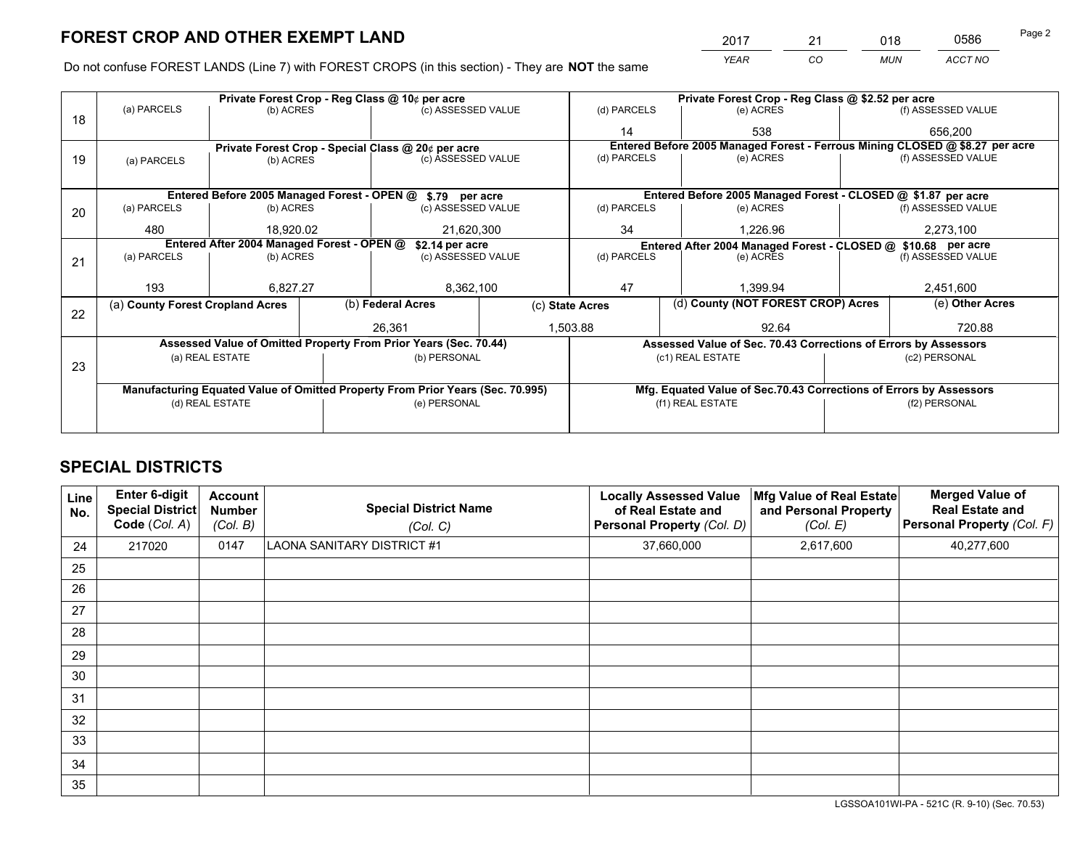*YEAR CO MUN ACCT NO* <sup>2017</sup> <sup>21</sup> <sup>018</sup> <sup>0586</sup>

Do not confuse FOREST LANDS (Line 7) with FOREST CROPS (in this section) - They are **NOT** the same

|    |                                                                                |                                 |  | Private Forest Crop - Reg Class @ 10¢ per acre                   |             | Private Forest Crop - Reg Class @ \$2.52 per acre     |                                                                              |                                                                    |                    |  |
|----|--------------------------------------------------------------------------------|---------------------------------|--|------------------------------------------------------------------|-------------|-------------------------------------------------------|------------------------------------------------------------------------------|--------------------------------------------------------------------|--------------------|--|
| 18 | (a) PARCELS                                                                    | (b) ACRES                       |  | (c) ASSESSED VALUE                                               |             | (d) PARCELS                                           | (e) ACRES                                                                    |                                                                    | (f) ASSESSED VALUE |  |
|    |                                                                                |                                 |  |                                                                  |             | 14                                                    | 538                                                                          |                                                                    | 656,200            |  |
|    |                                                                                |                                 |  | Private Forest Crop - Special Class @ 20¢ per acre               |             |                                                       | Entered Before 2005 Managed Forest - Ferrous Mining CLOSED @ \$8.27 per acre |                                                                    |                    |  |
| 19 | (a) PARCELS                                                                    | (c) ASSESSED VALUE<br>(b) ACRES |  |                                                                  | (d) PARCELS | (e) ACRES                                             |                                                                              | (f) ASSESSED VALUE                                                 |                    |  |
|    |                                                                                |                                 |  |                                                                  |             |                                                       |                                                                              |                                                                    |                    |  |
|    |                                                                                |                                 |  | Entered Before 2005 Managed Forest - OPEN @ \$.79 per acre       |             |                                                       | Entered Before 2005 Managed Forest - CLOSED @ \$1.87 per acre                |                                                                    |                    |  |
| 20 | (a) PARCELS                                                                    | (b) ACRES                       |  | (c) ASSESSED VALUE                                               |             | (d) PARCELS                                           | (e) ACRES                                                                    |                                                                    | (f) ASSESSED VALUE |  |
|    | 480                                                                            | 18,920.02                       |  | 21,620,300                                                       |             | 34                                                    | 1,226.96                                                                     |                                                                    | 2,273,100          |  |
|    | Entered After 2004 Managed Forest - OPEN @                                     |                                 |  | \$2.14 per acre                                                  |             |                                                       |                                                                              | Entered After 2004 Managed Forest - CLOSED @ \$10.68 per acre      |                    |  |
| 21 | (a) PARCELS                                                                    | (b) ACRES                       |  | (c) ASSESSED VALUE                                               |             | (d) PARCELS<br>(e) ACRES                              |                                                                              |                                                                    | (f) ASSESSED VALUE |  |
|    |                                                                                |                                 |  |                                                                  |             |                                                       |                                                                              |                                                                    |                    |  |
|    | 193                                                                            | 6.827.27                        |  | 8,362,100                                                        |             | 47                                                    | 1,399.94                                                                     |                                                                    |                    |  |
|    | (a) County Forest Cropland Acres                                               |                                 |  | (b) Federal Acres                                                |             | (d) County (NOT FOREST CROP) Acres<br>(c) State Acres |                                                                              |                                                                    | (e) Other Acres    |  |
| 22 |                                                                                |                                 |  | 26.361                                                           |             | 1,503.88<br>92.64                                     |                                                                              |                                                                    | 720.88             |  |
|    |                                                                                |                                 |  | Assessed Value of Omitted Property From Prior Years (Sec. 70.44) |             |                                                       | Assessed Value of Sec. 70.43 Corrections of Errors by Assessors              |                                                                    |                    |  |
|    |                                                                                | (a) REAL ESTATE                 |  | (b) PERSONAL                                                     |             |                                                       | (c1) REAL ESTATE                                                             |                                                                    | (c2) PERSONAL      |  |
| 23 |                                                                                |                                 |  |                                                                  |             |                                                       |                                                                              |                                                                    |                    |  |
|    | Manufacturing Equated Value of Omitted Property From Prior Years (Sec. 70.995) |                                 |  |                                                                  |             |                                                       |                                                                              | Mfg. Equated Value of Sec.70.43 Corrections of Errors by Assessors |                    |  |
|    | (d) REAL ESTATE                                                                |                                 |  | (e) PERSONAL                                                     |             | (f1) REAL ESTATE                                      |                                                                              |                                                                    | (f2) PERSONAL      |  |
|    |                                                                                |                                 |  |                                                                  |             |                                                       |                                                                              |                                                                    |                    |  |

## **SPECIAL DISTRICTS**

| <b>Line</b><br>No. | Enter 6-digit<br><b>Special District</b><br>Code (Col. A) | <b>Account</b><br><b>Number</b><br>(Col. B) | <b>Special District Name</b><br>(Col. C) | <b>Locally Assessed Value</b><br>of Real Estate and<br>Personal Property (Col. D) | Mfg Value of Real Estate<br>and Personal Property<br>(Col. E) | <b>Merged Value of</b><br><b>Real Estate and</b><br>Personal Property (Col. F) |
|--------------------|-----------------------------------------------------------|---------------------------------------------|------------------------------------------|-----------------------------------------------------------------------------------|---------------------------------------------------------------|--------------------------------------------------------------------------------|
| 24                 | 217020                                                    | 0147                                        | <b>LAONA SANITARY DISTRICT #1</b>        | 37,660,000                                                                        | 2,617,600                                                     | 40,277,600                                                                     |
| 25                 |                                                           |                                             |                                          |                                                                                   |                                                               |                                                                                |
| 26                 |                                                           |                                             |                                          |                                                                                   |                                                               |                                                                                |
| 27                 |                                                           |                                             |                                          |                                                                                   |                                                               |                                                                                |
| 28                 |                                                           |                                             |                                          |                                                                                   |                                                               |                                                                                |
| 29                 |                                                           |                                             |                                          |                                                                                   |                                                               |                                                                                |
| 30                 |                                                           |                                             |                                          |                                                                                   |                                                               |                                                                                |
| 31                 |                                                           |                                             |                                          |                                                                                   |                                                               |                                                                                |
| 32                 |                                                           |                                             |                                          |                                                                                   |                                                               |                                                                                |
| 33                 |                                                           |                                             |                                          |                                                                                   |                                                               |                                                                                |
| 34                 |                                                           |                                             |                                          |                                                                                   |                                                               |                                                                                |
| 35                 |                                                           |                                             |                                          |                                                                                   |                                                               |                                                                                |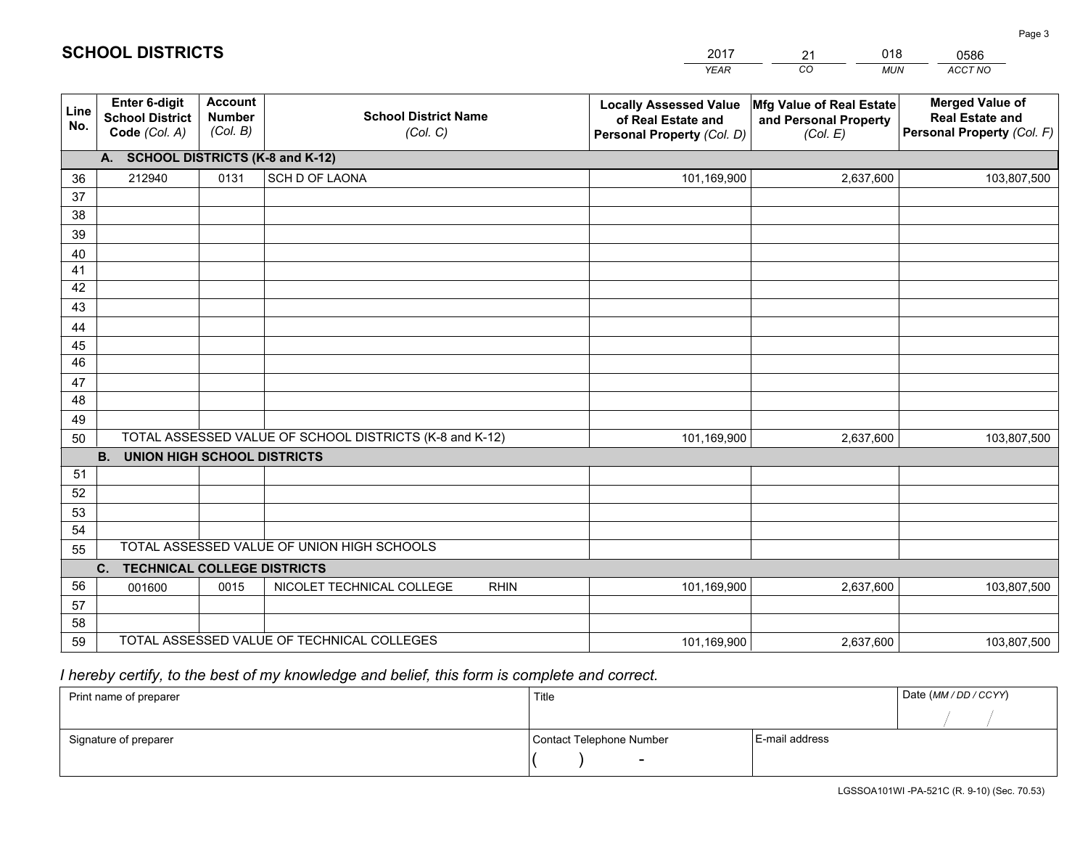|             |                                                                 |                                             |                                                         | <b>YEAR</b>                                                                       | CO<br><b>MUN</b>                                              | ACCT NO                                                                        |
|-------------|-----------------------------------------------------------------|---------------------------------------------|---------------------------------------------------------|-----------------------------------------------------------------------------------|---------------------------------------------------------------|--------------------------------------------------------------------------------|
| Line<br>No. | <b>Enter 6-digit</b><br><b>School District</b><br>Code (Col. A) | <b>Account</b><br><b>Number</b><br>(Col. B) | <b>School District Name</b><br>(Col. C)                 | <b>Locally Assessed Value</b><br>of Real Estate and<br>Personal Property (Col. D) | Mfg Value of Real Estate<br>and Personal Property<br>(Col. E) | <b>Merged Value of</b><br><b>Real Estate and</b><br>Personal Property (Col. F) |
|             | A. SCHOOL DISTRICTS (K-8 and K-12)                              |                                             |                                                         |                                                                                   |                                                               |                                                                                |
| 36          | 212940                                                          | 0131                                        | SCH D OF LAONA                                          | 101,169,900                                                                       | 2,637,600                                                     | 103,807,500                                                                    |
| 37          |                                                                 |                                             |                                                         |                                                                                   |                                                               |                                                                                |
| 38          |                                                                 |                                             |                                                         |                                                                                   |                                                               |                                                                                |
| 39          |                                                                 |                                             |                                                         |                                                                                   |                                                               |                                                                                |
| 40          |                                                                 |                                             |                                                         |                                                                                   |                                                               |                                                                                |
| 41          |                                                                 |                                             |                                                         |                                                                                   |                                                               |                                                                                |
| 42<br>43    |                                                                 |                                             |                                                         |                                                                                   |                                                               |                                                                                |
| 44          |                                                                 |                                             |                                                         |                                                                                   |                                                               |                                                                                |
| 45          |                                                                 |                                             |                                                         |                                                                                   |                                                               |                                                                                |
| 46          |                                                                 |                                             |                                                         |                                                                                   |                                                               |                                                                                |
| 47          |                                                                 |                                             |                                                         |                                                                                   |                                                               |                                                                                |
| 48          |                                                                 |                                             |                                                         |                                                                                   |                                                               |                                                                                |
| 49          |                                                                 |                                             |                                                         |                                                                                   |                                                               |                                                                                |
| 50          |                                                                 |                                             | TOTAL ASSESSED VALUE OF SCHOOL DISTRICTS (K-8 and K-12) | 101,169,900                                                                       | 2,637,600                                                     | 103,807,500                                                                    |
|             | <b>B.</b><br><b>UNION HIGH SCHOOL DISTRICTS</b>                 |                                             |                                                         |                                                                                   |                                                               |                                                                                |
| 51          |                                                                 |                                             |                                                         |                                                                                   |                                                               |                                                                                |
| 52          |                                                                 |                                             |                                                         |                                                                                   |                                                               |                                                                                |
| 53          |                                                                 |                                             |                                                         |                                                                                   |                                                               |                                                                                |
| 54          |                                                                 |                                             |                                                         |                                                                                   |                                                               |                                                                                |
| 55          |                                                                 |                                             | TOTAL ASSESSED VALUE OF UNION HIGH SCHOOLS              |                                                                                   |                                                               |                                                                                |
|             | C.<br><b>TECHNICAL COLLEGE DISTRICTS</b>                        |                                             |                                                         |                                                                                   |                                                               |                                                                                |
| 56          | 001600                                                          | 0015                                        | NICOLET TECHNICAL COLLEGE<br><b>RHIN</b>                | 101,169,900                                                                       | 2,637,600                                                     | 103,807,500                                                                    |
| 57          |                                                                 |                                             |                                                         |                                                                                   |                                                               |                                                                                |
| 58          |                                                                 |                                             | TOTAL ASSESSED VALUE OF TECHNICAL COLLEGES              |                                                                                   |                                                               |                                                                                |
| 59          |                                                                 |                                             |                                                         | 101,169,900                                                                       | 2,637,600                                                     | 103,807,500                                                                    |

## *I hereby certify, to the best of my knowledge and belief, this form is complete and correct.*

| Print name of preparer | Title                    |                | Date (MM / DD / CCYY) |
|------------------------|--------------------------|----------------|-----------------------|
|                        |                          |                |                       |
| Signature of preparer  | Contact Telephone Number | E-mail address |                       |
|                        | $\sim$                   |                |                       |

LGSSOA101WI -PA-521C (R. 9-10) (Sec. 70.53)

Page 3

|  | <b>SCHOOL DISTRICTS</b> |
|--|-------------------------|
|--|-------------------------|

201721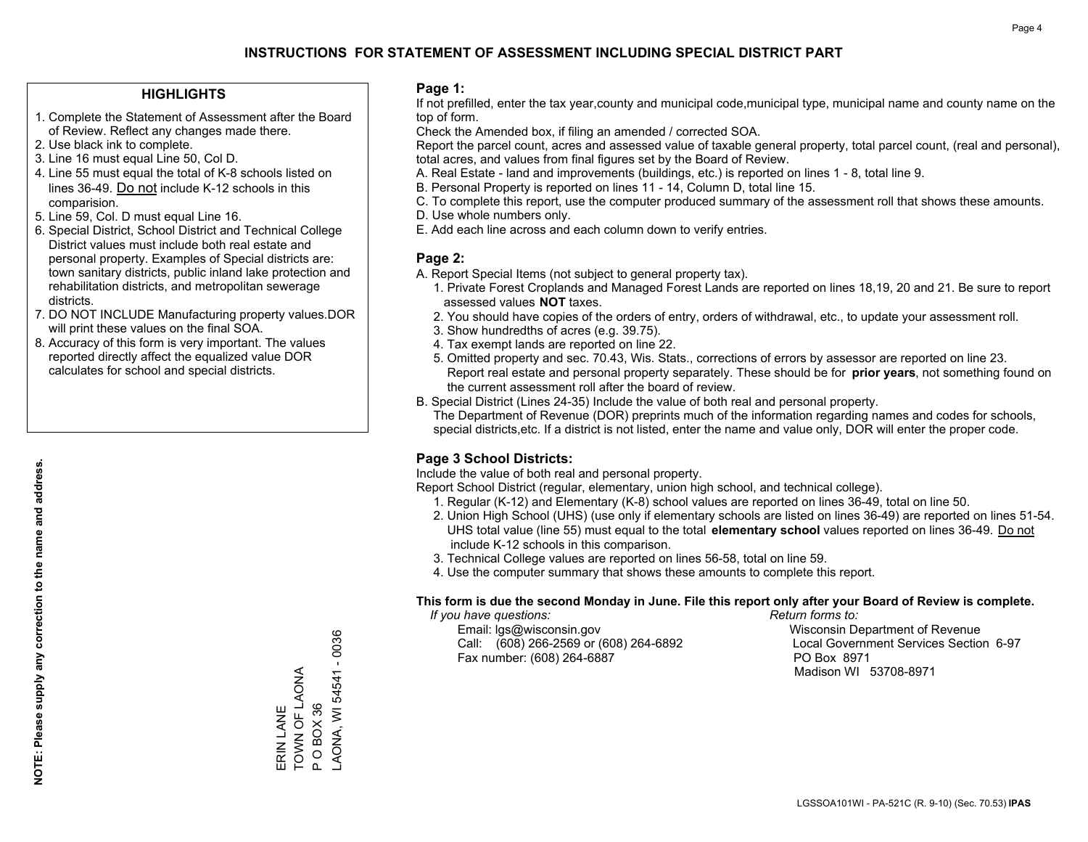### **HIGHLIGHTS**

- 1. Complete the Statement of Assessment after the Board of Review. Reflect any changes made there.
- 2. Use black ink to complete.
- 3. Line 16 must equal Line 50, Col D.
- 4. Line 55 must equal the total of K-8 schools listed on lines 36-49. Do not include K-12 schools in this comparision.
- 5. Line 59, Col. D must equal Line 16.
- 6. Special District, School District and Technical College District values must include both real estate and personal property. Examples of Special districts are: town sanitary districts, public inland lake protection and rehabilitation districts, and metropolitan sewerage districts.
- 7. DO NOT INCLUDE Manufacturing property values.DOR will print these values on the final SOA.

ERIN LANE TOWN OF LAONA P O BOX 36

ERIN LANE

TOWN OF LAONA POBOX36 LAONA, WI 54541 - 0036

AONA, WI 54541 - 0036

 8. Accuracy of this form is very important. The values reported directly affect the equalized value DOR calculates for school and special districts.

### **Page 1:**

 If not prefilled, enter the tax year,county and municipal code,municipal type, municipal name and county name on the top of form.

Check the Amended box, if filing an amended / corrected SOA.

 Report the parcel count, acres and assessed value of taxable general property, total parcel count, (real and personal), total acres, and values from final figures set by the Board of Review.

- A. Real Estate land and improvements (buildings, etc.) is reported on lines 1 8, total line 9.
- B. Personal Property is reported on lines 11 14, Column D, total line 15.
- C. To complete this report, use the computer produced summary of the assessment roll that shows these amounts.
- D. Use whole numbers only.
- E. Add each line across and each column down to verify entries.

### **Page 2:**

- A. Report Special Items (not subject to general property tax).
- 1. Private Forest Croplands and Managed Forest Lands are reported on lines 18,19, 20 and 21. Be sure to report assessed values **NOT** taxes.
- 2. You should have copies of the orders of entry, orders of withdrawal, etc., to update your assessment roll.
	- 3. Show hundredths of acres (e.g. 39.75).
- 4. Tax exempt lands are reported on line 22.
- 5. Omitted property and sec. 70.43, Wis. Stats., corrections of errors by assessor are reported on line 23. Report real estate and personal property separately. These should be for **prior years**, not something found on the current assessment roll after the board of review.
- B. Special District (Lines 24-35) Include the value of both real and personal property.

 The Department of Revenue (DOR) preprints much of the information regarding names and codes for schools, special districts,etc. If a district is not listed, enter the name and value only, DOR will enter the proper code.

### **Page 3 School Districts:**

Include the value of both real and personal property.

Report School District (regular, elementary, union high school, and technical college).

- 1. Regular (K-12) and Elementary (K-8) school values are reported on lines 36-49, total on line 50.
- 2. Union High School (UHS) (use only if elementary schools are listed on lines 36-49) are reported on lines 51-54. UHS total value (line 55) must equal to the total **elementary school** values reported on lines 36-49. Do notinclude K-12 schools in this comparison.
- 3. Technical College values are reported on lines 56-58, total on line 59.
- 4. Use the computer summary that shows these amounts to complete this report.

#### **This form is due the second Monday in June. File this report only after your Board of Review is complete.**

 *If you have questions: Return forms to:*

 Email: lgs@wisconsin.gov Wisconsin Department of RevenueCall:  $(608)$  266-2569 or  $(608)$  264-6892 Fax number: (608) 264-6887 PO Box 8971

Local Government Services Section 6-97

Madison WI 53708-8971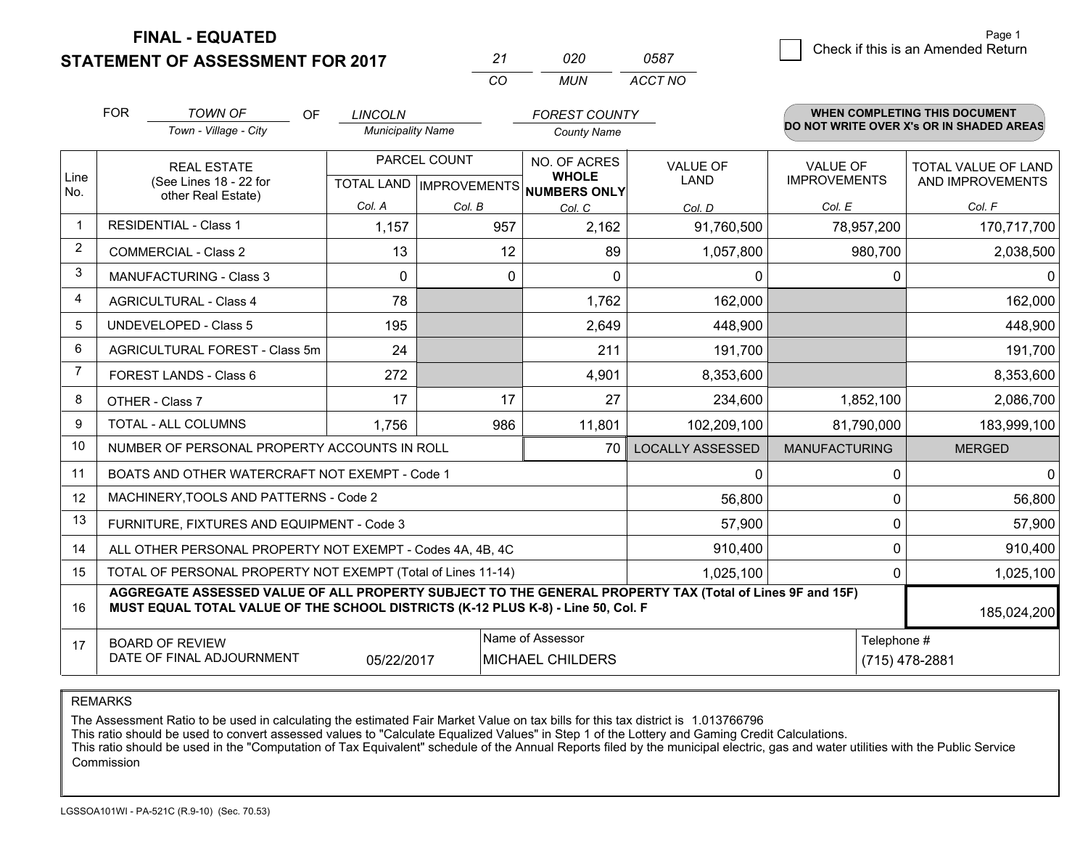**STATEMENT OF ASSESSMENT FOR 2017** 

| 27       | חלח | 0587    |
|----------|-----|---------|
| $\alpha$ | MUN | ACCT NO |

|              | <b>FOR</b>                                                                                                                                                                                   | <b>TOWN OF</b><br><b>OF</b>                               | <b>LINCOLN</b>           |          | <b>FOREST COUNTY</b>                                 |                         |                                          | <b>WHEN COMPLETING THIS DOCUMENT</b> |  |
|--------------|----------------------------------------------------------------------------------------------------------------------------------------------------------------------------------------------|-----------------------------------------------------------|--------------------------|----------|------------------------------------------------------|-------------------------|------------------------------------------|--------------------------------------|--|
|              | Town - Village - City                                                                                                                                                                        |                                                           | <b>Municipality Name</b> |          | <b>County Name</b>                                   |                         | DO NOT WRITE OVER X's OR IN SHADED AREAS |                                      |  |
|              | <b>REAL ESTATE</b>                                                                                                                                                                           |                                                           | PARCEL COUNT             |          | NO. OF ACRES                                         | <b>VALUE OF</b>         | <b>VALUE OF</b>                          | <b>TOTAL VALUE OF LAND</b>           |  |
| Line<br>No.  |                                                                                                                                                                                              | (See Lines 18 - 22 for<br>other Real Estate)              |                          |          | <b>WHOLE</b><br>TOTAL LAND IMPROVEMENTS NUMBERS ONLY | <b>LAND</b>             | <b>IMPROVEMENTS</b>                      | AND IMPROVEMENTS                     |  |
|              |                                                                                                                                                                                              |                                                           | Col. A                   | Col. B   | Col. C                                               | Col. D                  | Col. E                                   | Col. F                               |  |
| $\mathbf 1$  | <b>RESIDENTIAL - Class 1</b>                                                                                                                                                                 |                                                           | 1,157                    | 957      | 2,162                                                | 91,760,500              | 78,957,200                               | 170,717,700                          |  |
| 2            |                                                                                                                                                                                              | <b>COMMERCIAL - Class 2</b>                               | 13                       | 12       | 89                                                   | 1,057,800               | 980,700                                  | 2,038,500                            |  |
| 3            |                                                                                                                                                                                              | <b>MANUFACTURING - Class 3</b>                            | $\Omega$                 | $\Omega$ | $\Omega$                                             | $\Omega$                | $\Omega$                                 | 0                                    |  |
| 4            |                                                                                                                                                                                              | <b>AGRICULTURAL - Class 4</b>                             | 78                       |          | 1,762                                                | 162,000                 |                                          | 162,000                              |  |
| 5            |                                                                                                                                                                                              | <b>UNDEVELOPED - Class 5</b>                              | 195                      |          | 2,649                                                | 448,900                 |                                          | 448,900                              |  |
| 6            |                                                                                                                                                                                              | AGRICULTURAL FOREST - Class 5m                            | 24                       |          | 211                                                  | 191,700                 |                                          | 191,700                              |  |
| 7            |                                                                                                                                                                                              | FOREST LANDS - Class 6                                    | 272                      |          | 4,901                                                | 8,353,600               |                                          | 8,353,600                            |  |
| 8            |                                                                                                                                                                                              | OTHER - Class 7                                           | 17                       | 17       | 27                                                   | 234,600                 | 1,852,100                                | 2,086,700                            |  |
| $\mathbf{q}$ |                                                                                                                                                                                              | TOTAL - ALL COLUMNS                                       | 1,756                    | 986      | 11,801                                               | 102,209,100             | 81,790,000                               | 183,999,100                          |  |
| 10           |                                                                                                                                                                                              | NUMBER OF PERSONAL PROPERTY ACCOUNTS IN ROLL              |                          |          | 70                                                   | <b>LOCALLY ASSESSED</b> | <b>MANUFACTURING</b>                     | <b>MERGED</b>                        |  |
| 11           |                                                                                                                                                                                              | BOATS AND OTHER WATERCRAFT NOT EXEMPT - Code 1            |                          |          |                                                      | $\Omega$                | 0                                        | $\mathbf{0}$                         |  |
| 12           |                                                                                                                                                                                              | MACHINERY, TOOLS AND PATTERNS - Code 2                    |                          |          |                                                      | 56,800                  | 0                                        | 56,800                               |  |
| 13           |                                                                                                                                                                                              | FURNITURE, FIXTURES AND EQUIPMENT - Code 3                |                          |          |                                                      | 57,900                  | $\mathbf 0$                              | 57,900                               |  |
| 14           |                                                                                                                                                                                              | ALL OTHER PERSONAL PROPERTY NOT EXEMPT - Codes 4A, 4B, 4C |                          |          |                                                      | 910,400                 | 0                                        | 910,400                              |  |
| 15           | TOTAL OF PERSONAL PROPERTY NOT EXEMPT (Total of Lines 11-14)<br>1,025,100                                                                                                                    |                                                           |                          |          |                                                      |                         | 0                                        | 1,025,100                            |  |
| 16           | AGGREGATE ASSESSED VALUE OF ALL PROPERTY SUBJECT TO THE GENERAL PROPERTY TAX (Total of Lines 9F and 15F)<br>MUST EQUAL TOTAL VALUE OF THE SCHOOL DISTRICTS (K-12 PLUS K-8) - Line 50, Col. F |                                                           |                          |          |                                                      |                         | 185,024,200                              |                                      |  |
| 17           | <b>BOARD OF REVIEW</b>                                                                                                                                                                       |                                                           |                          |          | Name of Assessor                                     |                         |                                          | Telephone #                          |  |
|              | DATE OF FINAL ADJOURNMENT<br>05/22/2017<br>MICHAEL CHILDERS                                                                                                                                  |                                                           |                          |          |                                                      |                         |                                          | (715) 478-2881                       |  |

REMARKS

The Assessment Ratio to be used in calculating the estimated Fair Market Value on tax bills for this tax district is 1.013766796

This ratio should be used to convert assessed values to "Calculate Equalized Values" in Step 1 of the Lottery and Gaming Credit Calculations.<br>This ratio should be used in the "Computation of Tax Equivalent" schedule of the Commission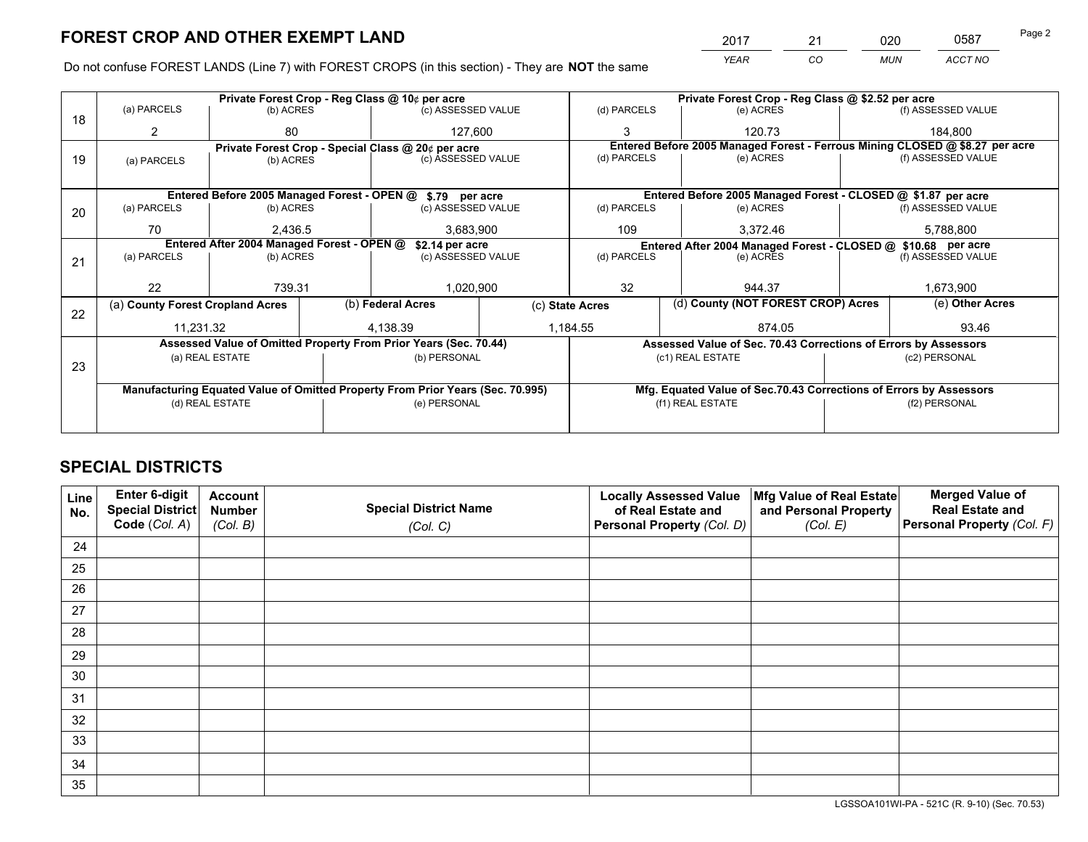*YEAR CO MUN ACCT NO* 2017 21 020 0587 Page 2

Do not confuse FOREST LANDS (Line 7) with FOREST CROPS (in this section) - They are **NOT** the same

|    |                                                                                |                                                    |  | Private Forest Crop - Reg Class @ 10¢ per acre                   |             | Private Forest Crop - Reg Class @ \$2.52 per acre             |                  |                    |                                                                    |                                                                              |  |
|----|--------------------------------------------------------------------------------|----------------------------------------------------|--|------------------------------------------------------------------|-------------|---------------------------------------------------------------|------------------|--------------------|--------------------------------------------------------------------|------------------------------------------------------------------------------|--|
| 18 | (a) PARCELS                                                                    | (b) ACRES                                          |  | (c) ASSESSED VALUE                                               |             | (d) PARCELS                                                   |                  | (e) ACRES          |                                                                    | (f) ASSESSED VALUE                                                           |  |
|    | 2                                                                              | 80                                                 |  | 127,600                                                          |             | 3                                                             |                  | 120.73             |                                                                    | 184.800                                                                      |  |
|    |                                                                                | Private Forest Crop - Special Class @ 20¢ per acre |  |                                                                  |             |                                                               |                  |                    |                                                                    | Entered Before 2005 Managed Forest - Ferrous Mining CLOSED @ \$8.27 per acre |  |
| 19 | (a) PARCELS                                                                    | (b) ACRES                                          |  | (c) ASSESSED VALUE                                               |             | (d) PARCELS                                                   |                  | (e) ACRES          |                                                                    | (f) ASSESSED VALUE                                                           |  |
|    |                                                                                |                                                    |  |                                                                  |             |                                                               |                  |                    |                                                                    |                                                                              |  |
|    |                                                                                | Entered Before 2005 Managed Forest - OPEN @        |  | \$.79 per acre                                                   |             |                                                               |                  |                    |                                                                    | Entered Before 2005 Managed Forest - CLOSED @ \$1.87 per acre                |  |
| 20 | (a) PARCELS                                                                    | (c) ASSESSED VALUE<br>(b) ACRES                    |  |                                                                  | (d) PARCELS |                                                               | (e) ACRES        |                    | (f) ASSESSED VALUE                                                 |                                                                              |  |
|    | 70                                                                             | 2.436.5                                            |  | 3,683,900                                                        |             | 109                                                           |                  | 3.372.46           |                                                                    | 5,788,800                                                                    |  |
|    | Entered After 2004 Managed Forest - OPEN @                                     |                                                    |  | \$2.14 per acre                                                  |             | Entered After 2004 Managed Forest - CLOSED @ \$10.68 per acre |                  |                    |                                                                    |                                                                              |  |
| 21 | (a) PARCELS                                                                    | (b) ACRES                                          |  | (c) ASSESSED VALUE                                               |             | (d) PARCELS<br>(e) ACRES                                      |                  | (f) ASSESSED VALUE |                                                                    |                                                                              |  |
|    |                                                                                |                                                    |  |                                                                  |             |                                                               |                  |                    |                                                                    |                                                                              |  |
|    | 22                                                                             | 739.31                                             |  | 1,020,900                                                        |             | 32<br>944.37                                                  |                  | 1,673,900          |                                                                    |                                                                              |  |
|    | (a) County Forest Cropland Acres                                               |                                                    |  | (b) Federal Acres                                                |             | (d) County (NOT FOREST CROP) Acres<br>(c) State Acres         |                  |                    | (e) Other Acres                                                    |                                                                              |  |
| 22 | 11,231.32                                                                      |                                                    |  | 4,138.39                                                         |             | 1,184.55<br>874.05                                            |                  |                    |                                                                    | 93.46                                                                        |  |
|    |                                                                                |                                                    |  | Assessed Value of Omitted Property From Prior Years (Sec. 70.44) |             |                                                               |                  |                    |                                                                    | Assessed Value of Sec. 70.43 Corrections of Errors by Assessors              |  |
|    |                                                                                | (a) REAL ESTATE                                    |  | (b) PERSONAL                                                     |             |                                                               | (c1) REAL ESTATE |                    |                                                                    | (c2) PERSONAL                                                                |  |
| 23 |                                                                                |                                                    |  |                                                                  |             |                                                               |                  |                    |                                                                    |                                                                              |  |
|    | Manufacturing Equated Value of Omitted Property From Prior Years (Sec. 70.995) |                                                    |  |                                                                  |             |                                                               |                  |                    | Mfg. Equated Value of Sec.70.43 Corrections of Errors by Assessors |                                                                              |  |
|    | (d) REAL ESTATE                                                                |                                                    |  | (e) PERSONAL                                                     |             | (f1) REAL ESTATE                                              |                  |                    | (f2) PERSONAL                                                      |                                                                              |  |
|    |                                                                                |                                                    |  |                                                                  |             |                                                               |                  |                    |                                                                    |                                                                              |  |

## **SPECIAL DISTRICTS**

| Line<br>No. | Enter 6-digit<br>Special District<br>Code (Col. A) | <b>Account</b><br><b>Number</b><br>(Col. B) | <b>Special District Name</b><br>(Col. C) | <b>Locally Assessed Value</b><br>of Real Estate and<br>Personal Property (Col. D) | Mfg Value of Real Estate<br>and Personal Property<br>(Col. E) | <b>Merged Value of</b><br><b>Real Estate and</b><br>Personal Property (Col. F) |
|-------------|----------------------------------------------------|---------------------------------------------|------------------------------------------|-----------------------------------------------------------------------------------|---------------------------------------------------------------|--------------------------------------------------------------------------------|
| 24          |                                                    |                                             |                                          |                                                                                   |                                                               |                                                                                |
| 25          |                                                    |                                             |                                          |                                                                                   |                                                               |                                                                                |
| 26          |                                                    |                                             |                                          |                                                                                   |                                                               |                                                                                |
| 27          |                                                    |                                             |                                          |                                                                                   |                                                               |                                                                                |
| 28          |                                                    |                                             |                                          |                                                                                   |                                                               |                                                                                |
| 29          |                                                    |                                             |                                          |                                                                                   |                                                               |                                                                                |
| 30          |                                                    |                                             |                                          |                                                                                   |                                                               |                                                                                |
| 31          |                                                    |                                             |                                          |                                                                                   |                                                               |                                                                                |
| 32          |                                                    |                                             |                                          |                                                                                   |                                                               |                                                                                |
| 33          |                                                    |                                             |                                          |                                                                                   |                                                               |                                                                                |
| 34          |                                                    |                                             |                                          |                                                                                   |                                                               |                                                                                |
| 35          |                                                    |                                             |                                          |                                                                                   |                                                               |                                                                                |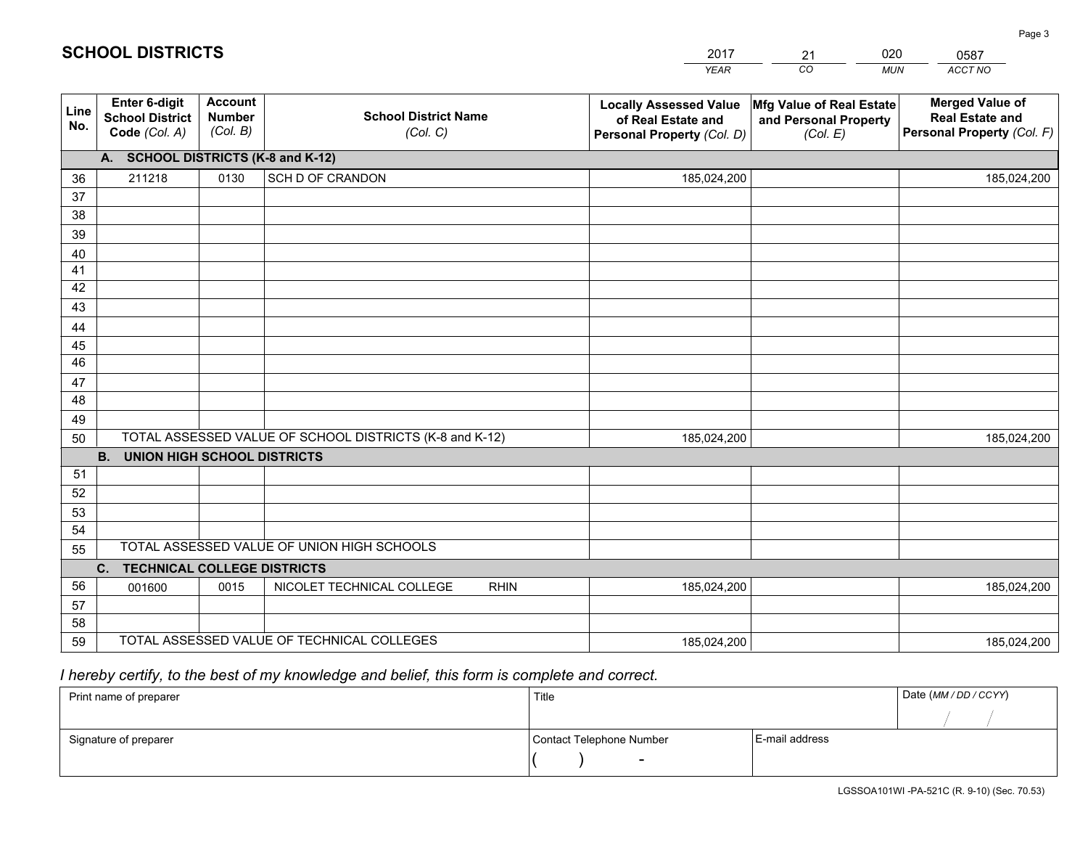|             |                                                          |                                             |                                                         | <b>YEAR</b>                                                                       | CO<br><b>MUN</b>                                              | ACCT NO                                                                        |
|-------------|----------------------------------------------------------|---------------------------------------------|---------------------------------------------------------|-----------------------------------------------------------------------------------|---------------------------------------------------------------|--------------------------------------------------------------------------------|
| Line<br>No. | Enter 6-digit<br><b>School District</b><br>Code (Col. A) | <b>Account</b><br><b>Number</b><br>(Col. B) | <b>School District Name</b><br>(Col. C)                 | <b>Locally Assessed Value</b><br>of Real Estate and<br>Personal Property (Col. D) | Mfg Value of Real Estate<br>and Personal Property<br>(Col. E) | <b>Merged Value of</b><br><b>Real Estate and</b><br>Personal Property (Col. F) |
|             | A. SCHOOL DISTRICTS (K-8 and K-12)                       |                                             |                                                         |                                                                                   |                                                               |                                                                                |
| 36          | 211218                                                   | 0130                                        | SCH D OF CRANDON                                        | 185,024,200                                                                       |                                                               | 185,024,200                                                                    |
| 37          |                                                          |                                             |                                                         |                                                                                   |                                                               |                                                                                |
| 38          |                                                          |                                             |                                                         |                                                                                   |                                                               |                                                                                |
| 39          |                                                          |                                             |                                                         |                                                                                   |                                                               |                                                                                |
| 40          |                                                          |                                             |                                                         |                                                                                   |                                                               |                                                                                |
| 41          |                                                          |                                             |                                                         |                                                                                   |                                                               |                                                                                |
| 42          |                                                          |                                             |                                                         |                                                                                   |                                                               |                                                                                |
| 43          |                                                          |                                             |                                                         |                                                                                   |                                                               |                                                                                |
| 44<br>45    |                                                          |                                             |                                                         |                                                                                   |                                                               |                                                                                |
| 46          |                                                          |                                             |                                                         |                                                                                   |                                                               |                                                                                |
| 47          |                                                          |                                             |                                                         |                                                                                   |                                                               |                                                                                |
| 48          |                                                          |                                             |                                                         |                                                                                   |                                                               |                                                                                |
| 49          |                                                          |                                             |                                                         |                                                                                   |                                                               |                                                                                |
| 50          |                                                          |                                             | TOTAL ASSESSED VALUE OF SCHOOL DISTRICTS (K-8 and K-12) | 185,024,200                                                                       |                                                               | 185,024,200                                                                    |
|             | <b>UNION HIGH SCHOOL DISTRICTS</b><br><b>B.</b>          |                                             |                                                         |                                                                                   |                                                               |                                                                                |
| 51          |                                                          |                                             |                                                         |                                                                                   |                                                               |                                                                                |
| 52          |                                                          |                                             |                                                         |                                                                                   |                                                               |                                                                                |
| 53          |                                                          |                                             |                                                         |                                                                                   |                                                               |                                                                                |
| 54          |                                                          |                                             |                                                         |                                                                                   |                                                               |                                                                                |
| 55          |                                                          |                                             | TOTAL ASSESSED VALUE OF UNION HIGH SCHOOLS              |                                                                                   |                                                               |                                                                                |
|             | C <sub>1</sub><br><b>TECHNICAL COLLEGE DISTRICTS</b>     |                                             |                                                         |                                                                                   |                                                               |                                                                                |
| 56          | 001600                                                   | 0015                                        | NICOLET TECHNICAL COLLEGE<br><b>RHIN</b>                | 185,024,200                                                                       |                                                               | 185,024,200                                                                    |
| 57          |                                                          |                                             |                                                         |                                                                                   |                                                               |                                                                                |
| 58          |                                                          |                                             |                                                         |                                                                                   |                                                               |                                                                                |
| 59          |                                                          |                                             | TOTAL ASSESSED VALUE OF TECHNICAL COLLEGES              | 185,024,200                                                                       |                                                               | 185,024,200                                                                    |

21

020

## *I hereby certify, to the best of my knowledge and belief, this form is complete and correct.*

**SCHOOL DISTRICTS**

| Print name of preparer | Title                    |                | Date (MM / DD / CCYY) |
|------------------------|--------------------------|----------------|-----------------------|
|                        |                          |                |                       |
| Signature of preparer  | Contact Telephone Number | E-mail address |                       |
|                        | $\sim$                   |                |                       |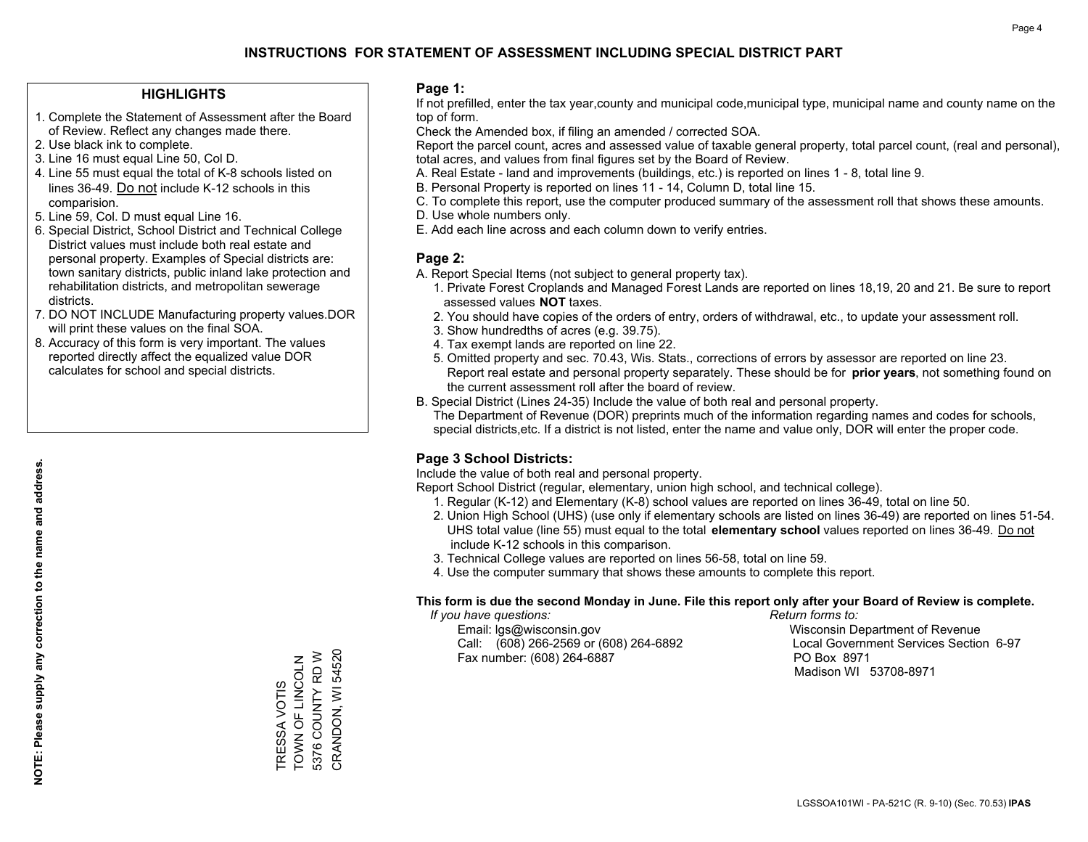### **HIGHLIGHTS**

- 1. Complete the Statement of Assessment after the Board of Review. Reflect any changes made there.
- 2. Use black ink to complete.
- 3. Line 16 must equal Line 50, Col D.
- 4. Line 55 must equal the total of K-8 schools listed on lines 36-49. Do not include K-12 schools in this comparision.
- 5. Line 59, Col. D must equal Line 16.
- 6. Special District, School District and Technical College District values must include both real estate and personal property. Examples of Special districts are: town sanitary districts, public inland lake protection and rehabilitation districts, and metropolitan sewerage districts.
- 7. DO NOT INCLUDE Manufacturing property values.DOR will print these values on the final SOA.
- 8. Accuracy of this form is very important. The values reported directly affect the equalized value DOR calculates for school and special districts.

### **Page 1:**

 If not prefilled, enter the tax year,county and municipal code,municipal type, municipal name and county name on the top of form.

Check the Amended box, if filing an amended / corrected SOA.

 Report the parcel count, acres and assessed value of taxable general property, total parcel count, (real and personal), total acres, and values from final figures set by the Board of Review.

- A. Real Estate land and improvements (buildings, etc.) is reported on lines 1 8, total line 9.
- B. Personal Property is reported on lines 11 14, Column D, total line 15.
- C. To complete this report, use the computer produced summary of the assessment roll that shows these amounts.
- D. Use whole numbers only.
- E. Add each line across and each column down to verify entries.

### **Page 2:**

- A. Report Special Items (not subject to general property tax).
- 1. Private Forest Croplands and Managed Forest Lands are reported on lines 18,19, 20 and 21. Be sure to report assessed values **NOT** taxes.
- 2. You should have copies of the orders of entry, orders of withdrawal, etc., to update your assessment roll.
	- 3. Show hundredths of acres (e.g. 39.75).
- 4. Tax exempt lands are reported on line 22.
- 5. Omitted property and sec. 70.43, Wis. Stats., corrections of errors by assessor are reported on line 23. Report real estate and personal property separately. These should be for **prior years**, not something found on the current assessment roll after the board of review.
- B. Special District (Lines 24-35) Include the value of both real and personal property.
- The Department of Revenue (DOR) preprints much of the information regarding names and codes for schools, special districts,etc. If a district is not listed, enter the name and value only, DOR will enter the proper code.

### **Page 3 School Districts:**

Include the value of both real and personal property.

Report School District (regular, elementary, union high school, and technical college).

- 1. Regular (K-12) and Elementary (K-8) school values are reported on lines 36-49, total on line 50.
- 2. Union High School (UHS) (use only if elementary schools are listed on lines 36-49) are reported on lines 51-54. UHS total value (line 55) must equal to the total **elementary school** values reported on lines 36-49. Do notinclude K-12 schools in this comparison.
- 3. Technical College values are reported on lines 56-58, total on line 59.
- 4. Use the computer summary that shows these amounts to complete this report.

#### **This form is due the second Monday in June. File this report only after your Board of Review is complete.**

 *If you have questions: Return forms to:*

 Email: lgs@wisconsin.gov Wisconsin Department of RevenueCall:  $(608)$  266-2569 or  $(608)$  264-6892 Fax number: (608) 264-6887 PO Box 8971

Local Government Services Section 6-97 Madison WI 53708-8971

CRANDON, WI 54520 CRANDON, WI 54520 5376 COUNTY RD W 5376 COUNTY RD W TRESSA VOTIS<br>TOWN OF LINCOLN TOWN OF LINCOLN TRESSA VOTIS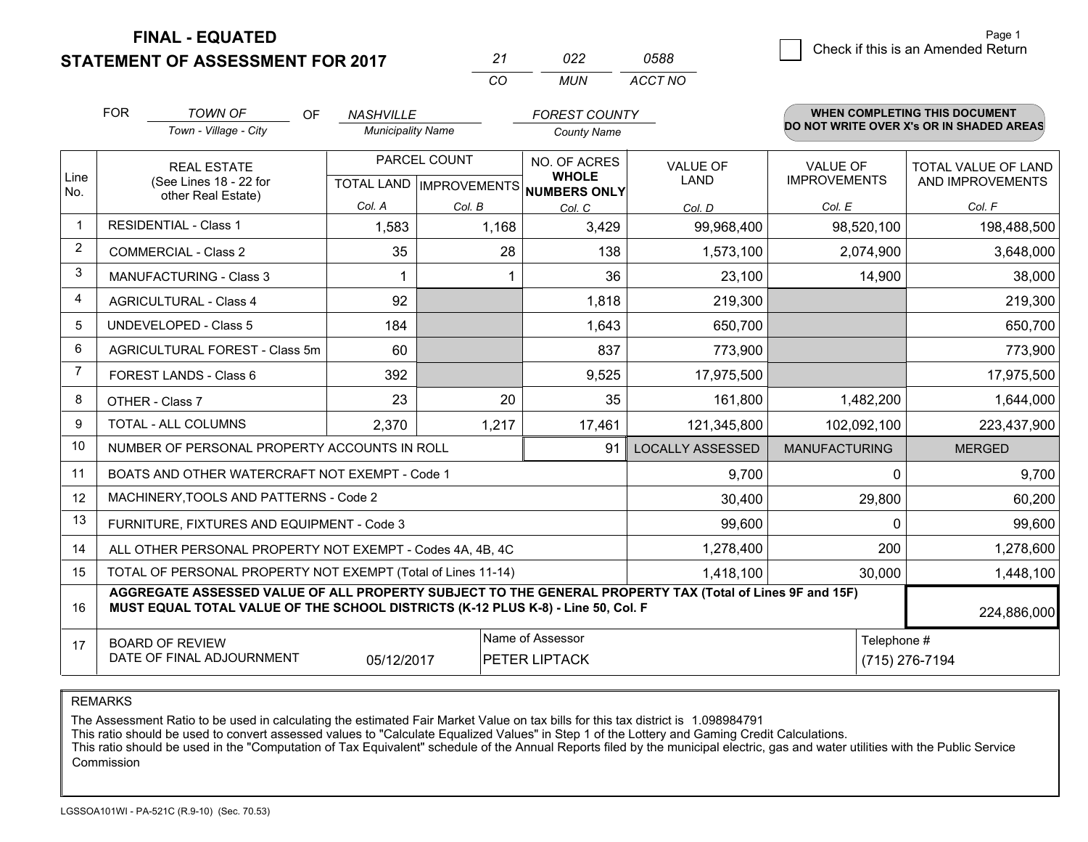### **STATEMENT OF ASSESSMENT FOR 2017**

|    | n22 | 0588    |
|----|-----|---------|
| rη | MUN | ACCT NO |

|                | <b>FOR</b>                                                                                                                                                                                   | <b>TOWN OF</b><br><b>OF</b>                               | <b>NASHVILLE</b>         |                           | <b>FOREST COUNTY</b>                |                         |                      | <b>WHEN COMPLETING THIS DOCUMENT</b>     |  |  |
|----------------|----------------------------------------------------------------------------------------------------------------------------------------------------------------------------------------------|-----------------------------------------------------------|--------------------------|---------------------------|-------------------------------------|-------------------------|----------------------|------------------------------------------|--|--|
|                |                                                                                                                                                                                              | Town - Village - City                                     | <b>Municipality Name</b> |                           | <b>County Name</b>                  |                         |                      | DO NOT WRITE OVER X's OR IN SHADED AREAS |  |  |
|                | <b>REAL ESTATE</b>                                                                                                                                                                           |                                                           | PARCEL COUNT             |                           | NO. OF ACRES                        | <b>VALUE OF</b>         | <b>VALUE OF</b>      | <b>TOTAL VALUE OF LAND</b>               |  |  |
| Line<br>No.    |                                                                                                                                                                                              | (See Lines 18 - 22 for<br>other Real Estate)              |                          | TOTAL LAND   IMPROVEMENTS | <b>WHOLE</b><br><b>NUMBERS ONLY</b> | LAND                    | <b>IMPROVEMENTS</b>  | AND IMPROVEMENTS                         |  |  |
|                |                                                                                                                                                                                              |                                                           | Col. A                   | Col. B                    | Col. C                              | Col. D                  | Col. E               | Col. F                                   |  |  |
|                |                                                                                                                                                                                              | <b>RESIDENTIAL - Class 1</b>                              | 1,583                    | 1,168                     | 3,429                               | 99,968,400              | 98,520,100           | 198,488,500                              |  |  |
| $\overline{2}$ |                                                                                                                                                                                              | <b>COMMERCIAL - Class 2</b>                               | 35                       | 28                        | 138                                 | 1,573,100               | 2,074,900            | 3,648,000                                |  |  |
| 3              |                                                                                                                                                                                              | <b>MANUFACTURING - Class 3</b>                            |                          |                           | 36                                  | 23,100                  | 14,900               | 38,000                                   |  |  |
| 4              |                                                                                                                                                                                              | <b>AGRICULTURAL - Class 4</b>                             | 92                       |                           | 1,818                               | 219,300                 |                      | 219,300                                  |  |  |
| 5              |                                                                                                                                                                                              | UNDEVELOPED - Class 5                                     | 184                      |                           | 1,643                               | 650,700                 |                      | 650,700                                  |  |  |
| 6              |                                                                                                                                                                                              | AGRICULTURAL FOREST - Class 5m                            | 60                       |                           | 837                                 | 773,900                 |                      | 773,900                                  |  |  |
| 7              |                                                                                                                                                                                              | FOREST LANDS - Class 6                                    | 392                      |                           | 9,525                               | 17,975,500              |                      | 17,975,500                               |  |  |
| 8              |                                                                                                                                                                                              | OTHER - Class 7                                           | 23                       | 20                        | 35                                  | 161,800                 | 1,482,200            | 1,644,000                                |  |  |
| 9              |                                                                                                                                                                                              | TOTAL - ALL COLUMNS                                       | 2,370                    | 1,217                     | 17,461                              | 121,345,800             | 102,092,100          | 223,437,900                              |  |  |
| 10             |                                                                                                                                                                                              | NUMBER OF PERSONAL PROPERTY ACCOUNTS IN ROLL              |                          |                           | 91                                  | <b>LOCALLY ASSESSED</b> | <b>MANUFACTURING</b> | <b>MERGED</b>                            |  |  |
| 11             |                                                                                                                                                                                              | BOATS AND OTHER WATERCRAFT NOT EXEMPT - Code 1            |                          |                           |                                     | 9,700                   | $\Omega$             | 9,700                                    |  |  |
| 12             |                                                                                                                                                                                              | MACHINERY, TOOLS AND PATTERNS - Code 2                    |                          |                           |                                     | 30,400                  | 29,800               | 60,200                                   |  |  |
| 13             |                                                                                                                                                                                              | FURNITURE, FIXTURES AND EQUIPMENT - Code 3                |                          |                           |                                     | 99,600                  | $\Omega$             | 99,600                                   |  |  |
| 14             |                                                                                                                                                                                              | ALL OTHER PERSONAL PROPERTY NOT EXEMPT - Codes 4A, 4B, 4C |                          |                           |                                     | 1,278,400               | 200                  | 1,278,600                                |  |  |
| 15             | TOTAL OF PERSONAL PROPERTY NOT EXEMPT (Total of Lines 11-14)<br>1,418,100                                                                                                                    |                                                           |                          |                           |                                     |                         | 30,000               | 1,448,100                                |  |  |
| 16             | AGGREGATE ASSESSED VALUE OF ALL PROPERTY SUBJECT TO THE GENERAL PROPERTY TAX (Total of Lines 9F and 15F)<br>MUST EQUAL TOTAL VALUE OF THE SCHOOL DISTRICTS (K-12 PLUS K-8) - Line 50, Col. F |                                                           |                          |                           |                                     |                         | 224,886,000          |                                          |  |  |
| 17             | Name of Assessor<br><b>BOARD OF REVIEW</b>                                                                                                                                                   |                                                           |                          |                           |                                     | Telephone #             |                      |                                          |  |  |
|                | DATE OF FINAL ADJOURNMENT<br>05/12/2017<br>PETER LIPTACK                                                                                                                                     |                                                           |                          |                           |                                     | (715) 276-7194          |                      |                                          |  |  |

REMARKS

The Assessment Ratio to be used in calculating the estimated Fair Market Value on tax bills for this tax district is 1.098984791

This ratio should be used to convert assessed values to "Calculate Equalized Values" in Step 1 of the Lottery and Gaming Credit Calculations.<br>This ratio should be used in the "Computation of Tax Equivalent" schedule of the Commission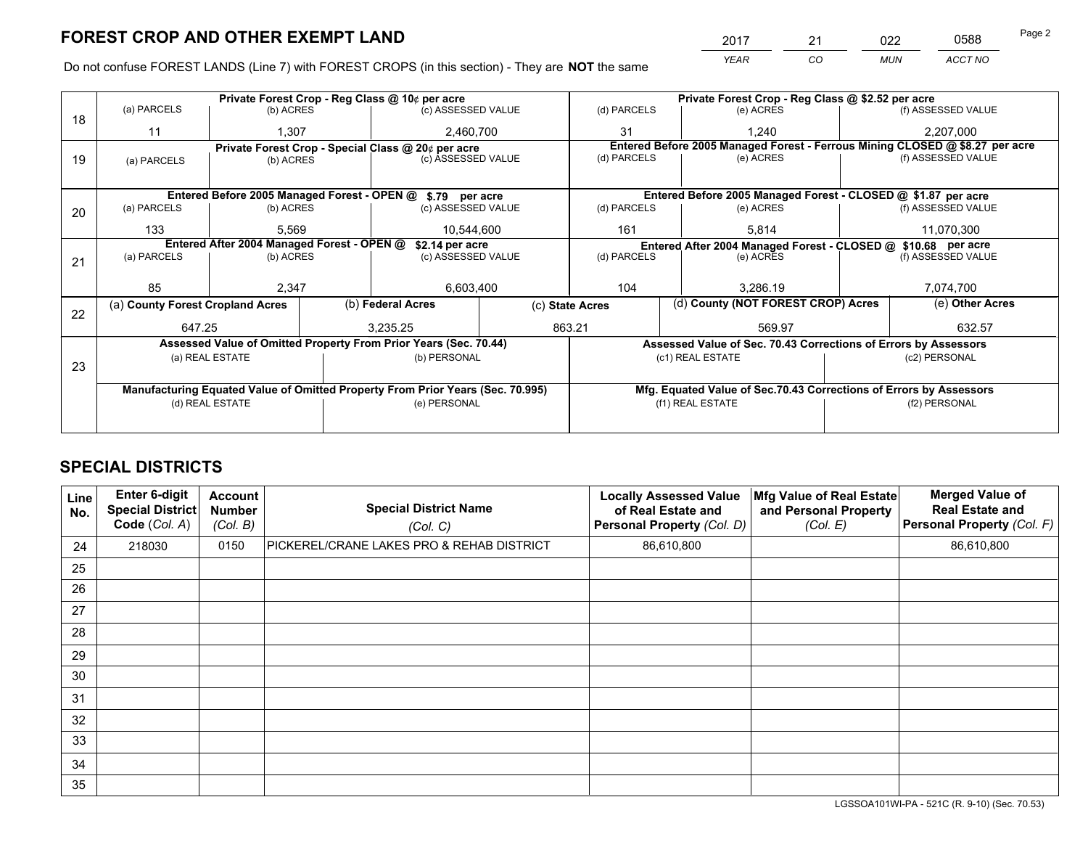*YEAR CO MUN ACCT NO* <sup>2017</sup> <sup>21</sup> <sup>022</sup> <sup>0588</sup> Page 2

Do not confuse FOREST LANDS (Line 7) with FOREST CROPS (in this section) - They are **NOT** the same

|    |                                                                                |                 |  | Private Forest Crop - Reg Class @ 10¢ per acre                   |                 | Private Forest Crop - Reg Class @ \$2.52 per acre |                  |                                                                    |               |                                                                              |  |
|----|--------------------------------------------------------------------------------|-----------------|--|------------------------------------------------------------------|-----------------|---------------------------------------------------|------------------|--------------------------------------------------------------------|---------------|------------------------------------------------------------------------------|--|
| 18 | (a) PARCELS                                                                    | (b) ACRES       |  | (c) ASSESSED VALUE                                               |                 | (d) PARCELS                                       |                  | (e) ACRES                                                          |               | (f) ASSESSED VALUE                                                           |  |
|    | 11                                                                             | 1,307           |  | 2,460,700                                                        |                 | 31                                                | 1.240            |                                                                    | 2,207,000     |                                                                              |  |
|    |                                                                                |                 |  | Private Forest Crop - Special Class @ 20¢ per acre               |                 |                                                   |                  |                                                                    |               | Entered Before 2005 Managed Forest - Ferrous Mining CLOSED @ \$8.27 per acre |  |
| 19 | (a) PARCELS                                                                    | (b) ACRES       |  | (c) ASSESSED VALUE                                               |                 | (d) PARCELS                                       |                  | (e) ACRES                                                          |               | (f) ASSESSED VALUE                                                           |  |
|    |                                                                                |                 |  |                                                                  |                 |                                                   |                  |                                                                    |               |                                                                              |  |
|    |                                                                                |                 |  | Entered Before 2005 Managed Forest - OPEN @ \$.79 per acre       |                 |                                                   |                  | Entered Before 2005 Managed Forest - CLOSED @ \$1.87 per acre      |               |                                                                              |  |
| 20 | (a) PARCELS                                                                    | (b) ACRES       |  | (c) ASSESSED VALUE                                               |                 | (d) PARCELS                                       |                  | (e) ACRES                                                          |               | (f) ASSESSED VALUE                                                           |  |
|    | 133                                                                            | 5.569           |  | 10.544.600                                                       |                 | 161                                               |                  | 5,814                                                              |               | 11,070,300                                                                   |  |
|    | Entered After 2004 Managed Forest - OPEN @<br>\$2.14 per acre                  |                 |  |                                                                  |                 |                                                   |                  | Entered After 2004 Managed Forest - CLOSED @ \$10.68 per acre      |               |                                                                              |  |
| 21 | (a) PARCELS                                                                    | (b) ACRES       |  | (c) ASSESSED VALUE                                               |                 | (d) PARCELS                                       |                  | (e) ACRES                                                          |               | (f) ASSESSED VALUE                                                           |  |
|    |                                                                                |                 |  |                                                                  |                 |                                                   |                  |                                                                    |               |                                                                              |  |
|    | 85                                                                             | 2,347           |  | 6,603,400                                                        |                 | 104<br>3.286.19                                   |                  | 7,074,700                                                          |               |                                                                              |  |
| 22 | (a) County Forest Cropland Acres                                               |                 |  | (b) Federal Acres                                                | (c) State Acres |                                                   |                  | (d) County (NOT FOREST CROP) Acres                                 |               | (e) Other Acres                                                              |  |
|    | 647.25                                                                         |                 |  | 3,235.25                                                         |                 | 863.21<br>569.97                                  |                  |                                                                    |               | 632.57                                                                       |  |
|    |                                                                                |                 |  | Assessed Value of Omitted Property From Prior Years (Sec. 70.44) |                 |                                                   |                  | Assessed Value of Sec. 70.43 Corrections of Errors by Assessors    |               |                                                                              |  |
|    |                                                                                | (a) REAL ESTATE |  | (b) PERSONAL                                                     |                 |                                                   | (c1) REAL ESTATE |                                                                    | (c2) PERSONAL |                                                                              |  |
| 23 |                                                                                |                 |  |                                                                  |                 |                                                   |                  |                                                                    |               |                                                                              |  |
|    | Manufacturing Equated Value of Omitted Property From Prior Years (Sec. 70.995) |                 |  |                                                                  |                 |                                                   |                  | Mfg. Equated Value of Sec.70.43 Corrections of Errors by Assessors |               |                                                                              |  |
|    |                                                                                | (d) REAL ESTATE |  | (e) PERSONAL                                                     |                 | (f1) REAL ESTATE                                  |                  |                                                                    | (f2) PERSONAL |                                                                              |  |
|    |                                                                                |                 |  |                                                                  |                 |                                                   |                  |                                                                    |               |                                                                              |  |

## **SPECIAL DISTRICTS**

| Line<br>No. | Enter 6-digit<br>Special District<br>Code (Col. A) | <b>Account</b><br><b>Number</b><br>(Col. B) | <b>Special District Name</b><br>(Col. C)  | <b>Locally Assessed Value</b><br>of Real Estate and<br>Personal Property (Col. D) | Mfg Value of Real Estate<br>and Personal Property<br>(Col. E) | <b>Merged Value of</b><br><b>Real Estate and</b><br>Personal Property (Col. F) |
|-------------|----------------------------------------------------|---------------------------------------------|-------------------------------------------|-----------------------------------------------------------------------------------|---------------------------------------------------------------|--------------------------------------------------------------------------------|
| 24          | 218030                                             | 0150                                        | PICKEREL/CRANE LAKES PRO & REHAB DISTRICT | 86,610,800                                                                        |                                                               | 86,610,800                                                                     |
| 25          |                                                    |                                             |                                           |                                                                                   |                                                               |                                                                                |
| 26          |                                                    |                                             |                                           |                                                                                   |                                                               |                                                                                |
| 27          |                                                    |                                             |                                           |                                                                                   |                                                               |                                                                                |
| 28          |                                                    |                                             |                                           |                                                                                   |                                                               |                                                                                |
| 29          |                                                    |                                             |                                           |                                                                                   |                                                               |                                                                                |
| 30          |                                                    |                                             |                                           |                                                                                   |                                                               |                                                                                |
| 31          |                                                    |                                             |                                           |                                                                                   |                                                               |                                                                                |
| 32          |                                                    |                                             |                                           |                                                                                   |                                                               |                                                                                |
| 33          |                                                    |                                             |                                           |                                                                                   |                                                               |                                                                                |
| 34          |                                                    |                                             |                                           |                                                                                   |                                                               |                                                                                |
| 35          |                                                    |                                             |                                           |                                                                                   |                                                               |                                                                                |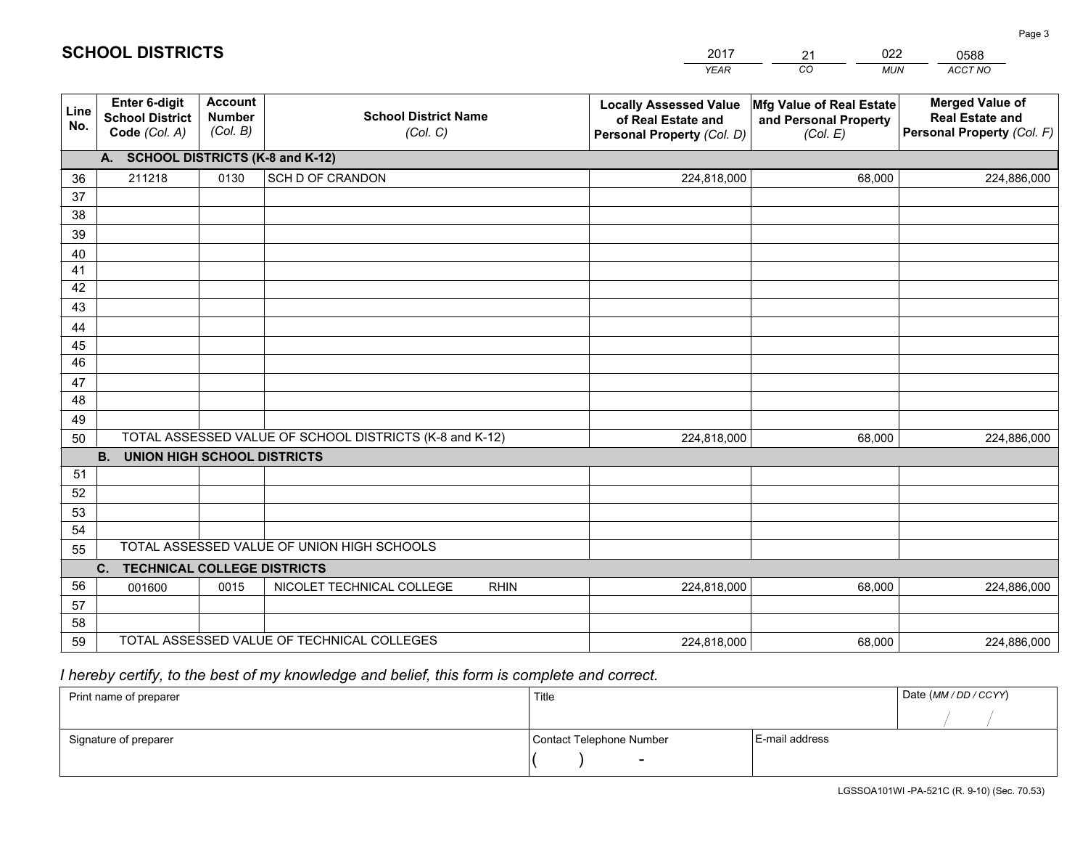|             |                                                                 |                                             |                                                         | <b>YEAR</b>                                                                       | CO<br><b>MUN</b>                                              | ACCT NO                                                                        |
|-------------|-----------------------------------------------------------------|---------------------------------------------|---------------------------------------------------------|-----------------------------------------------------------------------------------|---------------------------------------------------------------|--------------------------------------------------------------------------------|
| Line<br>No. | <b>Enter 6-digit</b><br><b>School District</b><br>Code (Col. A) | <b>Account</b><br><b>Number</b><br>(Col. B) | <b>School District Name</b><br>(Col. C)                 | <b>Locally Assessed Value</b><br>of Real Estate and<br>Personal Property (Col. D) | Mfg Value of Real Estate<br>and Personal Property<br>(Col. E) | <b>Merged Value of</b><br><b>Real Estate and</b><br>Personal Property (Col. F) |
|             | A. SCHOOL DISTRICTS (K-8 and K-12)                              |                                             |                                                         |                                                                                   |                                                               |                                                                                |
| 36          | 211218                                                          | 0130                                        | SCH D OF CRANDON                                        | 224,818,000                                                                       | 68,000                                                        | 224,886,000                                                                    |
| 37          |                                                                 |                                             |                                                         |                                                                                   |                                                               |                                                                                |
| 38          |                                                                 |                                             |                                                         |                                                                                   |                                                               |                                                                                |
| 39          |                                                                 |                                             |                                                         |                                                                                   |                                                               |                                                                                |
| 40          |                                                                 |                                             |                                                         |                                                                                   |                                                               |                                                                                |
| 41<br>42    |                                                                 |                                             |                                                         |                                                                                   |                                                               |                                                                                |
| 43          |                                                                 |                                             |                                                         |                                                                                   |                                                               |                                                                                |
| 44          |                                                                 |                                             |                                                         |                                                                                   |                                                               |                                                                                |
| 45          |                                                                 |                                             |                                                         |                                                                                   |                                                               |                                                                                |
| 46          |                                                                 |                                             |                                                         |                                                                                   |                                                               |                                                                                |
| 47          |                                                                 |                                             |                                                         |                                                                                   |                                                               |                                                                                |
| 48          |                                                                 |                                             |                                                         |                                                                                   |                                                               |                                                                                |
| 49          |                                                                 |                                             |                                                         |                                                                                   |                                                               |                                                                                |
| 50          |                                                                 |                                             | TOTAL ASSESSED VALUE OF SCHOOL DISTRICTS (K-8 and K-12) | 224,818,000                                                                       | 68,000                                                        | 224,886,000                                                                    |
|             | <b>B.</b><br><b>UNION HIGH SCHOOL DISTRICTS</b>                 |                                             |                                                         |                                                                                   |                                                               |                                                                                |
| 51          |                                                                 |                                             |                                                         |                                                                                   |                                                               |                                                                                |
| 52          |                                                                 |                                             |                                                         |                                                                                   |                                                               |                                                                                |
| 53          |                                                                 |                                             |                                                         |                                                                                   |                                                               |                                                                                |
| 54          |                                                                 |                                             |                                                         |                                                                                   |                                                               |                                                                                |
| 55          |                                                                 |                                             | TOTAL ASSESSED VALUE OF UNION HIGH SCHOOLS              |                                                                                   |                                                               |                                                                                |
|             | C.<br><b>TECHNICAL COLLEGE DISTRICTS</b>                        |                                             |                                                         |                                                                                   |                                                               |                                                                                |
| 56          | 001600                                                          | 0015                                        | NICOLET TECHNICAL COLLEGE<br><b>RHIN</b>                | 224,818,000                                                                       | 68,000                                                        | 224,886,000                                                                    |
| 57<br>58    |                                                                 |                                             |                                                         |                                                                                   |                                                               |                                                                                |
| 59          |                                                                 |                                             | TOTAL ASSESSED VALUE OF TECHNICAL COLLEGES              | 224,818,000                                                                       | 68,000                                                        | 224,886,000                                                                    |
|             |                                                                 |                                             |                                                         |                                                                                   |                                                               |                                                                                |

21

022

 *I hereby certify, to the best of my knowledge and belief, this form is complete and correct.*

**SCHOOL DISTRICTS**

| Print name of preparer | Title                    |                | Date (MM / DD / CCYY) |
|------------------------|--------------------------|----------------|-----------------------|
|                        |                          |                |                       |
| Signature of preparer  | Contact Telephone Number | E-mail address |                       |
|                        | $\sim$                   |                |                       |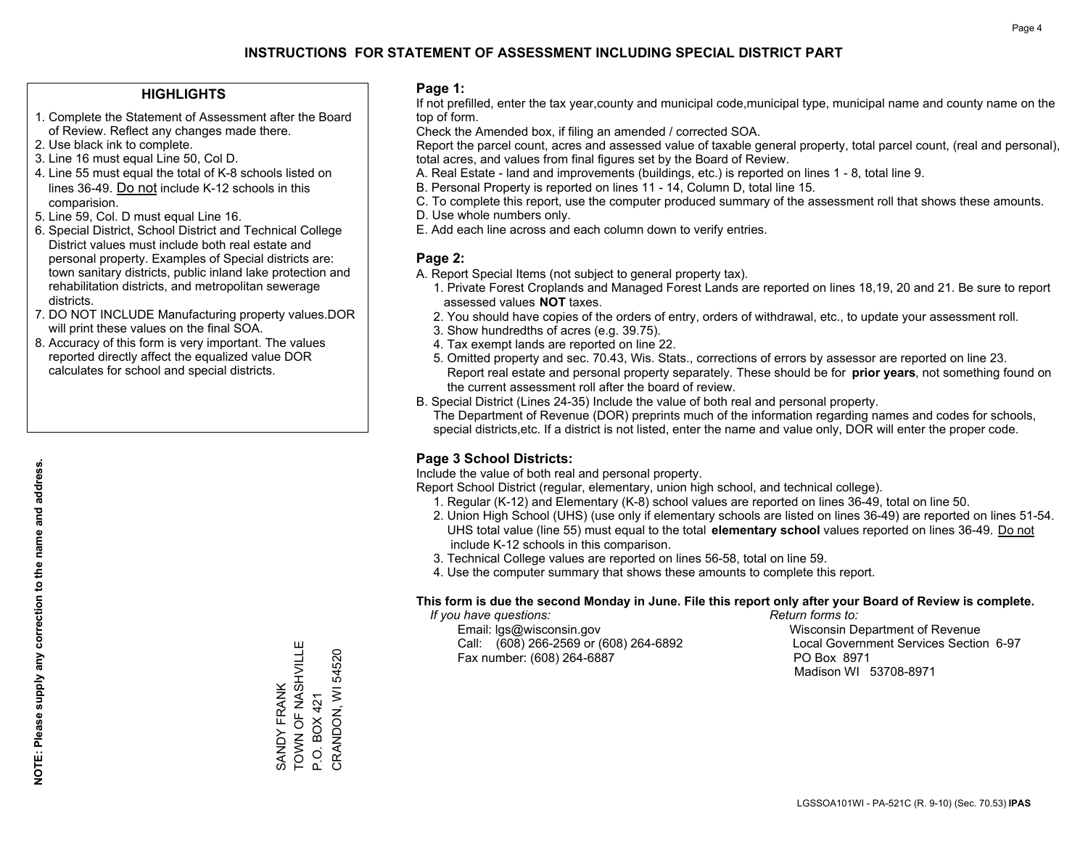### **HIGHLIGHTS**

- 1. Complete the Statement of Assessment after the Board of Review. Reflect any changes made there.
- 2. Use black ink to complete.
- 3. Line 16 must equal Line 50, Col D.
- 4. Line 55 must equal the total of K-8 schools listed on lines 36-49. Do not include K-12 schools in this comparision.
- 5. Line 59, Col. D must equal Line 16.
- 6. Special District, School District and Technical College District values must include both real estate and personal property. Examples of Special districts are: town sanitary districts, public inland lake protection and rehabilitation districts, and metropolitan sewerage districts.
- 7. DO NOT INCLUDE Manufacturing property values.DOR will print these values on the final SOA.

SANDY FRANK

TOWN OF NASHVILLE

SANDY FRANK<br>TOWN OF NASHVILL

Ш

P.O. BOX 421

P.O. BOX 421

CRANDON, WI 54520

CRANDON, WI 54520

 8. Accuracy of this form is very important. The values reported directly affect the equalized value DOR calculates for school and special districts.

### **Page 1:**

 If not prefilled, enter the tax year,county and municipal code,municipal type, municipal name and county name on the top of form.

Check the Amended box, if filing an amended / corrected SOA.

 Report the parcel count, acres and assessed value of taxable general property, total parcel count, (real and personal), total acres, and values from final figures set by the Board of Review.

- A. Real Estate land and improvements (buildings, etc.) is reported on lines 1 8, total line 9.
- B. Personal Property is reported on lines 11 14, Column D, total line 15.
- C. To complete this report, use the computer produced summary of the assessment roll that shows these amounts.
- D. Use whole numbers only.
- E. Add each line across and each column down to verify entries.

### **Page 2:**

- A. Report Special Items (not subject to general property tax).
- 1. Private Forest Croplands and Managed Forest Lands are reported on lines 18,19, 20 and 21. Be sure to report assessed values **NOT** taxes.
- 2. You should have copies of the orders of entry, orders of withdrawal, etc., to update your assessment roll.
	- 3. Show hundredths of acres (e.g. 39.75).
- 4. Tax exempt lands are reported on line 22.
- 5. Omitted property and sec. 70.43, Wis. Stats., corrections of errors by assessor are reported on line 23. Report real estate and personal property separately. These should be for **prior years**, not something found on the current assessment roll after the board of review.
- B. Special District (Lines 24-35) Include the value of both real and personal property.

 The Department of Revenue (DOR) preprints much of the information regarding names and codes for schools, special districts,etc. If a district is not listed, enter the name and value only, DOR will enter the proper code.

### **Page 3 School Districts:**

Include the value of both real and personal property.

Report School District (regular, elementary, union high school, and technical college).

- 1. Regular (K-12) and Elementary (K-8) school values are reported on lines 36-49, total on line 50.
- 2. Union High School (UHS) (use only if elementary schools are listed on lines 36-49) are reported on lines 51-54. UHS total value (line 55) must equal to the total **elementary school** values reported on lines 36-49. Do notinclude K-12 schools in this comparison.
- 3. Technical College values are reported on lines 56-58, total on line 59.
- 4. Use the computer summary that shows these amounts to complete this report.

#### **This form is due the second Monday in June. File this report only after your Board of Review is complete.**

 *If you have questions: Return forms to:*

 Email: lgs@wisconsin.gov Wisconsin Department of RevenueCall:  $(608)$  266-2569 or  $(608)$  264-6892 Fax number: (608) 264-6887 PO Box 8971

Local Government Services Section 6-97

Madison WI 53708-8971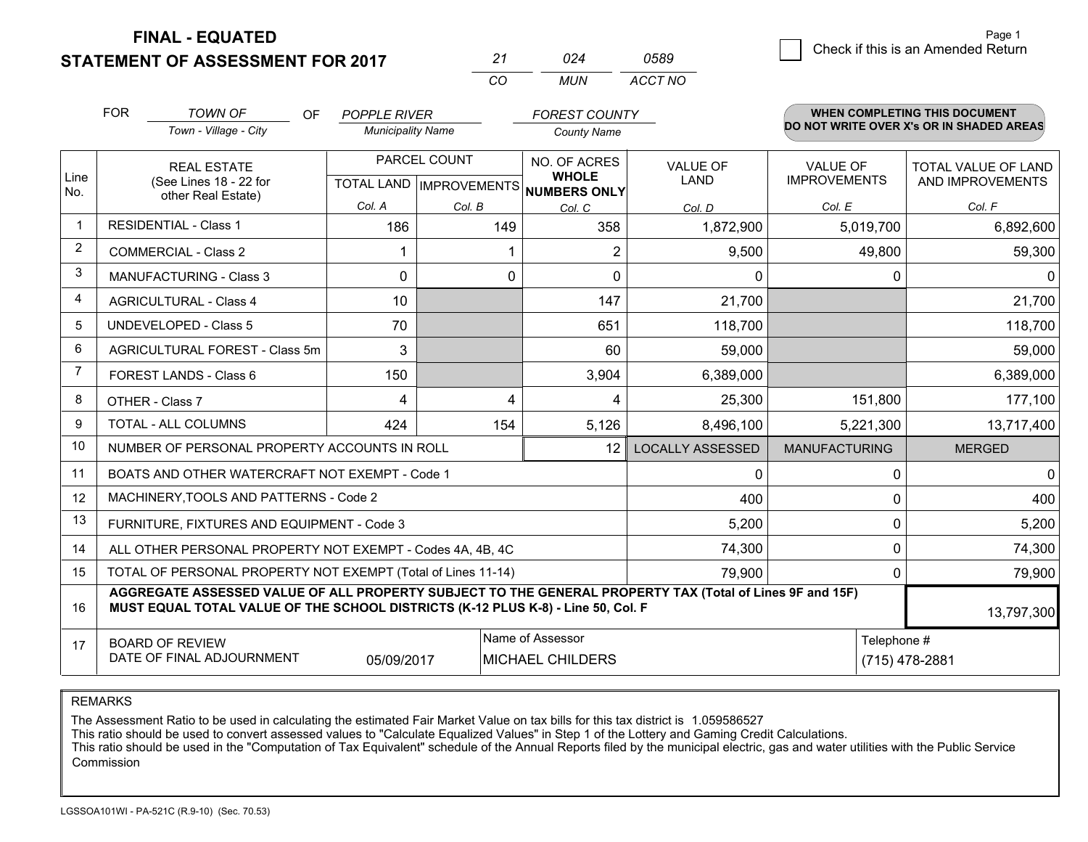## **STATEMENT OF ASSESSMENT FOR 2017**

|    | በ24 | 0589    |
|----|-----|---------|
| rη | MUN | ACCT NO |

|                | <b>FOR</b>                                                                                                                                                                                   | <b>TOWN OF</b><br>OF.<br>Town - Village - City            | <b>POPPLE RIVER</b><br><b>Municipality Name</b> |                                           | FOREST COUNTY<br><b>County Name</b>          |                                |                                        | <b>WHEN COMPLETING THIS DOCUMENT</b><br>DO NOT WRITE OVER X's OR IN SHADED AREAS |
|----------------|----------------------------------------------------------------------------------------------------------------------------------------------------------------------------------------------|-----------------------------------------------------------|-------------------------------------------------|-------------------------------------------|----------------------------------------------|--------------------------------|----------------------------------------|----------------------------------------------------------------------------------|
| Line<br>No.    |                                                                                                                                                                                              | <b>REAL ESTATE</b><br>(See Lines 18 - 22 for              |                                                 | PARCEL COUNT<br>TOTAL LAND   IMPROVEMENTS | NO. OF ACRES<br><b>WHOLE</b><br>NUMBERS ONLY | <b>VALUE OF</b><br><b>LAND</b> | <b>VALUE OF</b><br><b>IMPROVEMENTS</b> | TOTAL VALUE OF LAND<br>AND IMPROVEMENTS                                          |
|                |                                                                                                                                                                                              | other Real Estate)                                        | Col. A                                          | Col. B                                    | Col. C                                       | Col. D                         | Col. E                                 | Col. F                                                                           |
| $\mathbf 1$    | <b>RESIDENTIAL - Class 1</b>                                                                                                                                                                 |                                                           | 186                                             | 149                                       | 358                                          | 1,872,900                      | 5,019,700                              | 6,892,600                                                                        |
| $\overline{2}$ |                                                                                                                                                                                              | <b>COMMERCIAL - Class 2</b>                               |                                                 |                                           | $\overline{2}$                               | 9,500                          | 49,800                                 | 59,300                                                                           |
| 3              |                                                                                                                                                                                              | <b>MANUFACTURING - Class 3</b>                            | 0                                               | $\Omega$                                  | $\Omega$                                     | $\mathbf{0}$                   | $\Omega$                               | $\Omega$                                                                         |
| 4              |                                                                                                                                                                                              | <b>AGRICULTURAL - Class 4</b>                             | 10                                              |                                           | 147                                          | 21,700                         |                                        | 21,700                                                                           |
| 5              |                                                                                                                                                                                              | <b>UNDEVELOPED - Class 5</b>                              | 70                                              |                                           | 651                                          | 118,700                        |                                        | 118,700                                                                          |
| 6              |                                                                                                                                                                                              | AGRICULTURAL FOREST - Class 5m                            | 3                                               |                                           | 60                                           | 59,000                         |                                        | 59,000                                                                           |
| 7              |                                                                                                                                                                                              | FOREST LANDS - Class 6                                    | 150                                             |                                           | 3,904                                        | 6,389,000                      |                                        | 6,389,000                                                                        |
| 8              |                                                                                                                                                                                              | OTHER - Class 7                                           | 4                                               | 4                                         | 4                                            | 25,300                         | 151,800                                | 177,100                                                                          |
| 9              |                                                                                                                                                                                              | TOTAL - ALL COLUMNS                                       | 424                                             | 154                                       | 5,126                                        | 8,496,100                      | 5,221,300                              | 13,717,400                                                                       |
| 10             |                                                                                                                                                                                              | NUMBER OF PERSONAL PROPERTY ACCOUNTS IN ROLL              |                                                 |                                           | 12                                           | <b>LOCALLY ASSESSED</b>        | <b>MANUFACTURING</b>                   | <b>MERGED</b>                                                                    |
| 11             |                                                                                                                                                                                              | BOATS AND OTHER WATERCRAFT NOT EXEMPT - Code 1            |                                                 |                                           |                                              | 0                              | 0                                      | $\mathbf 0$                                                                      |
| 12             |                                                                                                                                                                                              | MACHINERY, TOOLS AND PATTERNS - Code 2                    |                                                 |                                           |                                              | 400                            | $\Omega$                               | 400                                                                              |
| 13             |                                                                                                                                                                                              | FURNITURE, FIXTURES AND EQUIPMENT - Code 3                |                                                 |                                           |                                              | 5,200                          | $\Omega$                               | 5,200                                                                            |
| 14             |                                                                                                                                                                                              | ALL OTHER PERSONAL PROPERTY NOT EXEMPT - Codes 4A, 4B, 4C |                                                 |                                           |                                              | 74,300                         | 0                                      | 74,300                                                                           |
| 15             | TOTAL OF PERSONAL PROPERTY NOT EXEMPT (Total of Lines 11-14)<br>79,900                                                                                                                       |                                                           |                                                 |                                           |                                              |                                |                                        | 79,900                                                                           |
| 16             | AGGREGATE ASSESSED VALUE OF ALL PROPERTY SUBJECT TO THE GENERAL PROPERTY TAX (Total of Lines 9F and 15F)<br>MUST EQUAL TOTAL VALUE OF THE SCHOOL DISTRICTS (K-12 PLUS K-8) - Line 50, Col. F |                                                           |                                                 |                                           |                                              |                                | 13,797,300                             |                                                                                  |
| 17             | Name of Assessor<br>Telephone #<br><b>BOARD OF REVIEW</b><br>DATE OF FINAL ADJOURNMENT<br><b>MICHAEL CHILDERS</b><br>05/09/2017                                                              |                                                           |                                                 |                                           |                                              | (715) 478-2881                 |                                        |                                                                                  |

REMARKS

The Assessment Ratio to be used in calculating the estimated Fair Market Value on tax bills for this tax district is 1.059586527<br>This ratio should be used to convert assessed values to "Calculate Equalized Values" in Step Commission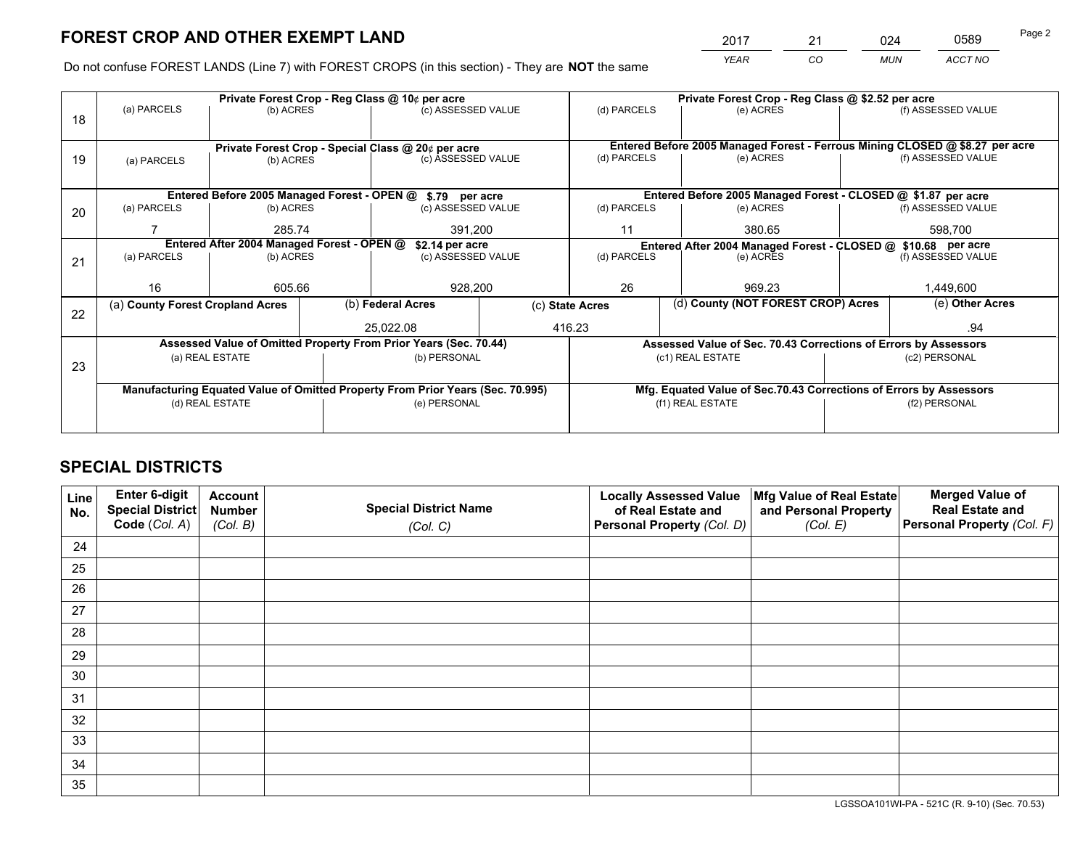*YEAR CO MUN ACCT NO* 2017 21 024 0589

Do not confuse FOREST LANDS (Line 7) with FOREST CROPS (in this section) - They are **NOT** the same

|    |                                                                                |                                             |                                                               | Private Forest Crop - Reg Class @ 10¢ per acre                   |                 | Private Forest Crop - Reg Class @ \$2.52 per acre |                                                                              |  |                    |  |
|----|--------------------------------------------------------------------------------|---------------------------------------------|---------------------------------------------------------------|------------------------------------------------------------------|-----------------|---------------------------------------------------|------------------------------------------------------------------------------|--|--------------------|--|
| 18 | (a) PARCELS                                                                    | (b) ACRES                                   |                                                               | (c) ASSESSED VALUE                                               |                 | (d) PARCELS                                       | (e) ACRES                                                                    |  | (f) ASSESSED VALUE |  |
|    |                                                                                |                                             |                                                               |                                                                  |                 |                                                   | Entered Before 2005 Managed Forest - Ferrous Mining CLOSED @ \$8.27 per acre |  |                    |  |
| 19 | Private Forest Crop - Special Class @ 20¢ per acre<br>(b) ACRES<br>(a) PARCELS |                                             |                                                               | (c) ASSESSED VALUE                                               |                 | (d) PARCELS                                       | (e) ACRES                                                                    |  | (f) ASSESSED VALUE |  |
|    |                                                                                |                                             |                                                               |                                                                  |                 |                                                   |                                                                              |  |                    |  |
|    |                                                                                |                                             |                                                               |                                                                  |                 |                                                   |                                                                              |  |                    |  |
|    |                                                                                | Entered Before 2005 Managed Forest - OPEN @ |                                                               | \$.79 per acre                                                   |                 |                                                   | Entered Before 2005 Managed Forest - CLOSED @ \$1.87 per acre                |  |                    |  |
| 20 | (a) PARCELS                                                                    | (b) ACRES                                   |                                                               | (c) ASSESSED VALUE                                               |                 | (d) PARCELS                                       | (e) ACRES                                                                    |  | (f) ASSESSED VALUE |  |
|    |                                                                                | 285.74                                      |                                                               | 391,200                                                          |                 | 11                                                | 380.65                                                                       |  | 598,700            |  |
|    | Entered After 2004 Managed Forest - OPEN @                                     | \$2.14 per acre                             | Entered After 2004 Managed Forest - CLOSED @ \$10.68 per acre |                                                                  |                 |                                                   |                                                                              |  |                    |  |
| 21 | (a) PARCELS                                                                    | (b) ACRES                                   |                                                               | (c) ASSESSED VALUE                                               |                 | (d) PARCELS<br>(e) ACRES                          |                                                                              |  | (f) ASSESSED VALUE |  |
|    |                                                                                |                                             |                                                               |                                                                  |                 |                                                   |                                                                              |  |                    |  |
|    | 16                                                                             | 605.66                                      |                                                               | 928,200                                                          |                 | 26                                                | 969.23                                                                       |  | 1,449,600          |  |
|    | (a) County Forest Cropland Acres                                               |                                             |                                                               | (b) Federal Acres                                                | (c) State Acres |                                                   | (d) County (NOT FOREST CROP) Acres                                           |  | (e) Other Acres    |  |
| 22 |                                                                                |                                             |                                                               |                                                                  |                 |                                                   |                                                                              |  |                    |  |
|    |                                                                                |                                             |                                                               | 25.022.08                                                        |                 | 416.23                                            |                                                                              |  | .94                |  |
|    |                                                                                |                                             |                                                               | Assessed Value of Omitted Property From Prior Years (Sec. 70.44) |                 |                                                   | Assessed Value of Sec. 70.43 Corrections of Errors by Assessors              |  |                    |  |
| 23 |                                                                                | (a) REAL ESTATE                             |                                                               | (b) PERSONAL                                                     |                 |                                                   | (c1) REAL ESTATE                                                             |  | (c2) PERSONAL      |  |
|    |                                                                                |                                             |                                                               |                                                                  |                 |                                                   |                                                                              |  |                    |  |
|    | Manufacturing Equated Value of Omitted Property From Prior Years (Sec. 70.995) |                                             |                                                               |                                                                  |                 |                                                   | Mfg. Equated Value of Sec.70.43 Corrections of Errors by Assessors           |  |                    |  |
|    |                                                                                | (d) REAL ESTATE                             |                                                               | (e) PERSONAL                                                     |                 |                                                   | (f1) REAL ESTATE                                                             |  | (f2) PERSONAL      |  |
|    |                                                                                |                                             |                                                               |                                                                  |                 |                                                   |                                                                              |  |                    |  |
|    |                                                                                |                                             |                                                               |                                                                  |                 |                                                   |                                                                              |  |                    |  |

## **SPECIAL DISTRICTS**

| Line<br>No. | Enter 6-digit<br>Special District<br>Code (Col. A) | <b>Account</b><br><b>Number</b> | <b>Special District Name</b> | <b>Locally Assessed Value</b><br>of Real Estate and | Mfg Value of Real Estate<br>and Personal Property | <b>Merged Value of</b><br><b>Real Estate and</b><br>Personal Property (Col. F) |
|-------------|----------------------------------------------------|---------------------------------|------------------------------|-----------------------------------------------------|---------------------------------------------------|--------------------------------------------------------------------------------|
|             |                                                    | (Col. B)                        | (Col. C)                     | Personal Property (Col. D)                          | (Col. E)                                          |                                                                                |
| 24          |                                                    |                                 |                              |                                                     |                                                   |                                                                                |
| 25          |                                                    |                                 |                              |                                                     |                                                   |                                                                                |
| 26          |                                                    |                                 |                              |                                                     |                                                   |                                                                                |
| 27          |                                                    |                                 |                              |                                                     |                                                   |                                                                                |
| 28          |                                                    |                                 |                              |                                                     |                                                   |                                                                                |
| 29          |                                                    |                                 |                              |                                                     |                                                   |                                                                                |
| 30          |                                                    |                                 |                              |                                                     |                                                   |                                                                                |
| 31          |                                                    |                                 |                              |                                                     |                                                   |                                                                                |
| 32          |                                                    |                                 |                              |                                                     |                                                   |                                                                                |
| 33          |                                                    |                                 |                              |                                                     |                                                   |                                                                                |
| 34          |                                                    |                                 |                              |                                                     |                                                   |                                                                                |
| 35          |                                                    |                                 |                              |                                                     |                                                   |                                                                                |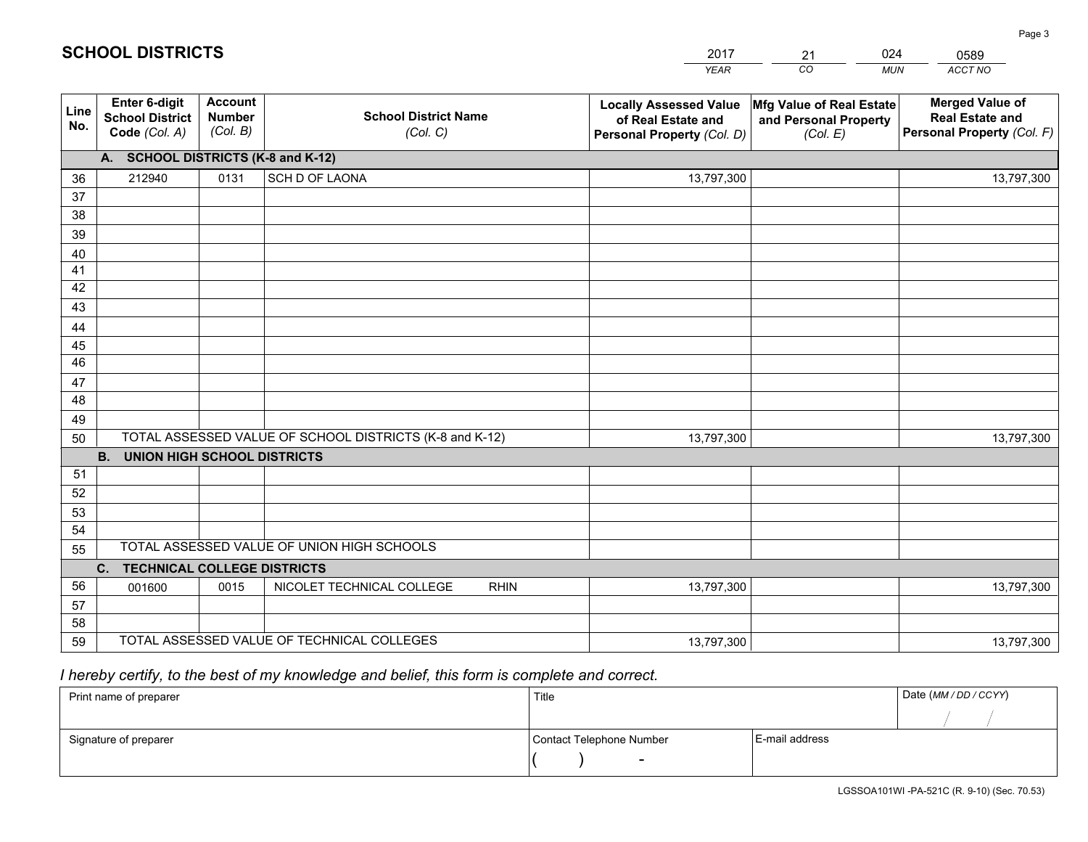|             |                                                          |                                             |                                                         | <b>YEAR</b>                                                                       | CO<br><b>MUN</b>                                              | ACCT NO                                                                        |
|-------------|----------------------------------------------------------|---------------------------------------------|---------------------------------------------------------|-----------------------------------------------------------------------------------|---------------------------------------------------------------|--------------------------------------------------------------------------------|
| Line<br>No. | Enter 6-digit<br><b>School District</b><br>Code (Col. A) | <b>Account</b><br><b>Number</b><br>(Col. B) | <b>School District Name</b><br>(Col. C)                 | <b>Locally Assessed Value</b><br>of Real Estate and<br>Personal Property (Col. D) | Mfg Value of Real Estate<br>and Personal Property<br>(Col. E) | <b>Merged Value of</b><br><b>Real Estate and</b><br>Personal Property (Col. F) |
|             | A. SCHOOL DISTRICTS (K-8 and K-12)                       |                                             |                                                         |                                                                                   |                                                               |                                                                                |
| 36          | 212940                                                   | 0131                                        | SCH D OF LAONA                                          | 13,797,300                                                                        |                                                               | 13,797,300                                                                     |
| 37          |                                                          |                                             |                                                         |                                                                                   |                                                               |                                                                                |
| 38          |                                                          |                                             |                                                         |                                                                                   |                                                               |                                                                                |
| 39          |                                                          |                                             |                                                         |                                                                                   |                                                               |                                                                                |
| 40          |                                                          |                                             |                                                         |                                                                                   |                                                               |                                                                                |
| 41<br>42    |                                                          |                                             |                                                         |                                                                                   |                                                               |                                                                                |
| 43          |                                                          |                                             |                                                         |                                                                                   |                                                               |                                                                                |
| 44          |                                                          |                                             |                                                         |                                                                                   |                                                               |                                                                                |
| 45          |                                                          |                                             |                                                         |                                                                                   |                                                               |                                                                                |
| 46          |                                                          |                                             |                                                         |                                                                                   |                                                               |                                                                                |
| 47          |                                                          |                                             |                                                         |                                                                                   |                                                               |                                                                                |
| 48          |                                                          |                                             |                                                         |                                                                                   |                                                               |                                                                                |
| 49          |                                                          |                                             |                                                         |                                                                                   |                                                               |                                                                                |
| 50          |                                                          |                                             | TOTAL ASSESSED VALUE OF SCHOOL DISTRICTS (K-8 and K-12) | 13,797,300                                                                        |                                                               | 13,797,300                                                                     |
|             | B <sub>1</sub><br><b>UNION HIGH SCHOOL DISTRICTS</b>     |                                             |                                                         |                                                                                   |                                                               |                                                                                |
| 51          |                                                          |                                             |                                                         |                                                                                   |                                                               |                                                                                |
| 52          |                                                          |                                             |                                                         |                                                                                   |                                                               |                                                                                |
| 53          |                                                          |                                             |                                                         |                                                                                   |                                                               |                                                                                |
| 54          |                                                          |                                             |                                                         |                                                                                   |                                                               |                                                                                |
| 55          |                                                          |                                             | TOTAL ASSESSED VALUE OF UNION HIGH SCHOOLS              |                                                                                   |                                                               |                                                                                |
|             | C. TECHNICAL COLLEGE DISTRICTS                           |                                             |                                                         |                                                                                   |                                                               |                                                                                |
| 56          | 001600                                                   | 0015                                        | NICOLET TECHNICAL COLLEGE<br><b>RHIN</b>                | 13,797,300                                                                        |                                                               | 13,797,300                                                                     |
| 57<br>58    |                                                          |                                             |                                                         |                                                                                   |                                                               |                                                                                |
| 59          |                                                          |                                             | TOTAL ASSESSED VALUE OF TECHNICAL COLLEGES              | 13,797,300                                                                        |                                                               | 13,797,300                                                                     |
|             |                                                          |                                             |                                                         |                                                                                   |                                                               |                                                                                |

21

024

## *I hereby certify, to the best of my knowledge and belief, this form is complete and correct.*

**SCHOOL DISTRICTS**

| Print name of preparer | Title                    |                | Date (MM / DD / CCYY) |
|------------------------|--------------------------|----------------|-----------------------|
|                        |                          |                |                       |
| Signature of preparer  | Contact Telephone Number | E-mail address |                       |
|                        | $\overline{\phantom{0}}$ |                |                       |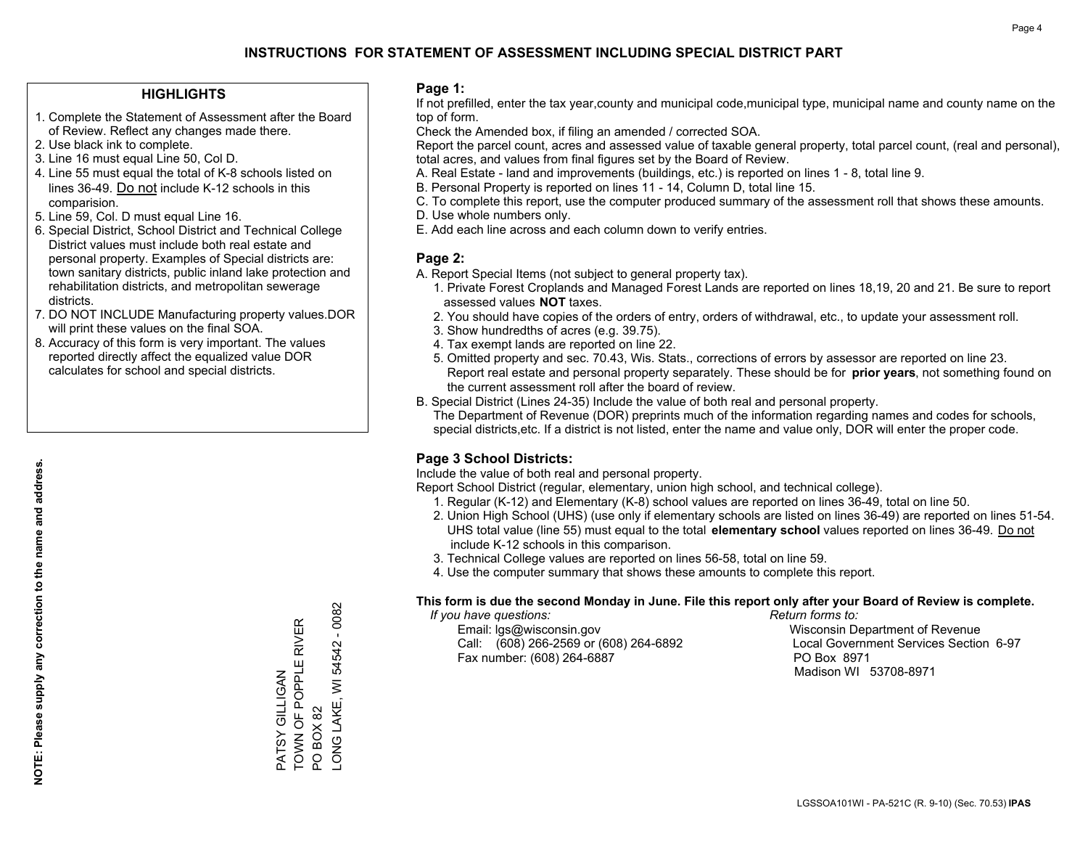### **HIGHLIGHTS**

- 1. Complete the Statement of Assessment after the Board of Review. Reflect any changes made there.
- 2. Use black ink to complete.
- 3. Line 16 must equal Line 50, Col D.
- 4. Line 55 must equal the total of K-8 schools listed on lines 36-49. Do not include K-12 schools in this comparision.
- 5. Line 59, Col. D must equal Line 16.
- 6. Special District, School District and Technical College District values must include both real estate and personal property. Examples of Special districts are: town sanitary districts, public inland lake protection and rehabilitation districts, and metropolitan sewerage districts.
- 7. DO NOT INCLUDE Manufacturing property values.DOR will print these values on the final SOA.

PATSY GILLIGAN

PATSY GILLIGAN

TOWN OF POPPLE RIVER

TOWN OF POPPLE RIVER

PO BOX 82

LONG LAKE, WI 54542 - 0082

LONG LAKE, WI PO BOX 82

54542 - 0082

 8. Accuracy of this form is very important. The values reported directly affect the equalized value DOR calculates for school and special districts.

### **Page 1:**

 If not prefilled, enter the tax year,county and municipal code,municipal type, municipal name and county name on the top of form.

Check the Amended box, if filing an amended / corrected SOA.

 Report the parcel count, acres and assessed value of taxable general property, total parcel count, (real and personal), total acres, and values from final figures set by the Board of Review.

- A. Real Estate land and improvements (buildings, etc.) is reported on lines 1 8, total line 9.
- B. Personal Property is reported on lines 11 14, Column D, total line 15.
- C. To complete this report, use the computer produced summary of the assessment roll that shows these amounts.
- D. Use whole numbers only.
- E. Add each line across and each column down to verify entries.

### **Page 2:**

- A. Report Special Items (not subject to general property tax).
- 1. Private Forest Croplands and Managed Forest Lands are reported on lines 18,19, 20 and 21. Be sure to report assessed values **NOT** taxes.
- 2. You should have copies of the orders of entry, orders of withdrawal, etc., to update your assessment roll.
	- 3. Show hundredths of acres (e.g. 39.75).
- 4. Tax exempt lands are reported on line 22.
- 5. Omitted property and sec. 70.43, Wis. Stats., corrections of errors by assessor are reported on line 23. Report real estate and personal property separately. These should be for **prior years**, not something found on the current assessment roll after the board of review.
- B. Special District (Lines 24-35) Include the value of both real and personal property.
- The Department of Revenue (DOR) preprints much of the information regarding names and codes for schools, special districts,etc. If a district is not listed, enter the name and value only, DOR will enter the proper code.

### **Page 3 School Districts:**

Include the value of both real and personal property.

Report School District (regular, elementary, union high school, and technical college).

- 1. Regular (K-12) and Elementary (K-8) school values are reported on lines 36-49, total on line 50.
- 2. Union High School (UHS) (use only if elementary schools are listed on lines 36-49) are reported on lines 51-54. UHS total value (line 55) must equal to the total **elementary school** values reported on lines 36-49. Do notinclude K-12 schools in this comparison.
- 3. Technical College values are reported on lines 56-58, total on line 59.
- 4. Use the computer summary that shows these amounts to complete this report.

#### **This form is due the second Monday in June. File this report only after your Board of Review is complete.**

 *If you have questions: Return forms to:*

 Email: lgs@wisconsin.gov Wisconsin Department of RevenueCall:  $(608)$  266-2569 or  $(608)$  264-6892 Fax number: (608) 264-6887 PO Box 8971

Local Government Services Section 6-97 Madison WI 53708-8971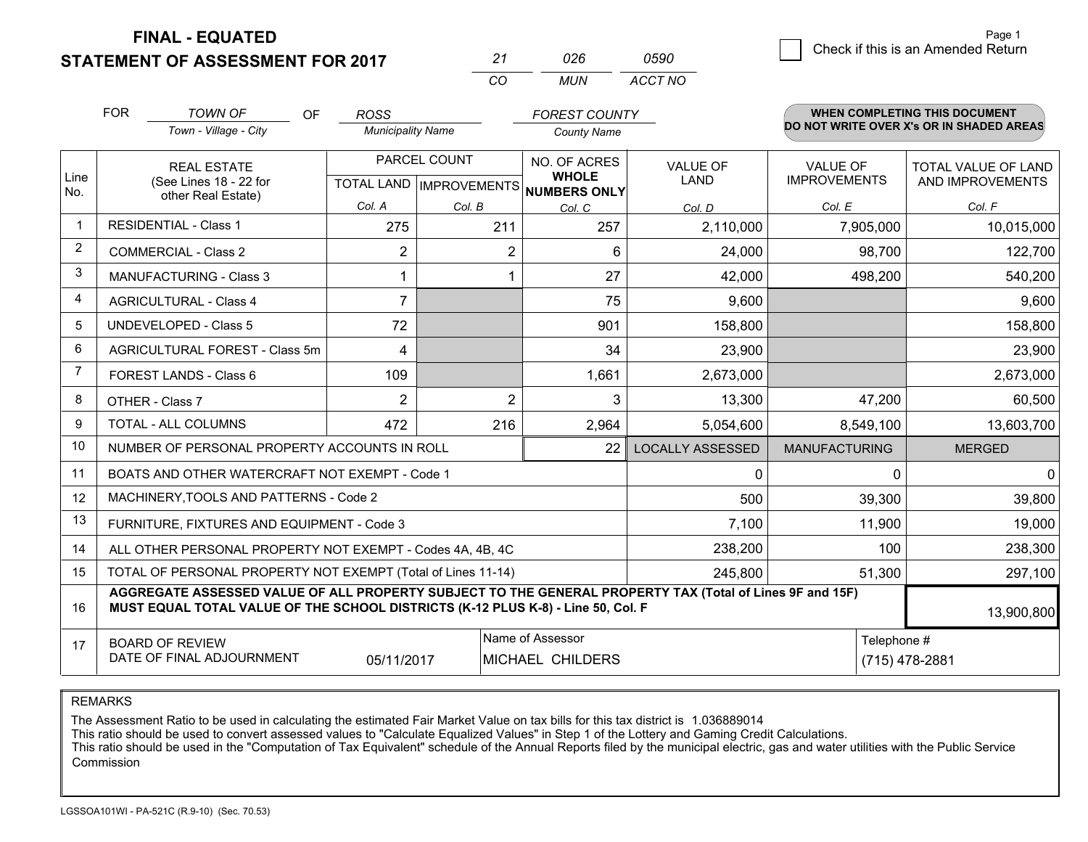## **STATEMENT OF ASSESSMENT FOR 2017**

|    | 026 | 0590    |
|----|-----|---------|
| rη | MUN | ACCT NO |

|             | <b>FOR</b>                                                                                                                                                                                   | <b>TOWN OF</b><br>OF                           | <b>ROSS</b>              |                | <b>FOREST COUNTY</b>                                |                         |                      | <b>WHEN COMPLETING THIS DOCUMENT</b>     |
|-------------|----------------------------------------------------------------------------------------------------------------------------------------------------------------------------------------------|------------------------------------------------|--------------------------|----------------|-----------------------------------------------------|-------------------------|----------------------|------------------------------------------|
|             |                                                                                                                                                                                              | Town - Village - City                          | <b>Municipality Name</b> |                | <b>County Name</b>                                  |                         |                      | DO NOT WRITE OVER X's OR IN SHADED AREAS |
|             | <b>REAL ESTATE</b>                                                                                                                                                                           |                                                |                          | PARCEL COUNT   | NO. OF ACRES                                        | <b>VALUE OF</b>         | <b>VALUE OF</b>      | <b>TOTAL VALUE OF LAND</b>               |
| Line<br>No. | (See Lines 18 - 22 for<br>other Real Estate)                                                                                                                                                 |                                                |                          |                | <b>WHOLE</b><br>TOTAL LAND MPROVEMENTS NUMBERS ONLY | LAND                    | <b>IMPROVEMENTS</b>  | AND IMPROVEMENTS                         |
|             |                                                                                                                                                                                              |                                                | Col. A                   | Col. B         | Col. C                                              | Col. D                  | Col. E               | Col. F                                   |
|             | <b>RESIDENTIAL - Class 1</b>                                                                                                                                                                 |                                                | 275                      | 211            | 257                                                 | 2,110,000               | 7,905,000            | 10,015,000                               |
| 2           | <b>COMMERCIAL - Class 2</b>                                                                                                                                                                  |                                                | 2                        | 2              | 6                                                   | 24,000                  | 98,700               | 122,700                                  |
| 3           | MANUFACTURING - Class 3                                                                                                                                                                      |                                                |                          |                | 27                                                  | 42,000                  | 498,200              | 540,200                                  |
| 4           | <b>AGRICULTURAL - Class 4</b>                                                                                                                                                                |                                                | $\overline{7}$           |                | 75                                                  | 9,600                   |                      | 9,600                                    |
| 5           | <b>UNDEVELOPED - Class 5</b>                                                                                                                                                                 |                                                | 72                       |                | 901                                                 | 158,800                 |                      | 158,800                                  |
| 6           | AGRICULTURAL FOREST - Class 5m                                                                                                                                                               |                                                | 4                        |                | 34                                                  | 23,900                  |                      | 23,900                                   |
| 7           | FOREST LANDS - Class 6                                                                                                                                                                       |                                                | 109                      |                | 1,661                                               | 2,673,000               |                      | 2,673,000                                |
| 8           | OTHER - Class 7                                                                                                                                                                              |                                                | $\overline{2}$           | $\overline{2}$ | 3                                                   | 13,300                  | 47,200               | 60,500                                   |
| 9           | TOTAL - ALL COLUMNS                                                                                                                                                                          |                                                | 472                      | 216            | 2,964                                               | 5,054,600               | 8,549,100            | 13,603,700                               |
| 10          | NUMBER OF PERSONAL PROPERTY ACCOUNTS IN ROLL                                                                                                                                                 |                                                |                          |                | 22                                                  | <b>LOCALLY ASSESSED</b> | <b>MANUFACTURING</b> | <b>MERGED</b>                            |
| 11          |                                                                                                                                                                                              | BOATS AND OTHER WATERCRAFT NOT EXEMPT - Code 1 |                          |                |                                                     | 0                       |                      | O                                        |
| 12          | MACHINERY, TOOLS AND PATTERNS - Code 2                                                                                                                                                       |                                                |                          |                |                                                     | 500                     | 39,300               | 39,800                                   |
| 13          | FURNITURE, FIXTURES AND EQUIPMENT - Code 3                                                                                                                                                   |                                                |                          |                |                                                     | 7,100                   | 11,900               | 19,000                                   |
| 14          | ALL OTHER PERSONAL PROPERTY NOT EXEMPT - Codes 4A, 4B, 4C                                                                                                                                    |                                                |                          |                |                                                     |                         |                      | 100<br>238,300                           |
| 15          | TOTAL OF PERSONAL PROPERTY NOT EXEMPT (Total of Lines 11-14)<br>245,800                                                                                                                      |                                                |                          |                |                                                     |                         | 51,300               | 297,100                                  |
| 16          | AGGREGATE ASSESSED VALUE OF ALL PROPERTY SUBJECT TO THE GENERAL PROPERTY TAX (Total of Lines 9F and 15F)<br>MUST EQUAL TOTAL VALUE OF THE SCHOOL DISTRICTS (K-12 PLUS K-8) - Line 50, Col. F |                                                |                          |                |                                                     |                         | 13,900,800           |                                          |
| 17          | Name of Assessor<br>Telephone #<br><b>BOARD OF REVIEW</b><br>DATE OF FINAL ADJOURNMENT<br>MICHAEL CHILDERS<br>05/11/2017                                                                     |                                                |                          |                |                                                     | (715) 478-2881          |                      |                                          |

REMARKS

The Assessment Ratio to be used in calculating the estimated Fair Market Value on tax bills for this tax district is 1.036889014<br>This ratio should be used to convert assessed values to "Calculate Equalized Values" in Step Commission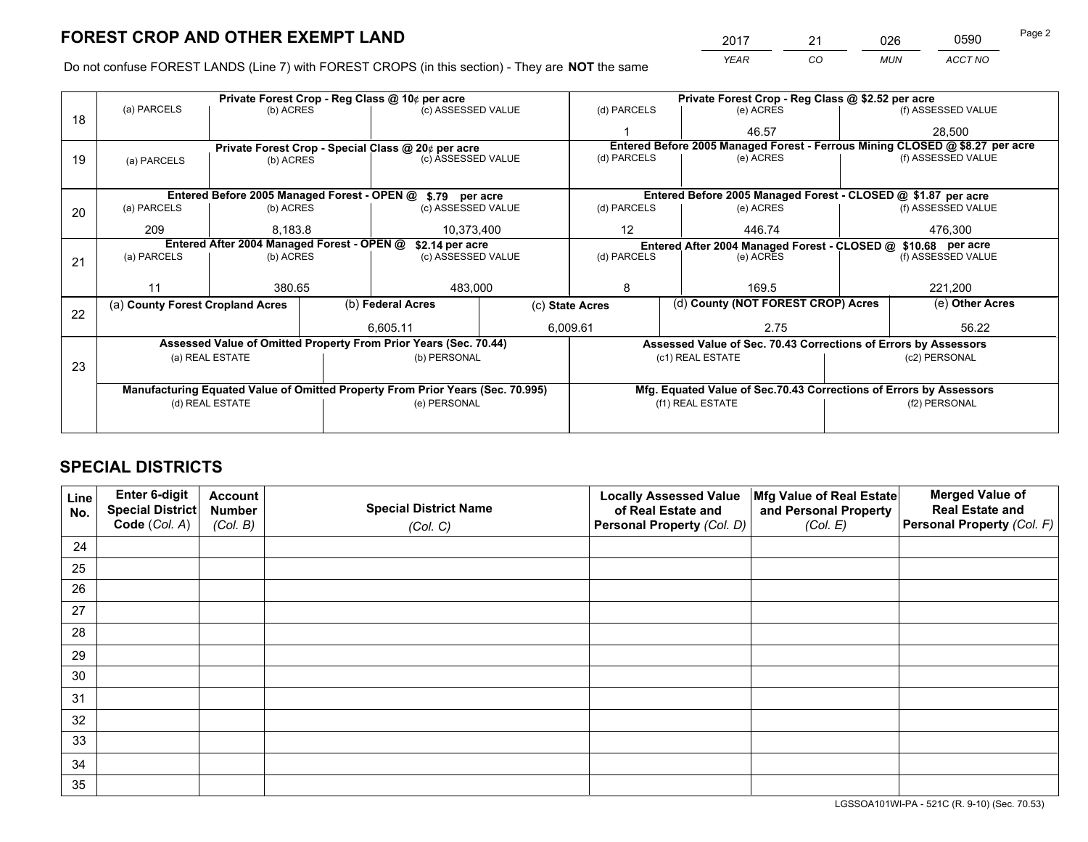*YEAR CO MUN ACCT NO* <sup>2017</sup> <sup>21</sup> <sup>026</sup> <sup>0590</sup>

Do not confuse FOREST LANDS (Line 7) with FOREST CROPS (in this section) - They are **NOT** the same

|    |                                                                                |                                            |  | Private Forest Crop - Reg Class @ 10¢ per acre                   |  | Private Forest Crop - Reg Class @ \$2.52 per acre     |                                                               |                                                                 |                                                                              |                    |  |
|----|--------------------------------------------------------------------------------|--------------------------------------------|--|------------------------------------------------------------------|--|-------------------------------------------------------|---------------------------------------------------------------|-----------------------------------------------------------------|------------------------------------------------------------------------------|--------------------|--|
| 18 | (a) PARCELS                                                                    | (b) ACRES                                  |  | (c) ASSESSED VALUE                                               |  | (d) PARCELS                                           |                                                               | (e) ACRES                                                       |                                                                              | (f) ASSESSED VALUE |  |
|    |                                                                                |                                            |  |                                                                  |  |                                                       |                                                               | 46.57                                                           |                                                                              | 28,500             |  |
|    |                                                                                |                                            |  | Private Forest Crop - Special Class @ 20¢ per acre               |  |                                                       |                                                               |                                                                 | Entered Before 2005 Managed Forest - Ferrous Mining CLOSED @ \$8.27 per acre |                    |  |
| 19 | (a) PARCELS                                                                    | (b) ACRES                                  |  | (c) ASSESSED VALUE                                               |  | (d) PARCELS                                           |                                                               | (e) ACRES                                                       |                                                                              | (f) ASSESSED VALUE |  |
|    |                                                                                |                                            |  |                                                                  |  |                                                       |                                                               |                                                                 |                                                                              |                    |  |
|    |                                                                                |                                            |  | Entered Before 2005 Managed Forest - OPEN @ \$.79 per acre       |  |                                                       |                                                               | Entered Before 2005 Managed Forest - CLOSED @ \$1.87 per acre   |                                                                              |                    |  |
| 20 | (a) PARCELS                                                                    | (b) ACRES                                  |  | (c) ASSESSED VALUE                                               |  | (d) PARCELS                                           |                                                               | (e) ACRES                                                       |                                                                              | (f) ASSESSED VALUE |  |
|    | 209                                                                            | 8.183.8                                    |  | 10,373,400                                                       |  | $12 \overline{ }$                                     |                                                               | 446.74                                                          |                                                                              | 476.300            |  |
|    |                                                                                | Entered After 2004 Managed Forest - OPEN @ |  | \$2.14 per acre                                                  |  |                                                       | Entered After 2004 Managed Forest - CLOSED @ \$10.68 per acre |                                                                 |                                                                              |                    |  |
| 21 | (a) PARCELS                                                                    | (b) ACRES                                  |  | (c) ASSESSED VALUE                                               |  | (d) PARCELS                                           |                                                               | (e) ACRES                                                       |                                                                              | (f) ASSESSED VALUE |  |
|    |                                                                                |                                            |  |                                                                  |  |                                                       |                                                               |                                                                 |                                                                              |                    |  |
|    | 11                                                                             | 380.65                                     |  | 483,000                                                          |  | 8<br>169.5                                            |                                                               | 221,200                                                         |                                                                              |                    |  |
| 22 | (a) County Forest Cropland Acres                                               |                                            |  | (b) Federal Acres                                                |  | (d) County (NOT FOREST CROP) Acres<br>(c) State Acres |                                                               |                                                                 | (e) Other Acres                                                              |                    |  |
|    |                                                                                |                                            |  | 6,605.11                                                         |  | 6,009.61<br>2.75                                      |                                                               |                                                                 | 56.22                                                                        |                    |  |
|    |                                                                                |                                            |  | Assessed Value of Omitted Property From Prior Years (Sec. 70.44) |  |                                                       |                                                               | Assessed Value of Sec. 70.43 Corrections of Errors by Assessors |                                                                              |                    |  |
|    |                                                                                | (a) REAL ESTATE                            |  | (b) PERSONAL                                                     |  |                                                       |                                                               | (c1) REAL ESTATE                                                | (c2) PERSONAL                                                                |                    |  |
| 23 |                                                                                |                                            |  |                                                                  |  |                                                       |                                                               |                                                                 |                                                                              |                    |  |
|    | Manufacturing Equated Value of Omitted Property From Prior Years (Sec. 70.995) |                                            |  |                                                                  |  |                                                       |                                                               |                                                                 | Mfg. Equated Value of Sec.70.43 Corrections of Errors by Assessors           |                    |  |
|    | (d) REAL ESTATE                                                                |                                            |  | (e) PERSONAL                                                     |  |                                                       |                                                               | (f1) REAL ESTATE                                                | (f2) PERSONAL                                                                |                    |  |
|    |                                                                                |                                            |  |                                                                  |  |                                                       |                                                               |                                                                 |                                                                              |                    |  |

## **SPECIAL DISTRICTS**

| Line<br>No. | Enter 6-digit<br>Special District<br>Code (Col. A) | <b>Account</b><br><b>Number</b> | <b>Special District Name</b> | <b>Locally Assessed Value</b><br>of Real Estate and | Mfg Value of Real Estate<br>and Personal Property | <b>Merged Value of</b><br><b>Real Estate and</b><br>Personal Property (Col. F) |
|-------------|----------------------------------------------------|---------------------------------|------------------------------|-----------------------------------------------------|---------------------------------------------------|--------------------------------------------------------------------------------|
|             |                                                    | (Col. B)                        | (Col. C)                     | Personal Property (Col. D)                          | (Col. E)                                          |                                                                                |
| 24          |                                                    |                                 |                              |                                                     |                                                   |                                                                                |
| 25          |                                                    |                                 |                              |                                                     |                                                   |                                                                                |
| 26          |                                                    |                                 |                              |                                                     |                                                   |                                                                                |
| 27          |                                                    |                                 |                              |                                                     |                                                   |                                                                                |
| 28          |                                                    |                                 |                              |                                                     |                                                   |                                                                                |
| 29          |                                                    |                                 |                              |                                                     |                                                   |                                                                                |
| 30          |                                                    |                                 |                              |                                                     |                                                   |                                                                                |
| 31          |                                                    |                                 |                              |                                                     |                                                   |                                                                                |
| 32          |                                                    |                                 |                              |                                                     |                                                   |                                                                                |
| 33          |                                                    |                                 |                              |                                                     |                                                   |                                                                                |
| 34          |                                                    |                                 |                              |                                                     |                                                   |                                                                                |
| 35          |                                                    |                                 |                              |                                                     |                                                   |                                                                                |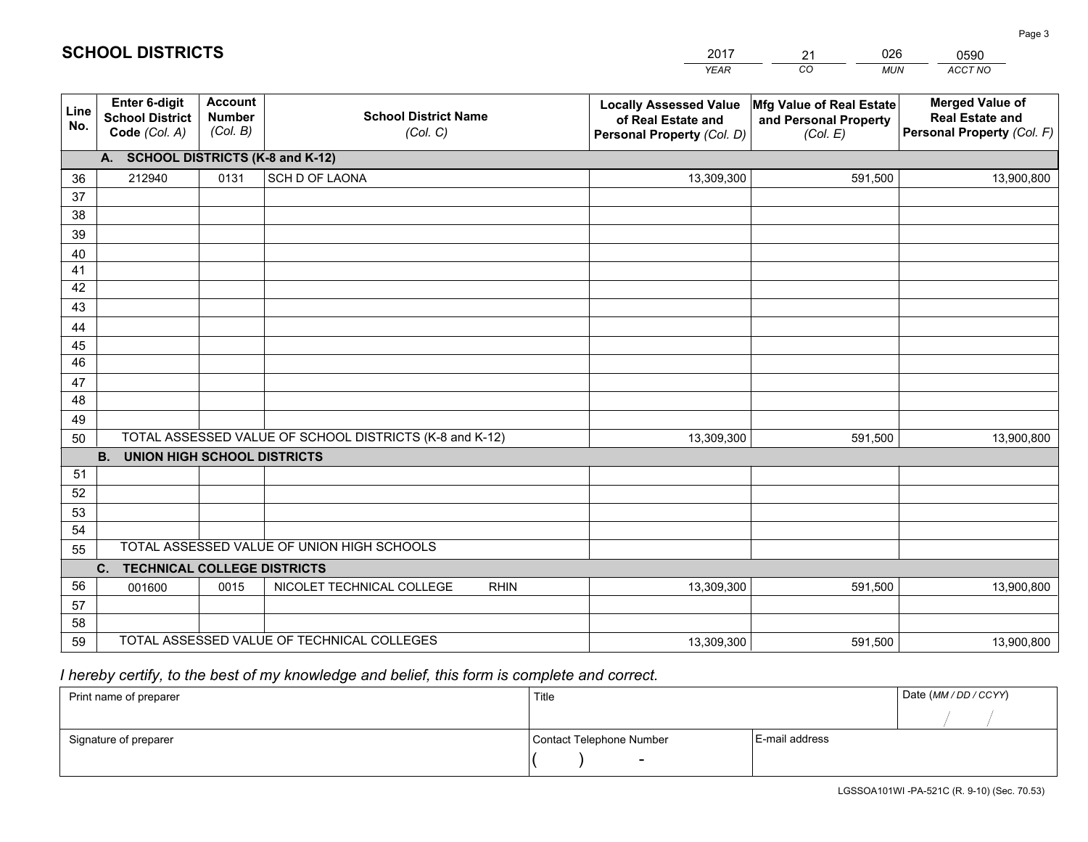|             |                                                          |                                             |                                                         | <b>YEAR</b>                                                                       | CO<br><b>MUN</b>                                              | ACCT NO                                                                        |
|-------------|----------------------------------------------------------|---------------------------------------------|---------------------------------------------------------|-----------------------------------------------------------------------------------|---------------------------------------------------------------|--------------------------------------------------------------------------------|
| Line<br>No. | Enter 6-digit<br><b>School District</b><br>Code (Col. A) | <b>Account</b><br><b>Number</b><br>(Col. B) | <b>School District Name</b><br>(Col. C)                 | <b>Locally Assessed Value</b><br>of Real Estate and<br>Personal Property (Col. D) | Mfg Value of Real Estate<br>and Personal Property<br>(Col. E) | <b>Merged Value of</b><br><b>Real Estate and</b><br>Personal Property (Col. F) |
|             | A. SCHOOL DISTRICTS (K-8 and K-12)                       |                                             |                                                         |                                                                                   |                                                               |                                                                                |
| 36          | 212940                                                   | 0131                                        | SCH D OF LAONA                                          | 13,309,300                                                                        | 591,500                                                       | 13,900,800                                                                     |
| 37          |                                                          |                                             |                                                         |                                                                                   |                                                               |                                                                                |
| 38          |                                                          |                                             |                                                         |                                                                                   |                                                               |                                                                                |
| 39          |                                                          |                                             |                                                         |                                                                                   |                                                               |                                                                                |
| 40          |                                                          |                                             |                                                         |                                                                                   |                                                               |                                                                                |
| 41<br>42    |                                                          |                                             |                                                         |                                                                                   |                                                               |                                                                                |
| 43          |                                                          |                                             |                                                         |                                                                                   |                                                               |                                                                                |
| 44          |                                                          |                                             |                                                         |                                                                                   |                                                               |                                                                                |
| 45          |                                                          |                                             |                                                         |                                                                                   |                                                               |                                                                                |
| 46          |                                                          |                                             |                                                         |                                                                                   |                                                               |                                                                                |
| 47          |                                                          |                                             |                                                         |                                                                                   |                                                               |                                                                                |
| 48          |                                                          |                                             |                                                         |                                                                                   |                                                               |                                                                                |
| 49          |                                                          |                                             |                                                         |                                                                                   |                                                               |                                                                                |
| 50          |                                                          |                                             | TOTAL ASSESSED VALUE OF SCHOOL DISTRICTS (K-8 and K-12) | 13,309,300                                                                        | 591,500                                                       | 13,900,800                                                                     |
|             | <b>B.</b><br><b>UNION HIGH SCHOOL DISTRICTS</b>          |                                             |                                                         |                                                                                   |                                                               |                                                                                |
| 51          |                                                          |                                             |                                                         |                                                                                   |                                                               |                                                                                |
| 52          |                                                          |                                             |                                                         |                                                                                   |                                                               |                                                                                |
| 53<br>54    |                                                          |                                             |                                                         |                                                                                   |                                                               |                                                                                |
| 55          |                                                          |                                             | TOTAL ASSESSED VALUE OF UNION HIGH SCHOOLS              |                                                                                   |                                                               |                                                                                |
|             | C.<br><b>TECHNICAL COLLEGE DISTRICTS</b>                 |                                             |                                                         |                                                                                   |                                                               |                                                                                |
| 56          | 001600                                                   | 0015                                        | NICOLET TECHNICAL COLLEGE<br><b>RHIN</b>                | 13,309,300                                                                        | 591,500                                                       | 13,900,800                                                                     |
| 57          |                                                          |                                             |                                                         |                                                                                   |                                                               |                                                                                |
| 58          |                                                          |                                             |                                                         |                                                                                   |                                                               |                                                                                |
| 59          |                                                          |                                             | TOTAL ASSESSED VALUE OF TECHNICAL COLLEGES              | 13,309,300                                                                        | 591,500                                                       | 13,900,800                                                                     |

 *I hereby certify, to the best of my knowledge and belief, this form is complete and correct.*

| Print name of preparer | Title                    |                | Date (MM / DD / CCYY) |
|------------------------|--------------------------|----------------|-----------------------|
|                        |                          |                |                       |
| Signature of preparer  | Contact Telephone Number | E-mail address |                       |
|                        |                          |                |                       |

Page 3

201721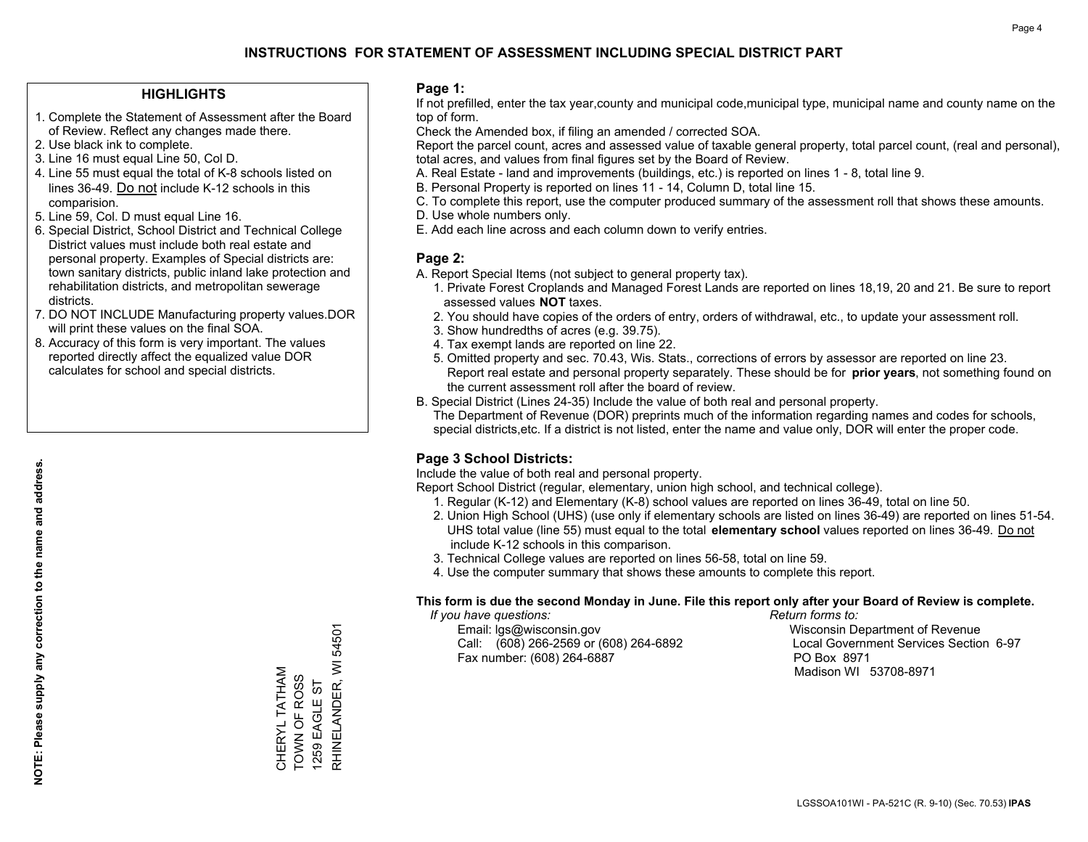### **HIGHLIGHTS**

- 1. Complete the Statement of Assessment after the Board of Review. Reflect any changes made there.
- 2. Use black ink to complete.
- 3. Line 16 must equal Line 50, Col D.
- 4. Line 55 must equal the total of K-8 schools listed on lines 36-49. Do not include K-12 schools in this comparision.
- 5. Line 59, Col. D must equal Line 16.
- 6. Special District, School District and Technical College District values must include both real estate and personal property. Examples of Special districts are: town sanitary districts, public inland lake protection and rehabilitation districts, and metropolitan sewerage districts.
- 7. DO NOT INCLUDE Manufacturing property values.DOR will print these values on the final SOA.
- 8. Accuracy of this form is very important. The values reported directly affect the equalized value DOR calculates for school and special districts.

### **Page 1:**

 If not prefilled, enter the tax year,county and municipal code,municipal type, municipal name and county name on the top of form.

Check the Amended box, if filing an amended / corrected SOA.

 Report the parcel count, acres and assessed value of taxable general property, total parcel count, (real and personal), total acres, and values from final figures set by the Board of Review.

- A. Real Estate land and improvements (buildings, etc.) is reported on lines 1 8, total line 9.
- B. Personal Property is reported on lines 11 14, Column D, total line 15.
- C. To complete this report, use the computer produced summary of the assessment roll that shows these amounts.
- D. Use whole numbers only.
- E. Add each line across and each column down to verify entries.

### **Page 2:**

- A. Report Special Items (not subject to general property tax).
- 1. Private Forest Croplands and Managed Forest Lands are reported on lines 18,19, 20 and 21. Be sure to report assessed values **NOT** taxes.
- 2. You should have copies of the orders of entry, orders of withdrawal, etc., to update your assessment roll.
	- 3. Show hundredths of acres (e.g. 39.75).
- 4. Tax exempt lands are reported on line 22.
- 5. Omitted property and sec. 70.43, Wis. Stats., corrections of errors by assessor are reported on line 23. Report real estate and personal property separately. These should be for **prior years**, not something found on the current assessment roll after the board of review.
- B. Special District (Lines 24-35) Include the value of both real and personal property.
- The Department of Revenue (DOR) preprints much of the information regarding names and codes for schools, special districts,etc. If a district is not listed, enter the name and value only, DOR will enter the proper code.

### **Page 3 School Districts:**

Include the value of both real and personal property.

Report School District (regular, elementary, union high school, and technical college).

- 1. Regular (K-12) and Elementary (K-8) school values are reported on lines 36-49, total on line 50.
- 2. Union High School (UHS) (use only if elementary schools are listed on lines 36-49) are reported on lines 51-54. UHS total value (line 55) must equal to the total **elementary school** values reported on lines 36-49. Do notinclude K-12 schools in this comparison.
- 3. Technical College values are reported on lines 56-58, total on line 59.
- 4. Use the computer summary that shows these amounts to complete this report.

#### **This form is due the second Monday in June. File this report only after your Board of Review is complete.**

 *If you have questions: Return forms to:*

 Email: lgs@wisconsin.gov Wisconsin Department of RevenueCall:  $(608)$  266-2569 or  $(608)$  264-6892 Fax number: (608) 264-6887 PO Box 8971

Local Government Services Section 6-97 Madison WI 53708-8971

CHERYL TATHAM TOWN OF ROSS 1259 EAGLE ST

CHERYL TATHAM<br>TOWN OF ROSS<br>1259 EAGLE ST

RHINELANDER, WI 54501

RHINELANDER, WI

54501

**NOTE: Please supply any correction to the name and address.**

NOTE: Please supply any correction to the name and address.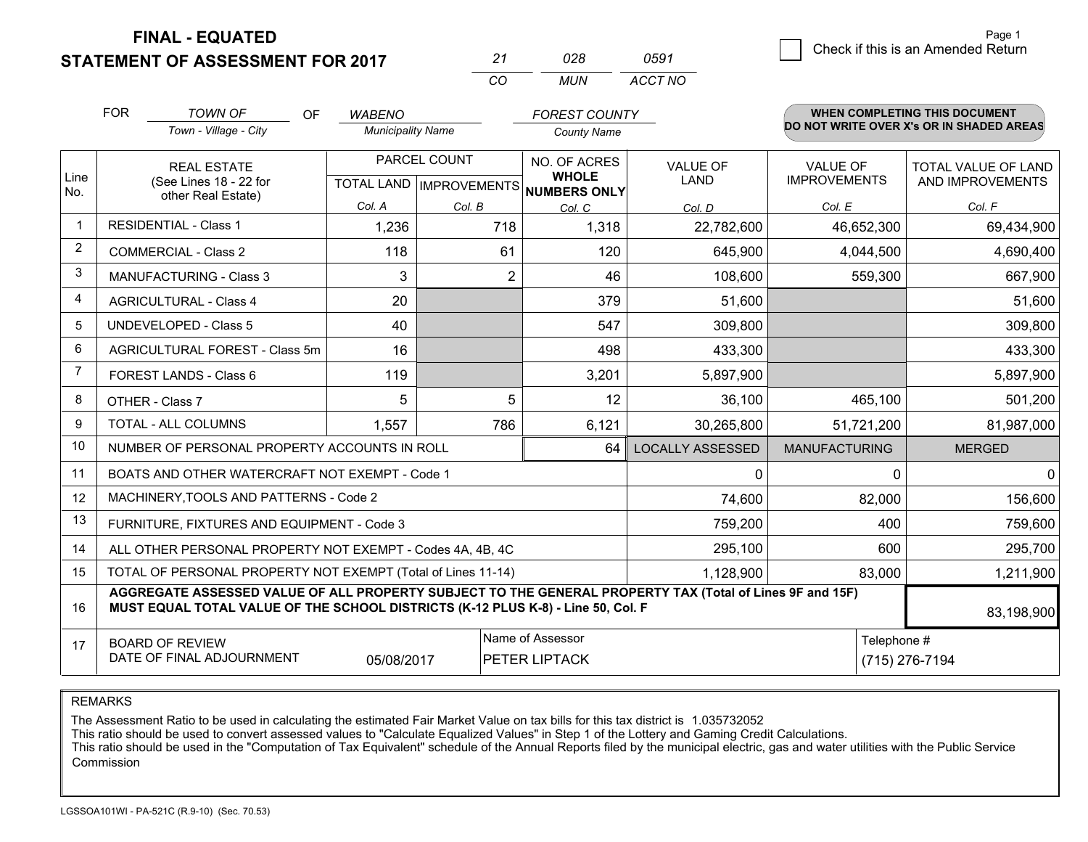**STATEMENT OF ASSESSMENT FOR 2017** 

| -27      | אכח   | 0591    |
|----------|-------|---------|
| $\cdots$ | MI IN | ACCT NO |

|      | <b>FOR</b>                                                                                                                                                                                   | <b>TOWN OF</b><br>OF                                      | <b>WABENO</b>            |                | <b>FOREST COUNTY</b>                 |                         |                      | <b>WHEN COMPLETING THIS DOCUMENT</b>     |
|------|----------------------------------------------------------------------------------------------------------------------------------------------------------------------------------------------|-----------------------------------------------------------|--------------------------|----------------|--------------------------------------|-------------------------|----------------------|------------------------------------------|
|      |                                                                                                                                                                                              | Town - Village - City                                     | <b>Municipality Name</b> |                | <b>County Name</b>                   |                         |                      | DO NOT WRITE OVER X's OR IN SHADED AREAS |
| Line |                                                                                                                                                                                              | <b>REAL ESTATE</b>                                        |                          | PARCEL COUNT   | NO. OF ACRES<br><b>WHOLE</b>         | VALUE OF                | <b>VALUE OF</b>      | <b>TOTAL VALUE OF LAND</b>               |
| No.  |                                                                                                                                                                                              | (See Lines 18 - 22 for<br>other Real Estate)              |                          |                | TOTAL LAND IMPROVEMENTS NUMBERS ONLY | <b>LAND</b>             | <b>IMPROVEMENTS</b>  | AND IMPROVEMENTS                         |
|      |                                                                                                                                                                                              |                                                           | Col. A                   | Col. B         | Col. C                               | Col. D                  | Col. E               | Col. F                                   |
|      |                                                                                                                                                                                              | <b>RESIDENTIAL - Class 1</b>                              | 1,236                    | 718            | 1,318                                | 22,782,600              | 46,652,300           | 69,434,900                               |
| 2    |                                                                                                                                                                                              | <b>COMMERCIAL - Class 2</b>                               | 118                      | 61             | 120                                  | 645,900                 | 4,044,500            | 4,690,400                                |
| 3    |                                                                                                                                                                                              | <b>MANUFACTURING - Class 3</b>                            | 3                        | $\overline{2}$ | 46                                   | 108,600                 | 559,300              | 667,900                                  |
| 4    |                                                                                                                                                                                              | <b>AGRICULTURAL - Class 4</b>                             | 20                       |                | 379                                  | 51,600                  |                      | 51,600                                   |
| 5    |                                                                                                                                                                                              | UNDEVELOPED - Class 5                                     | 40                       |                | 547                                  | 309,800                 |                      | 309,800                                  |
| 6    |                                                                                                                                                                                              | AGRICULTURAL FOREST - Class 5m                            | 16                       |                | 498                                  | 433,300                 |                      | 433,300                                  |
| 7    | FOREST LANDS - Class 6                                                                                                                                                                       |                                                           | 119                      |                | 3,201                                | 5,897,900               |                      | 5,897,900                                |
| 8    |                                                                                                                                                                                              | OTHER - Class 7                                           | 5                        | 5              | 12                                   | 36,100                  | 465,100              | 501,200                                  |
| 9    |                                                                                                                                                                                              | TOTAL - ALL COLUMNS                                       | 1,557                    | 786            | 6,121                                | 30,265,800              | 51,721,200           | 81,987,000                               |
| 10   |                                                                                                                                                                                              | NUMBER OF PERSONAL PROPERTY ACCOUNTS IN ROLL              |                          |                | 64                                   | <b>LOCALLY ASSESSED</b> | <b>MANUFACTURING</b> | <b>MERGED</b>                            |
| 11   |                                                                                                                                                                                              | BOATS AND OTHER WATERCRAFT NOT EXEMPT - Code 1            |                          |                |                                      | $\Omega$                | 0                    | $\Omega$                                 |
| 12   |                                                                                                                                                                                              | MACHINERY, TOOLS AND PATTERNS - Code 2                    |                          |                |                                      | 74,600                  | 82,000               | 156,600                                  |
| 13   |                                                                                                                                                                                              | FURNITURE, FIXTURES AND EQUIPMENT - Code 3                |                          |                |                                      | 759,200                 | 400                  | 759,600                                  |
| 14   |                                                                                                                                                                                              | ALL OTHER PERSONAL PROPERTY NOT EXEMPT - Codes 4A, 4B, 4C |                          |                |                                      | 295,100                 | 600                  | 295,700                                  |
| 15   | TOTAL OF PERSONAL PROPERTY NOT EXEMPT (Total of Lines 11-14)<br>1,128,900                                                                                                                    |                                                           |                          |                |                                      |                         | 83,000               | 1,211,900                                |
| 16   | AGGREGATE ASSESSED VALUE OF ALL PROPERTY SUBJECT TO THE GENERAL PROPERTY TAX (Total of Lines 9F and 15F)<br>MUST EQUAL TOTAL VALUE OF THE SCHOOL DISTRICTS (K-12 PLUS K-8) - Line 50, Col. F |                                                           |                          |                |                                      |                         |                      | 83,198,900                               |
| 17   | Name of Assessor<br><b>BOARD OF REVIEW</b><br>DATE OF FINAL ADJOURNMENT<br>PETER LIPTACK<br>05/08/2017                                                                                       |                                                           |                          |                |                                      | Telephone #             | (715) 276-7194       |                                          |

REMARKS

The Assessment Ratio to be used in calculating the estimated Fair Market Value on tax bills for this tax district is 1.035732052<br>This ratio should be used to convert assessed values to "Calculate Equalized Values" in Step Commission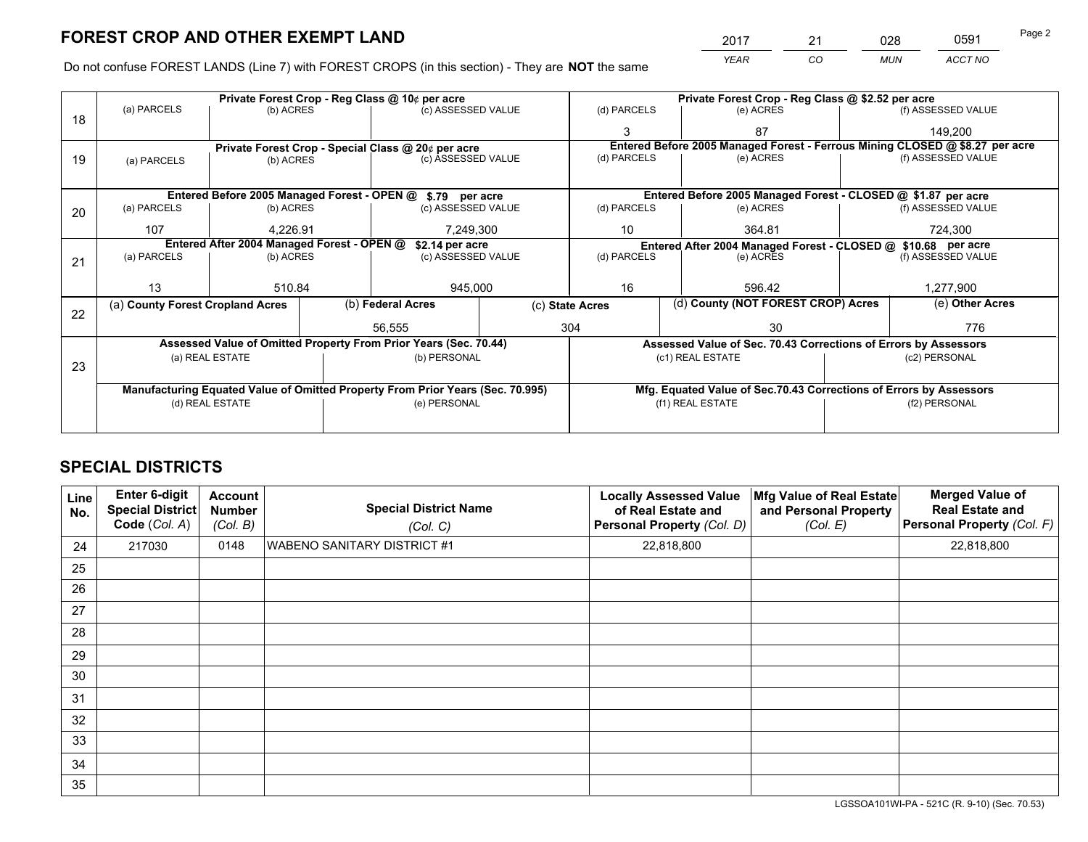*YEAR CO MUN ACCT NO* <sup>2017</sup> <sup>21</sup> <sup>028</sup> <sup>0591</sup>

Do not confuse FOREST LANDS (Line 7) with FOREST CROPS (in this section) - They are **NOT** the same

|    |                                                                                |                                             |  | Private Forest Crop - Reg Class @ 10¢ per acre                   |                  | Private Forest Crop - Reg Class @ \$2.52 per acre             |                                                                    |                                                                              |                    |                    |  |
|----|--------------------------------------------------------------------------------|---------------------------------------------|--|------------------------------------------------------------------|------------------|---------------------------------------------------------------|--------------------------------------------------------------------|------------------------------------------------------------------------------|--------------------|--------------------|--|
| 18 | (a) PARCELS                                                                    | (b) ACRES                                   |  | (c) ASSESSED VALUE                                               |                  | (d) PARCELS                                                   | (e) ACRES                                                          |                                                                              |                    | (f) ASSESSED VALUE |  |
|    |                                                                                |                                             |  |                                                                  |                  | 3                                                             | 87                                                                 |                                                                              |                    | 149,200            |  |
|    |                                                                                |                                             |  | Private Forest Crop - Special Class @ 20¢ per acre               |                  |                                                               |                                                                    | Entered Before 2005 Managed Forest - Ferrous Mining CLOSED @ \$8.27 per acre |                    |                    |  |
| 19 | (a) PARCELS                                                                    | (b) ACRES                                   |  | (c) ASSESSED VALUE                                               |                  | (d) PARCELS                                                   | (e) ACRES                                                          |                                                                              |                    | (f) ASSESSED VALUE |  |
|    |                                                                                |                                             |  |                                                                  |                  |                                                               |                                                                    |                                                                              |                    |                    |  |
|    |                                                                                | Entered Before 2005 Managed Forest - OPEN @ |  | \$.79 per acre                                                   |                  |                                                               | Entered Before 2005 Managed Forest - CLOSED @ \$1.87 per acre      |                                                                              |                    |                    |  |
| 20 | (a) PARCELS                                                                    | (b) ACRES                                   |  | (c) ASSESSED VALUE                                               |                  | (d) PARCELS                                                   | (e) ACRES                                                          |                                                                              |                    | (f) ASSESSED VALUE |  |
|    | 107                                                                            | 4.226.91                                    |  | 7,249,300                                                        |                  | 10                                                            | 364.81                                                             |                                                                              |                    | 724,300            |  |
|    |                                                                                | Entered After 2004 Managed Forest - OPEN @  |  | \$2.14 per acre                                                  |                  | Entered After 2004 Managed Forest - CLOSED @ \$10.68 per acre |                                                                    |                                                                              |                    |                    |  |
| 21 | (a) PARCELS                                                                    | (b) ACRES                                   |  | (c) ASSESSED VALUE                                               |                  | (d) PARCELS<br>(e) ACRES                                      |                                                                    |                                                                              | (f) ASSESSED VALUE |                    |  |
|    |                                                                                |                                             |  |                                                                  |                  |                                                               |                                                                    |                                                                              |                    |                    |  |
|    | 13                                                                             | 510.84                                      |  | 945,000                                                          |                  | 16<br>596.42                                                  |                                                                    |                                                                              |                    | 1,277,900          |  |
| 22 | (a) County Forest Cropland Acres                                               |                                             |  | (b) Federal Acres                                                |                  | (d) County (NOT FOREST CROP) Acres<br>(c) State Acres         |                                                                    |                                                                              |                    | (e) Other Acres    |  |
|    |                                                                                |                                             |  | 56,555                                                           |                  | 304<br>30                                                     |                                                                    |                                                                              | 776                |                    |  |
|    |                                                                                |                                             |  | Assessed Value of Omitted Property From Prior Years (Sec. 70.44) |                  |                                                               | Assessed Value of Sec. 70.43 Corrections of Errors by Assessors    |                                                                              |                    |                    |  |
|    | (a) REAL ESTATE<br>(b) PERSONAL                                                |                                             |  |                                                                  | (c1) REAL ESTATE |                                                               |                                                                    | (c2) PERSONAL                                                                |                    |                    |  |
| 23 |                                                                                |                                             |  |                                                                  |                  |                                                               |                                                                    |                                                                              |                    |                    |  |
|    | Manufacturing Equated Value of Omitted Property From Prior Years (Sec. 70.995) |                                             |  |                                                                  |                  |                                                               | Mfg. Equated Value of Sec.70.43 Corrections of Errors by Assessors |                                                                              |                    |                    |  |
|    | (d) REAL ESTATE                                                                |                                             |  | (e) PERSONAL                                                     |                  |                                                               | (f1) REAL ESTATE                                                   |                                                                              |                    | (f2) PERSONAL      |  |
|    |                                                                                |                                             |  |                                                                  |                  |                                                               |                                                                    |                                                                              |                    |                    |  |

## **SPECIAL DISTRICTS**

| Line<br>No. | Enter 6-digit<br><b>Special District</b><br>Code (Col. A) | <b>Account</b><br><b>Number</b><br>(Col. B) | <b>Special District Name</b><br>(Col. C) | <b>Locally Assessed Value</b><br>of Real Estate and<br>Personal Property (Col. D) | Mfg Value of Real Estate<br>and Personal Property<br>(Col. E) | <b>Merged Value of</b><br><b>Real Estate and</b><br>Personal Property (Col. F) |
|-------------|-----------------------------------------------------------|---------------------------------------------|------------------------------------------|-----------------------------------------------------------------------------------|---------------------------------------------------------------|--------------------------------------------------------------------------------|
| 24          | 217030                                                    | 0148                                        | <b>WABENO SANITARY DISTRICT #1</b>       | 22,818,800                                                                        |                                                               | 22,818,800                                                                     |
| 25          |                                                           |                                             |                                          |                                                                                   |                                                               |                                                                                |
| 26          |                                                           |                                             |                                          |                                                                                   |                                                               |                                                                                |
| 27          |                                                           |                                             |                                          |                                                                                   |                                                               |                                                                                |
| 28          |                                                           |                                             |                                          |                                                                                   |                                                               |                                                                                |
| 29          |                                                           |                                             |                                          |                                                                                   |                                                               |                                                                                |
| 30          |                                                           |                                             |                                          |                                                                                   |                                                               |                                                                                |
| 31          |                                                           |                                             |                                          |                                                                                   |                                                               |                                                                                |
| 32          |                                                           |                                             |                                          |                                                                                   |                                                               |                                                                                |
| 33          |                                                           |                                             |                                          |                                                                                   |                                                               |                                                                                |
| 34          |                                                           |                                             |                                          |                                                                                   |                                                               |                                                                                |
| 35          |                                                           |                                             |                                          |                                                                                   |                                                               |                                                                                |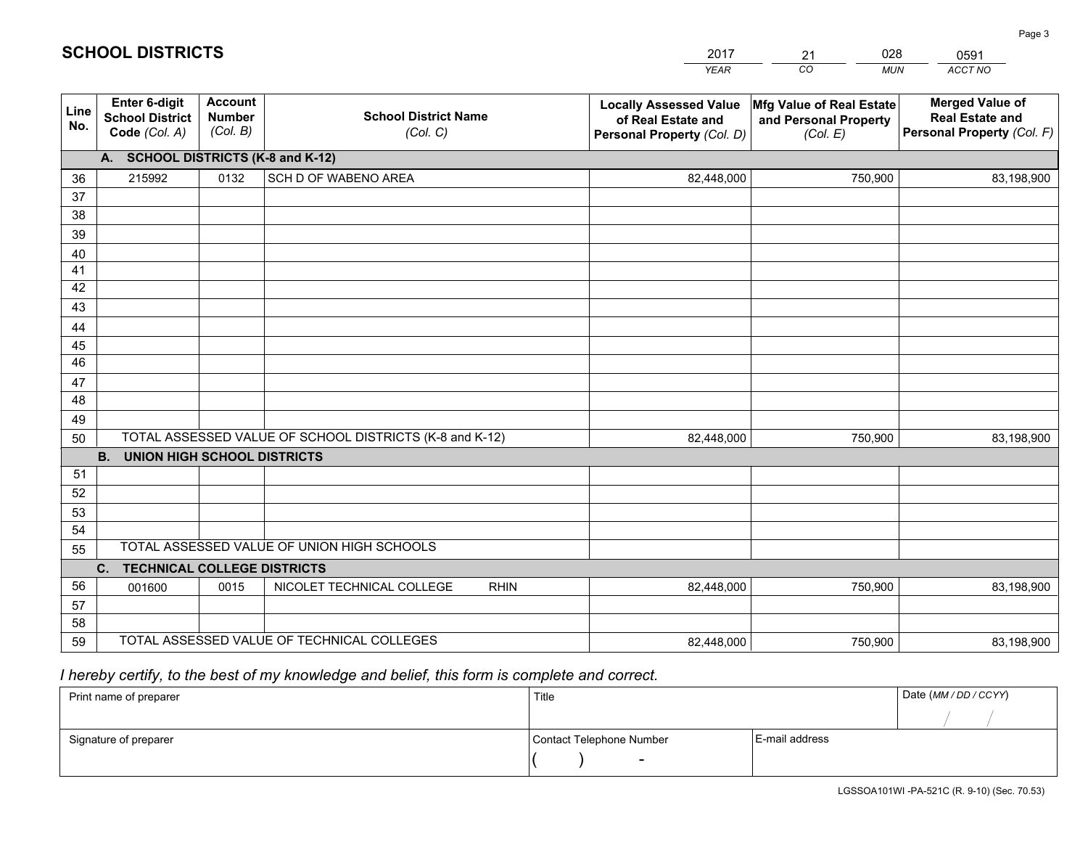|             |                                                                                        |                                             |                                                         | <b>YEAR</b>                                                                       | CO<br><b>MUN</b>                                              | ACCT NO                                                                        |  |  |
|-------------|----------------------------------------------------------------------------------------|---------------------------------------------|---------------------------------------------------------|-----------------------------------------------------------------------------------|---------------------------------------------------------------|--------------------------------------------------------------------------------|--|--|
| Line<br>No. | <b>Enter 6-digit</b><br><b>School District</b><br>Code (Col. A)                        | <b>Account</b><br><b>Number</b><br>(Col. B) | <b>School District Name</b><br>(Col. C)                 | <b>Locally Assessed Value</b><br>of Real Estate and<br>Personal Property (Col. D) | Mfg Value of Real Estate<br>and Personal Property<br>(Col. E) | <b>Merged Value of</b><br><b>Real Estate and</b><br>Personal Property (Col. F) |  |  |
|             | A. SCHOOL DISTRICTS (K-8 and K-12)                                                     |                                             |                                                         |                                                                                   |                                                               |                                                                                |  |  |
| 36          | 215992                                                                                 | 0132                                        | SCH D OF WABENO AREA                                    | 82,448,000                                                                        | 750,900                                                       | 83,198,900                                                                     |  |  |
| 37          |                                                                                        |                                             |                                                         |                                                                                   |                                                               |                                                                                |  |  |
| 38          |                                                                                        |                                             |                                                         |                                                                                   |                                                               |                                                                                |  |  |
| 39          |                                                                                        |                                             |                                                         |                                                                                   |                                                               |                                                                                |  |  |
| 40          |                                                                                        |                                             |                                                         |                                                                                   |                                                               |                                                                                |  |  |
| 41<br>42    |                                                                                        |                                             |                                                         |                                                                                   |                                                               |                                                                                |  |  |
| 43          |                                                                                        |                                             |                                                         |                                                                                   |                                                               |                                                                                |  |  |
| 44          |                                                                                        |                                             |                                                         |                                                                                   |                                                               |                                                                                |  |  |
| 45          |                                                                                        |                                             |                                                         |                                                                                   |                                                               |                                                                                |  |  |
| 46          |                                                                                        |                                             |                                                         |                                                                                   |                                                               |                                                                                |  |  |
| 47          |                                                                                        |                                             |                                                         |                                                                                   |                                                               |                                                                                |  |  |
| 48          |                                                                                        |                                             |                                                         |                                                                                   |                                                               |                                                                                |  |  |
| 49          |                                                                                        |                                             |                                                         |                                                                                   |                                                               |                                                                                |  |  |
| 50          |                                                                                        |                                             | TOTAL ASSESSED VALUE OF SCHOOL DISTRICTS (K-8 and K-12) | 82,448,000                                                                        | 750,900                                                       | 83,198,900                                                                     |  |  |
|             | <b>B.</b><br>UNION HIGH SCHOOL DISTRICTS                                               |                                             |                                                         |                                                                                   |                                                               |                                                                                |  |  |
| 51          |                                                                                        |                                             |                                                         |                                                                                   |                                                               |                                                                                |  |  |
| 52          |                                                                                        |                                             |                                                         |                                                                                   |                                                               |                                                                                |  |  |
| 53          |                                                                                        |                                             |                                                         |                                                                                   |                                                               |                                                                                |  |  |
| 54          |                                                                                        |                                             |                                                         |                                                                                   |                                                               |                                                                                |  |  |
|             | TOTAL ASSESSED VALUE OF UNION HIGH SCHOOLS<br>55<br><b>TECHNICAL COLLEGE DISTRICTS</b> |                                             |                                                         |                                                                                   |                                                               |                                                                                |  |  |
| 56          | C.<br>001600                                                                           | 0015                                        | NICOLET TECHNICAL COLLEGE<br><b>RHIN</b>                | 82,448,000                                                                        | 750,900                                                       | 83,198,900                                                                     |  |  |
| 57          |                                                                                        |                                             |                                                         |                                                                                   |                                                               |                                                                                |  |  |
| 58          |                                                                                        |                                             |                                                         |                                                                                   |                                                               |                                                                                |  |  |
| 59          |                                                                                        |                                             | TOTAL ASSESSED VALUE OF TECHNICAL COLLEGES              | 82,448,000                                                                        | 750,900                                                       | 83,198,900                                                                     |  |  |

21

028

 *I hereby certify, to the best of my knowledge and belief, this form is complete and correct.*

**SCHOOL DISTRICTS**

| Print name of preparer | Title                    |                | Date (MM / DD / CCYY) |
|------------------------|--------------------------|----------------|-----------------------|
|                        |                          |                |                       |
| Signature of preparer  | Contact Telephone Number | E-mail address |                       |
|                        | $\sim$                   |                |                       |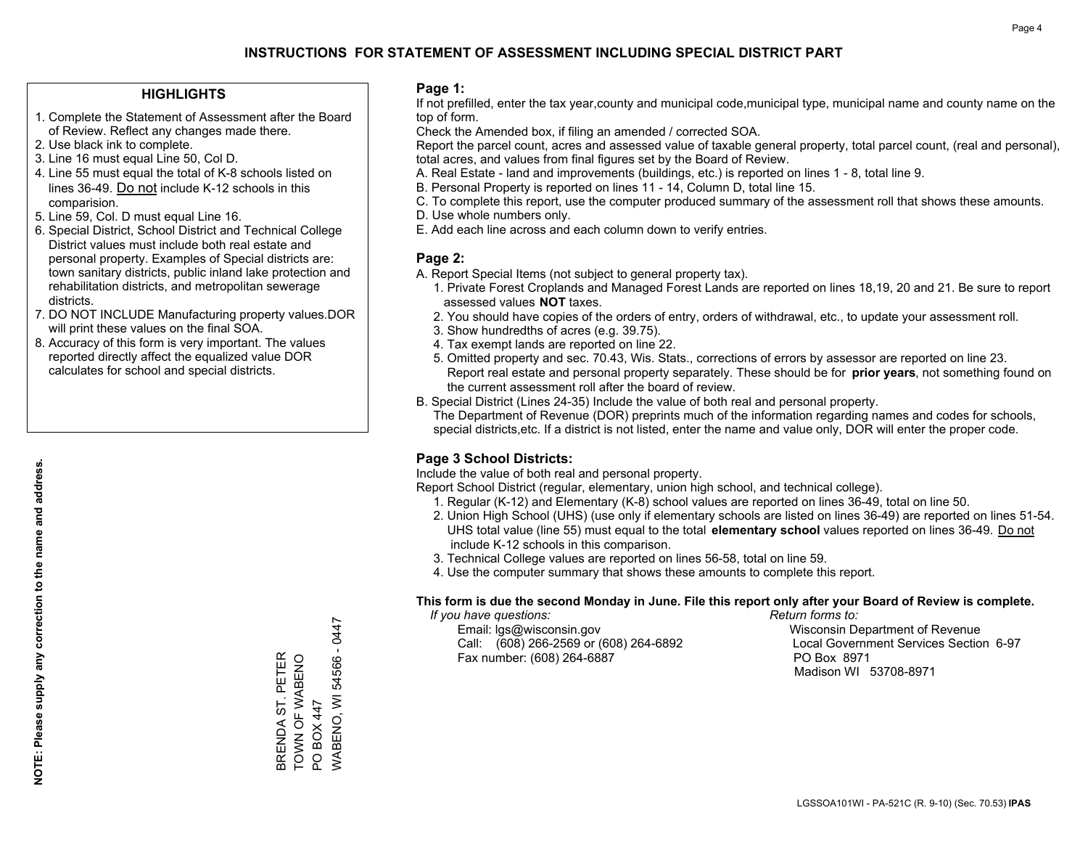### **HIGHLIGHTS**

- 1. Complete the Statement of Assessment after the Board of Review. Reflect any changes made there.
- 2. Use black ink to complete.
- 3. Line 16 must equal Line 50, Col D.
- 4. Line 55 must equal the total of K-8 schools listed on lines 36-49. Do not include K-12 schools in this comparision.
- 5. Line 59, Col. D must equal Line 16.
- 6. Special District, School District and Technical College District values must include both real estate and personal property. Examples of Special districts are: town sanitary districts, public inland lake protection and rehabilitation districts, and metropolitan sewerage districts.
- 7. DO NOT INCLUDE Manufacturing property values.DOR will print these values on the final SOA.

BRENDA ST. PETER TOWN OF WABENO

BRENDA ST. PETER<br>TOWN OF WABENO

PO BOX 447

PO BOX 447

WABENO, WI 54566 - 0447

WABENO, WI 54566 - 0447

 8. Accuracy of this form is very important. The values reported directly affect the equalized value DOR calculates for school and special districts.

### **Page 1:**

 If not prefilled, enter the tax year,county and municipal code,municipal type, municipal name and county name on the top of form.

Check the Amended box, if filing an amended / corrected SOA.

 Report the parcel count, acres and assessed value of taxable general property, total parcel count, (real and personal), total acres, and values from final figures set by the Board of Review.

- A. Real Estate land and improvements (buildings, etc.) is reported on lines 1 8, total line 9.
- B. Personal Property is reported on lines 11 14, Column D, total line 15.
- C. To complete this report, use the computer produced summary of the assessment roll that shows these amounts.
- D. Use whole numbers only.
- E. Add each line across and each column down to verify entries.

### **Page 2:**

- A. Report Special Items (not subject to general property tax).
- 1. Private Forest Croplands and Managed Forest Lands are reported on lines 18,19, 20 and 21. Be sure to report assessed values **NOT** taxes.
- 2. You should have copies of the orders of entry, orders of withdrawal, etc., to update your assessment roll.
	- 3. Show hundredths of acres (e.g. 39.75).
- 4. Tax exempt lands are reported on line 22.
- 5. Omitted property and sec. 70.43, Wis. Stats., corrections of errors by assessor are reported on line 23. Report real estate and personal property separately. These should be for **prior years**, not something found on the current assessment roll after the board of review.
- B. Special District (Lines 24-35) Include the value of both real and personal property.
- The Department of Revenue (DOR) preprints much of the information regarding names and codes for schools, special districts,etc. If a district is not listed, enter the name and value only, DOR will enter the proper code.

### **Page 3 School Districts:**

Include the value of both real and personal property.

Report School District (regular, elementary, union high school, and technical college).

- 1. Regular (K-12) and Elementary (K-8) school values are reported on lines 36-49, total on line 50.
- 2. Union High School (UHS) (use only if elementary schools are listed on lines 36-49) are reported on lines 51-54. UHS total value (line 55) must equal to the total **elementary school** values reported on lines 36-49. Do notinclude K-12 schools in this comparison.
- 3. Technical College values are reported on lines 56-58, total on line 59.
- 4. Use the computer summary that shows these amounts to complete this report.

#### **This form is due the second Monday in June. File this report only after your Board of Review is complete.**

 *If you have questions: Return forms to:*

 Email: lgs@wisconsin.gov Wisconsin Department of RevenueCall:  $(608)$  266-2569 or  $(608)$  264-6892 Fax number: (608) 264-6887 PO Box 8971

Local Government Services Section 6-97 Madison WI 53708-8971

**NOTE: Please supply any correction to the name and address.**

NOTE: Please supply any correction to the name and address.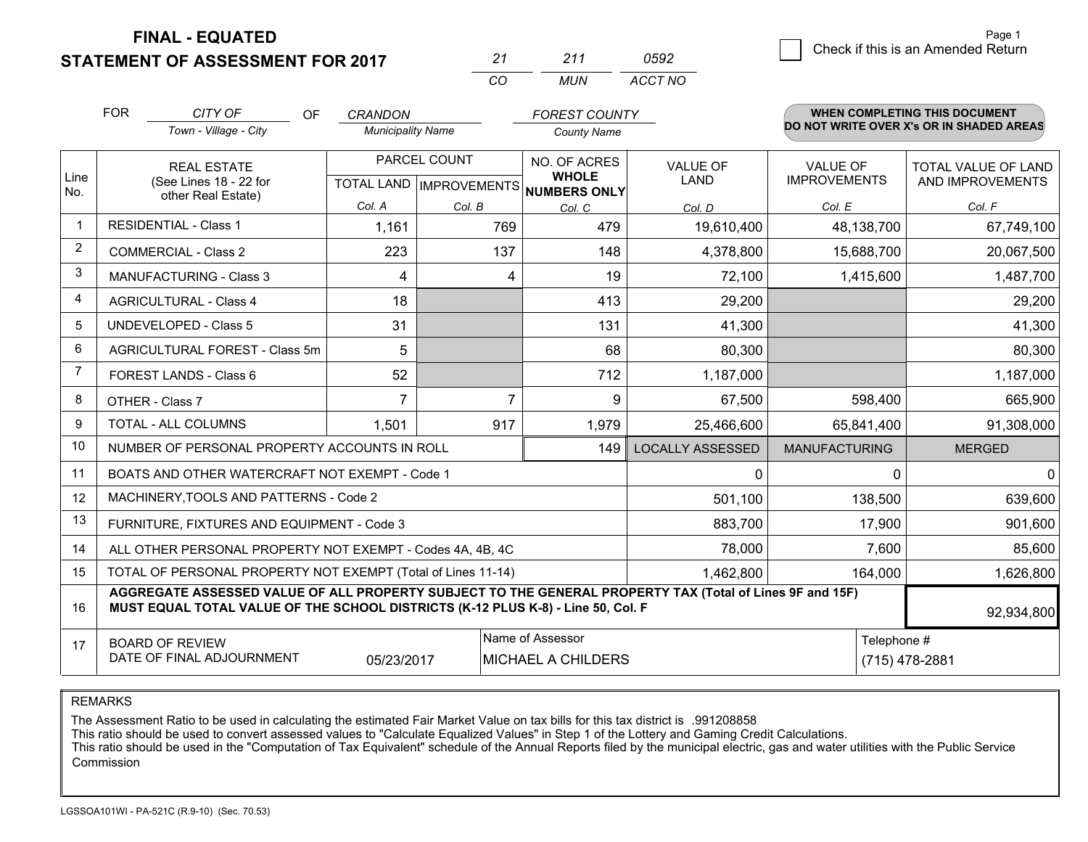### **STATEMENT OF ASSESSMENT FOR 2017**

*CO MUN <sup>21</sup> <sup>211</sup> ACCT NO0592*

|                | <b>FOR</b>                                                                                                                                                                                   | CITY OF<br>OF                                  | <b>CRANDON</b>           |                           | <b>FOREST COUNTY</b>         |                         |                      | <b>WHEN COMPLETING THIS DOCUMENT</b>     |
|----------------|----------------------------------------------------------------------------------------------------------------------------------------------------------------------------------------------|------------------------------------------------|--------------------------|---------------------------|------------------------------|-------------------------|----------------------|------------------------------------------|
|                |                                                                                                                                                                                              | Town - Village - City                          | <b>Municipality Name</b> |                           | <b>County Name</b>           |                         |                      | DO NOT WRITE OVER X's OR IN SHADED AREAS |
|                |                                                                                                                                                                                              | <b>REAL ESTATE</b>                             | PARCEL COUNT             |                           | NO. OF ACRES                 | <b>VALUE OF</b>         | <b>VALUE OF</b>      | TOTAL VALUE OF LAND                      |
| Line<br>No.    |                                                                                                                                                                                              | (See Lines 18 - 22 for<br>other Real Estate)   |                          | TOTAL LAND   IMPROVEMENTS | <b>WHOLE</b><br>NUMBERS ONLY | <b>LAND</b>             | <b>IMPROVEMENTS</b>  | AND IMPROVEMENTS                         |
|                |                                                                                                                                                                                              |                                                | Col. A                   | Col. B                    | Col. C                       | Col. D                  | Col. E               | Col. F                                   |
|                |                                                                                                                                                                                              | <b>RESIDENTIAL - Class 1</b>                   | 1,161                    | 769                       | 479                          | 19,610,400              | 48,138,700           | 67,749,100                               |
| 2              |                                                                                                                                                                                              | <b>COMMERCIAL - Class 2</b>                    | 223                      | 137                       | 148                          | 4,378,800               | 15,688,700           | 20,067,500                               |
| 3              |                                                                                                                                                                                              | <b>MANUFACTURING - Class 3</b>                 | 4                        | 4                         | 19                           | 72,100                  | 1,415,600            | 1,487,700                                |
| 4              |                                                                                                                                                                                              | <b>AGRICULTURAL - Class 4</b>                  | 18                       |                           | 413                          | 29,200                  |                      | 29,200                                   |
| 5              |                                                                                                                                                                                              | <b>UNDEVELOPED - Class 5</b>                   | 31                       |                           | 131                          | 41,300                  |                      | 41,300                                   |
| 6              |                                                                                                                                                                                              | AGRICULTURAL FOREST - Class 5m                 | 5                        |                           | 68                           | 80,300                  |                      | 80,300                                   |
| $\overline{7}$ |                                                                                                                                                                                              | FOREST LANDS - Class 6                         | 52                       |                           | 712                          | 1,187,000               |                      | 1,187,000                                |
| 8              |                                                                                                                                                                                              | OTHER - Class 7                                | $\overline{7}$           | $\overline{7}$            | 9                            | 67,500                  | 598,400              | 665,900                                  |
| 9              |                                                                                                                                                                                              | TOTAL - ALL COLUMNS                            | 1,501                    | 917                       | 1,979                        | 25,466,600              | 65,841,400           | 91,308,000                               |
| 10             |                                                                                                                                                                                              | NUMBER OF PERSONAL PROPERTY ACCOUNTS IN ROLL   |                          |                           | 149                          | <b>LOCALLY ASSESSED</b> | <b>MANUFACTURING</b> | <b>MERGED</b>                            |
| 11             |                                                                                                                                                                                              | BOATS AND OTHER WATERCRAFT NOT EXEMPT - Code 1 |                          |                           |                              | 0                       | $\Omega$             | 0                                        |
| 12             |                                                                                                                                                                                              | MACHINERY, TOOLS AND PATTERNS - Code 2         |                          |                           |                              | 501,100                 | 138,500              | 639,600                                  |
| 13             |                                                                                                                                                                                              | FURNITURE, FIXTURES AND EQUIPMENT - Code 3     |                          |                           |                              | 883,700                 | 17,900               | 901,600                                  |
| 14             | 78,000<br>ALL OTHER PERSONAL PROPERTY NOT EXEMPT - Codes 4A, 4B, 4C                                                                                                                          |                                                |                          |                           |                              |                         |                      | 85,600                                   |
| 15             | TOTAL OF PERSONAL PROPERTY NOT EXEMPT (Total of Lines 11-14)<br>1,462,800                                                                                                                    |                                                |                          |                           |                              |                         | 164,000              | 1,626,800                                |
| 16             | AGGREGATE ASSESSED VALUE OF ALL PROPERTY SUBJECT TO THE GENERAL PROPERTY TAX (Total of Lines 9F and 15F)<br>MUST EQUAL TOTAL VALUE OF THE SCHOOL DISTRICTS (K-12 PLUS K-8) - Line 50, Col. F |                                                |                          |                           |                              |                         |                      | 92,934,800                               |
| 17             | Name of Assessor<br>Telephone #<br><b>BOARD OF REVIEW</b><br>DATE OF FINAL ADJOURNMENT<br>05/23/2017<br>MICHAEL A CHILDERS                                                                   |                                                |                          |                           |                              | (715) 478-2881          |                      |                                          |

REMARKS

The Assessment Ratio to be used in calculating the estimated Fair Market Value on tax bills for this tax district is .991208858<br>This ratio should be used to convert assessed values to "Calculate Equalized Values" in Step 1 Commission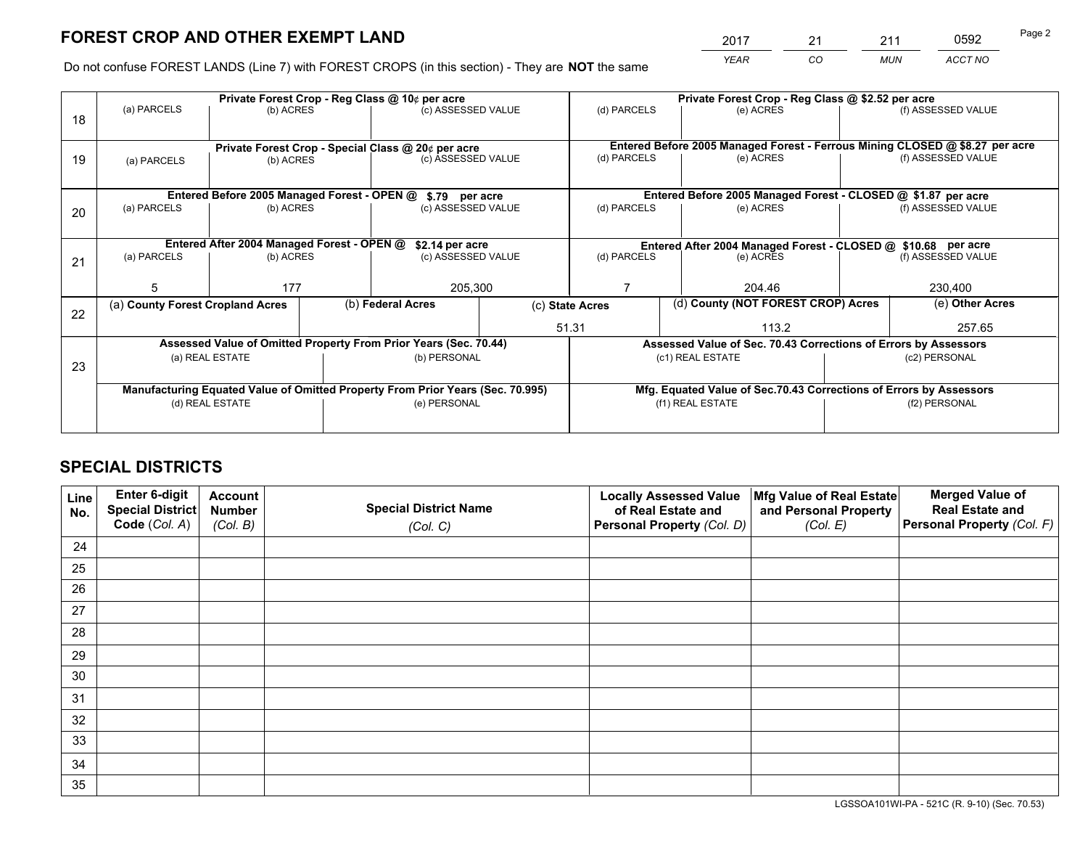*YEAR CO MUN ACCT NO* <sup>2017</sup> <sup>21</sup> <sup>211</sup> <sup>0592</sup>

Do not confuse FOREST LANDS (Line 7) with FOREST CROPS (in this section) - They are **NOT** the same

|    |                                                                                |                                             |                                                    | Private Forest Crop - Reg Class @ 10¢ per acre |                                   | Private Forest Crop - Reg Class @ \$2.52 per acre                            |                                                                    |  |                    |  |
|----|--------------------------------------------------------------------------------|---------------------------------------------|----------------------------------------------------|------------------------------------------------|-----------------------------------|------------------------------------------------------------------------------|--------------------------------------------------------------------|--|--------------------|--|
| 18 | (a) PARCELS                                                                    | (b) ACRES                                   |                                                    | (c) ASSESSED VALUE                             |                                   | (d) PARCELS                                                                  | (e) ACRES                                                          |  | (f) ASSESSED VALUE |  |
|    |                                                                                |                                             |                                                    |                                                |                                   |                                                                              |                                                                    |  |                    |  |
|    | (a) PARCELS<br>(b) ACRES                                                       |                                             | Private Forest Crop - Special Class @ 20¢ per acre |                                                |                                   | Entered Before 2005 Managed Forest - Ferrous Mining CLOSED @ \$8.27 per acre |                                                                    |  |                    |  |
| 19 |                                                                                |                                             |                                                    | (c) ASSESSED VALUE                             |                                   | (d) PARCELS                                                                  | (e) ACRES                                                          |  | (f) ASSESSED VALUE |  |
|    |                                                                                |                                             |                                                    |                                                |                                   |                                                                              |                                                                    |  |                    |  |
|    |                                                                                | Entered Before 2005 Managed Forest - OPEN @ |                                                    | \$.79 per acre                                 |                                   |                                                                              | Entered Before 2005 Managed Forest - CLOSED @ \$1.87 per acre      |  |                    |  |
| 20 | (a) PARCELS                                                                    | (b) ACRES                                   |                                                    | (c) ASSESSED VALUE                             |                                   | (d) PARCELS                                                                  | (e) ACRES                                                          |  | (f) ASSESSED VALUE |  |
|    |                                                                                |                                             |                                                    |                                                |                                   |                                                                              |                                                                    |  |                    |  |
|    | Entered After 2004 Managed Forest - OPEN @<br>\$2.14 per acre                  |                                             |                                                    |                                                |                                   | Entered After 2004 Managed Forest - CLOSED @ \$10.68 per acre                |                                                                    |  |                    |  |
| 21 | (a) PARCELS                                                                    | (b) ACRES                                   |                                                    |                                                | (c) ASSESSED VALUE<br>(d) PARCELS |                                                                              | (e) ACRES                                                          |  | (f) ASSESSED VALUE |  |
|    |                                                                                |                                             |                                                    |                                                |                                   |                                                                              |                                                                    |  |                    |  |
|    | 5                                                                              | 177                                         |                                                    | 205,300                                        |                                   | 204.46                                                                       |                                                                    |  | 230,400            |  |
|    | (a) County Forest Cropland Acres                                               |                                             |                                                    | (b) Federal Acres                              |                                   | (c) State Acres                                                              | (d) County (NOT FOREST CROP) Acres                                 |  | (e) Other Acres    |  |
| 22 |                                                                                |                                             |                                                    |                                                |                                   |                                                                              | 113.2                                                              |  | 257.65             |  |
|    |                                                                                |                                             |                                                    |                                                | 51.31                             |                                                                              |                                                                    |  |                    |  |
|    | Assessed Value of Omitted Property From Prior Years (Sec. 70.44)               |                                             |                                                    |                                                |                                   |                                                                              | Assessed Value of Sec. 70.43 Corrections of Errors by Assessors    |  |                    |  |
| 23 | (a) REAL ESTATE                                                                |                                             |                                                    | (b) PERSONAL                                   |                                   |                                                                              | (c1) REAL ESTATE<br>(c2) PERSONAL                                  |  |                    |  |
|    |                                                                                |                                             |                                                    |                                                |                                   |                                                                              |                                                                    |  |                    |  |
|    | Manufacturing Equated Value of Omitted Property From Prior Years (Sec. 70.995) |                                             |                                                    |                                                |                                   |                                                                              | Mfg. Equated Value of Sec.70.43 Corrections of Errors by Assessors |  |                    |  |
|    | (d) REAL ESTATE                                                                |                                             |                                                    | (e) PERSONAL                                   |                                   |                                                                              | (f1) REAL ESTATE                                                   |  | (f2) PERSONAL      |  |
|    |                                                                                |                                             |                                                    |                                                |                                   |                                                                              |                                                                    |  |                    |  |

## **SPECIAL DISTRICTS**

| Line<br>No. | Enter 6-digit<br><b>Special District</b> | <b>Account</b><br><b>Number</b> | <b>Special District Name</b> | <b>Locally Assessed Value</b><br>of Real Estate and | Mfg Value of Real Estate<br>and Personal Property | <b>Merged Value of</b><br><b>Real Estate and</b> |
|-------------|------------------------------------------|---------------------------------|------------------------------|-----------------------------------------------------|---------------------------------------------------|--------------------------------------------------|
|             | Code (Col. A)                            | (Col. B)                        | (Col. C)                     | Personal Property (Col. D)                          | (Col. E)                                          | Personal Property (Col. F)                       |
| 24          |                                          |                                 |                              |                                                     |                                                   |                                                  |
| 25          |                                          |                                 |                              |                                                     |                                                   |                                                  |
| 26          |                                          |                                 |                              |                                                     |                                                   |                                                  |
| 27          |                                          |                                 |                              |                                                     |                                                   |                                                  |
| 28          |                                          |                                 |                              |                                                     |                                                   |                                                  |
| 29          |                                          |                                 |                              |                                                     |                                                   |                                                  |
| 30          |                                          |                                 |                              |                                                     |                                                   |                                                  |
| 31          |                                          |                                 |                              |                                                     |                                                   |                                                  |
| 32          |                                          |                                 |                              |                                                     |                                                   |                                                  |
| 33          |                                          |                                 |                              |                                                     |                                                   |                                                  |
| 34          |                                          |                                 |                              |                                                     |                                                   |                                                  |
| 35          |                                          |                                 |                              |                                                     |                                                   |                                                  |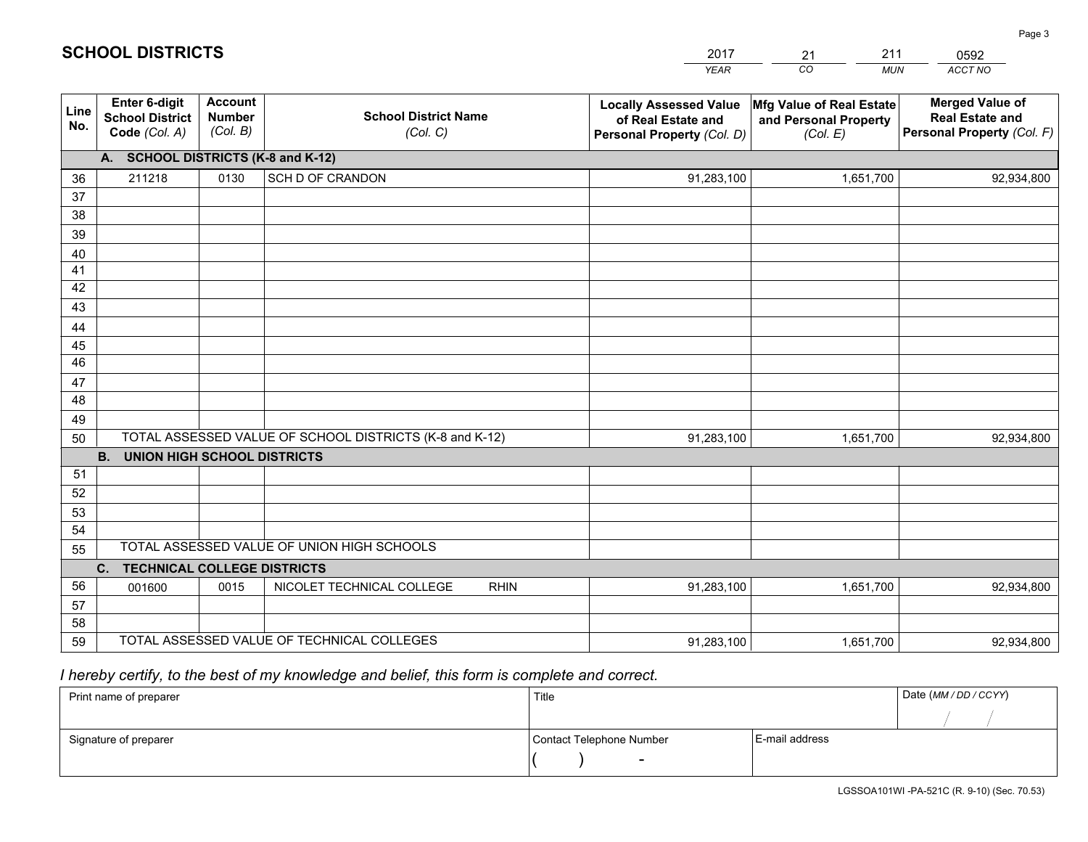|             |                                                                 |                                             |                                                         | <b>YEAR</b>                                                                       | CO<br><b>MUN</b>                                              | ACCT NO                                                                        |
|-------------|-----------------------------------------------------------------|---------------------------------------------|---------------------------------------------------------|-----------------------------------------------------------------------------------|---------------------------------------------------------------|--------------------------------------------------------------------------------|
| Line<br>No. | <b>Enter 6-digit</b><br><b>School District</b><br>Code (Col. A) | <b>Account</b><br><b>Number</b><br>(Col. B) | <b>School District Name</b><br>(Col. C)                 | <b>Locally Assessed Value</b><br>of Real Estate and<br>Personal Property (Col. D) | Mfg Value of Real Estate<br>and Personal Property<br>(Col. E) | <b>Merged Value of</b><br><b>Real Estate and</b><br>Personal Property (Col. F) |
|             | A. SCHOOL DISTRICTS (K-8 and K-12)                              |                                             |                                                         |                                                                                   |                                                               |                                                                                |
| 36          | 211218                                                          | 0130                                        | SCH D OF CRANDON                                        | 91,283,100                                                                        | 1,651,700                                                     | 92,934,800                                                                     |
| 37          |                                                                 |                                             |                                                         |                                                                                   |                                                               |                                                                                |
| 38          |                                                                 |                                             |                                                         |                                                                                   |                                                               |                                                                                |
| 39          |                                                                 |                                             |                                                         |                                                                                   |                                                               |                                                                                |
| 40          |                                                                 |                                             |                                                         |                                                                                   |                                                               |                                                                                |
| 41<br>42    |                                                                 |                                             |                                                         |                                                                                   |                                                               |                                                                                |
| 43          |                                                                 |                                             |                                                         |                                                                                   |                                                               |                                                                                |
|             |                                                                 |                                             |                                                         |                                                                                   |                                                               |                                                                                |
| 44<br>45    |                                                                 |                                             |                                                         |                                                                                   |                                                               |                                                                                |
| 46          |                                                                 |                                             |                                                         |                                                                                   |                                                               |                                                                                |
| 47          |                                                                 |                                             |                                                         |                                                                                   |                                                               |                                                                                |
| 48          |                                                                 |                                             |                                                         |                                                                                   |                                                               |                                                                                |
| 49          |                                                                 |                                             |                                                         |                                                                                   |                                                               |                                                                                |
| 50          |                                                                 |                                             | TOTAL ASSESSED VALUE OF SCHOOL DISTRICTS (K-8 and K-12) | 91,283,100                                                                        | 1,651,700                                                     | 92,934,800                                                                     |
|             | <b>B.</b><br><b>UNION HIGH SCHOOL DISTRICTS</b>                 |                                             |                                                         |                                                                                   |                                                               |                                                                                |
| 51          |                                                                 |                                             |                                                         |                                                                                   |                                                               |                                                                                |
| 52          |                                                                 |                                             |                                                         |                                                                                   |                                                               |                                                                                |
| 53          |                                                                 |                                             |                                                         |                                                                                   |                                                               |                                                                                |
| 54          |                                                                 |                                             |                                                         |                                                                                   |                                                               |                                                                                |
| 55          |                                                                 |                                             | TOTAL ASSESSED VALUE OF UNION HIGH SCHOOLS              |                                                                                   |                                                               |                                                                                |
|             | C.<br><b>TECHNICAL COLLEGE DISTRICTS</b>                        |                                             |                                                         |                                                                                   |                                                               |                                                                                |
| 56          | 001600                                                          | 0015                                        | NICOLET TECHNICAL COLLEGE<br><b>RHIN</b>                | 91,283,100                                                                        | 1,651,700                                                     | 92,934,800                                                                     |
| 57<br>58    |                                                                 |                                             |                                                         |                                                                                   |                                                               |                                                                                |
| 59          |                                                                 |                                             | TOTAL ASSESSED VALUE OF TECHNICAL COLLEGES              | 91,283,100                                                                        | 1,651,700                                                     | 92,934,800                                                                     |
|             |                                                                 |                                             |                                                         |                                                                                   |                                                               |                                                                                |

21

211

 *I hereby certify, to the best of my knowledge and belief, this form is complete and correct.*

**SCHOOL DISTRICTS**

| Print name of preparer | Title                    |                | Date (MM / DD / CCYY) |
|------------------------|--------------------------|----------------|-----------------------|
|                        |                          |                |                       |
| Signature of preparer  | Contact Telephone Number | E-mail address |                       |
|                        | $\sim$                   |                |                       |